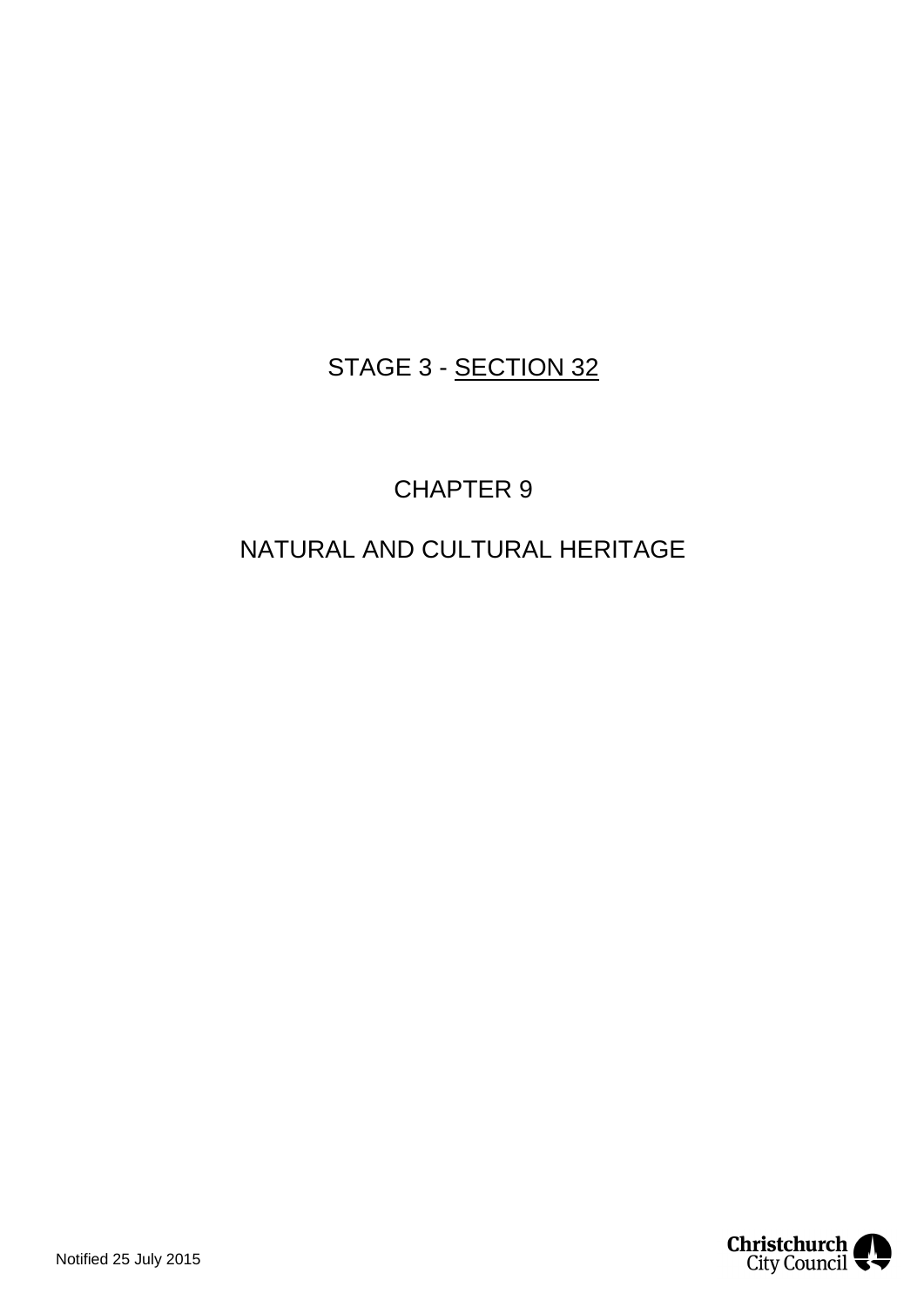## STAGE 3 - SECTION 32

# CHAPTER 9

# NATURAL AND CULTURAL HERITAGE

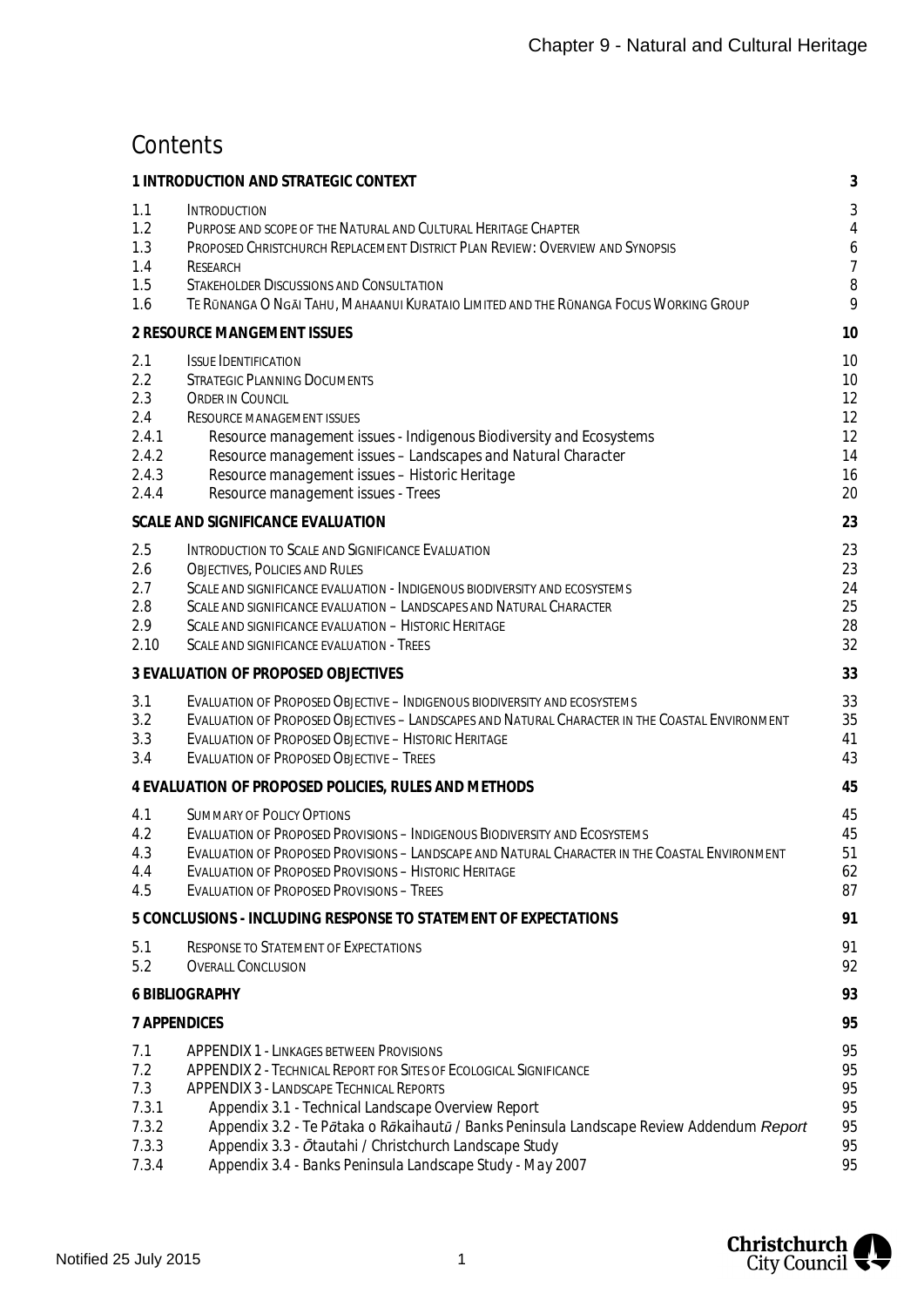## **Contents**

|                                                              | 1 INTRODUCTION AND STRATEGIC CONTEXT                                                                                                                                                                                                                                                                                                                                                                                                                     | 3                                                    |
|--------------------------------------------------------------|----------------------------------------------------------------------------------------------------------------------------------------------------------------------------------------------------------------------------------------------------------------------------------------------------------------------------------------------------------------------------------------------------------------------------------------------------------|------------------------------------------------------|
| 1.1<br>1.2<br>1.3<br>1.4<br>1.5<br>1.6                       | <b>INTRODUCTION</b><br>PURPOSE AND SCOPE OF THE NATURAL AND CULTURAL HERITAGE CHAPTER<br>PROPOSED CHRISTCHURCH REPLACEMENT DISTRICT PLAN REVIEW: OVERVIEW AND SYNOPSIS<br><b>RESEARCH</b><br><b>STAKEHOLDER DISCUSSIONS AND CONSULTATION</b><br>TE RŪNANGA O NGĀI TAHU, MAHAANUI KURATAIO LIMITED AND THE RŪNANGA FOCUS WORKING GROUP                                                                                                                    | 3<br>$\overline{4}$<br>6<br>$\overline{7}$<br>8<br>9 |
|                                                              | 2 RESOURCE MANGEMENT ISSUES                                                                                                                                                                                                                                                                                                                                                                                                                              | 10                                                   |
| 2.1<br>2.2<br>2.3<br>2.4<br>2.4.1<br>2.4.2<br>2.4.3<br>2.4.4 | <b>ISSUE IDENTIFICATION</b><br><b>STRATEGIC PLANNING DOCUMENTS</b><br><b>ORDER IN COUNCIL</b><br><b>RESOURCE MANAGEMENT ISSUES</b><br>Resource management issues - Indigenous Biodiversity and Ecosystems<br>Resource management issues - Landscapes and Natural Character<br>Resource management issues - Historic Heritage<br>Resource management issues - Trees                                                                                       | 10<br>10<br>12<br>12<br>12<br>14<br>16<br>20         |
|                                                              | SCALE AND SIGNIFICANCE EVALUATION                                                                                                                                                                                                                                                                                                                                                                                                                        | 23                                                   |
| 2.5<br>2.6<br>2.7<br>2.8<br>2.9<br>2.10                      | INTRODUCTION TO SCALE AND SIGNIFICANCE EVALUATION<br><b>OBJECTIVES, POLICIES AND RULES</b><br>SCALE AND SIGNIFICANCE EVALUATION - INDIGENOUS BIODIVERSITY AND ECOSYSTEMS<br>SCALE AND SIGNIFICANCE EVALUATION - LANDSCAPES AND NATURAL CHARACTER<br>SCALE AND SIGNIFICANCE EVALUATION - HISTORIC HERITAGE<br>SCALE AND SIGNIFICANCE EVALUATION - TREES                                                                                                   | 23<br>23<br>24<br>25<br>28<br>32                     |
|                                                              | 3 EVALUATION OF PROPOSED OBJECTIVES                                                                                                                                                                                                                                                                                                                                                                                                                      | 33                                                   |
| 3.1<br>3.2<br>3.3<br>3.4                                     | EVALUATION OF PROPOSED OBJECTIVE - INDIGENOUS BIODIVERSITY AND ECOSYSTEMS<br>EVALUATION OF PROPOSED OBJECTIVES - LANDSCAPES AND NATURAL CHARACTER IN THE COASTAL ENVIRONMENT<br><b>EVALUATION OF PROPOSED OBJECTIVE - HISTORIC HERITAGE</b><br><b>EVALUATION OF PROPOSED OBJECTIVE - TREES</b>                                                                                                                                                           | 33<br>35<br>41<br>43                                 |
|                                                              | 4 EVALUATION OF PROPOSED POLICIES, RULES AND METHODS                                                                                                                                                                                                                                                                                                                                                                                                     | 45                                                   |
| 4.1<br>4.2<br>4.3<br>4.4<br>4.5                              | <b>SUMMARY OF POLICY OPTIONS</b><br><b>EVALUATION OF PROPOSED PROVISIONS - INDIGENOUS BIODIVERSITY AND ECOSYSTEMS</b><br>EVALUATION OF PROPOSED PROVISIONS - LANDSCAPE AND NATURAL CHARACTER IN THE COASTAL ENVIRONMENT<br><b>EVALUATION OF PROPOSED PROVISIONS - HISTORIC HERITAGE</b><br><b>EVALUATION OF PROPOSED PROVISIONS - TREES</b>                                                                                                              | 45<br>45<br>51<br>62<br>87                           |
|                                                              | 5 CONCLUSIONS - INCLUDING RESPONSE TO STATEMENT OF EXPECTATIONS                                                                                                                                                                                                                                                                                                                                                                                          | 91                                                   |
| 5.1<br>5.2                                                   | <b>RESPONSE TO STATEMENT OF EXPECTATIONS</b><br><b>OVERALL CONCLUSION</b>                                                                                                                                                                                                                                                                                                                                                                                | 91<br>92                                             |
|                                                              | 6 BIBLIOGRAPHY                                                                                                                                                                                                                                                                                                                                                                                                                                           | 93                                                   |
| <b>7 APPENDICES</b>                                          |                                                                                                                                                                                                                                                                                                                                                                                                                                                          | 95                                                   |
| 7.1<br>7.2<br>7.3<br>7.3.1<br>7.3.2<br>7.3.3<br>7.3.4        | <b>APPENDIX 1 - LINKAGES BETWEEN PROVISIONS</b><br><b>APPENDIX 2 - TECHNICAL REPORT FOR SITES OF ECOLOGICAL SIGNIFICANCE</b><br><b>APPENDIX 3 - LANDSCAPE TECHNICAL REPORTS</b><br>Appendix 3.1 - Technical Landscape Overview Report<br>Appendix 3.2 - Te Pātaka o Rākaihautū / Banks Peninsula Landscape Review Addendum Report<br>Appendix 3.3 - Ōtautahi / Christchurch Landscape Study<br>Appendix 3.4 - Banks Peninsula Landscape Study - May 2007 | 95<br>95<br>95<br>95<br>95<br>95<br>95               |

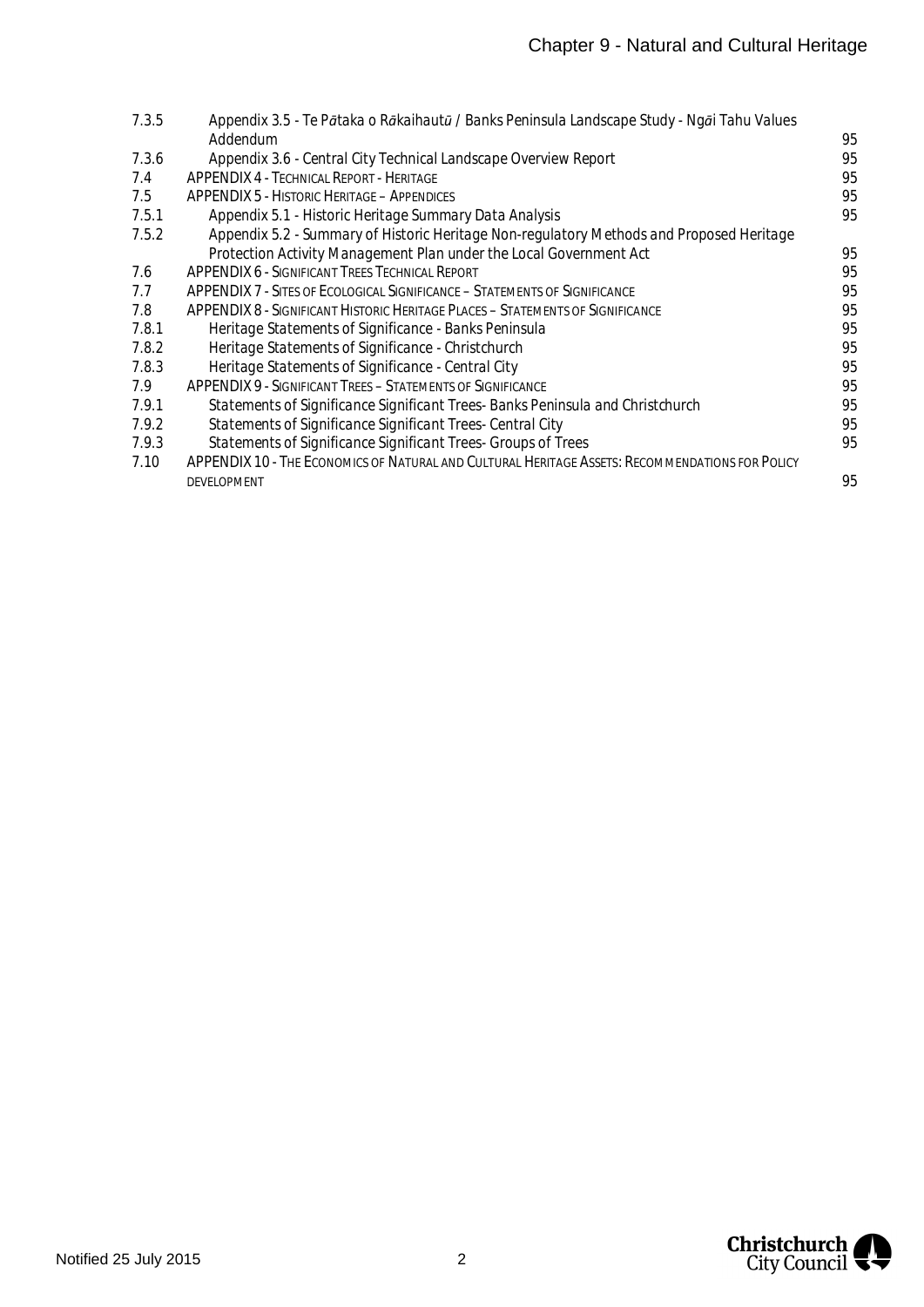| 7.3.5 | Appendix 3.5 - Te Pātaka o Rākaihautū / Banks Peninsula Landscape Study - Ngāi Tahu Values      |    |
|-------|-------------------------------------------------------------------------------------------------|----|
|       | Addendum                                                                                        | 95 |
| 7.3.6 | Appendix 3.6 - Central City Technical Landscape Overview Report                                 | 95 |
| 7.4   | <b>APPENDIX 4 - TECHNICAL REPORT - HERITAGE</b>                                                 | 95 |
| 7.5   | <b>APPENDIX 5 - HISTORIC HERITAGE – APPENDICES</b>                                              | 95 |
| 7.5.1 | Appendix 5.1 - Historic Heritage Summary Data Analysis                                          | 95 |
| 7.5.2 | Appendix 5.2 - Summary of Historic Heritage Non-regulatory Methods and Proposed Heritage        |    |
|       | Protection Activity Management Plan under the Local Government Act                              | 95 |
| 7.6   | <b>APPENDIX 6 - SIGNIFICANT TREES TECHNICAL REPORT</b>                                          | 95 |
| 7.7   | APPENDIX 7 - SITES OF ECOLOGICAL SIGNIFICANCE – STATEMENTS OF SIGNIFICANCE                      | 95 |
| 7.8   | <b>APPENDIX 8 - SIGNIFICANT HISTORIC HERITAGE PLACES - STATEMENTS OF SIGNIFICANCE</b>           | 95 |
| 7.8.1 | Heritage Statements of Significance - Banks Peninsula                                           | 95 |
| 7.8.2 | Heritage Statements of Significance - Christchurch                                              | 95 |
| 7.8.3 | Heritage Statements of Significance - Central City                                              | 95 |
| 7.9   | <b>APPENDIX 9 - SIGNIFICANT TREES - STATEMENTS OF SIGNIFICANCE</b>                              | 95 |
| 7.9.1 | Statements of Significance Significant Trees- Banks Peninsula and Christchurch                  | 95 |
| 7.9.2 | Statements of Significance Significant Trees- Central City                                      | 95 |
| 7.9.3 | Statements of Significance Significant Trees- Groups of Trees                                   | 95 |
| 7.10  | APPENDIX 10 - THE ECONOMICS OF NATURAL AND CULTURAL HERITAGE ASSETS: RECOMMENDATIONS FOR POLICY |    |
|       | <b>DEVELOPMENT</b>                                                                              | 95 |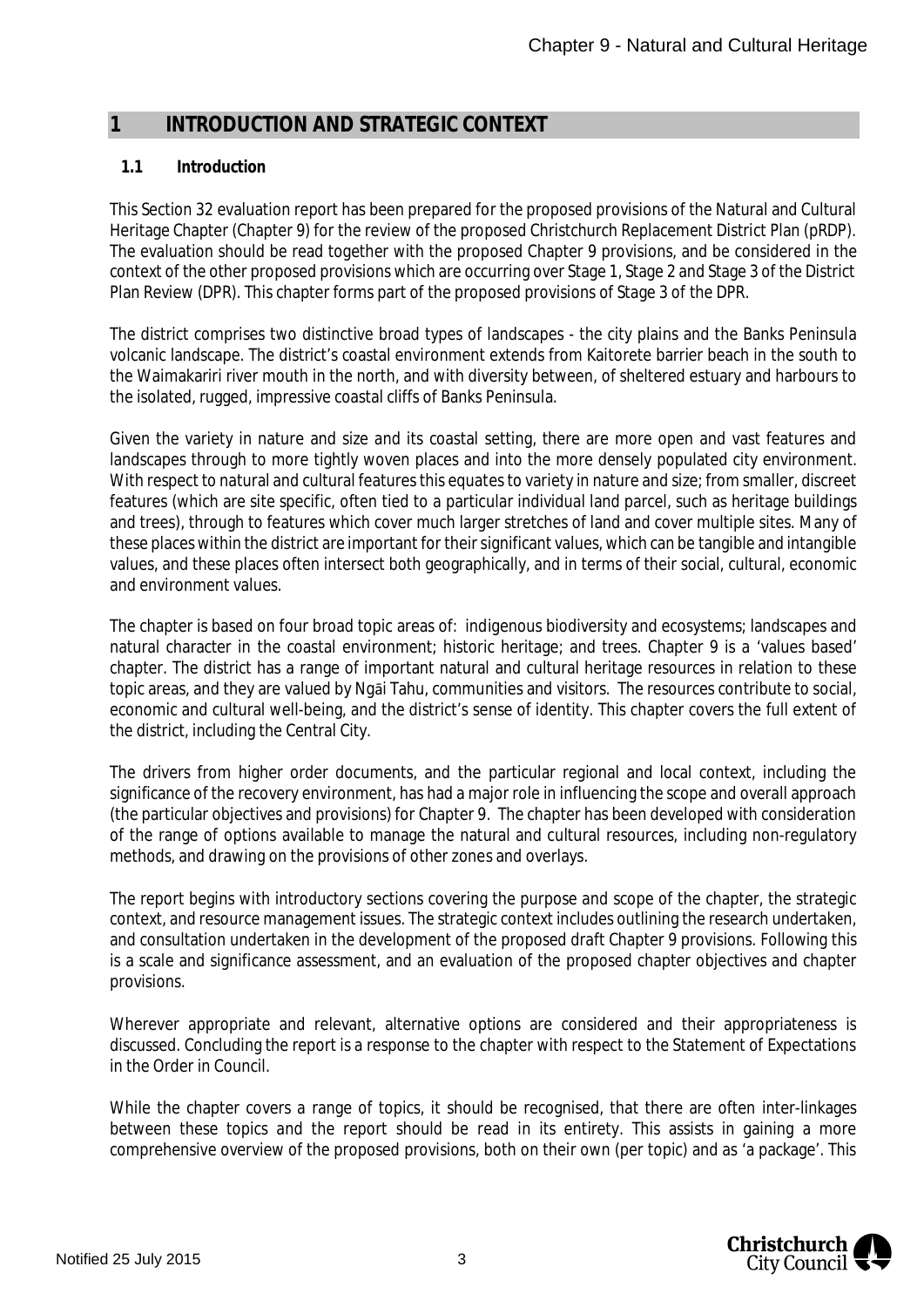## <span id="page-3-2"></span><span id="page-3-0"></span>**1 INTRODUCTION AND STRATEGIC CONTEXT**

#### <span id="page-3-1"></span>**1.1 Introduction**

This Section 32 evaluation report has been prepared for the proposed provisions of the Natural and Cultural Heritage Chapter (Chapter 9) for the review of the proposed Christchurch Replacement District Plan (pRDP). The evaluation should be read together with the proposed Chapter 9 provisions, and be considered in the context of the other proposed provisions which are occurring over Stage 1, Stage 2 and Stage 3 of the District Plan Review (DPR). This chapter forms part of the proposed provisions of Stage 3 of the DPR.

The district comprises two distinctive broad types of landscapes - the city plains and the Banks Peninsula volcanic landscape. The district's coastal environment extends from Kaitorete barrier beach in the south to the Waimakariri river mouth in the north, and with diversity between, of sheltered estuary and harbours to the isolated, rugged, impressive coastal cliffs of Banks Peninsula.

Given the variety in nature and size and its coastal setting, there are more open and vast features and landscapes through to more tightly woven places and into the more densely populated city environment. With respect to natural and cultural features this equates to variety in nature and size; from smaller, discreet features (which are site specific, often tied to a particular individual land parcel, such as heritage buildings and trees), through to features which cover much larger stretches of land and cover multiple sites. Many of these places within the district are important for their significant values, which can be tangible and intangible values, and these places often intersect both geographically, and in terms of their social, cultural, economic and environment values.

The chapter is based on four broad topic areas of: indigenous biodiversity and ecosystems; landscapes and natural character in the coastal environment; historic heritage; and trees. Chapter 9 is a 'values based' chapter. The district has a range of important natural and cultural heritage resources in relation to these topic areas, and they are valued by Ngāi Tahu, communities and visitors. The resources contribute to social, economic and cultural well-being, and the district's sense of identity. This chapter covers the full extent of the district, including the Central City.

The drivers from higher order documents, and the particular regional and local context, including the significance of the recovery environment, has had a major role in influencing the scope and overall approach (the particular objectives and provisions) for Chapter 9. The chapter has been developed with consideration of the range of options available to manage the natural and cultural resources, including non-regulatory methods, and drawing on the provisions of other zones and overlays.

The report begins with introductory sections covering the purpose and scope of the chapter, the strategic context, and resource management issues. The strategic context includes outlining the research undertaken, and consultation undertaken in the development of the proposed draft Chapter 9 provisions. Following this is a scale and significance assessment, and an evaluation of the proposed chapter objectives and chapter provisions.

Wherever appropriate and relevant, alternative options are considered and their appropriateness is discussed. Concluding the report is a response to the chapter with respect to the Statement of Expectations in the Order in Council.

While the chapter covers a range of topics, it should be recognised, that there are often inter-linkages between these topics and the report should be read in its entirety. This assists in gaining a more comprehensive overview of the proposed provisions, both on their own (per topic) and as 'a package'. This

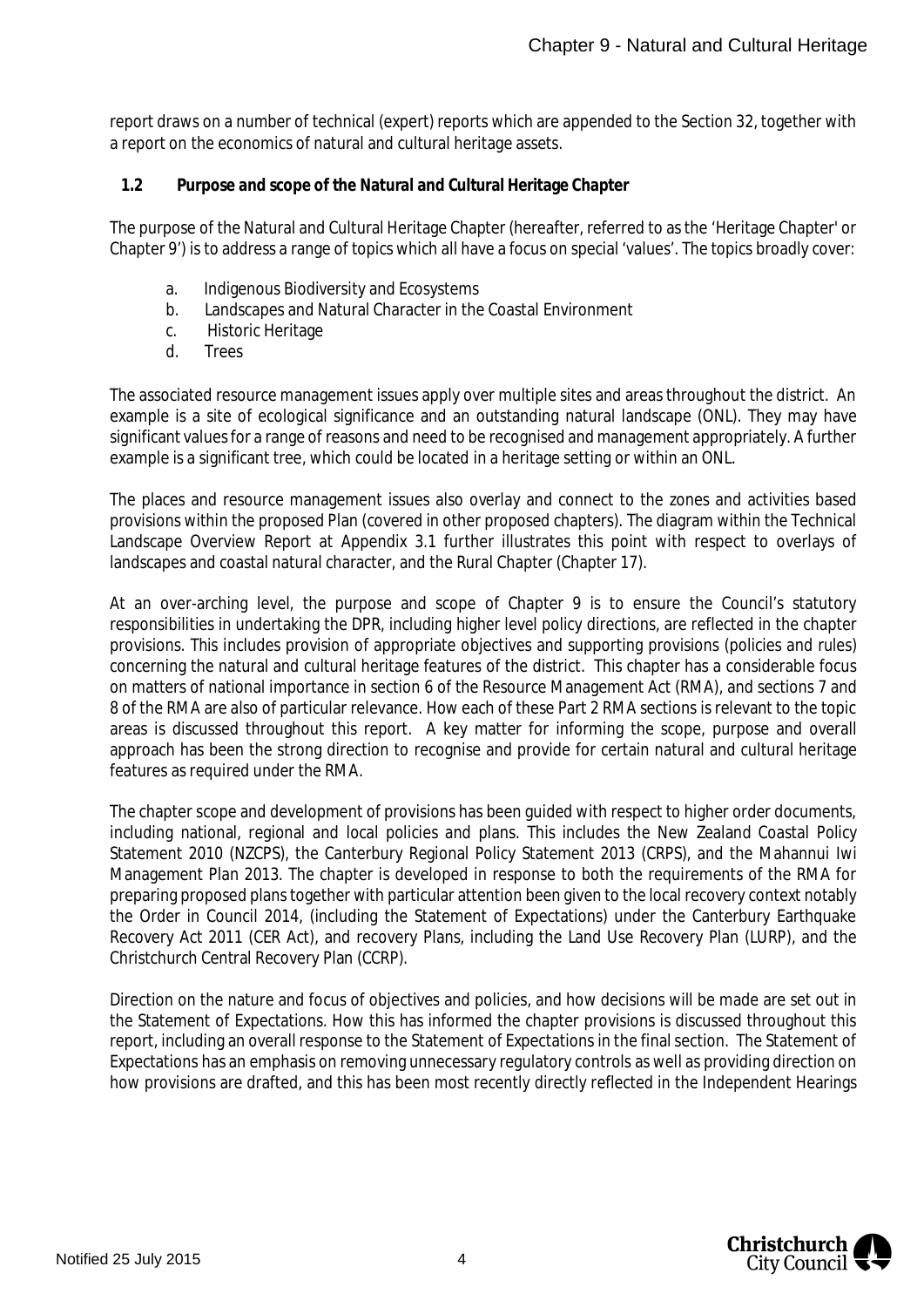report draws on a number of technical (expert) reports which are appended to the Section 32, together with a report on the economics of natural and cultural heritage assets.

<span id="page-4-0"></span>**1.2 Purpose and scope of the Natural and Cultural Heritage Chapter**

The purpose of the Natural and Cultural Heritage Chapter (hereafter, referred to as the 'Heritage Chapter' or Chapter 9') is to address a range of topics which all have a focus on special 'values'. The topics broadly cover:

- a. Indigenous Biodiversity and Ecosystems
- b. Landscapes and Natural Character in the Coastal Environment
- c. Historic Heritage
- d. Trees

The associated resource management issues apply over multiple sites and areas throughout the district. An example is a site of ecological significance and an outstanding natural landscape (ONL). They may have significant values for a range of reasons and need to be recognised and management appropriately. A further example is a significant tree, which could be located in a heritage setting or within an ONL.

The places and resource management issues also overlay and connect to the zones and activities based provisions within the proposed Plan (covered in other proposed chapters). The diagram within the Technical Landscape Overview Report at Appendix 3.1 further illustrates this point with respect to overlays of landscapes and coastal natural character, and the Rural Chapter (Chapter 17).

At an over-arching level, the purpose and scope of Chapter 9 is to ensure the Council's statutory responsibilities in undertaking the DPR, including higher level policy directions, are reflected in the chapter provisions. This includes provision of appropriate objectives and supporting provisions (policies and rules) concerning the natural and cultural heritage features of the district. This chapter has a considerable focus on matters of national importance in section 6 of the Resource Management Act (RMA), and sections 7 and 8 of the RMA are also of particular relevance. How each of these Part 2 RMA sections is relevant to the topic areas is discussed throughout this report. A key matter for informing the scope, purpose and overall approach has been the strong direction to recognise and provide for certain natural and cultural heritage features as required under the RMA.

The chapter scope and development of provisions has been guided with respect to higher order documents, including national, regional and local policies and plans. This includes the New Zealand Coastal Policy Statement 2010 (NZCPS), the Canterbury Regional Policy Statement 2013 (CRPS), and the Mahannui Iwi Management Plan 2013. The chapter is developed in response to both the requirements of the RMA for preparing proposed plans together with particular attention been given to the local recovery context notably the Order in Council 2014, (including the Statement of Expectations) under the Canterbury Earthquake Recovery Act 2011 (CER Act), and recovery Plans, including the Land Use Recovery Plan (LURP), and the Christchurch Central Recovery Plan (CCRP).

Direction on the nature and focus of objectives and policies, and how decisions will be made are set out in the Statement of Expectations. How this has informed the chapter provisions is discussed throughout this report, including an overall response to the Statement of Expectations in the final section. The Statement of Expectations has an emphasis on removing unnecessary regulatory controls as well as providing direction on how provisions are drafted, and this has been most recently directly reflected in the Independent Hearings

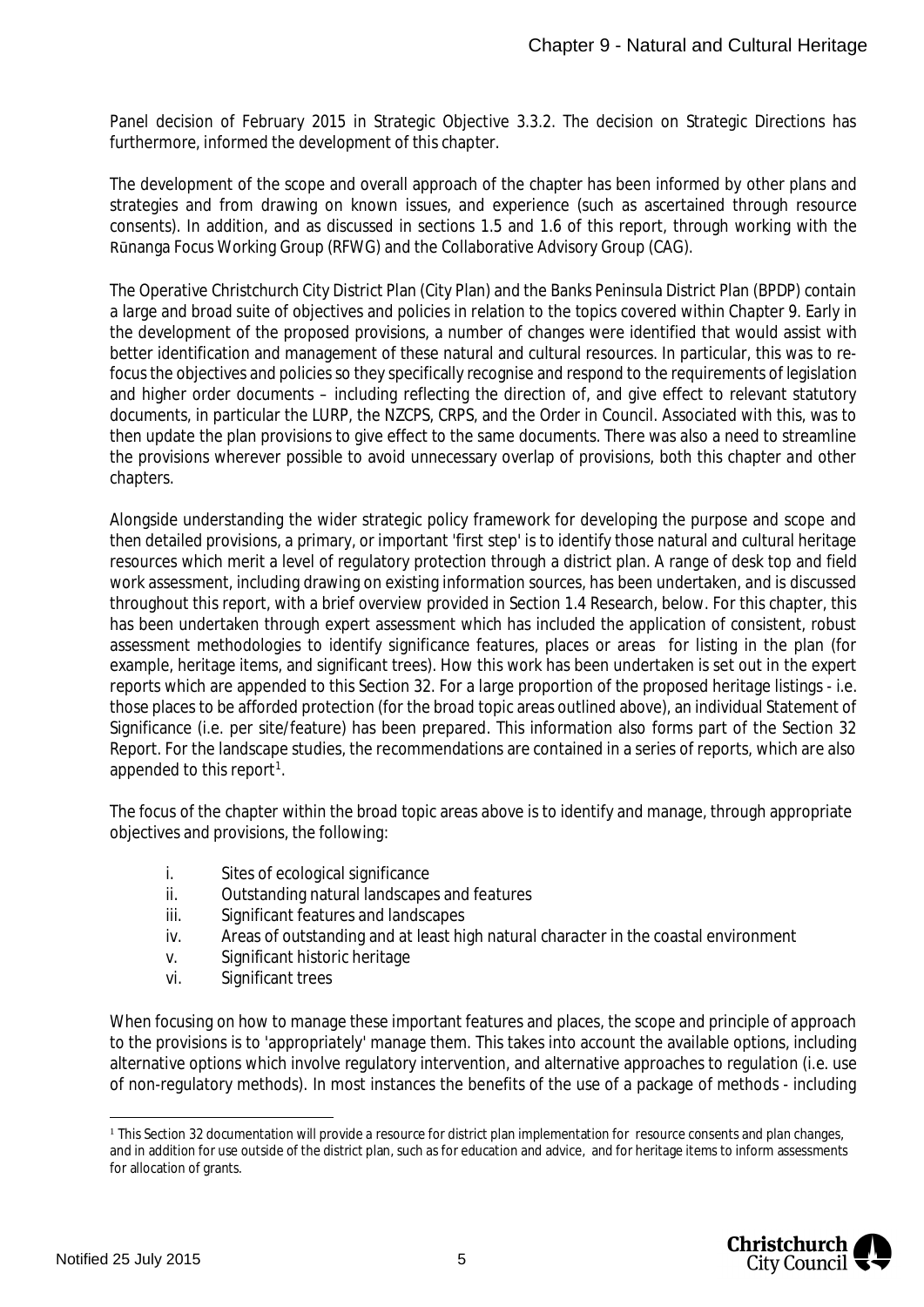Panel decision of February 2015 in Strategic Objective 3.3.2. The decision on Strategic Directions has furthermore, informed the development of this chapter.

The development of the scope and overall approach of the chapter has been informed by other plans and strategies and from drawing on known issues, and experience (such as ascertained through resource consents). In addition, and as discussed in sections 1.5 and 1.6 of this report, through working with the Rūnanga Focus Working Group (RFWG) and the Collaborative Advisory Group (CAG).

The Operative Christchurch City District Plan (City Plan) and the Banks Peninsula District Plan (BPDP) contain a large and broad suite of objectives and policies in relation to the topics covered within Chapter 9. Early in the development of the proposed provisions, a number of changes were identified that would assist with better identification and management of these natural and cultural resources. In particular, this was to refocus the objectives and policies so they specifically recognise and respond to the requirements of legislation and higher order documents – including reflecting the direction of, and give effect to relevant statutory documents, in particular the LURP, the NZCPS, CRPS, and the Order in Council. Associated with this, was to then update the plan provisions to give effect to the same documents. There was also a need to streamline the provisions wherever possible to avoid unnecessary overlap of provisions, both this chapter and other chapters.

Alongside understanding the wider strategic policy framework for developing the purpose and scope and then detailed provisions, a primary, or important 'first step' is to identify those natural and cultural heritage resources which merit a level of regulatory protection through a district plan. A range of desk top and field work assessment, including drawing on existing information sources, has been undertaken, and is discussed throughout this report, with a brief overview provided in Section 1.4 Research, below. For this chapter, this has been undertaken through expert assessment which has included the application of consistent, robust assessment methodologies to identify significance features, places or areas for listing in the plan (for example, heritage items, and significant trees). How this work has been undertaken is set out in the expert reports which are appended to this Section 32. For a large proportion of the proposed heritage listings - i.e. those places to be afforded protection (for the broad topic areas outlined above), an individual Statement of Significance (i.e. per site/feature) has been prepared. This information also forms part of the Section 32 Report. For the landscape studies, the recommendations are contained in a series of reports, which are also appended to this report<sup>[1](#page-5-0)</sup>.

The focus of the chapter within the broad topic areas above is to identify and manage, through appropriate objectives and provisions, the following:

- i. Sites of ecological significance
- ii. Outstanding natural landscapes and features
- iii. Significant features and landscapes
- iv. Areas of outstanding and at least high natural character in the coastal environment
- v. Significant historic heritage
- vi. Significant trees

When focusing on how to manage these important features and places, the scope and principle of approach to the provisions is to 'appropriately' manage them. This takes into account the available options, including alternative options which involve regulatory intervention, and alternative approaches to regulation (i.e. use of non-regulatory methods). In most instances the benefits of the use of a package of methods - including

<span id="page-5-0"></span><sup>&</sup>lt;sup>1</sup> This Section 32 documentation will provide a resource for district plan implementation for resource consents and plan changes, and in addition for use outside of the district plan, such as for education and advice, and for heritage items to inform assessments for allocation of grants.

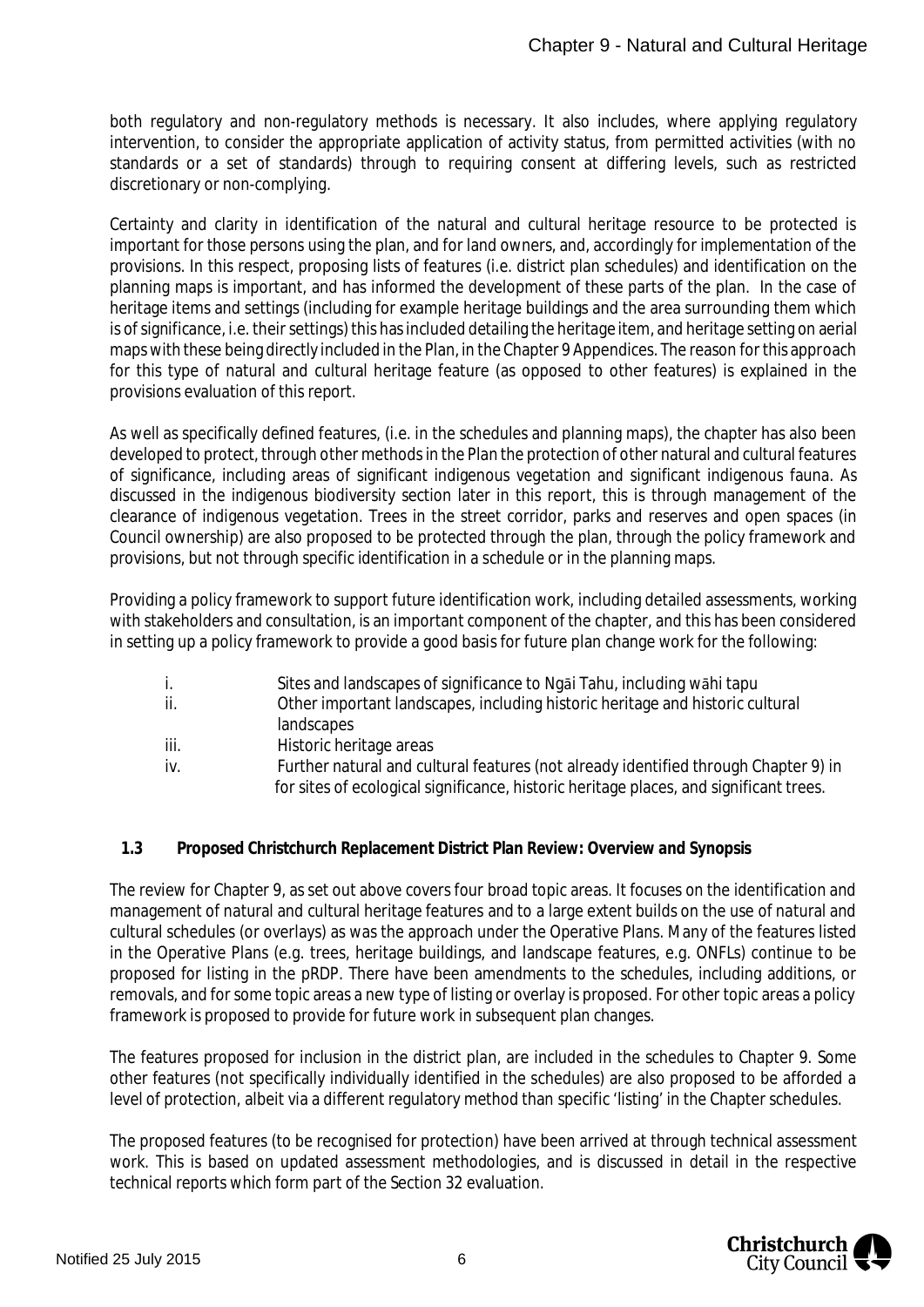both regulatory and non-regulatory methods is necessary. It also includes, where applying regulatory intervention, to consider the appropriate application of activity status, from permitted activities (with no standards or a set of standards) through to requiring consent at differing levels, such as restricted discretionary or non-complying.

Certainty and clarity in identification of the natural and cultural heritage resource to be protected is important for those persons using the plan, and for land owners, and, accordingly for implementation of the provisions. In this respect, proposing lists of features (i.e. district plan schedules) and identification on the planning maps is important, and has informed the development of these parts of the plan. In the case of heritage items and settings (including for example heritage buildings and the area surrounding them which is of significance, i.e. their settings) this has included detailing the heritage item, and heritage setting on aerial maps with these being directly included in the Plan, in the Chapter 9 Appendices. The reason for this approach for this type of natural and cultural heritage feature (as opposed to other features) is explained in the provisions evaluation of this report.

As well as specifically defined features, (i.e. in the schedules and planning maps), the chapter has also been developed to protect, through other methods in the Plan the protection of other natural and cultural features of significance, including areas of significant indigenous vegetation and significant indigenous fauna. As discussed in the indigenous biodiversity section later in this report, this is through management of the clearance of indigenous vegetation. Trees in the street corridor, parks and reserves and open spaces (in Council ownership) are also proposed to be protected through the plan, through the policy framework and provisions, but not through specific identification in a schedule or in the planning maps.

Providing a policy framework to support future identification work, including detailed assessments, working with stakeholders and consultation, is an important component of the chapter, and this has been considered in setting up a policy framework to provide a good basis for future plan change work for the following:

- i. Sites and landscapes of significance to Ngāi Tahu, including wāhi tapu
- ii. Other important landscapes, including historic heritage and historic cultural landscapes
- iii. Historic heritage areas
- iv. Further natural and cultural features (not already identified through Chapter 9) in for sites of ecological significance, historic heritage places, and significant trees.
- <span id="page-6-0"></span>**1.3 Proposed Christchurch Replacement District Plan Review: Overview and Synopsis**

The review for Chapter 9, as set out above covers four broad topic areas. It focuses on the identification and management of natural and cultural heritage features and to a large extent builds on the use of natural and cultural schedules (or overlays) as was the approach under the Operative Plans. Many of the features listed in the Operative Plans (e.g. trees, heritage buildings, and landscape features, e.g. ONFLs) continue to be proposed for listing in the pRDP. There have been amendments to the schedules, including additions, or removals, and for some topic areas a new type of listing or overlay is proposed. For other topic areas a policy framework is proposed to provide for future work in subsequent plan changes.

The features proposed for inclusion in the district plan, are included in the schedules to Chapter 9. Some other features (not specifically individually identified in the schedules) are also proposed to be afforded a level of protection, albeit via a different regulatory method than specific 'listing' in the Chapter schedules.

The proposed features (to be recognised for protection) have been arrived at through technical assessment work. This is based on updated assessment methodologies, and is discussed in detail in the respective technical reports which form part of the Section 32 evaluation.

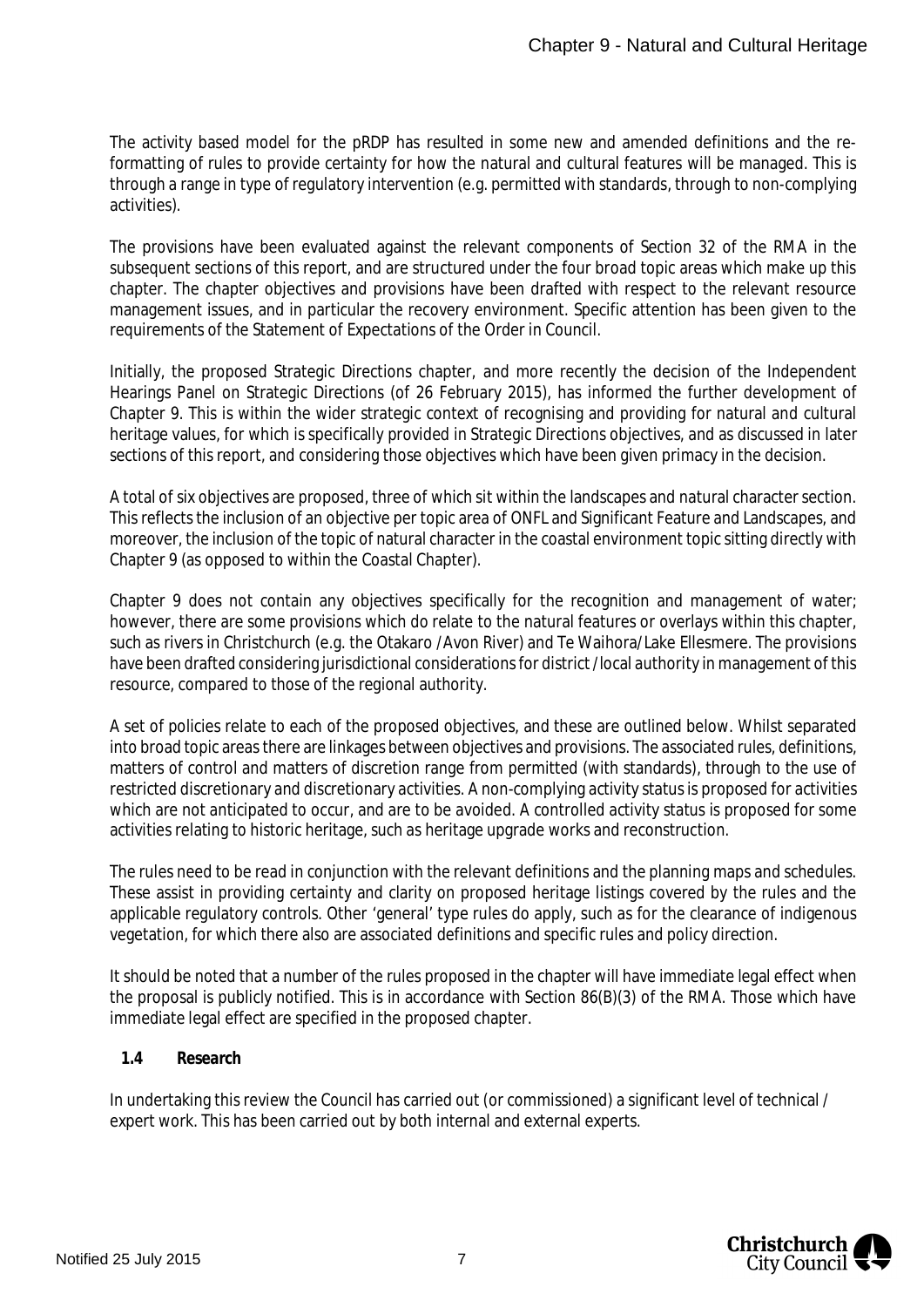The activity based model for the pRDP has resulted in some new and amended definitions and the reformatting of rules to provide certainty for how the natural and cultural features will be managed. This is through a range in type of regulatory intervention (e.g. permitted with standards, through to non-complying activities).

The provisions have been evaluated against the relevant components of Section 32 of the RMA in the subsequent sections of this report, and are structured under the four broad topic areas which make up this chapter. The chapter objectives and provisions have been drafted with respect to the relevant resource management issues, and in particular the recovery environment. Specific attention has been given to the requirements of the Statement of Expectations of the Order in Council.

Initially, the proposed Strategic Directions chapter, and more recently the decision of the Independent Hearings Panel on Strategic Directions (of 26 February 2015), has informed the further development of Chapter 9. This is within the wider strategic context of recognising and providing for natural and cultural heritage values, for which is specifically provided in Strategic Directions objectives, and as discussed in later sections of this report, and considering those objectives which have been given primacy in the decision.

A total of six objectives are proposed, three of which sit within the landscapes and natural character section. This reflects the inclusion of an objective per topic area of ONFL and Significant Feature and Landscapes, and moreover, the inclusion of the topic of natural character in the coastal environment topic sitting directly with Chapter 9 (as opposed to within the Coastal Chapter).

Chapter 9 does not contain any objectives specifically for the recognition and management of water; however, there are some provisions which do relate to the natural features or overlays within this chapter, such as rivers in Christchurch (e.g. the Otakaro /Avon River) and Te Waihora/Lake Ellesmere. The provisions have been drafted considering jurisdictional considerations for district /local authority in management of this resource, compared to those of the regional authority.

A set of policies relate to each of the proposed objectives, and these are outlined below. Whilst separated into broad topic areas there are linkages between objectives and provisions. The associated rules, definitions, matters of control and matters of discretion range from permitted (with standards), through to the use of restricted discretionary and discretionary activities. A non-complying activity status is proposed for activities which are not anticipated to occur, and are to be avoided. A controlled activity status is proposed for some activities relating to historic heritage, such as heritage upgrade works and reconstruction.

The rules need to be read in conjunction with the relevant definitions and the planning maps and schedules. These assist in providing certainty and clarity on proposed heritage listings covered by the rules and the applicable regulatory controls. Other 'general' type rules do apply, such as for the clearance of indigenous vegetation, for which there also are associated definitions and specific rules and policy direction.

It should be noted that a number of the rules proposed in the chapter will have immediate legal effect when the proposal is publicly notified. This is in accordance with Section 86(B)(3) of the RMA. Those which have immediate legal effect are specified in the proposed chapter.

#### <span id="page-7-0"></span>**1.4 Research**

In undertaking this review the Council has carried out (or commissioned) a significant level of technical / expert work. This has been carried out by both internal and external experts.

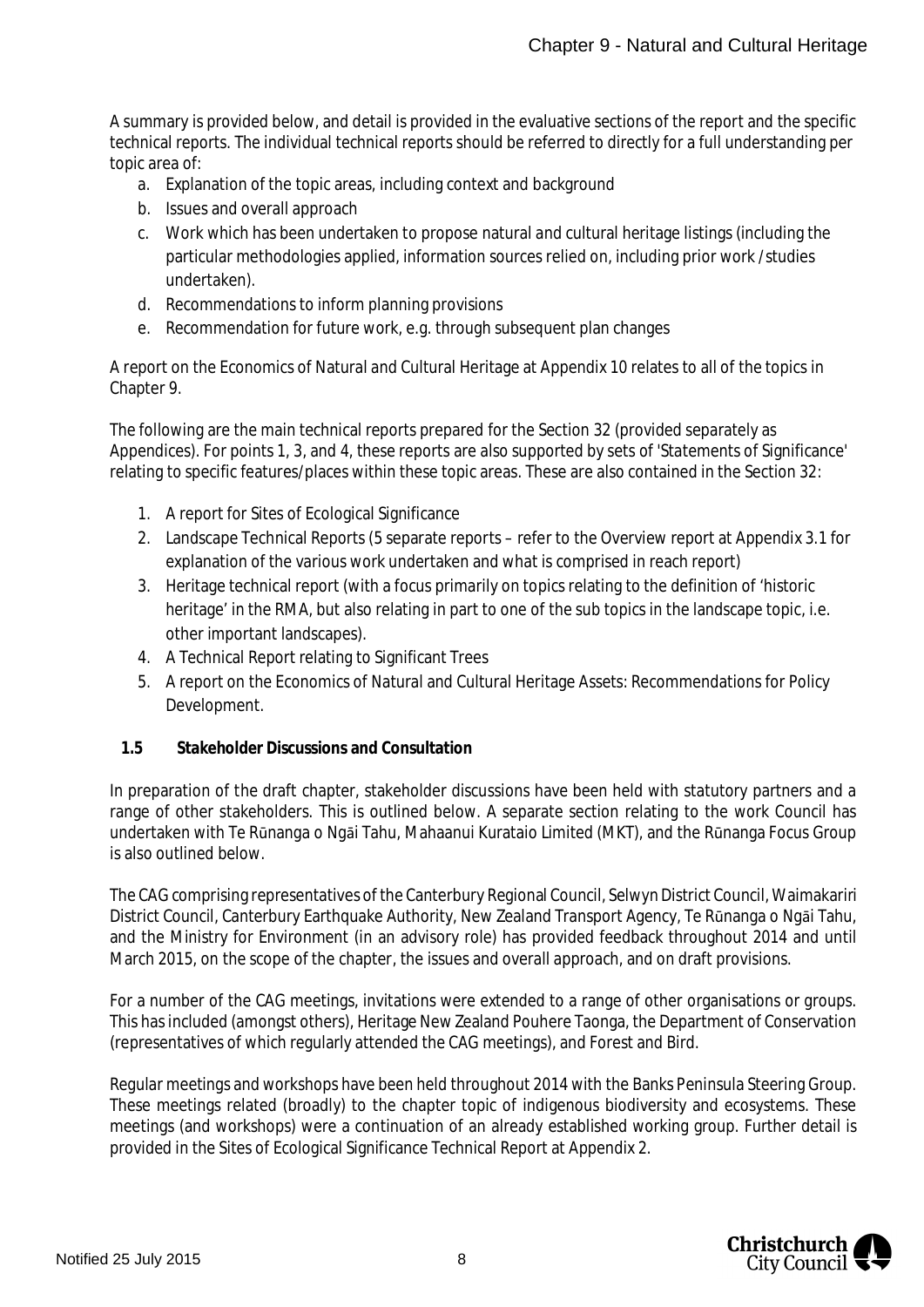A summary is provided below, and detail is provided in the evaluative sections of the report and the specific technical reports. The individual technical reports should be referred to directly for a full understanding per topic area of:

- a. Explanation of the topic areas, including context and background
- b. Issues and overall approach
- c. Work which has been undertaken to propose natural and cultural heritage listings (including the particular methodologies applied, information sources relied on, including prior work /studies undertaken).
- d. Recommendations to inform planning provisions
- e. Recommendation for future work, e.g. through subsequent plan changes

A report on the Economics of Natural and Cultural Heritage at Appendix 10 relates to all of the topics in Chapter 9.

The following are the main technical reports prepared for the Section 32 (provided separately as Appendices). For points 1, 3, and 4, these reports are also supported by sets of 'Statements of Significance' relating to specific features/places within these topic areas. These are also contained in the Section 32:

- 1. A report for Sites of Ecological Significance
- 2. Landscape Technical Reports (5 separate reports refer to the Overview report at Appendix 3.1 for explanation of the various work undertaken and what is comprised in reach report)
- 3. Heritage technical report (with a focus primarily on topics relating to the definition of 'historic heritage' in the RMA, but also relating in part to one of the sub topics in the landscape topic, i.e. other important landscapes).
- 4. A Technical Report relating to Significant Trees
- 5. A report on the Economics of Natural and Cultural Heritage Assets: Recommendations for Policy Development.
- <span id="page-8-0"></span>**1.5 Stakeholder Discussions and Consultation**

In preparation of the draft chapter, stakeholder discussions have been held with statutory partners and a range of other stakeholders. This is outlined below. A separate section relating to the work Council has undertaken with Te Rūnanga o Ngāi Tahu, Mahaanui Kurataio Limited (MKT), and the Rūnanga Focus Group is also outlined below.

The CAG comprising representatives of the Canterbury Regional Council, Selwyn District Council, Waimakariri District Council, Canterbury Earthquake Authority, New Zealand Transport Agency, Te Rūnanga o Ngāi Tahu, and the Ministry for Environment (in an advisory role) has provided feedback throughout 2014 and until March 2015, on the scope of the chapter, the issues and overall approach, and on draft provisions.

For a number of the CAG meetings, invitations were extended to a range of other organisations or groups. This has included (amongst others), Heritage New Zealand Pouhere Taonga, the Department of Conservation (representatives of which regularly attended the CAG meetings), and Forest and Bird.

Regular meetings and workshops have been held throughout 2014 with the Banks Peninsula Steering Group. These meetings related (broadly) to the chapter topic of indigenous biodiversity and ecosystems. These meetings (and workshops) were a continuation of an already established working group. Further detail is provided in the Sites of Ecological Significance Technical Report at Appendix 2.

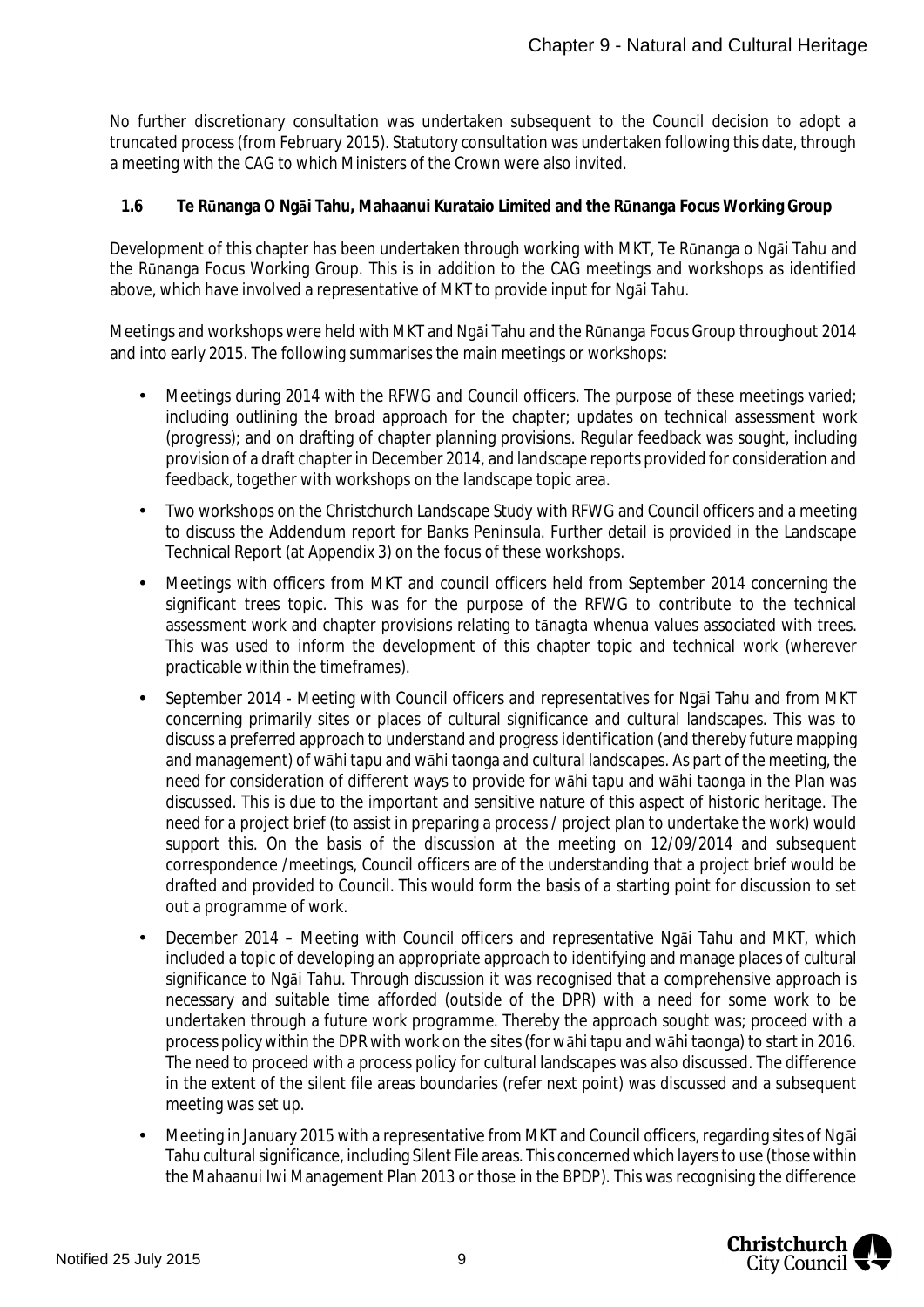No further discretionary consultation was undertaken subsequent to the Council decision to adopt a truncated process (from February 2015). Statutory consultation was undertaken following this date, through a meeting with the CAG to which Ministers of the Crown were also invited.

<span id="page-9-0"></span>**1.6 Te Rūnanga O Ngāi Tahu, Mahaanui Kurataio Limited and the Rūnanga Focus Working Group**

Development of this chapter has been undertaken through working with MKT, Te Rūnanga o Ngāi Tahu and the Rūnanga Focus Working Group. This is in addition to the CAG meetings and workshops as identified above, which have involved a representative of MKT to provide input for Ngāi Tahu.

Meetings and workshops were held with MKT and Ngāi Tahu and the Rūnanga Focus Group throughout 2014 and into early 2015. The following summarises the main meetings or workshops:

- Meetings during 2014 with the RFWG and Council officers. The purpose of these meetings varied; including outlining the broad approach for the chapter; updates on technical assessment work (progress); and on drafting of chapter planning provisions. Regular feedback was sought, including provision of a draft chapter in December 2014, and landscape reports provided for consideration and feedback, together with workshops on the landscape topic area.
- Two workshops on the Christchurch Landscape Study with RFWG and Council officers and a meeting to discuss the Addendum report for Banks Peninsula. Further detail is provided in the Landscape Technical Report (at Appendix 3) on the focus of these workshops.
- Meetings with officers from MKT and council officers held from September 2014 concerning the significant trees topic. This was for the purpose of the RFWG to contribute to the technical assessment work and chapter provisions relating to tānagta whenua values associated with trees. This was used to inform the development of this chapter topic and technical work (wherever practicable within the timeframes).
- September 2014 Meeting with Council officers and representatives for Ngāi Tahu and from MKT concerning primarily sites or places of cultural significance and cultural landscapes. This was to discuss a preferred approach to understand and progress identification (and thereby future mapping and management) of wāhi tapu and wāhi taonga and cultural landscapes. As part of the meeting, the need for consideration of different ways to provide for wāhi tapu and wāhi taonga in the Plan was discussed. This is due to the important and sensitive nature of this aspect of historic heritage. The need for a project brief (to assist in preparing a process / project plan to undertake the work) would support this. On the basis of the discussion at the meeting on 12/09/2014 and subsequent correspondence /meetings, Council officers are of the understanding that a project brief would be drafted and provided to Council. This would form the basis of a starting point for discussion to set out a programme of work.
- December 2014 Meeting with Council officers and representative Ngāi Tahu and MKT, which included a topic of developing an appropriate approach to identifying and manage places of cultural significance to Ngāi Tahu. Through discussion it was recognised that a comprehensive approach is necessary and suitable time afforded (outside of the DPR) with a need for some work to be undertaken through a future work programme. Thereby the approach sought was; proceed with a process policy within the DPR with work on the sites (for wāhi tapu and wāhi taonga) to start in 2016. The need to proceed with a process policy for cultural landscapes was also discussed. The difference in the extent of the silent file areas boundaries (refer next point) was discussed and a subsequent meeting was set up.
- Meeting in January 2015 with a representative from MKT and Council officers, regarding sites of Ngāi Tahu cultural significance, including Silent File areas. This concerned which layers to use (those within the Mahaanui Iwi Management Plan 2013 or those in the BPDP). This was recognising the difference

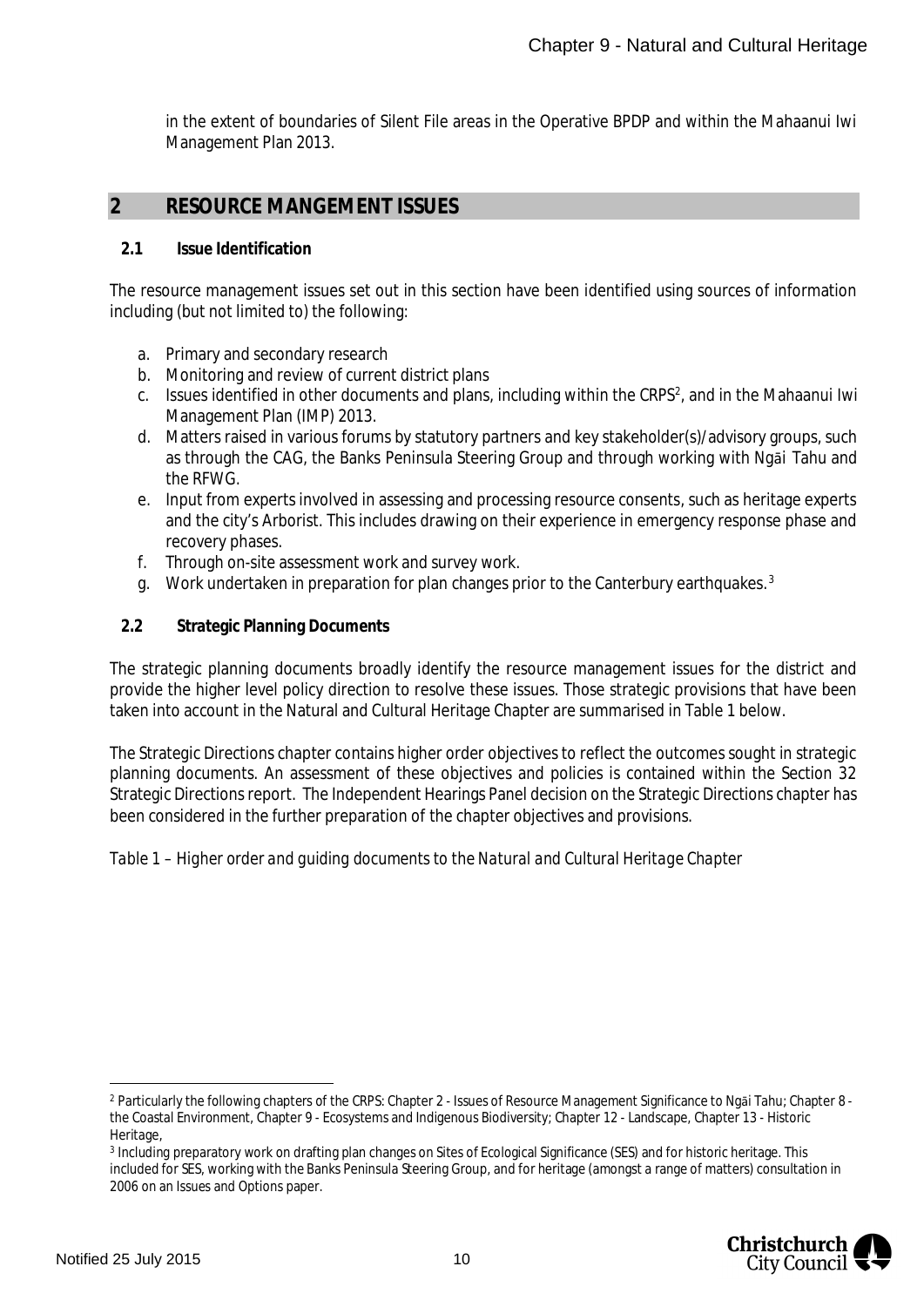in the extent of boundaries of Silent File areas in the Operative BPDP and within the Mahaanui Iwi Management Plan 2013.

### <span id="page-10-0"></span>**2 RESOURCE MANGEMENT ISSUES**

#### <span id="page-10-1"></span>**2.1 Issue Identification**

The resource management issues set out in this section have been identified using sources of information including (but not limited to) the following:

- a. Primary and secondary research
- b. Monitoring and review of current district plans
- c. Issues identified in other documents and plans, including within the CRPS<sup>[2](#page-10-3)</sup>, and in the Mahaanui Iwi Management Plan (IMP) 2013.
- d. Matters raised in various forums by statutory partners and key stakeholder(s)/advisory groups, such as through the CAG, the Banks Peninsula Steering Group and through working with Ngāi Tahu and the RFWG.
- e. Input from experts involved in assessing and processing resource consents, such as heritage experts and the city's Arborist. This includes drawing on their experience in emergency response phase and recovery phases.
- f. Through on-site assessment work and survey work.
- g. Work undertaken in preparation for plan changes prior to the Canterbury earthquakes.<sup>[3](#page-10-4)</sup>
- <span id="page-10-2"></span>**2.2 Strategic Planning Documents**

The strategic planning documents broadly identify the resource management issues for the district and provide the higher level policy direction to resolve these issues. Those strategic provisions that have been taken into account in the Natural and Cultural Heritage Chapter are summarised in Table 1 below.

The Strategic Directions chapter contains higher order objectives to reflect the outcomes sought in strategic planning documents. An assessment of these objectives and policies is contained within the Section 32 Strategic Directions report. The Independent Hearings Panel decision on the Strategic Directions chapter has been considered in the further preparation of the chapter objectives and provisions.

*Table 1 – Higher order and guiding documents to the Natural and Cultural Heritage Chapter*

<span id="page-10-4"></span><sup>3</sup> Including preparatory work on drafting plan changes on Sites of Ecological Significance (SES) and for historic heritage. This included for SES, working with the Banks Peninsula Steering Group, and for heritage (amongst a range of matters) consultation in 2006 on an Issues and Options paper.



<span id="page-10-3"></span><sup>2</sup> Particularly the following chapters of the CRPS: Chapter 2 - Issues of Resource Management Significance to Ngāi Tahu; Chapter 8 the Coastal Environment, Chapter 9 - Ecosystems and Indigenous Biodiversity; Chapter 12 - Landscape, Chapter 13 - Historic Heritage,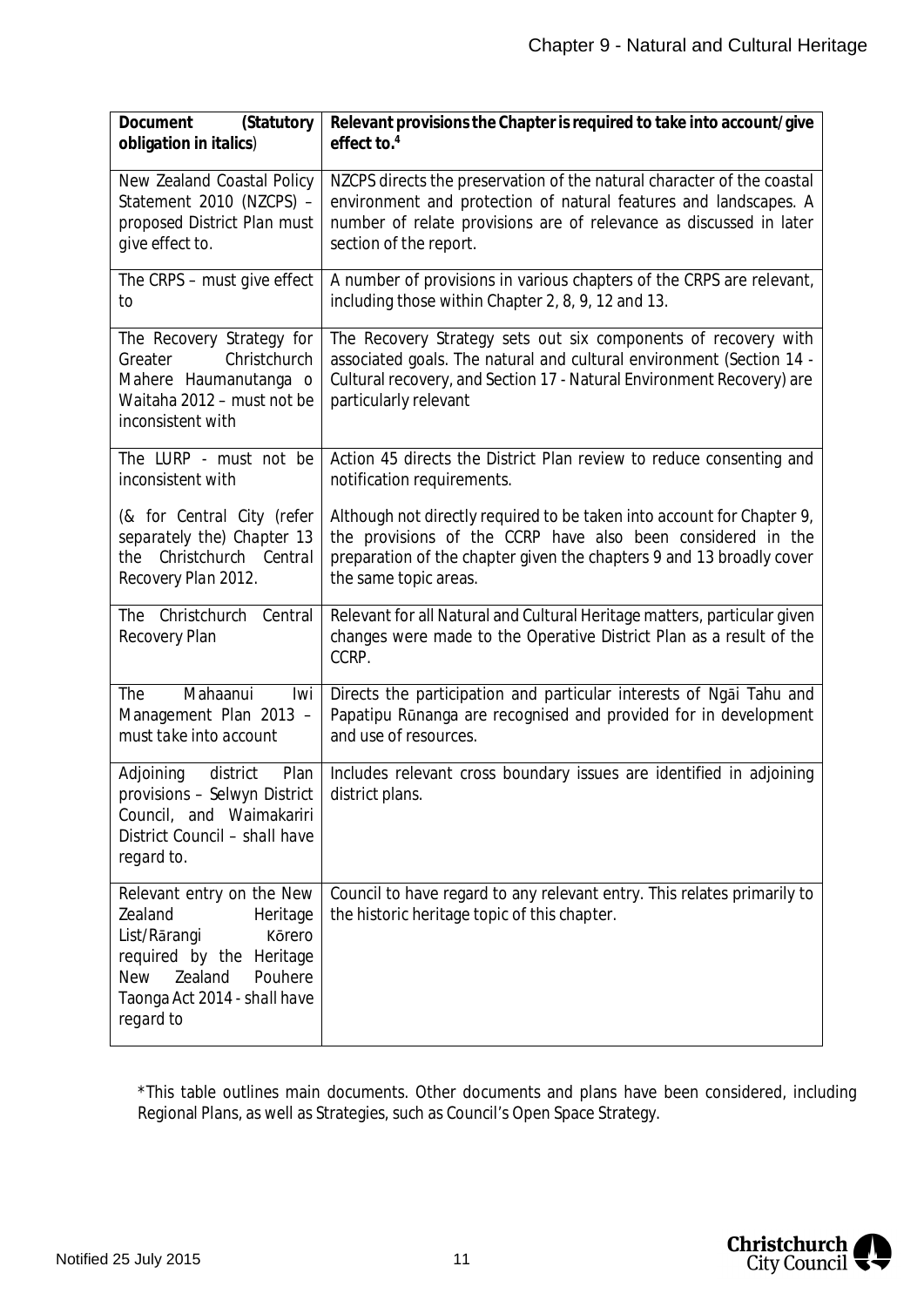| Document<br>(Statutory<br>obligation in italics)                                                                                                                                        | Relevant provisions the Chapter is required to take into account/give<br>effect to. $4$                                                                                                                                                  |
|-----------------------------------------------------------------------------------------------------------------------------------------------------------------------------------------|------------------------------------------------------------------------------------------------------------------------------------------------------------------------------------------------------------------------------------------|
| New Zealand Coastal Policy                                                                                                                                                              | NZCPS directs the preservation of the natural character of the coastal                                                                                                                                                                   |
| Statement 2010 (NZCPS) -                                                                                                                                                                | environment and protection of natural features and landscapes. A                                                                                                                                                                         |
| proposed District Plan must                                                                                                                                                             | number of relate provisions are of relevance as discussed in later                                                                                                                                                                       |
| give effect to.                                                                                                                                                                         | section of the report.                                                                                                                                                                                                                   |
| The CRPS - must give effect                                                                                                                                                             | A number of provisions in various chapters of the CRPS are relevant,                                                                                                                                                                     |
| to                                                                                                                                                                                      | including those within Chapter 2, 8, 9, 12 and 13.                                                                                                                                                                                       |
| The Recovery Strategy for<br>Christchurch<br>Greater<br>Mahere Haumanutanga o<br>Waitaha 2012 - must not be<br>inconsistent with                                                        | The Recovery Strategy sets out six components of recovery with<br>associated goals. The natural and cultural environment (Section 14 -<br>Cultural recovery, and Section 17 - Natural Environment Recovery) are<br>particularly relevant |
| The LURP - must not be                                                                                                                                                                  | Action 45 directs the District Plan review to reduce consenting and                                                                                                                                                                      |
| inconsistent with                                                                                                                                                                       | notification requirements.                                                                                                                                                                                                               |
| (& for Central City (refer                                                                                                                                                              | Although not directly required to be taken into account for Chapter 9,                                                                                                                                                                   |
| separately the) Chapter 13                                                                                                                                                              | the provisions of the CCRP have also been considered in the                                                                                                                                                                              |
| the Christchurch Central                                                                                                                                                                | preparation of the chapter given the chapters 9 and 13 broadly cover                                                                                                                                                                     |
| Recovery Plan 2012.                                                                                                                                                                     | the same topic areas.                                                                                                                                                                                                                    |
| The Christchurch                                                                                                                                                                        | Relevant for all Natural and Cultural Heritage matters, particular given                                                                                                                                                                 |
| Central                                                                                                                                                                                 | changes were made to the Operative District Plan as a result of the                                                                                                                                                                      |
| Recovery Plan                                                                                                                                                                           | CCRP.                                                                                                                                                                                                                                    |
| Mahaanui<br><b>The</b><br>Iwi<br>Management Plan 2013 -<br>must take into account                                                                                                       | Directs the participation and particular interests of Ngai Tahu and<br>Papatipu Rūnanga are recognised and provided for in development<br>and use of resources.                                                                          |
| Adjoining<br>district<br>Plan<br>provisions - Selwyn District<br>Council, and Waimakariri<br>District Council - shall have<br>regard to.                                                | Includes relevant cross boundary issues are identified in adjoining<br>district plans.                                                                                                                                                   |
| Relevant entry on the New<br>Zealand<br>Heritage<br>List/Rārangi<br>Körero<br>required by the Heritage<br><b>New</b><br>Zealand<br>Pouhere<br>Taonga Act 2014 - shall have<br>regard to | Council to have regard to any relevant entry. This relates primarily to<br>the historic heritage topic of this chapter.                                                                                                                  |

<span id="page-11-0"></span>\*This table outlines main documents. Other documents and plans have been considered, including Regional Plans, as well as Strategies, such as Council's Open Space Strategy.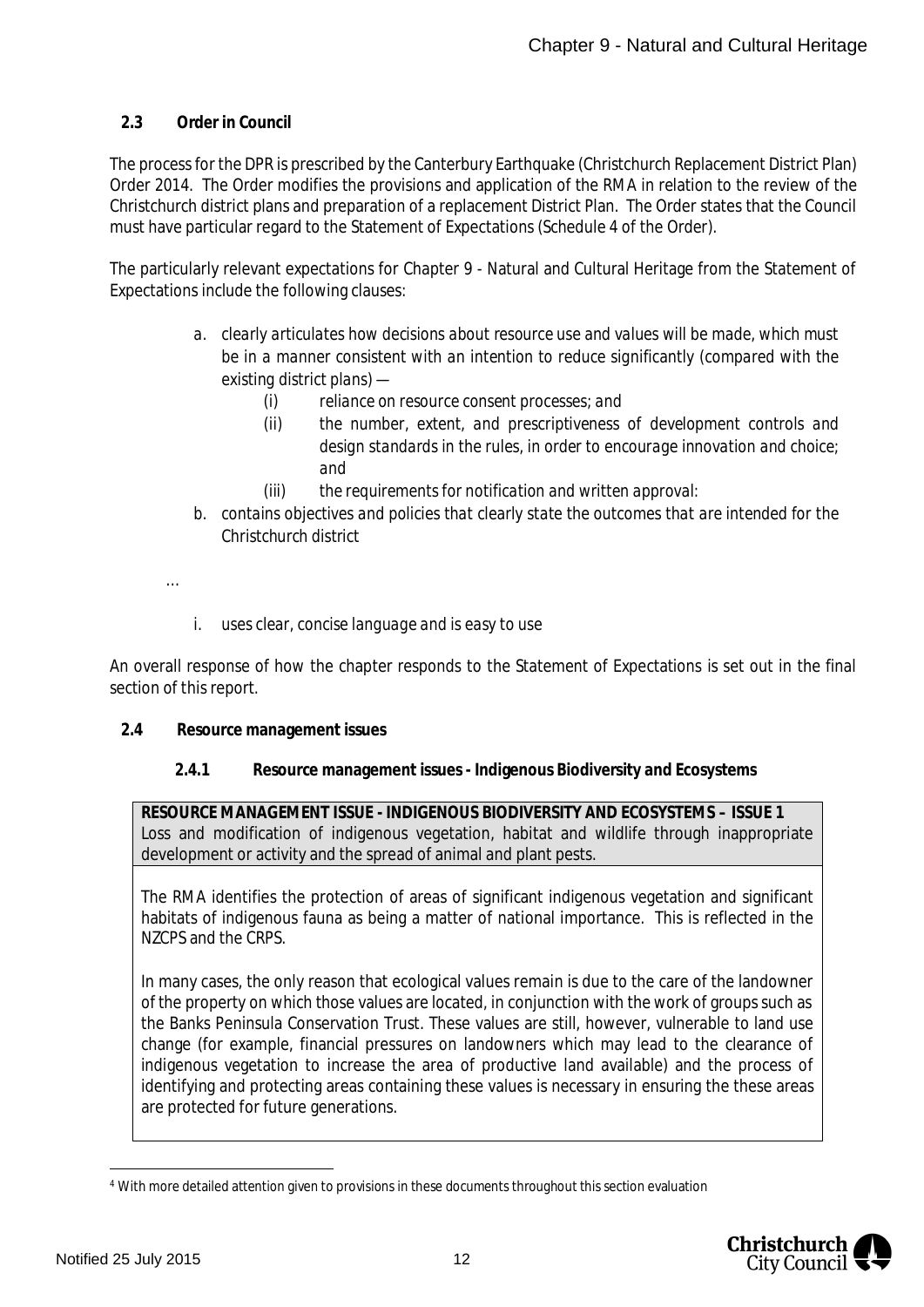#### <span id="page-12-0"></span>**2.3 Order in Council**

The process for the DPR is prescribed by the Canterbury Earthquake (Christchurch Replacement District Plan) Order 2014. The Order modifies the provisions and application of the RMA in relation to the review of the Christchurch district plans and preparation of a replacement District Plan. The Order states that the Council must have particular regard to the Statement of Expectations (Schedule 4 of the Order).

The particularly relevant expectations for Chapter 9 - Natural and Cultural Heritage from the Statement of Expectations include the following clauses:

- *a. clearly articulates how decisions about resource use and values will be made, which must be in a manner consistent with an intention to reduce significantly (compared with the existing district plans) —*
	- *(i) reliance on resource consent processes; and*
	- *(ii) the number, extent, and prescriptiveness of development controls and design standards in the rules, in order to encourage innovation and choice; and*
	- *(iii) the requirements for notification and written approval:*
- *b. contains objectives and policies that clearly state the outcomes that are intended for the Christchurch district*
- *…*
- *i. uses clear, concise language and is easy to use*

An overall response of how the chapter responds to the Statement of Expectations is set out in the final section of this report.

- <span id="page-12-1"></span>**2.4 Resource management issues**
	- **2.4.1 Resource management issues Indigenous Biodiversity and Ecosystems**

<span id="page-12-2"></span>**RESOURCE MANAGEMENT ISSUE - INDIGENOUS BIODIVERSITY AND ECOSYSTEMS – ISSUE 1** Loss and modification of indigenous vegetation, habitat and wildlife through inappropriate development or activity and the spread of animal and plant pests.

The RMA identifies the protection of areas of significant indigenous vegetation and significant habitats of indigenous fauna as being a matter of national importance. This is reflected in the NZCPS and the CRPS.

In many cases, the only reason that ecological values remain is due to the care of the landowner of the property on which those values are located, in conjunction with the work of groups such as the Banks Peninsula Conservation Trust. These values are still, however, vulnerable to land use change (for example, financial pressures on landowners which may lead to the clearance of indigenous vegetation to increase the area of productive land available) and the process of identifying and protecting areas containing these values is necessary in ensuring the these areas are protected for future generations.

<sup>4</sup> With more detailed attention given to provisions in these documents throughout this section evaluation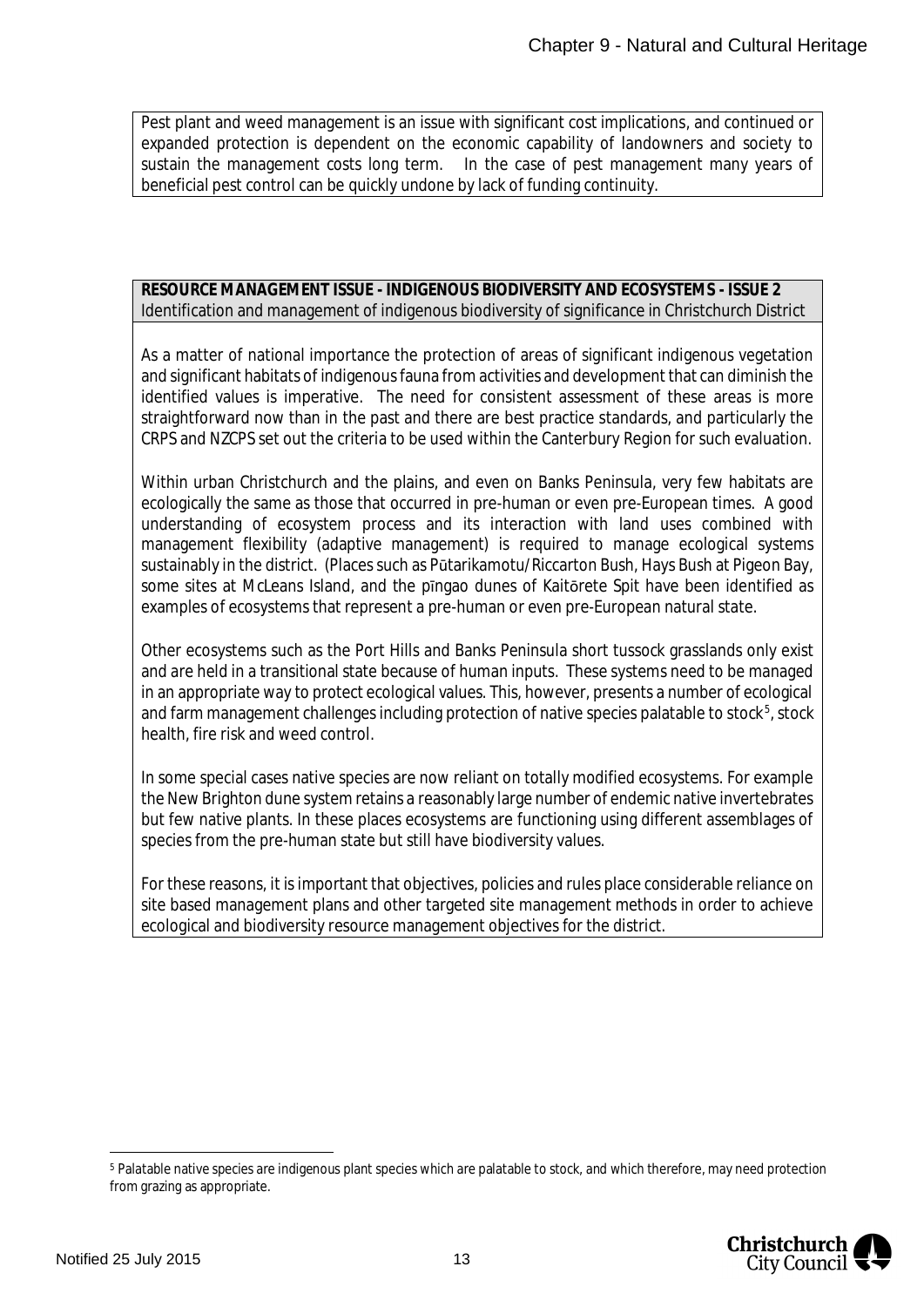Pest plant and weed management is an issue with significant cost implications, and continued or expanded protection is dependent on the economic capability of landowners and society to sustain the management costs long term. In the case of pest management many years of beneficial pest control can be quickly undone by lack of funding continuity.

#### **RESOURCE MANAGEMENT ISSUE - INDIGENOUS BIODIVERSITY AND ECOSYSTEMS - ISSUE 2** Identification and management of indigenous biodiversity of significance in Christchurch District

As a matter of national importance the protection of areas of significant indigenous vegetation and significant habitats of indigenous fauna from activities and development that can diminish the identified values is imperative. The need for consistent assessment of these areas is more straightforward now than in the past and there are best practice standards, and particularly the CRPS and NZCPS set out the criteria to be used within the Canterbury Region for such evaluation.

Within urban Christchurch and the plains, and even on Banks Peninsula, very few habitats are ecologically the same as those that occurred in pre-human or even pre-European times. A good understanding of ecosystem process and its interaction with land uses combined with management flexibility (adaptive management) is required to manage ecological systems sustainably in the district. (Places such as Pūtarikamotu/Riccarton Bush, Hays Bush at Pigeon Bay, some sites at McLeans Island, and the pīngao dunes of Kaitōrete Spit have been identified as examples of ecosystems that represent a pre-human or even pre-European natural state.

Other ecosystems such as the Port Hills and Banks Peninsula short tussock grasslands only exist and are held in a transitional state because of human inputs. These systems need to be managed in an appropriate way to protect ecological values. This, however, presents a number of ecological and farm management challenges including protection of native species palatable to stock<sup>[5](#page-13-0)</sup>, stock health, fire risk and weed control.

In some special cases native species are now reliant on totally modified ecosystems. For example the New Brighton dune system retains a reasonably large number of endemic native invertebrates but few native plants. In these places ecosystems are functioning using different assemblages of species from the pre-human state but still have biodiversity values.

For these reasons, it is important that objectives, policies and rules place considerable reliance on site based management plans and other targeted site management methods in order to achieve ecological and biodiversity resource management objectives for the district.

<span id="page-13-0"></span><sup>5</sup> Palatable native species are indigenous plant species which are palatable to stock, and which therefore, may need protection from grazing as appropriate.

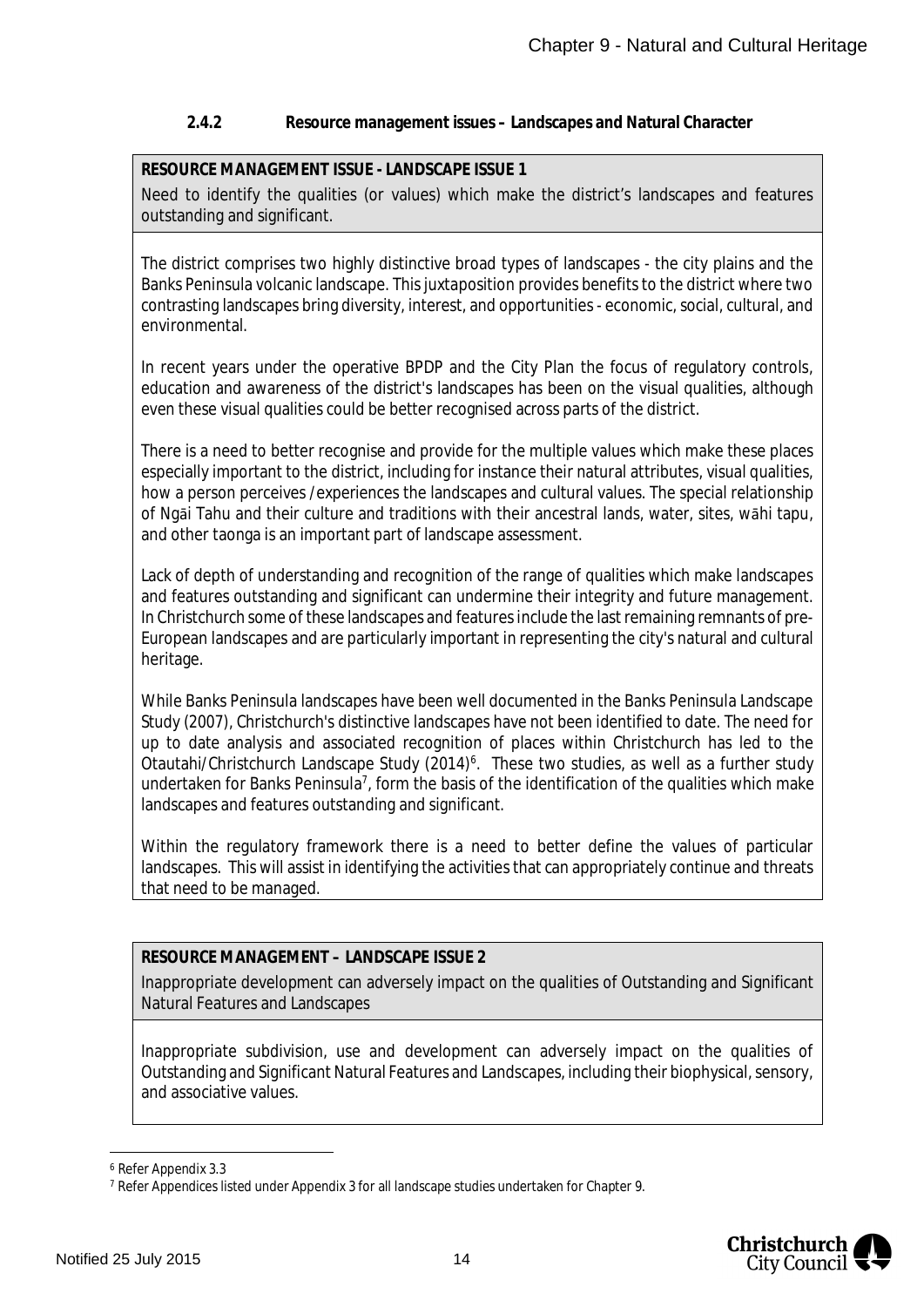#### <span id="page-14-0"></span>**2.4.2 Resource management issues – Landscapes and Natural Character**

#### **RESOURCE MANAGEMENT ISSUE - LANDSCAPE ISSUE 1**

Need to identify the qualities (or values) which make the district's landscapes and features outstanding and significant.

The district comprises two highly distinctive broad types of landscapes - the city plains and the Banks Peninsula volcanic landscape. This juxtaposition provides benefits to the district where two contrasting landscapes bring diversity, interest, and opportunities - economic, social, cultural, and environmental.

In recent years under the operative BPDP and the City Plan the focus of regulatory controls, education and awareness of the district's landscapes has been on the visual qualities, although even these visual qualities could be better recognised across parts of the district.

There is a need to better recognise and provide for the multiple values which make these places especially important to the district, including for instance their natural attributes, visual qualities, how a person perceives /experiences the landscapes and cultural values. The special relationship of Ngāi Tahu and their culture and traditions with their ancestral lands, water, sites, wāhi tapu, and other taonga is an important part of landscape assessment.

Lack of depth of understanding and recognition of the range of qualities which make landscapes and features outstanding and significant can undermine their integrity and future management. In Christchurch some of these landscapes and features include the last remaining remnants of pre-European landscapes and are particularly important in representing the city's natural and cultural heritage.

While Banks Peninsula landscapes have been well documented in the Banks Peninsula Landscape Study (2007), Christchurch's distinctive landscapes have not been identified to date. The need for up to date analysis and associated recognition of places within Christchurch has led to the Otautahi/Christchurch Landscape Study (2014)<sup>[6](#page-14-1)</sup>. These two studies, as well as a further study undertaken for Banks Peninsula<sup>[7](#page-14-2)</sup>, form the basis of the identification of the qualities which make landscapes and features outstanding and significant.

Within the regulatory framework there is a need to better define the values of particular landscapes. This will assist in identifying the activities that can appropriately continue and threats that need to be managed.

#### **RESOURCE MANAGEMENT – LANDSCAPE ISSUE 2**

Inappropriate development can adversely impact on the qualities of Outstanding and Significant Natural Features and Landscapes

Inappropriate subdivision, use and development can adversely impact on the qualities of Outstanding and Significant Natural Features and Landscapes, including their biophysical, sensory, and associative values.

<span id="page-14-1"></span><sup>6</sup> Refer Appendix 3.3

<span id="page-14-2"></span><sup>7</sup> Refer Appendices listed under Appendix 3 for all landscape studies undertaken for Chapter 9.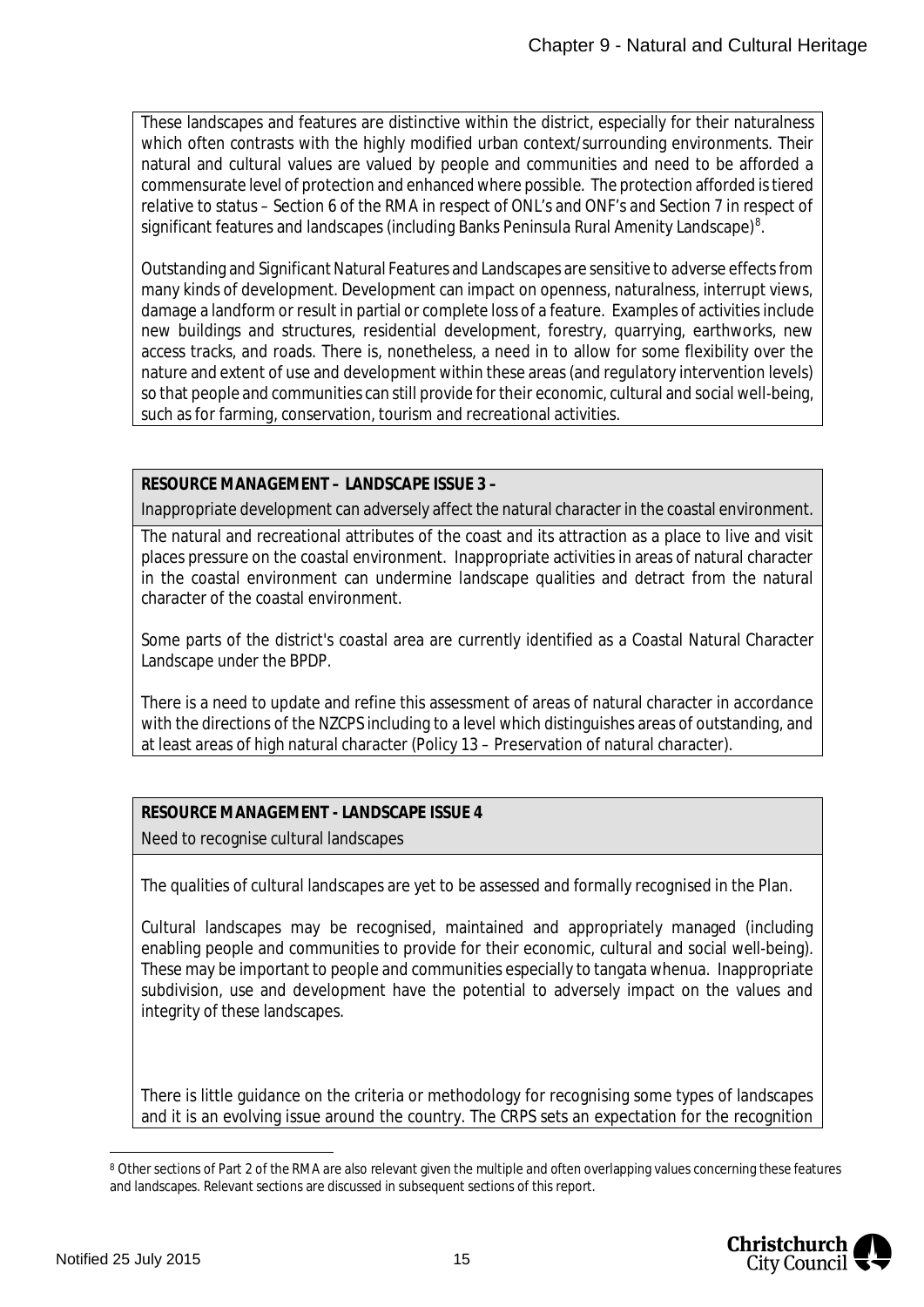These landscapes and features are distinctive within the district, especially for their naturalness which often contrasts with the highly modified urban context/surrounding environments. Their natural and cultural values are valued by people and communities and need to be afforded a commensurate level of protection and enhanced where possible. The protection afforded is tiered relative to status – Section 6 of the RMA in respect of ONL's and ONF's and Section 7 in respect of significant features and landscapes (including Banks Peninsula Rural Amenity Landscape)<sup>[8](#page-15-0)</sup>.

Outstanding and Significant Natural Features and Landscapes are sensitive to adverse effects from many kinds of development. Development can impact on openness, naturalness, interrupt views, damage a landform or result in partial or complete loss of a feature. Examples of activities include new buildings and structures, residential development, forestry, quarrying, earthworks, new access tracks, and roads. There is, nonetheless, a need in to allow for some flexibility over the nature and extent of use and development within these areas (and regulatory intervention levels) so that people and communities can still provide for their economic, cultural and social well-being, such as for farming, conservation, tourism and recreational activities.

**RESOURCE MANAGEMENT – LANDSCAPE ISSUE 3 –**

Inappropriate development can adversely affect the natural character in the coastal environment.

The natural and recreational attributes of the coast and its attraction as a place to live and visit places pressure on the coastal environment. Inappropriate activities in areas of natural character in the coastal environment can undermine landscape qualities and detract from the natural character of the coastal environment.

Some parts of the district's coastal area are currently identified as a Coastal Natural Character Landscape under the BPDP.

There is a need to update and refine this assessment of areas of natural character in accordance with the directions of the NZCPS including to a level which distinguishes areas of outstanding, and at least areas of high natural character (Policy 13 – Preservation of natural character).

**RESOURCE MANAGEMENT - LANDSCAPE ISSUE 4** Need to recognise cultural landscapes

The qualities of cultural landscapes are yet to be assessed and formally recognised in the Plan.

Cultural landscapes may be recognised, maintained and appropriately managed (including enabling people and communities to provide for their economic, cultural and social well-being). These may be important to people and communities especially to tangata whenua. Inappropriate subdivision, use and development have the potential to adversely impact on the values and integrity of these landscapes.

There is little guidance on the criteria or methodology for recognising some types of landscapes and it is an evolving issue around the country. The CRPS sets an expectation for the recognition

<span id="page-15-0"></span> $^{\rm 8}$  Other sections of Part 2 of the RMA are also relevant given the multiple and often overlapping values concerning these features and landscapes. Relevant sections are discussed in subsequent sections of this report.

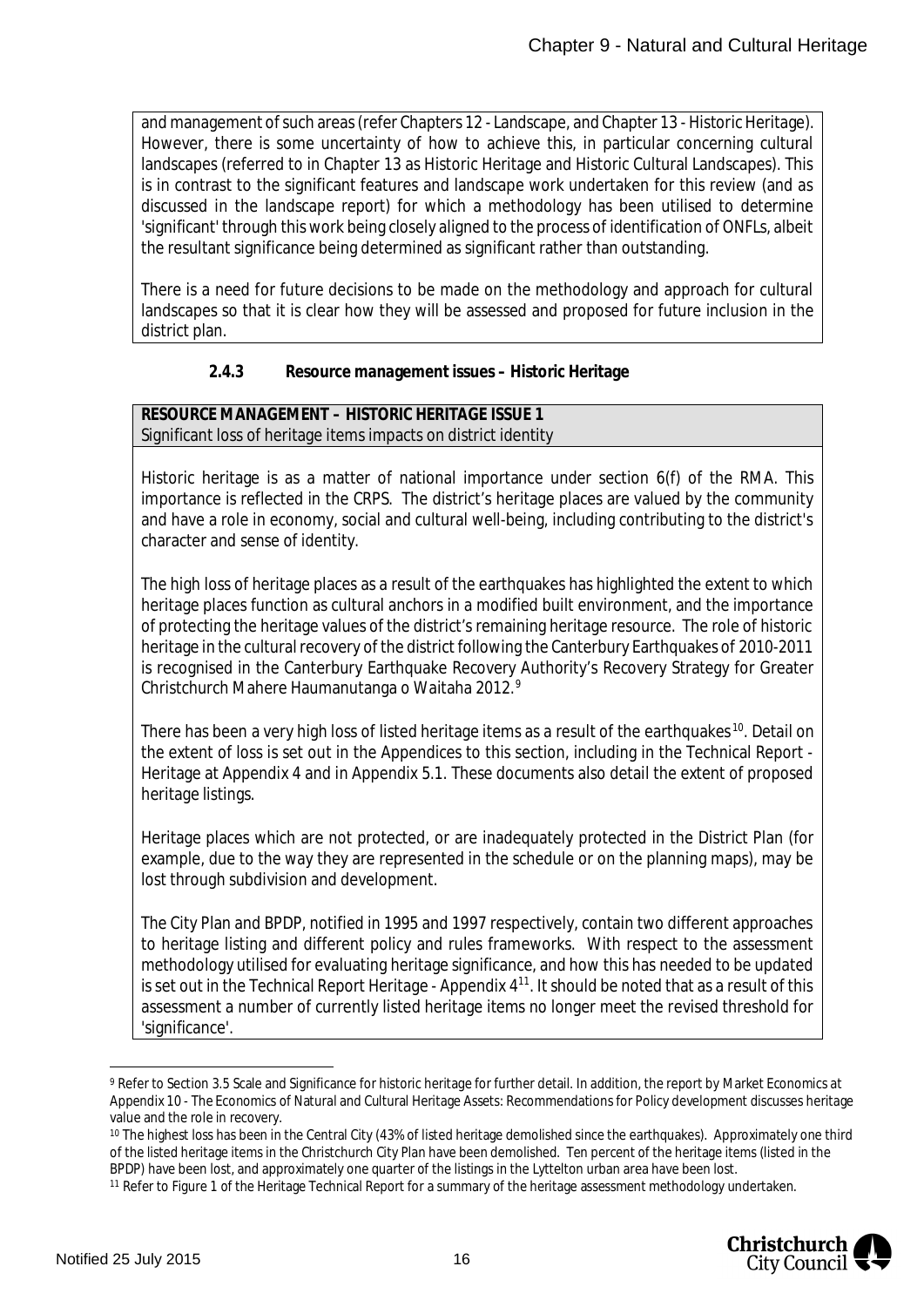and management of such areas (refer Chapters 12 - Landscape, and Chapter 13 - Historic Heritage). However, there is some uncertainty of how to achieve this, in particular concerning cultural landscapes (referred to in Chapter 13 as Historic Heritage and Historic Cultural Landscapes). This is in contrast to the significant features and landscape work undertaken for this review (and as discussed in the landscape report) for which a methodology has been utilised to determine 'significant' through this work being closely aligned to the process of identification of ONFLs, albeit the resultant significance being determined as significant rather than outstanding.

There is a need for future decisions to be made on the methodology and approach for cultural landscapes so that it is clear how they will be assessed and proposed for future inclusion in the district plan.

#### <span id="page-16-0"></span>**2.4.3 Resource management issues – Historic Heritage**

**RESOURCE MANAGEMENT – HISTORIC HERITAGE ISSUE 1** Significant loss of heritage items impacts on district identity

Historic heritage is as a matter of national importance under section 6(f) of the RMA. This importance is reflected in the CRPS. The district's heritage places are valued by the community and have a role in economy, social and cultural well-being, including contributing to the district's character and sense of identity.

The high loss of heritage places as a result of the earthquakes has highlighted the extent to which heritage places function as cultural anchors in a modified built environment, and the importance of protecting the heritage values of the district's remaining heritage resource. The role of historic heritage in the cultural recovery of the district following the Canterbury Earthquakes of 2010-2011 is recognised in the Canterbury Earthquake Recovery Authority's Recovery Strategy for Greater Christchurch Mahere Haumanutanga o Waitaha 2012.[9](#page-16-1)

There has been a very high loss of listed heritage items as a result of the earthquakes <sup>[10](#page-16-2)</sup>. Detail on the extent of loss is set out in the Appendices to this section, including in the Technical Report - Heritage at Appendix 4 and in Appendix 5.1. These documents also detail the extent of proposed heritage listings.

Heritage places which are not protected, or are inadequately protected in the District Plan (for example, due to the way they are represented in the schedule or on the planning maps), may be lost through subdivision and development.

The City Plan and BPDP, notified in 1995 and 1997 respectively, contain two different approaches to heritage listing and different policy and rules frameworks. With respect to the assessment methodology utilised for evaluating heritage significance, and how this has needed to be updated is set out in the Technical Report Heritage - Appendix  $4<sup>11</sup>$  $4<sup>11</sup>$  $4<sup>11</sup>$ . It should be noted that as a result of this assessment a number of currently listed heritage items no longer meet the revised threshold for 'significance'.

<span id="page-16-3"></span><sup>11</sup> Refer to Figure 1 of the Heritage Technical Report for a summary of the heritage assessment methodology undertaken.



<span id="page-16-1"></span><sup>&</sup>lt;sup>9</sup> Refer to Section 3.5 Scale and Significance for historic heritage for further detail. In addition, the report by Market Economics at Appendix 10 - The Economics of Natural and Cultural Heritage Assets: Recommendations for Policy development discusses heritage value and the role in recovery.

<span id="page-16-2"></span><sup>10</sup> The highest loss has been in the Central City (43% of listed heritage demolished since the earthquakes). Approximately one third of the listed heritage items in the Christchurch City Plan have been demolished. Ten percent of the heritage items (listed in the BPDP) have been lost, and approximately one quarter of the listings in the Lyttelton urban area have been lost.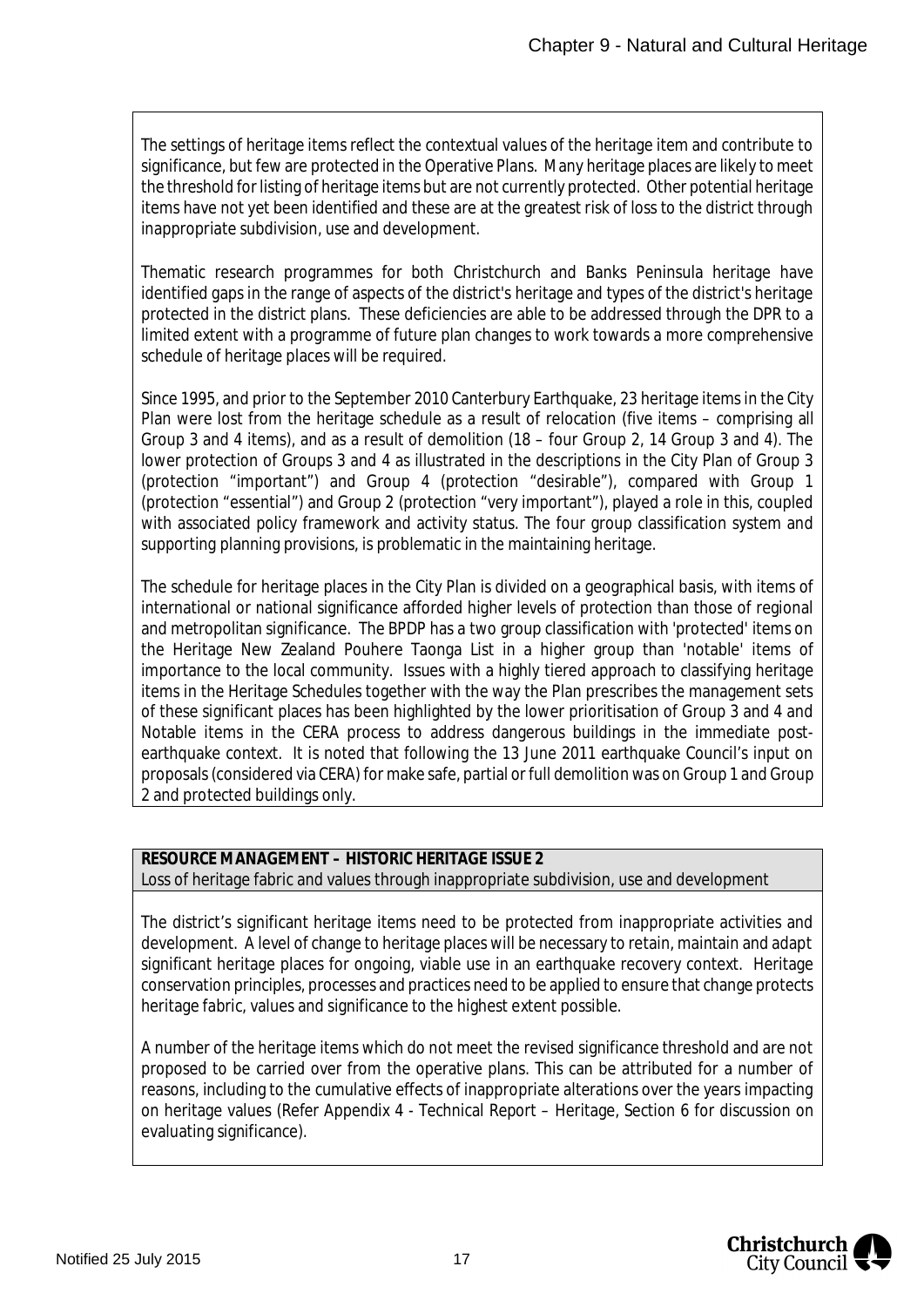The settings of heritage items reflect the contextual values of the heritage item and contribute to significance, but few are protected in the Operative Plans. Many heritage places are likely to meet the threshold for listing of heritage items but are not currently protected. Other potential heritage items have not yet been identified and these are at the greatest risk of loss to the district through inappropriate subdivision, use and development.

Thematic research programmes for both Christchurch and Banks Peninsula heritage have identified gaps in the range of aspects of the district's heritage and types of the district's heritage protected in the district plans. These deficiencies are able to be addressed through the DPR to a limited extent with a programme of future plan changes to work towards a more comprehensive schedule of heritage places will be required.

Since 1995, and prior to the September 2010 Canterbury Earthquake, 23 heritage items in the City Plan were lost from the heritage schedule as a result of relocation (five items – comprising all Group 3 and 4 items), and as a result of demolition (18 – four Group 2, 14 Group 3 and 4). The lower protection of Groups 3 and 4 as illustrated in the descriptions in the City Plan of Group 3 (protection "important") and Group 4 (protection "desirable"), compared with Group 1 (protection "essential") and Group 2 (protection "very important"), played a role in this, coupled with associated policy framework and activity status. The four group classification system and supporting planning provisions, is problematic in the maintaining heritage.

The schedule for heritage places in the City Plan is divided on a geographical basis, with items of international or national significance afforded higher levels of protection than those of regional and metropolitan significance. The BPDP has a two group classification with 'protected' items on the Heritage New Zealand Pouhere Taonga List in a higher group than 'notable' items of importance to the local community. Issues with a highly tiered approach to classifying heritage items in the Heritage Schedules together with the way the Plan prescribes the management sets of these significant places has been highlighted by the lower prioritisation of Group 3 and 4 and Notable items in the CERA process to address dangerous buildings in the immediate postearthquake context. It is noted that following the 13 June 2011 earthquake Council's input on proposals (considered via CERA) for make safe, partial or full demolition was on Group 1 and Group 2 and protected buildings only.

#### **RESOURCE MANAGEMENT – HISTORIC HERITAGE ISSUE 2** Loss of heritage fabric and values through inappropriate subdivision, use and development

The district's significant heritage items need to be protected from inappropriate activities and development. A level of change to heritage places will be necessary to retain, maintain and adapt significant heritage places for ongoing, viable use in an earthquake recovery context. Heritage conservation principles, processes and practices need to be applied to ensure that change protects heritage fabric, values and significance to the highest extent possible.

A number of the heritage items which do not meet the revised significance threshold and are not proposed to be carried over from the operative plans. This can be attributed for a number of reasons, including to the cumulative effects of inappropriate alterations over the years impacting on heritage values (Refer Appendix 4 - Technical Report – Heritage, Section 6 for discussion on evaluating significance).

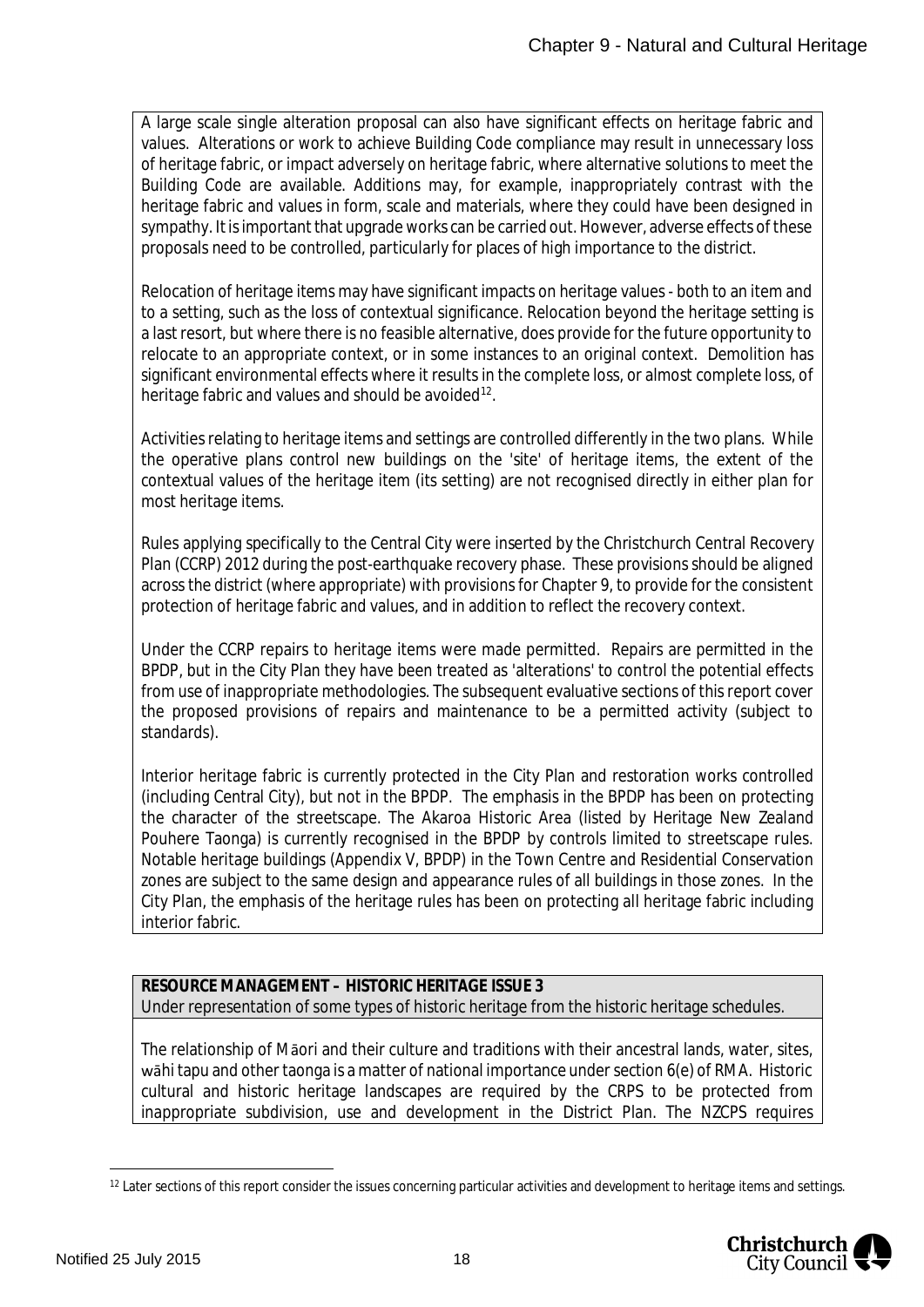A large scale single alteration proposal can also have significant effects on heritage fabric and values. Alterations or work to achieve Building Code compliance may result in unnecessary loss of heritage fabric, or impact adversely on heritage fabric, where alternative solutions to meet the Building Code are available. Additions may, for example, inappropriately contrast with the heritage fabric and values in form, scale and materials, where they could have been designed in sympathy. It is important that upgrade works can be carried out. However, adverse effects of these proposals need to be controlled, particularly for places of high importance to the district.

Relocation of heritage items may have significant impacts on heritage values - both to an item and to a setting, such as the loss of contextual significance. Relocation beyond the heritage setting is a last resort, but where there is no feasible alternative, does provide for the future opportunity to relocate to an appropriate context, or in some instances to an original context. Demolition has significant environmental effects where it results in the complete loss, or almost complete loss, of heritage fabric and values and should be avoided<sup>[12](#page-18-0)</sup>.

Activities relating to heritage items and settings are controlled differently in the two plans. While the operative plans control new buildings on the 'site' of heritage items, the extent of the contextual values of the heritage item (its setting) are not recognised directly in either plan for most heritage items.

Rules applying specifically to the Central City were inserted by the Christchurch Central Recovery Plan (CCRP) 2012 during the post-earthquake recovery phase. These provisions should be aligned across the district (where appropriate) with provisions for Chapter 9, to provide for the consistent protection of heritage fabric and values, and in addition to reflect the recovery context.

Under the CCRP repairs to heritage items were made permitted. Repairs are permitted in the BPDP, but in the City Plan they have been treated as 'alterations' to control the potential effects from use of inappropriate methodologies. The subsequent evaluative sections of this report cover the proposed provisions of repairs and maintenance to be a permitted activity (subject to standards).

Interior heritage fabric is currently protected in the City Plan and restoration works controlled (including Central City), but not in the BPDP. The emphasis in the BPDP has been on protecting the character of the streetscape. The Akaroa Historic Area (listed by Heritage New Zealand Pouhere Taonga) is currently recognised in the BPDP by controls limited to streetscape rules. Notable heritage buildings (Appendix V, BPDP) in the Town Centre and Residential Conservation zones are subject to the same design and appearance rules of all buildings in those zones. In the City Plan, the emphasis of the heritage rules has been on protecting all heritage fabric including interior fabric.

**RESOURCE MANAGEMENT – HISTORIC HERITAGE ISSUE 3** Under representation of some types of historic heritage from the historic heritage schedules.

The relationship of Māori and their culture and traditions with their ancestral lands, water, sites, wāhi tapu and other taonga is a matter of national importance under section 6(e) of RMA. Historic cultural and historic heritage landscapes are required by the CRPS to be protected from inappropriate subdivision, use and development in the District Plan. The NZCPS requires

<span id="page-18-0"></span><sup>&</sup>lt;sup>12</sup> Later sections of this report consider the issues concerning particular activities and development to heritage items and settings.

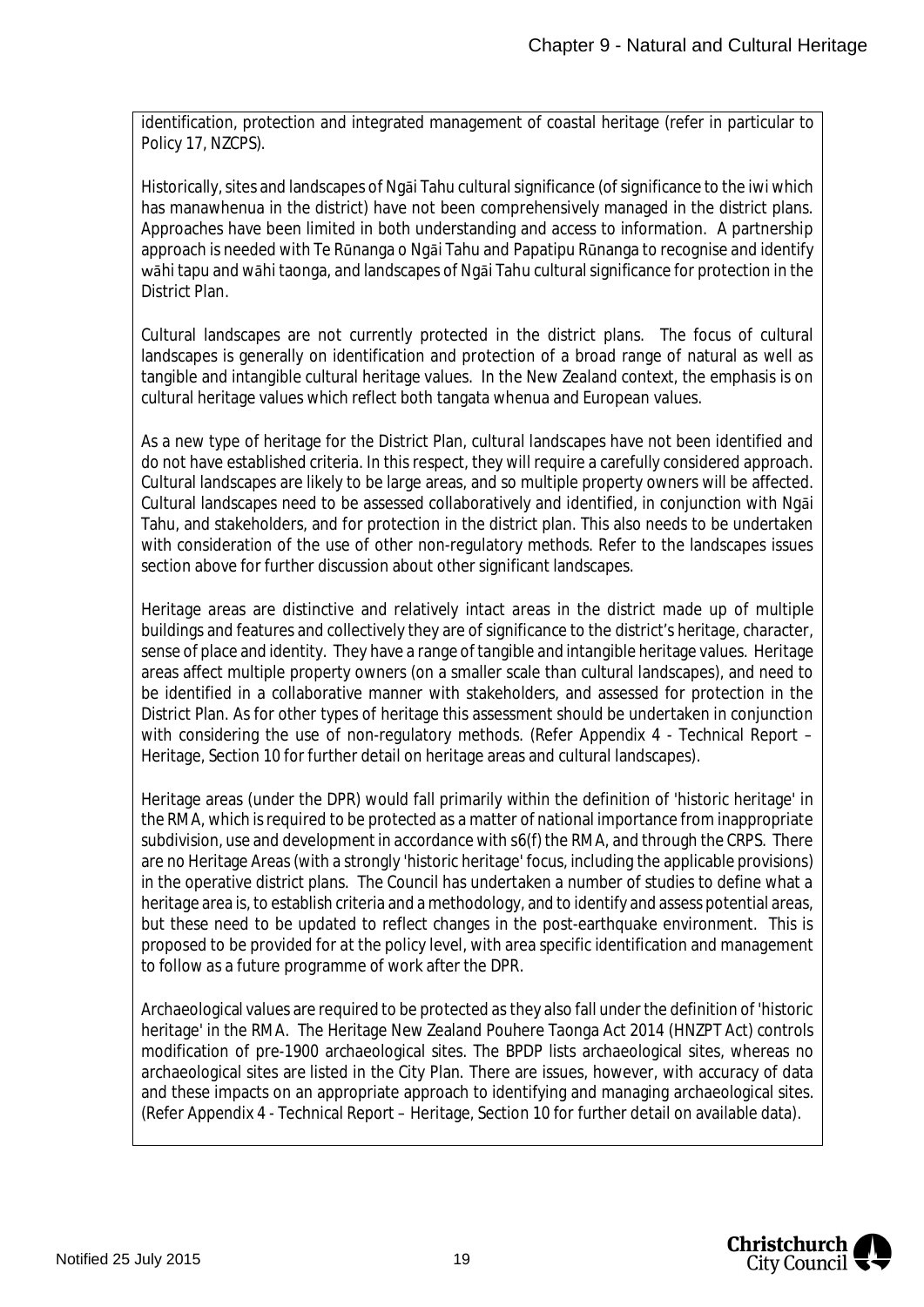identification, protection and integrated management of coastal heritage (refer in particular to Policy 17, NZCPS).

Historically, sites and landscapes of Ngāi Tahu cultural significance (of significance to the iwi which has manawhenua in the district) have not been comprehensively managed in the district plans. Approaches have been limited in both understanding and access to information. A partnership approach is needed with Te Rūnanga o Ngāi Tahu and Papatipu Rūnanga to recognise and identify wāhi tapu and wāhi taonga, and landscapes of Ngāi Tahu cultural significance for protection in the District Plan.

Cultural landscapes are not currently protected in the district plans. The focus of cultural landscapes is generally on identification and protection of a broad range of natural as well as tangible and intangible cultural heritage values. In the New Zealand context, the emphasis is on cultural heritage values which reflect both tangata whenua and European values.

As a new type of heritage for the District Plan, cultural landscapes have not been identified and do not have established criteria. In this respect, they will require a carefully considered approach. Cultural landscapes are likely to be large areas, and so multiple property owners will be affected. Cultural landscapes need to be assessed collaboratively and identified, in conjunction with Ngāi Tahu, and stakeholders, and for protection in the district plan. This also needs to be undertaken with consideration of the use of other non-regulatory methods. Refer to the landscapes issues section above for further discussion about other significant landscapes.

Heritage areas are distinctive and relatively intact areas in the district made up of multiple buildings and features and collectively they are of significance to the district's heritage, character, sense of place and identity. They have a range of tangible and intangible heritage values. Heritage areas affect multiple property owners (on a smaller scale than cultural landscapes), and need to be identified in a collaborative manner with stakeholders, and assessed for protection in the District Plan. As for other types of heritage this assessment should be undertaken in conjunction with considering the use of non-regulatory methods. (Refer Appendix 4 - Technical Report – Heritage, Section 10 for further detail on heritage areas and cultural landscapes).

Heritage areas (under the DPR) would fall primarily within the definition of 'historic heritage' in the RMA, which is required to be protected as a matter of national importance from inappropriate subdivision, use and development in accordance with s6(f) the RMA, and through the CRPS. There are no Heritage Areas (with a strongly 'historic heritage' focus, including the applicable provisions) in the operative district plans. The Council has undertaken a number of studies to define what a heritage area is, to establish criteria and a methodology, and to identify and assess potential areas, but these need to be updated to reflect changes in the post-earthquake environment. This is proposed to be provided for at the policy level, with area specific identification and management to follow as a future programme of work after the DPR.

Archaeological values are required to be protected as they also fall under the definition of 'historic heritage' in the RMA. The Heritage New Zealand Pouhere Taonga Act 2014 (HNZPT Act) controls modification of pre-1900 archaeological sites. The BPDP lists archaeological sites, whereas no archaeological sites are listed in the City Plan. There are issues, however, with accuracy of data and these impacts on an appropriate approach to identifying and managing archaeological sites. (Refer Appendix 4 - Technical Report – Heritage, Section 10 for further detail on available data).

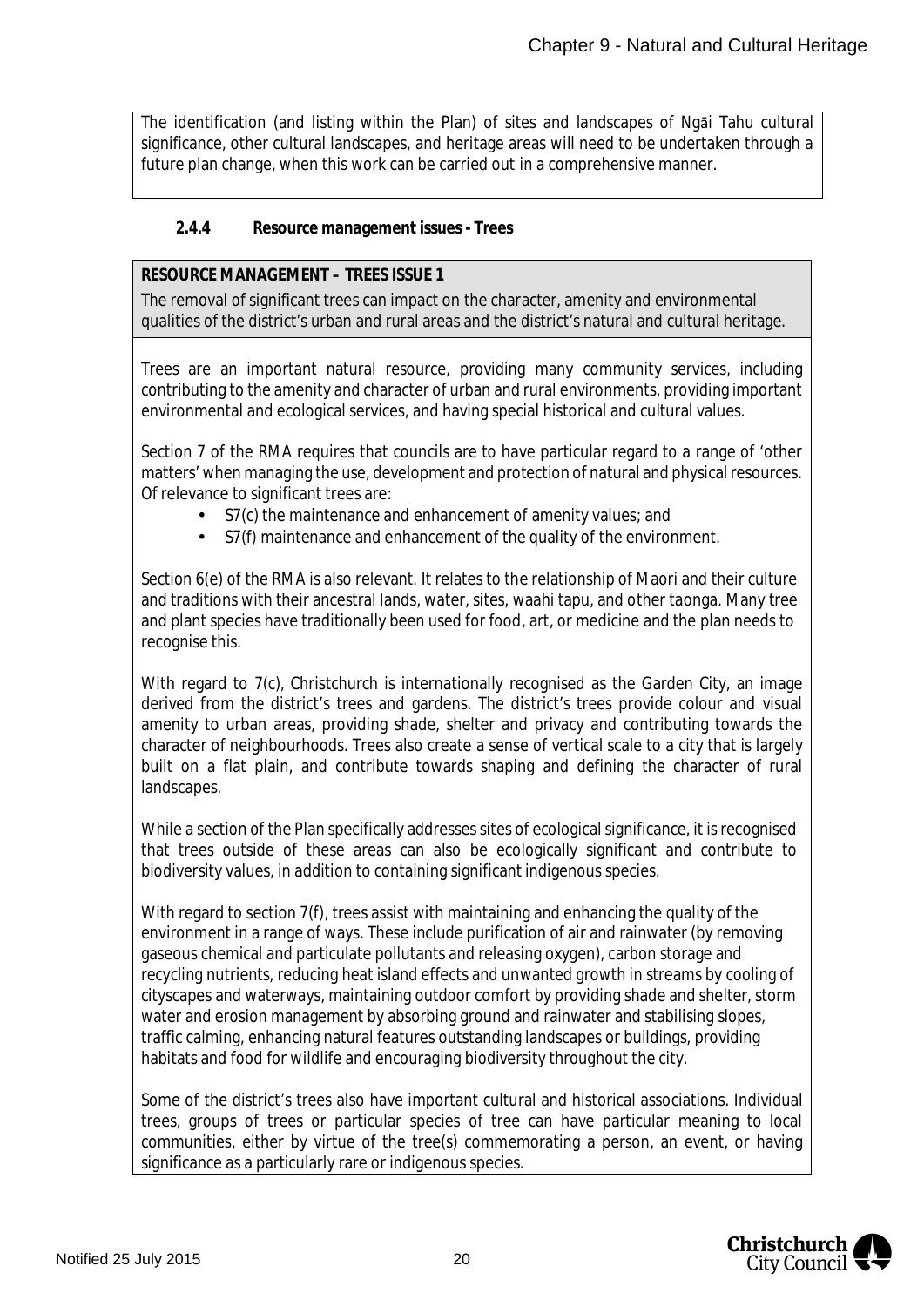The identification (and listing within the Plan) of sites and landscapes of Ngāi Tahu cultural significance, other cultural landscapes, and heritage areas will need to be undertaken through a future plan change, when this work can be carried out in a comprehensive manner.

#### <span id="page-20-0"></span>**2.4.4 Resource management issues - Trees**

#### **RESOURCE MANAGEMENT – TREES ISSUE 1**

The removal of significant trees can impact on the character, amenity and environmental qualities of the district's urban and rural areas and the district's natural and cultural heritage.

Trees are an important natural resource, providing many community services, including contributing to the amenity and character of urban and rural environments, providing important environmental and ecological services, and having special historical and cultural values.

Section 7 of the RMA requires that councils are to have particular regard to a range of 'other matters' when managing the use, development and protection of natural and physical resources. Of relevance to significant trees are:

- S7(c) the maintenance and enhancement of amenity values; and
- S7(f) maintenance and enhancement of the quality of the environment.

Section 6(e) of the RMA is also relevant. It relates to the relationship of Maori and their culture and traditions with their ancestral lands, water, sites, waahi tapu, and other taonga. Many tree and plant species have traditionally been used for food, art, or medicine and the plan needs to recognise this.

With regard to 7(c), Christchurch is internationally recognised as the Garden City, an image derived from the district's trees and gardens. The district's trees provide colour and visual amenity to urban areas, providing shade, shelter and privacy and contributing towards the character of neighbourhoods. Trees also create a sense of vertical scale to a city that is largely built on a flat plain, and contribute towards shaping and defining the character of rural landscapes.

While a section of the Plan specifically addresses sites of ecological significance, it is recognised that trees outside of these areas can also be ecologically significant and contribute to biodiversity values, in addition to containing significant indigenous species.

With regard to section 7(f), trees assist with maintaining and enhancing the quality of the environment in a range of ways. These include purification of air and rainwater (by removing gaseous chemical and particulate pollutants and releasing oxygen), carbon storage and recycling nutrients, reducing heat island effects and unwanted growth in streams by cooling of cityscapes and waterways, maintaining outdoor comfort by providing shade and shelter, storm water and erosion management by absorbing ground and rainwater and stabilising slopes, traffic calming, enhancing natural features outstanding landscapes or buildings, providing habitats and food for wildlife and encouraging biodiversity throughout the city.

Some of the district's trees also have important cultural and historical associations. Individual trees, groups of trees or particular species of tree can have particular meaning to local communities, either by virtue of the tree(s) commemorating a person, an event, or having significance as a particularly rare or indigenous species.

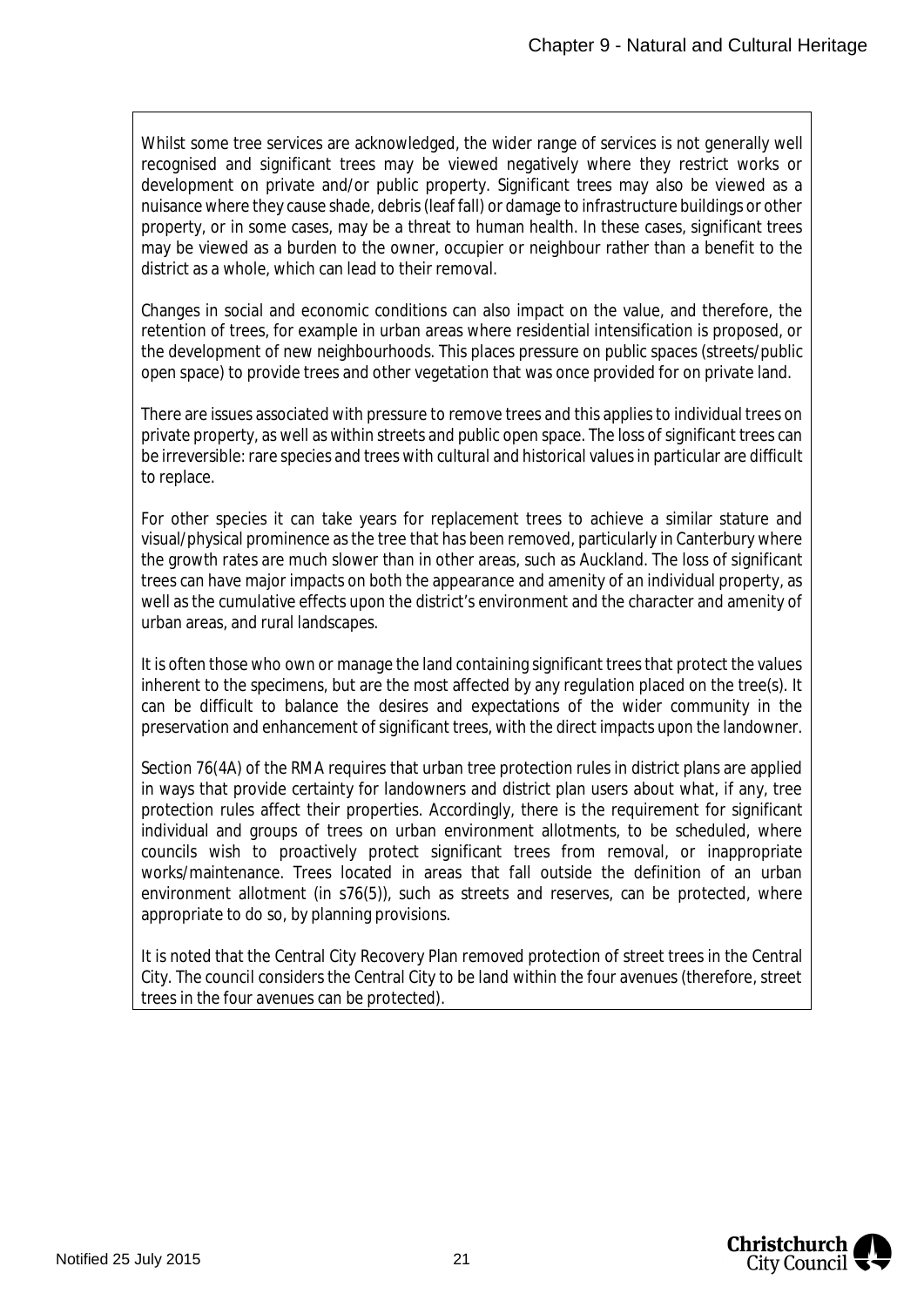Whilst some tree services are acknowledged, the wider range of services is not generally well recognised and significant trees may be viewed negatively where they restrict works or development on private and/or public property. Significant trees may also be viewed as a nuisance where they cause shade, debris (leaf fall) or damage to infrastructure buildings or other property, or in some cases, may be a threat to human health. In these cases, significant trees may be viewed as a burden to the owner, occupier or neighbour rather than a benefit to the district as a whole, which can lead to their removal.

Changes in social and economic conditions can also impact on the value, and therefore, the retention of trees, for example in urban areas where residential intensification is proposed, or the development of new neighbourhoods. This places pressure on public spaces (streets/public open space) to provide trees and other vegetation that was once provided for on private land.

There are issues associated with pressure to remove trees and this applies to individual trees on private property, as well as within streets and public open space. The loss of significant trees can be irreversible: rare species and trees with cultural and historical values in particular are difficult to replace.

For other species it can take years for replacement trees to achieve a similar stature and visual/physical prominence as the tree that has been removed, particularly in Canterbury where the growth rates are much slower than in other areas, such as Auckland. The loss of significant trees can have major impacts on both the appearance and amenity of an individual property, as well as the cumulative effects upon the district's environment and the character and amenity of urban areas, and rural landscapes.

It is often those who own or manage the land containing significant trees that protect the values inherent to the specimens, but are the most affected by any regulation placed on the tree(s). It can be difficult to balance the desires and expectations of the wider community in the preservation and enhancement of significant trees, with the direct impacts upon the landowner.

Section 76(4A) of the RMA requires that urban tree protection rules in district plans are applied in ways that provide certainty for landowners and district plan users about what, if any, tree protection rules affect their properties. Accordingly, there is the requirement for significant individual and groups of trees on urban environment allotments, to be scheduled, where councils wish to proactively protect significant trees from removal, or inappropriate works/maintenance. Trees located in areas that fall outside the definition of an urban environment allotment (in s76(5)), such as streets and reserves, can be protected, where appropriate to do so, by planning provisions.

It is noted that the Central City Recovery Plan removed protection of street trees in the Central City. The council considers the Central City to be land within the four avenues (therefore, street trees in the four avenues can be protected).

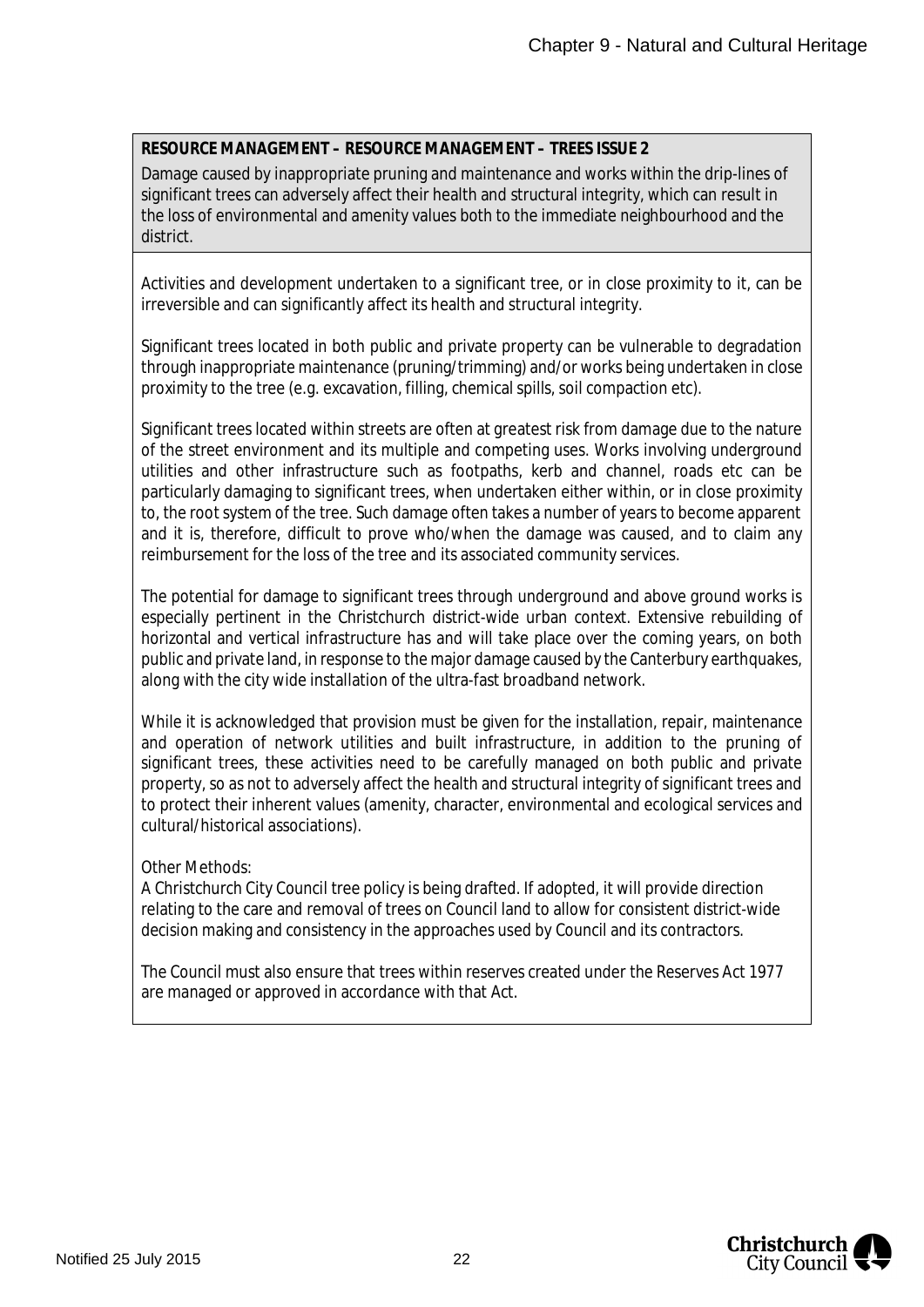#### **RESOURCE MANAGEMENT – RESOURCE MANAGEMENT – TREES ISSUE 2**

Damage caused by inappropriate pruning and maintenance and works within the drip-lines of significant trees can adversely affect their health and structural integrity, which can result in the loss of environmental and amenity values both to the immediate neighbourhood and the district.

Activities and development undertaken to a significant tree, or in close proximity to it, can be irreversible and can significantly affect its health and structural integrity.

Significant trees located in both public and private property can be vulnerable to degradation through inappropriate maintenance (pruning/trimming) and/or works being undertaken in close proximity to the tree (e.g. excavation, filling, chemical spills, soil compaction etc).

Significant trees located within streets are often at greatest risk from damage due to the nature of the street environment and its multiple and competing uses. Works involving underground utilities and other infrastructure such as footpaths, kerb and channel, roads etc can be particularly damaging to significant trees, when undertaken either within, or in close proximity to, the root system of the tree. Such damage often takes a number of years to become apparent and it is, therefore, difficult to prove who/when the damage was caused, and to claim any reimbursement for the loss of the tree and its associated community services.

The potential for damage to significant trees through underground and above ground works is especially pertinent in the Christchurch district-wide urban context. Extensive rebuilding of horizontal and vertical infrastructure has and will take place over the coming years, on both public and private land, in response to the major damage caused by the Canterbury earthquakes, along with the city wide installation of the ultra-fast broadband network.

While it is acknowledged that provision must be given for the installation, repair, maintenance and operation of network utilities and built infrastructure, in addition to the pruning of significant trees, these activities need to be carefully managed on both public and private property, so as not to adversely affect the health and structural integrity of significant trees and to protect their inherent values (amenity, character, environmental and ecological services and cultural/historical associations).

#### Other Methods:

A Christchurch City Council tree policy is being drafted. If adopted, it will provide direction relating to the care and removal of trees on Council land to allow for consistent district-wide decision making and consistency in the approaches used by Council and its contractors.

The Council must also ensure that trees within reserves created under the Reserves Act 1977 are managed or approved in accordance with that Act.

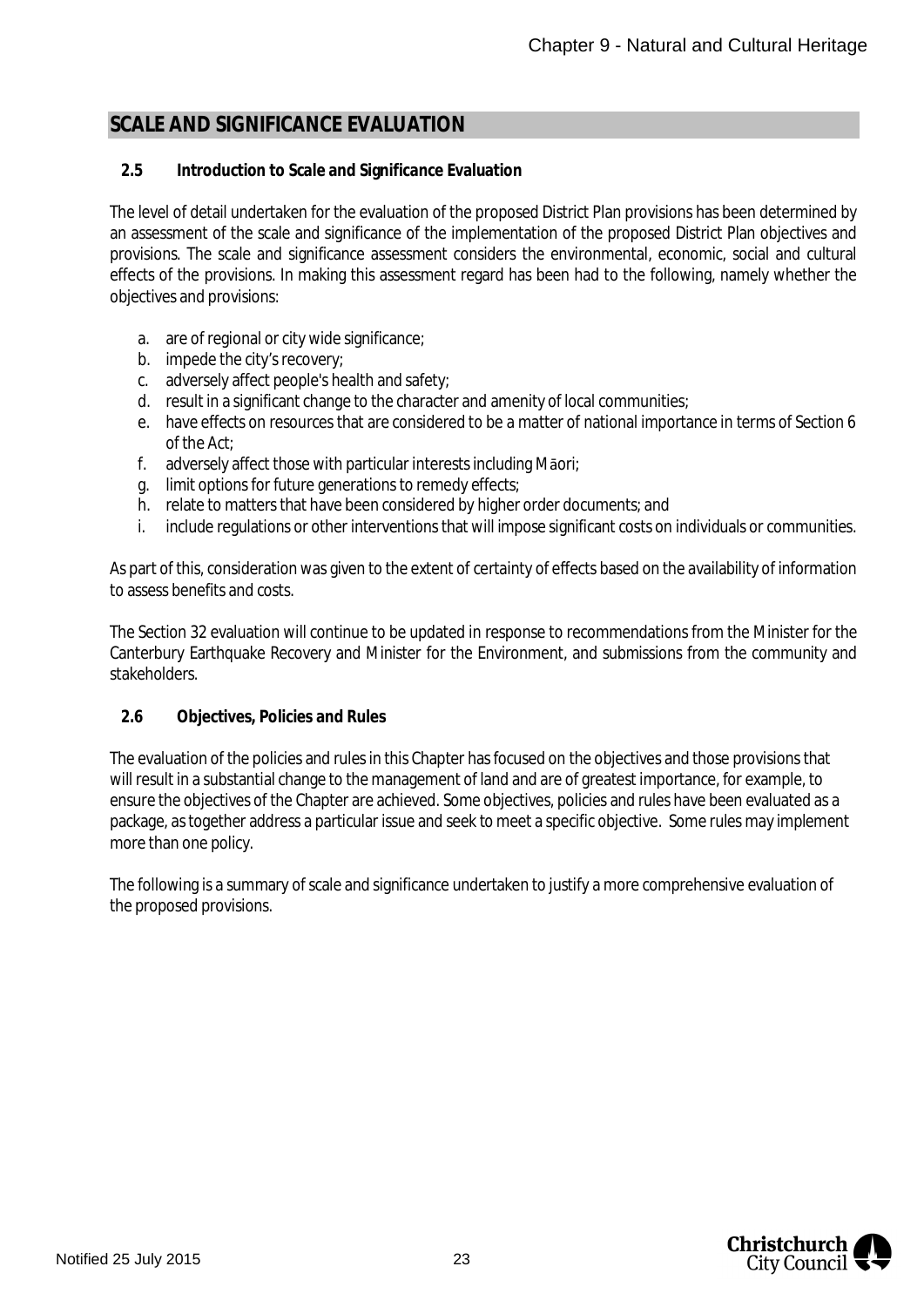### <span id="page-23-0"></span>**SCALE AND SIGNIFICANCE EVALUATION**

#### <span id="page-23-1"></span>**2.5 Introduction to Scale and Significance Evaluation**

The level of detail undertaken for the evaluation of the proposed District Plan provisions has been determined by an assessment of the scale and significance of the implementation of the proposed District Plan objectives and provisions. The scale and significance assessment considers the environmental, economic, social and cultural effects of the provisions. In making this assessment regard has been had to the following, namely whether the objectives and provisions:

- a. are of regional or city wide significance;
- b. impede the city's recovery;
- c. adversely affect people's health and safety;
- d. result in a significant change to the character and amenity of local communities;
- e. have effects on resources that are considered to be a matter of national importance in terms of Section 6 of the Act;
- f. adversely affect those with particular interests including Māori;
- g. limit options for future generations to remedy effects;
- h. relate to matters that have been considered by higher order documents; and
- i. include regulations or other interventions that will impose significant costs on individuals or communities.

As part of this, consideration was given to the extent of certainty of effects based on the availability of information to assess benefits and costs.

The Section 32 evaluation will continue to be updated in response to recommendations from the Minister for the Canterbury Earthquake Recovery and Minister for the Environment, and submissions from the community and stakeholders.

#### <span id="page-23-2"></span>**2.6 Objectives, Policies and Rules**

The evaluation of the policies and rules in this Chapter has focused on the objectives and those provisions that will result in a substantial change to the management of land and are of greatest importance, for example, to ensure the objectives of the Chapter are achieved. Some objectives, policies and rules have been evaluated as a package, as together address a particular issue and seek to meet a specific objective. Some rules may implement more than one policy.

The following is a summary of scale and significance undertaken to justify a more comprehensive evaluation of the proposed provisions.

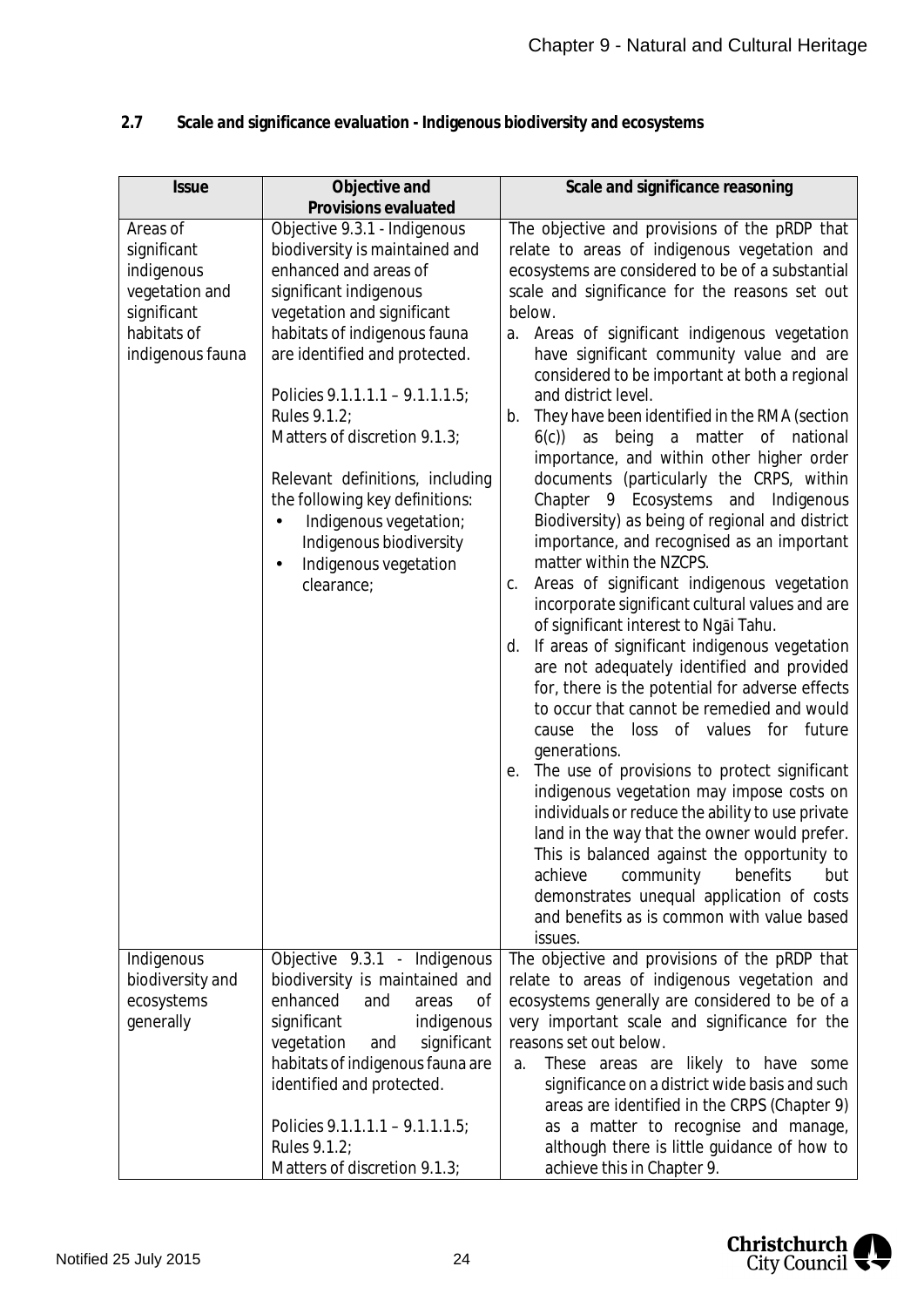| <b>Issue</b>                                                                                              | Objective and                                                                                                                                                                                                                                                                                                                                                                                                                                                                                | Scale and significance reasoning                                                                                                                                                                                                                                                                                                                                                                                                                                                                                                                                                                                                                                                                                                                                                                                                                                                                                                                                                                                                                                                                                                                                                                                                                                                                                                                                                                                                                                                                                    |
|-----------------------------------------------------------------------------------------------------------|----------------------------------------------------------------------------------------------------------------------------------------------------------------------------------------------------------------------------------------------------------------------------------------------------------------------------------------------------------------------------------------------------------------------------------------------------------------------------------------------|---------------------------------------------------------------------------------------------------------------------------------------------------------------------------------------------------------------------------------------------------------------------------------------------------------------------------------------------------------------------------------------------------------------------------------------------------------------------------------------------------------------------------------------------------------------------------------------------------------------------------------------------------------------------------------------------------------------------------------------------------------------------------------------------------------------------------------------------------------------------------------------------------------------------------------------------------------------------------------------------------------------------------------------------------------------------------------------------------------------------------------------------------------------------------------------------------------------------------------------------------------------------------------------------------------------------------------------------------------------------------------------------------------------------------------------------------------------------------------------------------------------------|
| Areas of<br>significant<br>indigenous<br>vegetation and<br>significant<br>habitats of<br>indigenous fauna | Provisions evaluated<br>Objective 9.3.1 - Indigenous<br>biodiversity is maintained and<br>enhanced and areas of<br>significant indigenous<br>vegetation and significant<br>habitats of indigenous fauna<br>are identified and protected.<br>Policies 9.1.1.1.1 - 9.1.1.1.5;<br>Rules 9.1.2;<br>Matters of discretion 9.1.3;<br>Relevant definitions, including<br>the following key definitions:<br>Indigenous vegetation;<br>Indigenous biodiversity<br>Indigenous vegetation<br>clearance; | The objective and provisions of the pRDP that<br>relate to areas of indigenous vegetation and<br>ecosystems are considered to be of a substantial<br>scale and significance for the reasons set out<br>below.<br>a. Areas of significant indigenous vegetation<br>have significant community value and are<br>considered to be important at both a regional<br>and district level.<br>They have been identified in the RMA (section<br>b.<br>as being a matter of national<br>6(c)<br>importance, and within other higher order<br>documents (particularly the CRPS, within<br>Chapter 9 Ecosystems and<br>Indigenous<br>Biodiversity) as being of regional and district<br>importance, and recognised as an important<br>matter within the NZCPS.<br>Areas of significant indigenous vegetation<br>С.<br>incorporate significant cultural values and are<br>of significant interest to Ngai Tahu.<br>If areas of significant indigenous vegetation<br>d.<br>are not adequately identified and provided<br>for, there is the potential for adverse effects<br>to occur that cannot be remedied and would<br>loss of values for future<br>the<br>cause<br>generations.<br>The use of provisions to protect significant<br>е.<br>indigenous vegetation may impose costs on<br>individuals or reduce the ability to use private<br>land in the way that the owner would prefer.<br>This is balanced against the opportunity to<br>achieve<br>community<br>benefits<br>but<br>demonstrates unequal application of costs |
| Indigenous                                                                                                | Objective 9.3.1 - Indigenous                                                                                                                                                                                                                                                                                                                                                                                                                                                                 | and benefits as is common with value based<br>issues.<br>The objective and provisions of the pRDP that                                                                                                                                                                                                                                                                                                                                                                                                                                                                                                                                                                                                                                                                                                                                                                                                                                                                                                                                                                                                                                                                                                                                                                                                                                                                                                                                                                                                              |
| biodiversity and<br>ecosystems<br>generally                                                               | biodiversity is maintained and<br>enhanced<br>and<br>areas<br>0f<br>significant<br>indigenous<br>vegetation<br>significant<br>and<br>habitats of indigenous fauna are<br>identified and protected.<br>Policies $9.1.1.1.1 - 9.1.1.1.5$ ;                                                                                                                                                                                                                                                     | relate to areas of indigenous vegetation and<br>ecosystems generally are considered to be of a<br>very important scale and significance for the<br>reasons set out below.<br>These areas are likely to have some<br>a.<br>significance on a district wide basis and such<br>areas are identified in the CRPS (Chapter 9)<br>as a matter to recognise and manage,                                                                                                                                                                                                                                                                                                                                                                                                                                                                                                                                                                                                                                                                                                                                                                                                                                                                                                                                                                                                                                                                                                                                                    |
|                                                                                                           | Rules 9.1.2;<br>Matters of discretion 9.1.3;                                                                                                                                                                                                                                                                                                                                                                                                                                                 | although there is little guidance of how to<br>achieve this in Chapter 9.                                                                                                                                                                                                                                                                                                                                                                                                                                                                                                                                                                                                                                                                                                                                                                                                                                                                                                                                                                                                                                                                                                                                                                                                                                                                                                                                                                                                                                           |

### <span id="page-24-0"></span>**2.7 Scale and significance evaluation - Indigenous biodiversity and ecosystems**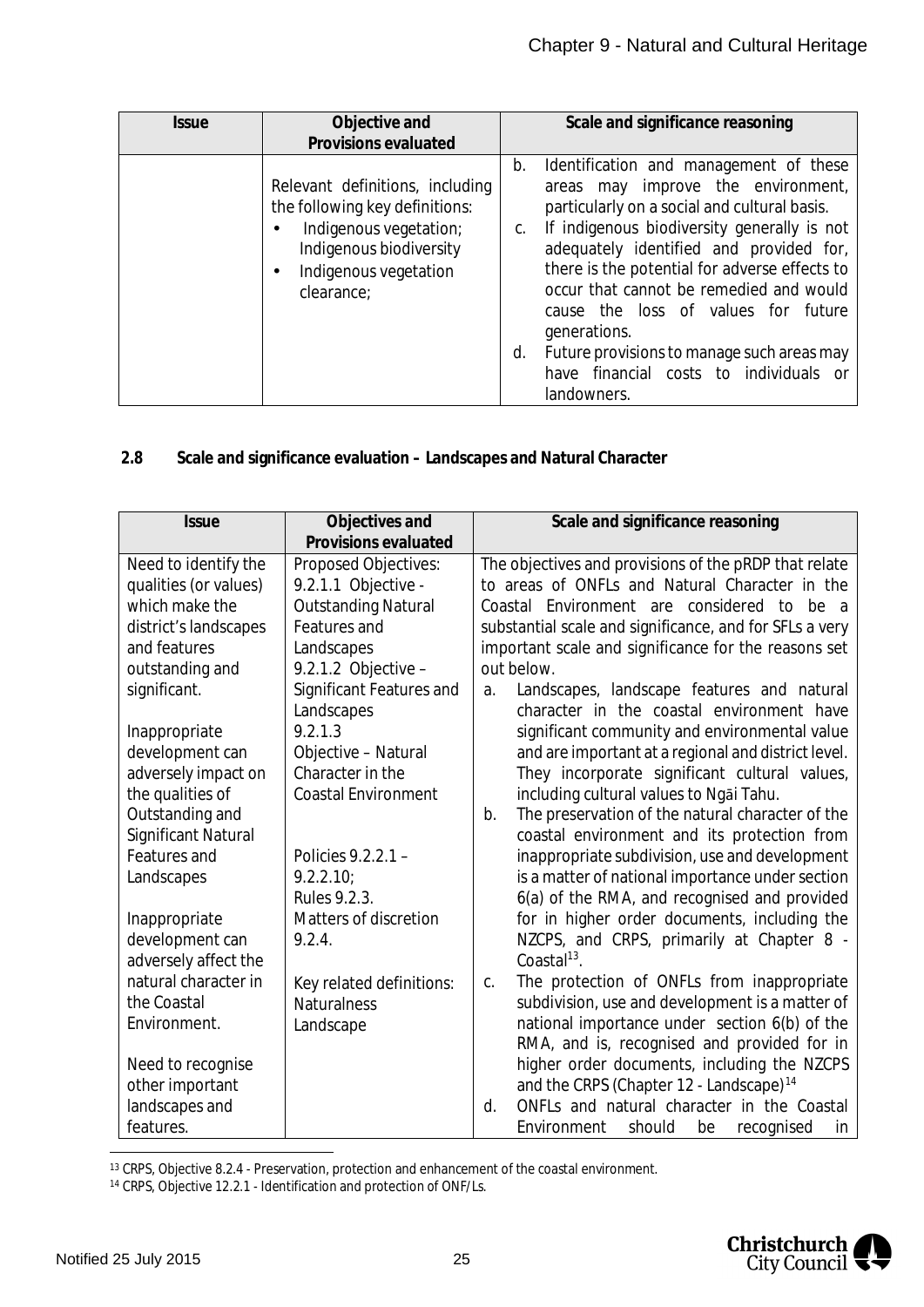| <i><b>Issue</b></i> | Objective and<br>Provisions evaluated                                                                                                                                   | Scale and significance reasoning                                                                                                                                                                                                                                                                                                                                                                                                                                                                |
|---------------------|-------------------------------------------------------------------------------------------------------------------------------------------------------------------------|-------------------------------------------------------------------------------------------------------------------------------------------------------------------------------------------------------------------------------------------------------------------------------------------------------------------------------------------------------------------------------------------------------------------------------------------------------------------------------------------------|
|                     | Relevant definitions, including<br>the following key definitions:<br>Indigenous vegetation;<br>٠<br>Indigenous biodiversity<br>Indigenous vegetation<br>٠<br>clearance: | b. Identification and management of these<br>areas may improve the environment,<br>particularly on a social and cultural basis.<br>If indigenous biodiversity generally is not<br>C.<br>adequately identified and provided for,<br>there is the potential for adverse effects to<br>occur that cannot be remedied and would<br>cause the loss of values for future<br>generations.<br>Future provisions to manage such areas may<br>d.<br>have financial costs to individuals or<br>landowners. |

#### <span id="page-25-0"></span>**2.8 Scale and significance evaluation – Landscapes and Natural Character**

| <b>Issue</b>               | Objectives and<br>Provisions evaluated | Scale and significance reasoning                        |
|----------------------------|----------------------------------------|---------------------------------------------------------|
| Need to identify the       | Proposed Objectives:                   | The objectives and provisions of the pRDP that relate   |
| qualities (or values)      | 9.2.1.1 Objective -                    | to areas of ONFLs and Natural Character in the          |
| which make the             | <b>Outstanding Natural</b>             | Coastal Environment are considered to be a              |
| district's landscapes      | Features and                           | substantial scale and significance, and for SFLs a very |
| and features               | Landscapes                             | important scale and significance for the reasons set    |
| outstanding and            | 9.2.1.2 Objective -                    | out below.                                              |
| significant.               | Significant Features and               | Landscapes, landscape features and natural<br>a.        |
|                            | Landscapes                             | character in the coastal environment have               |
| Inappropriate              | 9.2.1.3                                | significant community and environmental value           |
| development can            | Objective - Natural                    | and are important at a regional and district level.     |
| adversely impact on        | Character in the                       | They incorporate significant cultural values,           |
| the qualities of           | <b>Coastal Environment</b>             | including cultural values to Ngai Tahu.                 |
| Outstanding and            |                                        | The preservation of the natural character of the<br>b.  |
| <b>Significant Natural</b> |                                        | coastal environment and its protection from             |
| Features and               | Policies $9.2.2.1 -$                   | inappropriate subdivision, use and development          |
| Landscapes                 | 9.2.2.10                               | is a matter of national importance under section        |
|                            | Rules 9.2.3.                           | 6(a) of the RMA, and recognised and provided            |
| Inappropriate              | <b>Matters of discretion</b>           | for in higher order documents, including the            |
| development can            | 9.2.4.                                 | NZCPS, and CRPS, primarily at Chapter 8 -               |
| adversely affect the       |                                        | Coastal $13$ .                                          |
| natural character in       | Key related definitions:               | The protection of ONFLs from inappropriate<br>C.        |
| the Coastal                | <b>Naturalness</b>                     | subdivision, use and development is a matter of         |
| Environment.               | Landscape                              | national importance under section 6(b) of the           |
|                            |                                        | RMA, and is, recognised and provided for in             |
| Need to recognise          |                                        | higher order documents, including the NZCPS             |
| other important            |                                        | and the CRPS (Chapter 12 - Landscape) <sup>14</sup>     |
| landscapes and             |                                        | ONFLs and natural character in the Coastal<br>d.        |
| features.                  |                                        | Environment<br>should<br>be<br>recognised<br>in         |

<span id="page-25-1"></span><sup>13</sup> CRPS, Objective 8.2.4 - Preservation, protection and enhancement of the coastal environment.

<span id="page-25-2"></span><sup>14</sup> CRPS, Objective 12.2.1 - Identification and protection of ONF/Ls.

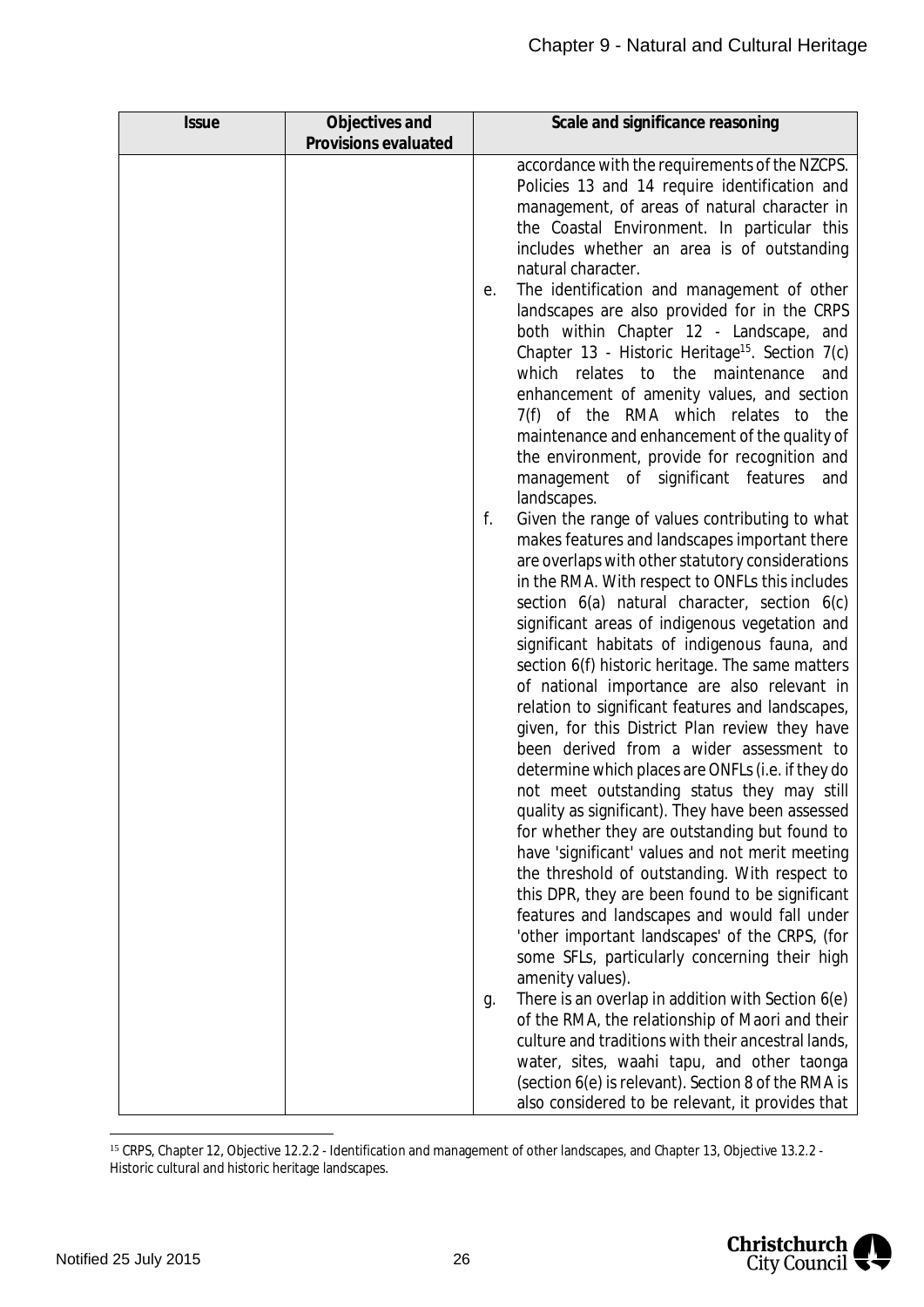| <b>Issue</b> | Objectives and       | Scale and significance reasoning                                                                                                                                                                                                                                                                                                                                                                                                                                                                                                                                                                                                                                                                                                                                                                                                                                                                                                                                                                                                                                                                                                                          |
|--------------|----------------------|-----------------------------------------------------------------------------------------------------------------------------------------------------------------------------------------------------------------------------------------------------------------------------------------------------------------------------------------------------------------------------------------------------------------------------------------------------------------------------------------------------------------------------------------------------------------------------------------------------------------------------------------------------------------------------------------------------------------------------------------------------------------------------------------------------------------------------------------------------------------------------------------------------------------------------------------------------------------------------------------------------------------------------------------------------------------------------------------------------------------------------------------------------------|
|              | Provisions evaluated |                                                                                                                                                                                                                                                                                                                                                                                                                                                                                                                                                                                                                                                                                                                                                                                                                                                                                                                                                                                                                                                                                                                                                           |
|              |                      | accordance with the requirements of the NZCPS.<br>Policies 13 and 14 require identification and<br>management, of areas of natural character in<br>the Coastal Environment. In particular this<br>includes whether an area is of outstanding<br>natural character.<br>The identification and management of other<br>е.<br>landscapes are also provided for in the CRPS<br>both within Chapter 12 - Landscape, and<br>Chapter 13 - Historic Heritage <sup>15</sup> . Section 7(c)<br>which relates to the<br>maintenance<br>and<br>enhancement of amenity values, and section<br>7(f) of the RMA which relates to the<br>maintenance and enhancement of the quality of<br>the environment, provide for recognition and                                                                                                                                                                                                                                                                                                                                                                                                                                     |
|              |                      | management of significant features<br>and<br>landscapes.                                                                                                                                                                                                                                                                                                                                                                                                                                                                                                                                                                                                                                                                                                                                                                                                                                                                                                                                                                                                                                                                                                  |
|              |                      | f.<br>Given the range of values contributing to what<br>makes features and landscapes important there<br>are overlaps with other statutory considerations<br>in the RMA. With respect to ONFLs this includes<br>section 6(a) natural character, section 6(c)<br>significant areas of indigenous vegetation and<br>significant habitats of indigenous fauna, and<br>section 6(f) historic heritage. The same matters<br>of national importance are also relevant in<br>relation to significant features and landscapes,<br>given, for this District Plan review they have<br>been derived from a wider assessment to<br>determine which places are ONFLs (i.e. if they do<br>not meet outstanding status they may still<br>quality as significant). They have been assessed<br>for whether they are outstanding but found to<br>have 'significant' values and not merit meeting<br>the threshold of outstanding. With respect to<br>this DPR, they are been found to be significant<br>features and landscapes and would fall under<br>'other important landscapes' of the CRPS, (for<br>some SFLs, particularly concerning their high<br>amenity values). |
|              |                      | There is an overlap in addition with Section 6(e)<br>g.<br>of the RMA, the relationship of Maori and their<br>culture and traditions with their ancestral lands,<br>water, sites, waahi tapu, and other taonga<br>(section 6(e) is relevant). Section 8 of the RMA is<br>also considered to be relevant, it provides that                                                                                                                                                                                                                                                                                                                                                                                                                                                                                                                                                                                                                                                                                                                                                                                                                                 |

<span id="page-26-0"></span><sup>&</sup>lt;sup>15</sup> CRPS, Chapter 12, Objective 12.2.2 - Identification and management of other landscapes, and Chapter 13, Objective 13.2.2 -Historic cultural and historic heritage landscapes.

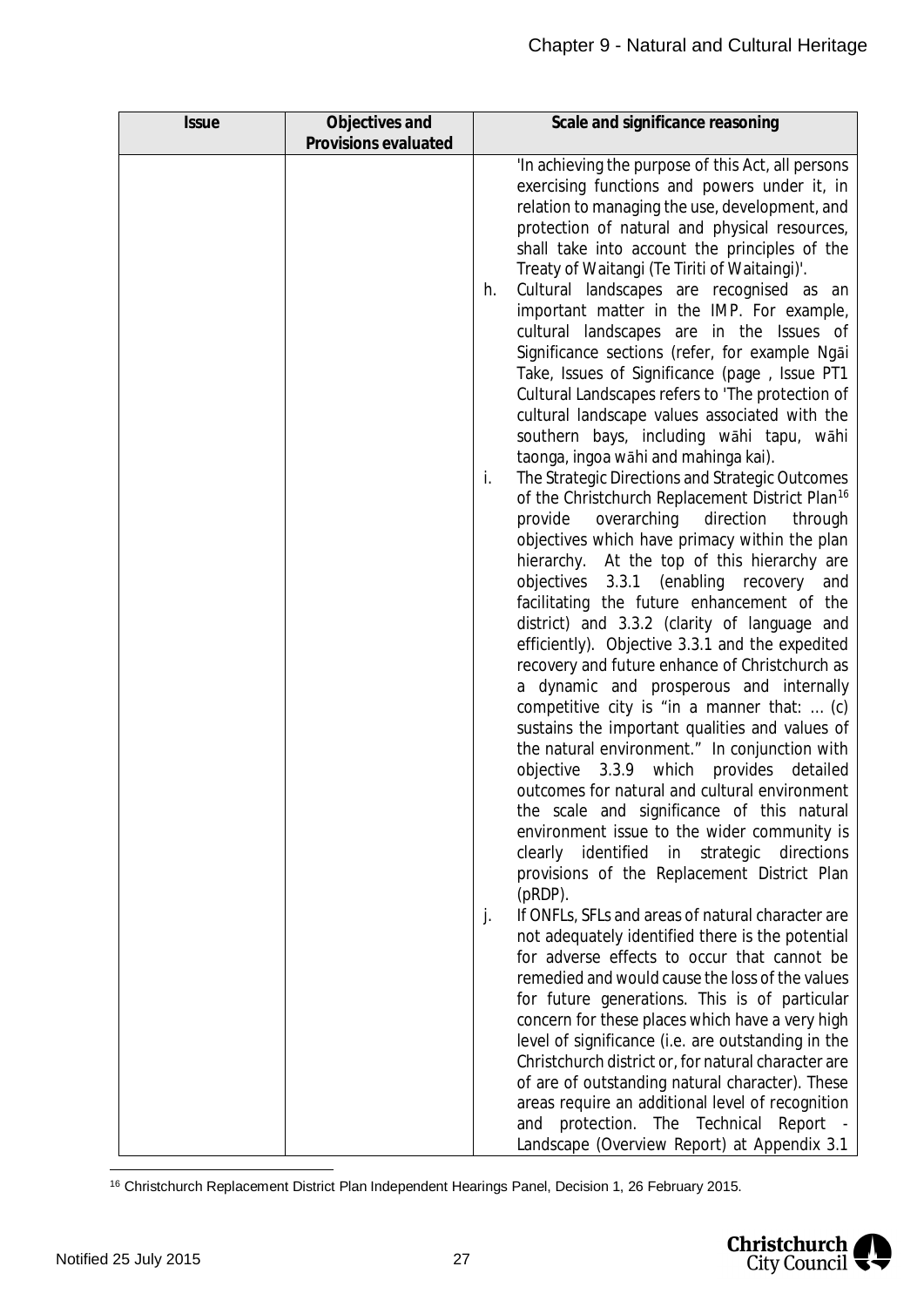| <b>Issue</b> | Objectives and       | Scale and significance reasoning                                                                                                                                                                                                                                                                                                                                                                                                                                                                                                                                                                                                                                                                                                                                                                                                                                                                                                                                                                                                                                                                                                                                                                                                                                                                                                                                                                                                                                                                                                                                                                                                                                                                                                                                                                                                                                                                                                                                                                                                                                                                                                                                                                                                                                                                                                                                                |
|--------------|----------------------|---------------------------------------------------------------------------------------------------------------------------------------------------------------------------------------------------------------------------------------------------------------------------------------------------------------------------------------------------------------------------------------------------------------------------------------------------------------------------------------------------------------------------------------------------------------------------------------------------------------------------------------------------------------------------------------------------------------------------------------------------------------------------------------------------------------------------------------------------------------------------------------------------------------------------------------------------------------------------------------------------------------------------------------------------------------------------------------------------------------------------------------------------------------------------------------------------------------------------------------------------------------------------------------------------------------------------------------------------------------------------------------------------------------------------------------------------------------------------------------------------------------------------------------------------------------------------------------------------------------------------------------------------------------------------------------------------------------------------------------------------------------------------------------------------------------------------------------------------------------------------------------------------------------------------------------------------------------------------------------------------------------------------------------------------------------------------------------------------------------------------------------------------------------------------------------------------------------------------------------------------------------------------------------------------------------------------------------------------------------------------------|
|              | Provisions evaluated |                                                                                                                                                                                                                                                                                                                                                                                                                                                                                                                                                                                                                                                                                                                                                                                                                                                                                                                                                                                                                                                                                                                                                                                                                                                                                                                                                                                                                                                                                                                                                                                                                                                                                                                                                                                                                                                                                                                                                                                                                                                                                                                                                                                                                                                                                                                                                                                 |
|              |                      | 'In achieving the purpose of this Act, all persons<br>exercising functions and powers under it, in<br>relation to managing the use, development, and<br>protection of natural and physical resources,<br>shall take into account the principles of the<br>Treaty of Waitangi (Te Tiriti of Waitaingi)'.<br>Cultural landscapes are recognised as an<br>h.<br>important matter in the IMP. For example,<br>cultural landscapes are in the Issues of<br>Significance sections (refer, for example Ngai<br>Take, Issues of Significance (page, Issue PT1<br>Cultural Landscapes refers to 'The protection of<br>cultural landscape values associated with the<br>southern bays, including wāhi tapu, wāhi<br>taonga, ingoa wāhi and mahinga kai).<br>The Strategic Directions and Strategic Outcomes<br>i.<br>of the Christchurch Replacement District Plan <sup>16</sup><br>overarching<br>provide<br>direction<br>through<br>objectives which have primacy within the plan<br>hierarchy. At the top of this hierarchy are<br>objectives 3.3.1 (enabling recovery and<br>facilitating the future enhancement of the<br>district) and 3.3.2 (clarity of language and<br>efficiently). Objective 3.3.1 and the expedited<br>recovery and future enhance of Christchurch as<br>a dynamic and prosperous and internally<br>competitive city is "in a manner that:  (c)<br>sustains the important qualities and values of<br>the natural environment." In conjunction with<br>objective<br>3.3.9 which<br>provides<br>detailed<br>outcomes for natural and cultural environment<br>the scale and significance of this natural<br>environment issue to the wider community is<br>clearly identified in<br>strategic<br>directions<br>provisions of the Replacement District Plan<br>$(pRDP)$ .<br>If ONFLs, SFLs and areas of natural character are<br>j.<br>not adequately identified there is the potential<br>for adverse effects to occur that cannot be<br>remedied and would cause the loss of the values<br>for future generations. This is of particular<br>concern for these places which have a very high<br>level of significance (i.e. are outstanding in the<br>Christchurch district or, for natural character are<br>of are of outstanding natural character). These<br>areas require an additional level of recognition<br>protection. The Technical<br>and<br>Report - |
|              |                      | Landscape (Overview Report) at Appendix 3.1                                                                                                                                                                                                                                                                                                                                                                                                                                                                                                                                                                                                                                                                                                                                                                                                                                                                                                                                                                                                                                                                                                                                                                                                                                                                                                                                                                                                                                                                                                                                                                                                                                                                                                                                                                                                                                                                                                                                                                                                                                                                                                                                                                                                                                                                                                                                     |

<span id="page-27-0"></span><sup>16</sup> Christchurch Replacement District Plan Independent Hearings Panel, Decision 1, 26 February 2015.

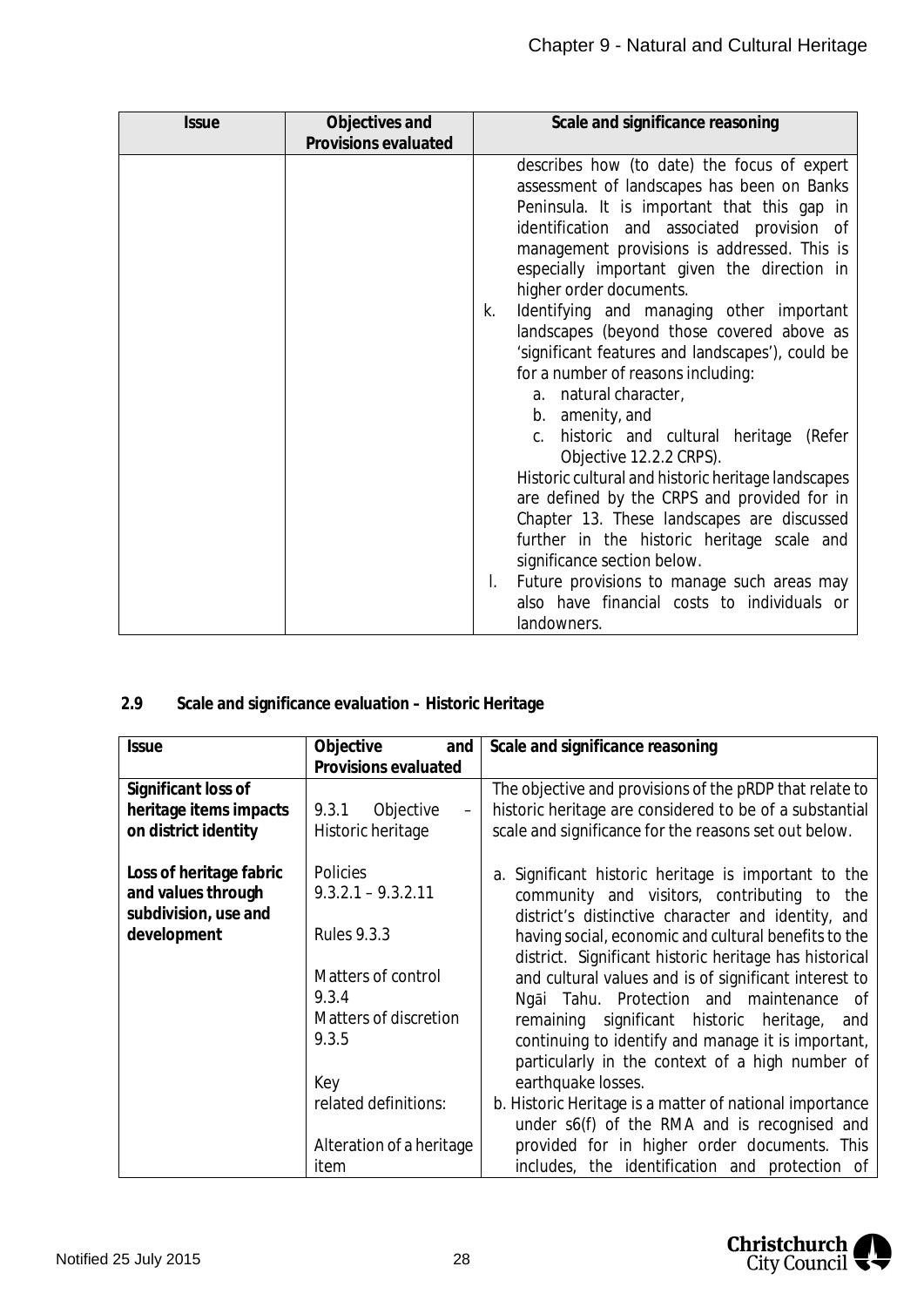| <i><b>Issue</b></i> | Objectives and       | Scale and significance reasoning                                                                                                                                                                                                                                                                                                                                                                                                                                                                                                                                                                                                                                                                                                                                                                                                                                                                                                                                                 |
|---------------------|----------------------|----------------------------------------------------------------------------------------------------------------------------------------------------------------------------------------------------------------------------------------------------------------------------------------------------------------------------------------------------------------------------------------------------------------------------------------------------------------------------------------------------------------------------------------------------------------------------------------------------------------------------------------------------------------------------------------------------------------------------------------------------------------------------------------------------------------------------------------------------------------------------------------------------------------------------------------------------------------------------------|
|                     | Provisions evaluated |                                                                                                                                                                                                                                                                                                                                                                                                                                                                                                                                                                                                                                                                                                                                                                                                                                                                                                                                                                                  |
|                     |                      | describes how (to date) the focus of expert<br>assessment of landscapes has been on Banks<br>Peninsula. It is important that this gap in<br>identification and associated provision of<br>management provisions is addressed. This is<br>especially important given the direction in<br>higher order documents.<br>Identifying and managing other important<br>k.<br>landscapes (beyond those covered above as<br>'significant features and landscapes'), could be<br>for a number of reasons including:<br>natural character,<br>a.<br>b. amenity, and<br>historic and cultural heritage<br>(Refer<br>C.<br>Objective 12.2.2 CRPS).<br>Historic cultural and historic heritage landscapes<br>are defined by the CRPS and provided for in<br>Chapter 13. These landscapes are discussed<br>further in the historic heritage scale and<br>significance section below.<br>Future provisions to manage such areas may<br>also have financial costs to individuals or<br>landowners. |

#### <span id="page-28-0"></span>**2.9 Scale and significance evaluation – Historic Heritage**

| <b>Issue</b>            | Objective<br>and                            | Scale and significance reasoning                        |
|-------------------------|---------------------------------------------|---------------------------------------------------------|
|                         | Provisions evaluated                        |                                                         |
| Significant loss of     |                                             | The objective and provisions of the pRDP that relate to |
| heritage items impacts  | 9.3.1 Objective<br>$\overline{\phantom{0}}$ | historic heritage are considered to be of a substantial |
| on district identity    | Historic heritage                           | scale and significance for the reasons set out below.   |
|                         |                                             |                                                         |
| Loss of heritage fabric | <b>Policies</b>                             | a. Significant historic heritage is important to the    |
| and values through      | $9.3.2.1 - 9.3.2.11$                        | community and visitors, contributing to the             |
| subdivision, use and    |                                             | district's distinctive character and identity, and      |
| development             | <b>Rules 9.3.3</b>                          | having social, economic and cultural benefits to the    |
|                         |                                             | district. Significant historic heritage has historical  |
|                         | Matters of control                          | and cultural values and is of significant interest to   |
|                         | 9.3.4                                       | Ngai Tahu. Protection and maintenance of                |
|                         | Matters of discretion                       | remaining significant historic heritage,<br>and         |
|                         | 9.3.5                                       | continuing to identify and manage it is important,      |
|                         |                                             | particularly in the context of a high number of         |
|                         | Key                                         | earthquake losses.                                      |
|                         | related definitions:                        | b. Historic Heritage is a matter of national importance |
|                         |                                             | under s6(f) of the RMA and is recognised and            |
|                         | Alteration of a heritage                    | provided for in higher order documents. This            |
|                         | item                                        | includes, the identification and protection of          |

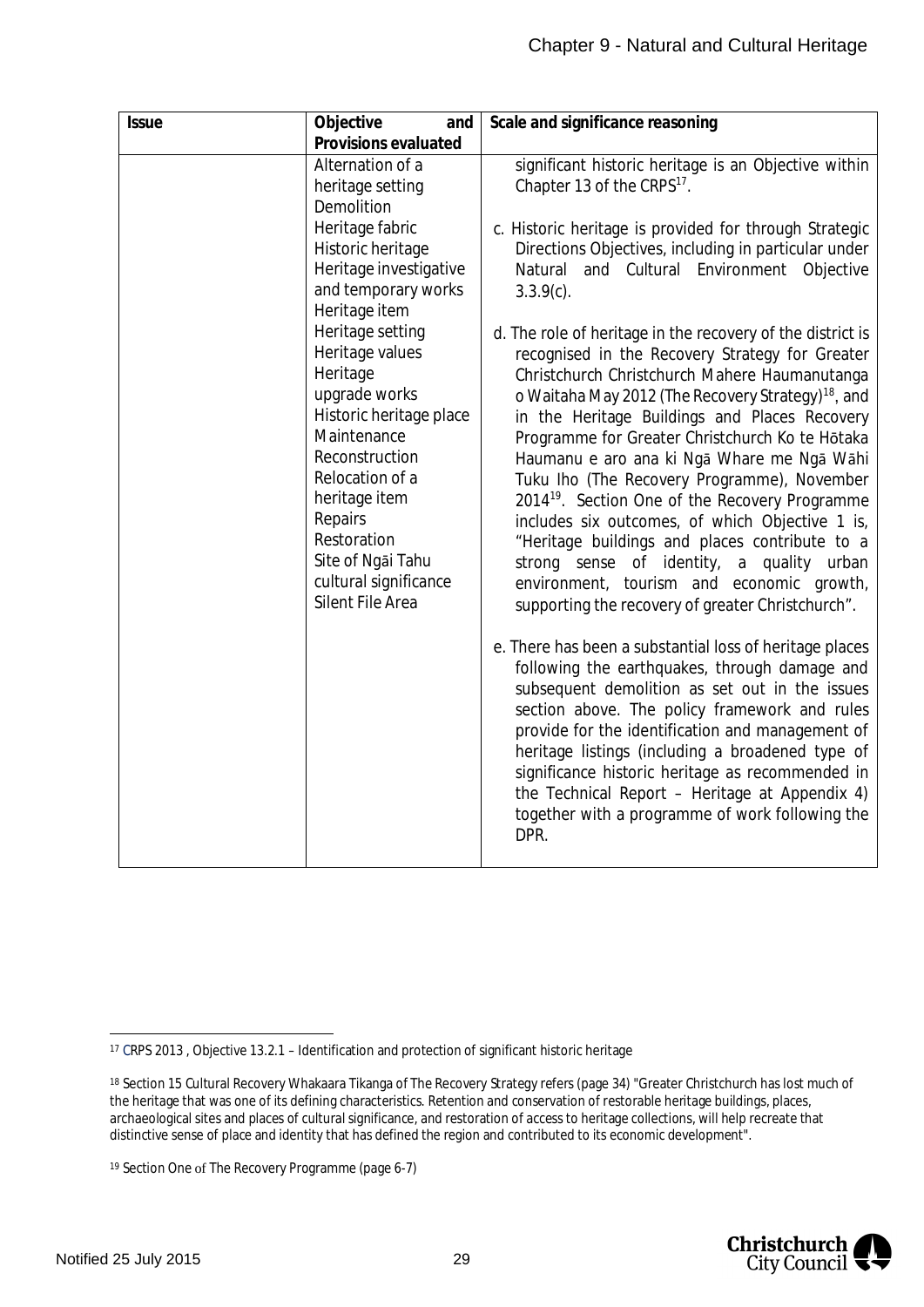| <b>Issue</b> | Objective<br>and                       | Scale and significance reasoning                                                          |
|--------------|----------------------------------------|-------------------------------------------------------------------------------------------|
|              | Provisions evaluated                   |                                                                                           |
|              | Alternation of a                       | significant historic heritage is an Objective within                                      |
|              | heritage setting                       | Chapter 13 of the CRPS <sup>17</sup> .                                                    |
|              | Demolition                             |                                                                                           |
|              | Heritage fabric                        | c. Historic heritage is provided for through Strategic                                    |
|              | Historic heritage                      | Directions Objectives, including in particular under                                      |
|              | Heritage investigative                 | and Cultural Environment Objective<br>Natural                                             |
|              | and temporary works                    | $3.3.9(c)$ .                                                                              |
|              | Heritage item                          |                                                                                           |
|              | Heritage setting                       | d. The role of heritage in the recovery of the district is                                |
|              | Heritage values                        | recognised in the Recovery Strategy for Greater                                           |
|              | Heritage                               | Christchurch Christchurch Mahere Haumanutanga                                             |
|              | upgrade works                          | o Waitaha May 2012 (The Recovery Strategy) <sup>18</sup> , and                            |
|              | Historic heritage place<br>Maintenance | in the Heritage Buildings and Places Recovery                                             |
|              | Reconstruction                         | Programme for Greater Christchurch Ko te Hōtaka                                           |
|              | Relocation of a                        | Haumanu e aro ana ki Ngā Whare me Ngā Wāhi<br>Tuku Iho (The Recovery Programme), November |
|              | heritage item                          | 2014 <sup>19</sup> . Section One of the Recovery Programme                                |
|              | Repairs                                | includes six outcomes, of which Objective 1 is,                                           |
|              | Restoration                            | "Heritage buildings and places contribute to a                                            |
|              | Site of Ngai Tahu                      | strong sense<br>of identity,<br>a quality urban                                           |
|              | cultural significance                  | environment, tourism and economic growth,                                                 |
|              | Silent File Area                       | supporting the recovery of greater Christchurch".                                         |
|              |                                        |                                                                                           |
|              |                                        | e. There has been a substantial loss of heritage places                                   |
|              |                                        | following the earthquakes, through damage and                                             |
|              |                                        | subsequent demolition as set out in the issues                                            |
|              |                                        | section above. The policy framework and rules                                             |
|              |                                        | provide for the identification and management of                                          |
|              |                                        | heritage listings (including a broadened type of                                          |
|              |                                        | significance historic heritage as recommended in                                          |
|              |                                        | the Technical Report - Heritage at Appendix 4)                                            |
|              |                                        | together with a programme of work following the                                           |
|              |                                        | DPR.                                                                                      |
|              |                                        |                                                                                           |



<span id="page-29-0"></span><sup>17</sup> CRPS 2013 , Objective 13.2.1 – Identification and protection of significant historic heritage

<span id="page-29-1"></span><sup>18</sup> Section 15 Cultural Recovery Whakaara Tikanga of The Recovery Strategy refers (page 34) "Greater Christchurch has lost much of the heritage that was one of its defining characteristics. Retention and conservation of restorable heritage buildings, places, archaeological sites and places of cultural significance, and restoration of access to heritage collections, will help recreate that distinctive sense of place and identity that has defined the region and contributed to its economic development".

<span id="page-29-2"></span><sup>19</sup> Section One of The Recovery Programme (page 6-7)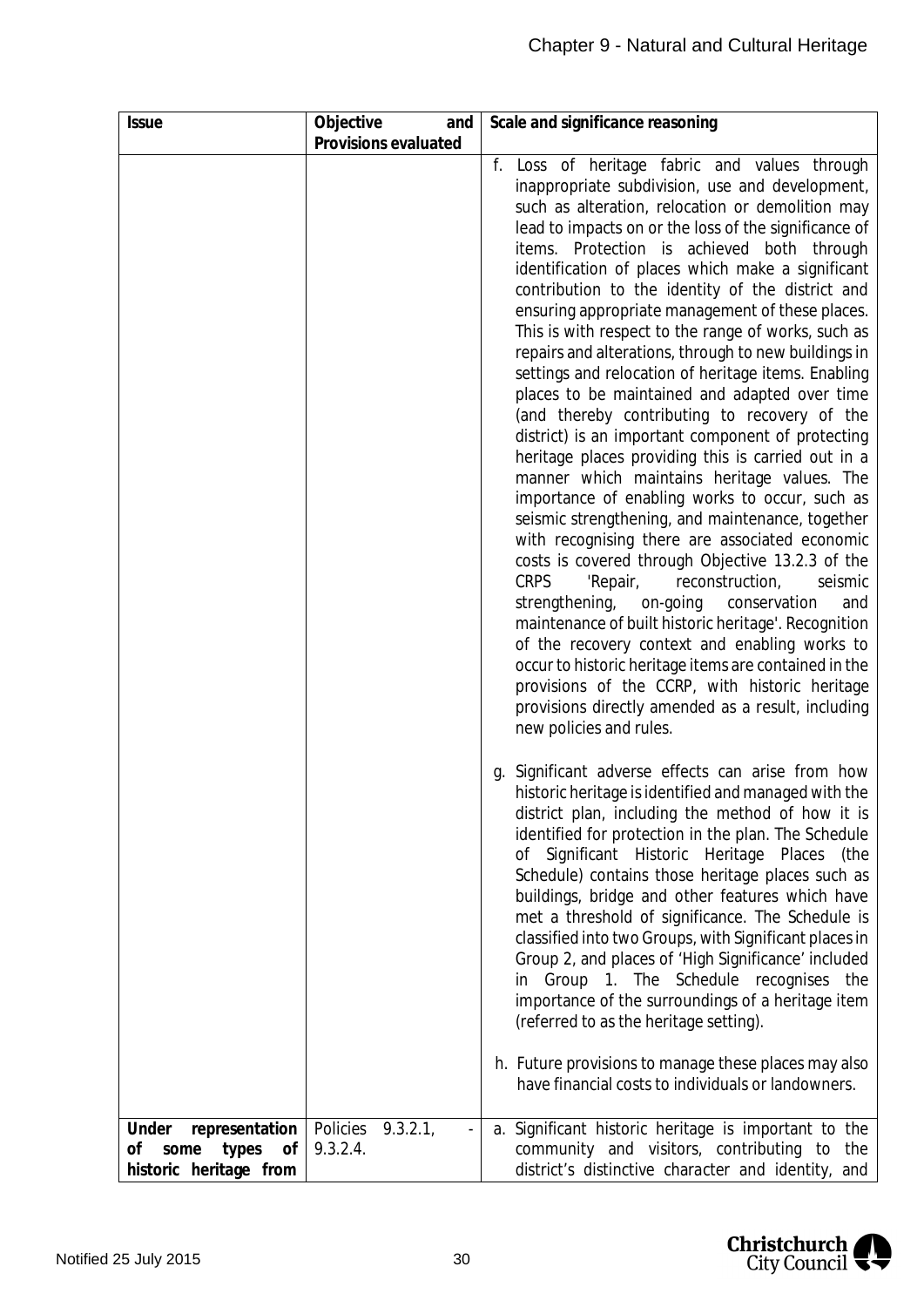| <b>Issue</b>                                         | Objective<br>and                | Scale and significance reasoning                                                                                                                                                                                                                                                                                                                                                                                                                                                                                                                                                                                                                                                                                                                                                                                                                                                                                                                                                                                                                                                                                                                                                                                                                                                                                                                                                                                                                                                         |
|------------------------------------------------------|---------------------------------|------------------------------------------------------------------------------------------------------------------------------------------------------------------------------------------------------------------------------------------------------------------------------------------------------------------------------------------------------------------------------------------------------------------------------------------------------------------------------------------------------------------------------------------------------------------------------------------------------------------------------------------------------------------------------------------------------------------------------------------------------------------------------------------------------------------------------------------------------------------------------------------------------------------------------------------------------------------------------------------------------------------------------------------------------------------------------------------------------------------------------------------------------------------------------------------------------------------------------------------------------------------------------------------------------------------------------------------------------------------------------------------------------------------------------------------------------------------------------------------|
|                                                      | Provisions evaluated            |                                                                                                                                                                                                                                                                                                                                                                                                                                                                                                                                                                                                                                                                                                                                                                                                                                                                                                                                                                                                                                                                                                                                                                                                                                                                                                                                                                                                                                                                                          |
|                                                      |                                 | f. Loss of heritage fabric and values through<br>inappropriate subdivision, use and development,<br>such as alteration, relocation or demolition may<br>lead to impacts on or the loss of the significance of<br>items. Protection is achieved both through<br>identification of places which make a significant<br>contribution to the identity of the district and<br>ensuring appropriate management of these places.<br>This is with respect to the range of works, such as<br>repairs and alterations, through to new buildings in<br>settings and relocation of heritage items. Enabling<br>places to be maintained and adapted over time<br>(and thereby contributing to recovery of the<br>district) is an important component of protecting<br>heritage places providing this is carried out in a<br>manner which maintains heritage values. The<br>importance of enabling works to occur, such as<br>seismic strengthening, and maintenance, together<br>with recognising there are associated economic<br>costs is covered through Objective 13.2.3 of the<br><b>CRPS</b><br>reconstruction,<br>'Repair,<br>seismic<br>strengthening,<br>on-going<br>conservation<br>and<br>maintenance of built historic heritage'. Recognition<br>of the recovery context and enabling works to<br>occur to historic heritage items are contained in the<br>provisions of the CCRP, with historic heritage<br>provisions directly amended as a result, including<br>new policies and rules. |
|                                                      |                                 | Significant adverse effects can arise from how<br>g.<br>historic heritage is identified and managed with the<br>district plan, including the method of how it is<br>identified for protection in the plan. The Schedule<br>of Significant Historic Heritage Places (the<br>Schedule) contains those heritage places such as<br>buildings, bridge and other features which have<br>met a threshold of significance. The Schedule is<br>classified into two Groups, with Significant places in<br>Group 2, and places of 'High Significance' included<br>in Group 1. The Schedule recognises<br>the<br>importance of the surroundings of a heritage item<br>(referred to as the heritage setting).<br>h. Future provisions to manage these places may also<br>have financial costs to individuals or landowners.                                                                                                                                                                                                                                                                                                                                                                                                                                                                                                                                                                                                                                                                           |
| Under<br>representation<br>Οf<br>some<br>types<br>Οf | Policies<br>9.3.2.1<br>9.3.2.4. | a. Significant historic heritage is important to the<br>community and visitors, contributing to<br>the                                                                                                                                                                                                                                                                                                                                                                                                                                                                                                                                                                                                                                                                                                                                                                                                                                                                                                                                                                                                                                                                                                                                                                                                                                                                                                                                                                                   |
| historic heritage from                               |                                 | district's distinctive character and identity, and                                                                                                                                                                                                                                                                                                                                                                                                                                                                                                                                                                                                                                                                                                                                                                                                                                                                                                                                                                                                                                                                                                                                                                                                                                                                                                                                                                                                                                       |

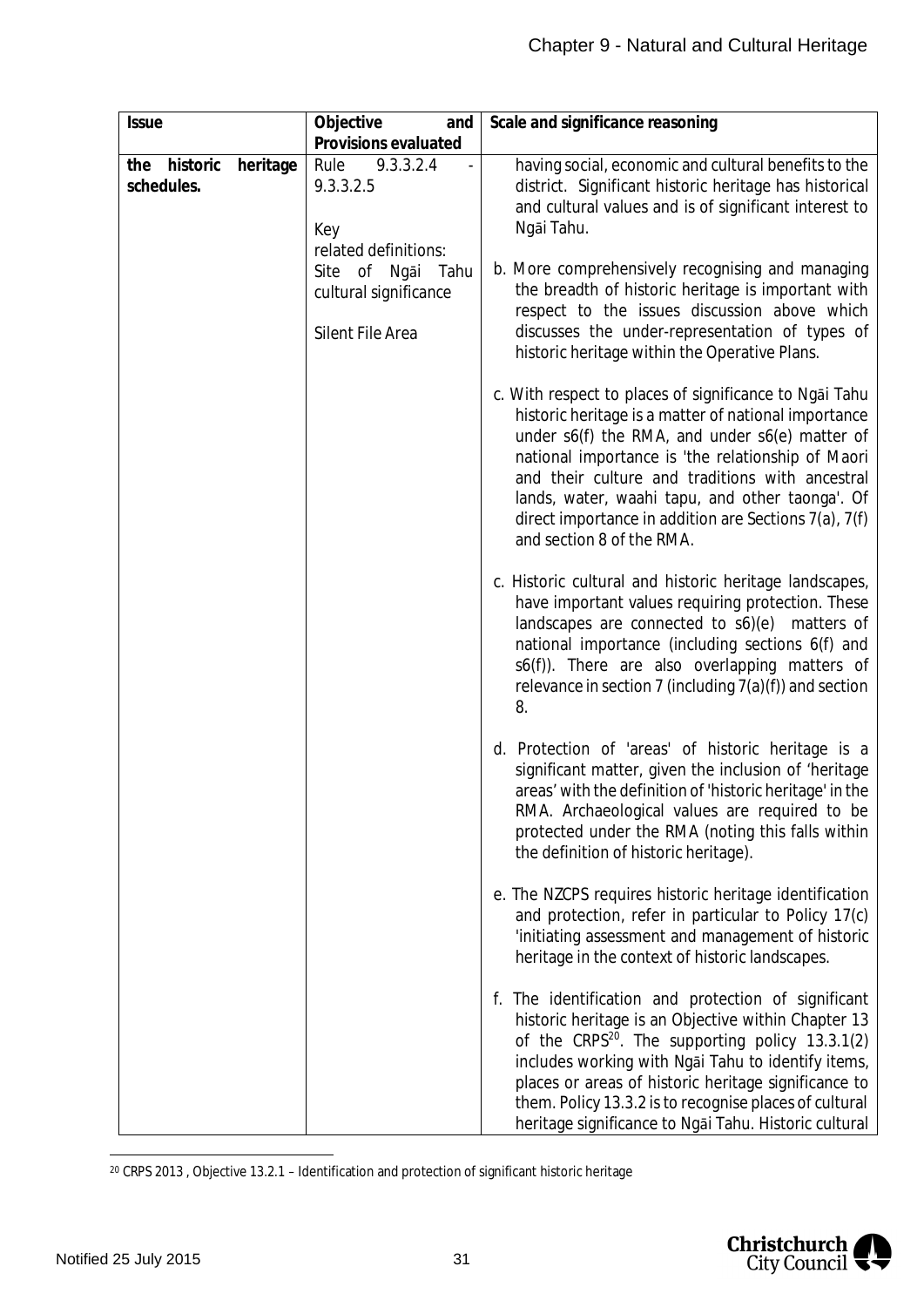| <b>Issue</b>                              | Objective<br>and                                                  | Scale and significance reasoning                                                                                                                                                                                                                                                                                                                                                                                       |
|-------------------------------------------|-------------------------------------------------------------------|------------------------------------------------------------------------------------------------------------------------------------------------------------------------------------------------------------------------------------------------------------------------------------------------------------------------------------------------------------------------------------------------------------------------|
|                                           | Provisions evaluated                                              |                                                                                                                                                                                                                                                                                                                                                                                                                        |
| historic<br>heritage<br>the<br>schedules. | Rule<br>9.3.3.2.4<br>9.3.3.2.5<br>Key<br>related definitions:     | having social, economic and cultural benefits to the<br>district. Significant historic heritage has historical<br>and cultural values and is of significant interest to<br>Ngāi Tahu.                                                                                                                                                                                                                                  |
|                                           | Site of Ngāi<br>Tahu<br>cultural significance<br>Silent File Area | b. More comprehensively recognising and managing<br>the breadth of historic heritage is important with<br>respect to the issues discussion above which<br>discusses the under-representation of types of<br>historic heritage within the Operative Plans.                                                                                                                                                              |
|                                           |                                                                   | c. With respect to places of significance to Ngai Tahu<br>historic heritage is a matter of national importance<br>under s6(f) the RMA, and under s6(e) matter of<br>national importance is 'the relationship of Maori<br>and their culture and traditions with ancestral<br>lands, water, waahi tapu, and other taonga'. Of<br>direct importance in addition are Sections $7(a)$ , $7(f)$<br>and section 8 of the RMA. |
|                                           |                                                                   | c. Historic cultural and historic heritage landscapes,<br>have important values requiring protection. These<br>landscapes are connected to s6)(e) matters of<br>national importance (including sections 6(f) and<br>s6(f)). There are also overlapping matters of<br>relevance in section 7 (including $7(a)(f)$ ) and section<br>8.                                                                                   |
|                                           |                                                                   | d. Protection of 'areas' of historic heritage is a<br>significant matter, given the inclusion of 'heritage<br>areas' with the definition of 'historic heritage' in the<br>RMA. Archaeological values are required to be<br>protected under the RMA (noting this falls within<br>the definition of historic heritage).                                                                                                  |
|                                           |                                                                   | e. The NZCPS requires historic heritage identification<br>and protection, refer in particular to Policy 17(c)<br>'initiating assessment and management of historic<br>heritage in the context of historic landscapes.                                                                                                                                                                                                  |
|                                           |                                                                   | f. The identification and protection of significant<br>historic heritage is an Objective within Chapter 13<br>of the CRPS <sup>20</sup> . The supporting policy 13.3.1(2)<br>includes working with Ngai Tahu to identify items,<br>places or areas of historic heritage significance to<br>them. Policy 13.3.2 is to recognise places of cultural<br>heritage significance to Ngai Tahu. Historic cultural             |

<span id="page-31-0"></span><sup>20</sup> CRPS 2013 , Objective 13.2.1 – Identification and protection of significant historic heritage

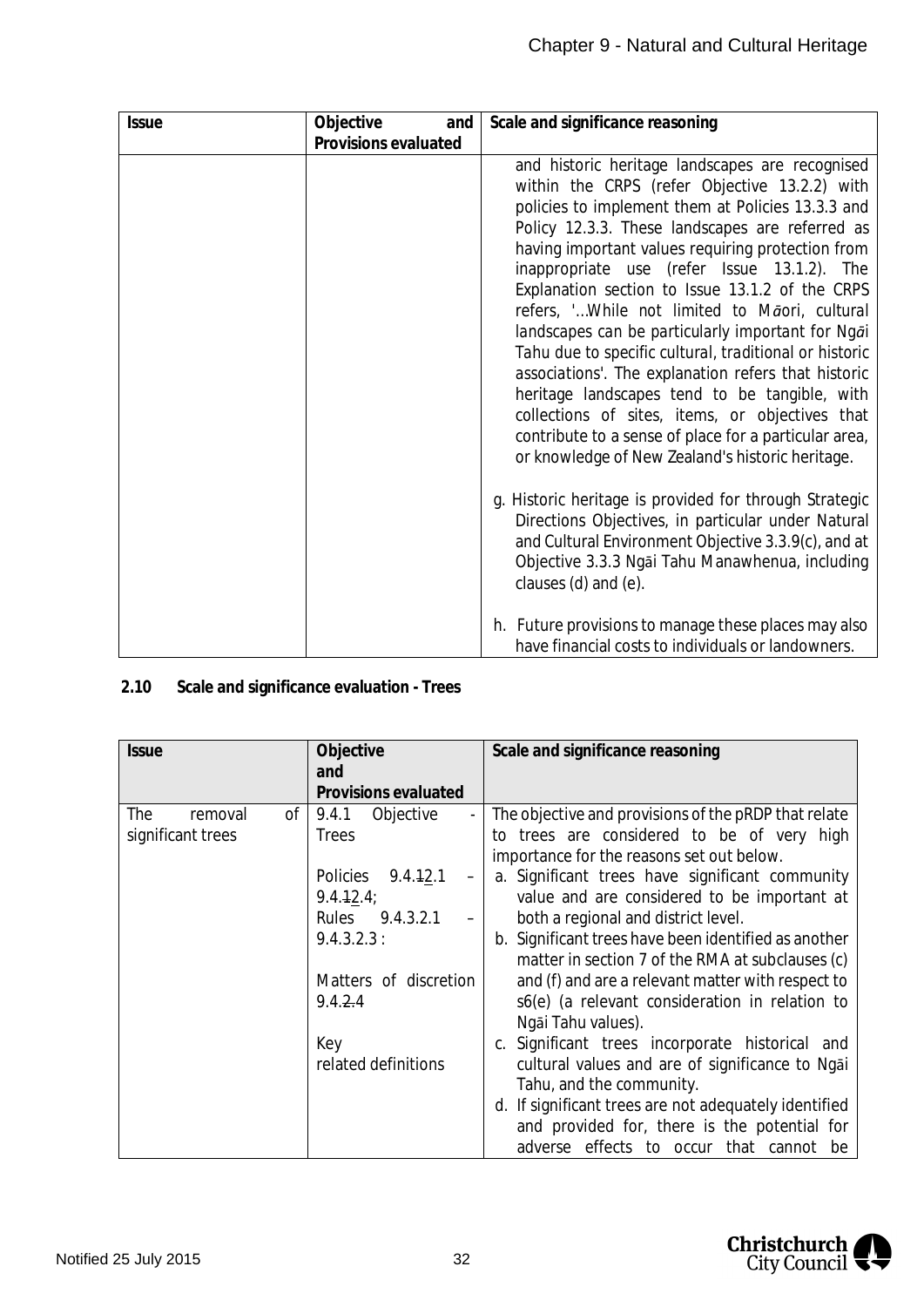| <b>Issue</b> | Objective<br>and     | Scale and significance reasoning                                                                                                                                                                                                                                                                                                                                                                                                                                                                                                                                                                                                                                                                                                                                                                         |
|--------------|----------------------|----------------------------------------------------------------------------------------------------------------------------------------------------------------------------------------------------------------------------------------------------------------------------------------------------------------------------------------------------------------------------------------------------------------------------------------------------------------------------------------------------------------------------------------------------------------------------------------------------------------------------------------------------------------------------------------------------------------------------------------------------------------------------------------------------------|
|              | Provisions evaluated |                                                                                                                                                                                                                                                                                                                                                                                                                                                                                                                                                                                                                                                                                                                                                                                                          |
|              |                      | and historic heritage landscapes are recognised<br>within the CRPS (refer Objective 13.2.2) with<br>policies to implement them at Policies 13.3.3 and<br>Policy 12.3.3. These landscapes are referred as<br>having important values requiring protection from<br>inappropriate use (refer Issue 13.1.2). The<br>Explanation section to Issue 13.1.2 of the CRPS<br>refers, ' While not limited to Māori, cultural<br>landscapes can be particularly important for Ngai<br>Tahu due to specific cultural, traditional or historic<br>associations'. The explanation refers that historic<br>heritage landscapes tend to be tangible, with<br>collections of sites, items, or objectives that<br>contribute to a sense of place for a particular area,<br>or knowledge of New Zealand's historic heritage. |
|              |                      | g. Historic heritage is provided for through Strategic<br>Directions Objectives, in particular under Natural<br>and Cultural Environment Objective 3.3.9(c), and at<br>Objective 3.3.3 Ngai Tahu Manawhenua, including<br>clauses (d) and (e).                                                                                                                                                                                                                                                                                                                                                                                                                                                                                                                                                           |
|              |                      | h. Future provisions to manage these places may also<br>have financial costs to individuals or landowners.                                                                                                                                                                                                                                                                                                                                                                                                                                                                                                                                                                                                                                                                                               |

<span id="page-32-0"></span>**2.10 Scale and significance evaluation - Trees**

| <i><b>Issue</b></i>                       | Objective<br>and                                                                        | Scale and significance reasoning                                                                                                                                                                                                                                                          |
|-------------------------------------------|-----------------------------------------------------------------------------------------|-------------------------------------------------------------------------------------------------------------------------------------------------------------------------------------------------------------------------------------------------------------------------------------------|
|                                           | Provisions evaluated                                                                    |                                                                                                                                                                                                                                                                                           |
| The<br>of<br>removal<br>significant trees | Objective<br>9.4.1<br><b>Trees</b><br>Policies 9.4.12.1<br>9.4.12.4;<br>Rules 9.4.3.2.1 | The objective and provisions of the pRDP that relate<br>to trees are considered to be of very high<br>importance for the reasons set out below.<br>a. Significant trees have significant community<br>value and are considered to be important at<br>both a regional and district level.  |
|                                           | 9.4.3.2.3:<br>Matters of discretion<br>9.4.24                                           | b. Significant trees have been identified as another<br>matter in section 7 of the RMA at subclauses (c)<br>and (f) and are a relevant matter with respect to<br>s6(e) (a relevant consideration in relation to<br>Ngāi Tahu values).                                                     |
|                                           | Key<br>related definitions                                                              | c. Significant trees incorporate historical and<br>cultural values and are of significance to Ngai<br>Tahu, and the community.<br>d. If significant trees are not adequately identified<br>and provided for, there is the potential for<br>effects to occur that cannot<br>adverse<br>-be |

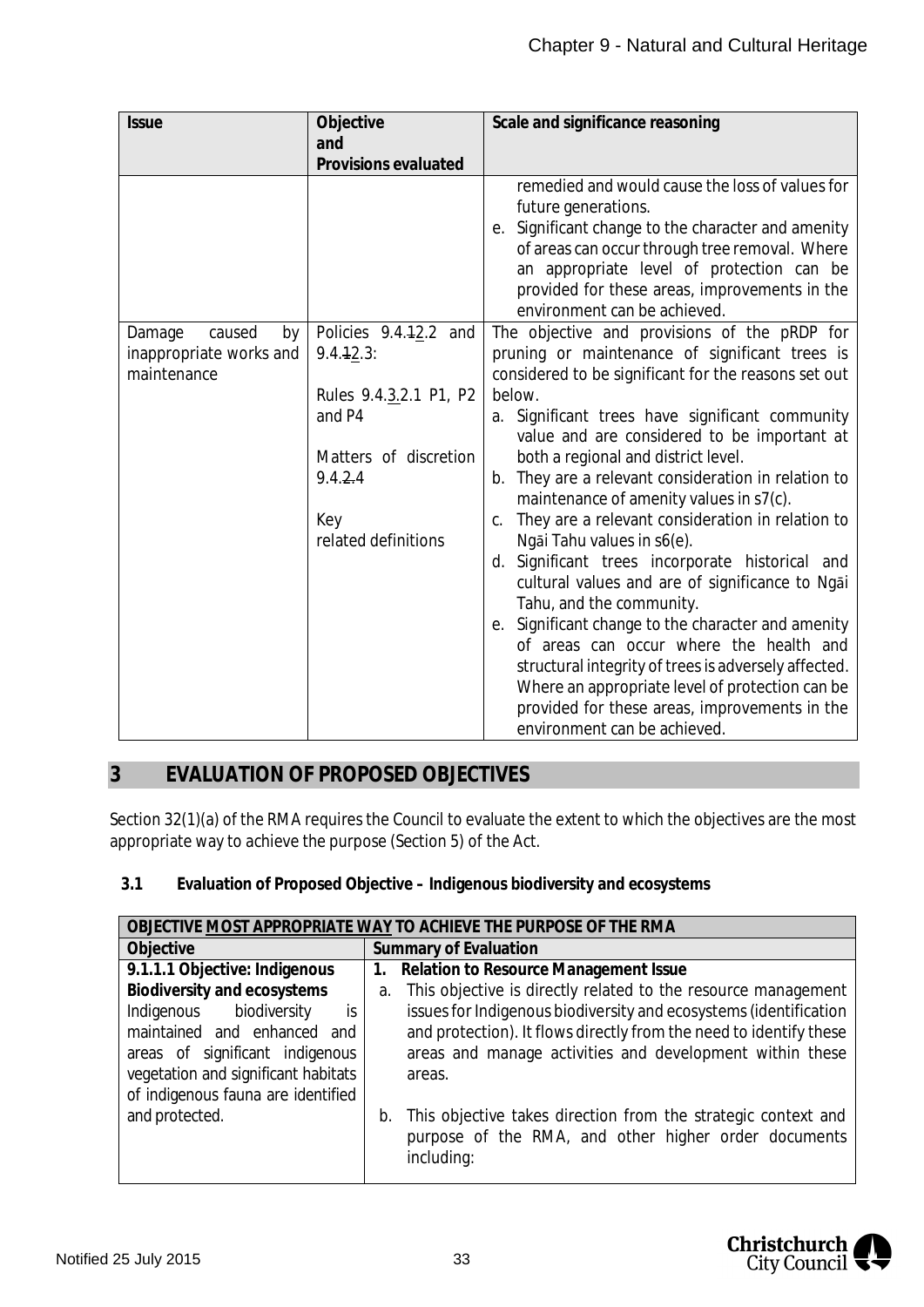| <b>Issue</b>            | Objective              | Scale and significance reasoning                                                               |
|-------------------------|------------------------|------------------------------------------------------------------------------------------------|
|                         | and                    |                                                                                                |
|                         | Provisions evaluated   |                                                                                                |
|                         |                        | remedied and would cause the loss of values for                                                |
|                         |                        | future generations.                                                                            |
|                         |                        | e. Significant change to the character and amenity                                             |
|                         |                        | of areas can occur through tree removal. Where                                                 |
|                         |                        | an appropriate level of protection can be                                                      |
|                         |                        | provided for these areas, improvements in the                                                  |
|                         |                        | environment can be achieved.                                                                   |
| caused<br>Damage<br>by  | Policies 9.4.12.2 and  | The objective and provisions of the pRDP for                                                   |
| inappropriate works and | $9.4.42.3$ :           | pruning or maintenance of significant trees is                                                 |
| maintenance             |                        | considered to be significant for the reasons set out                                           |
|                         | Rules 9.4.3.2.1 P1, P2 | below.                                                                                         |
|                         | and P4                 | a. Significant trees have significant community                                                |
|                         |                        | value and are considered to be important at                                                    |
|                         | Matters of discretion  | both a regional and district level.                                                            |
|                         | 9.4.24                 | b. They are a relevant consideration in relation to<br>maintenance of amenity values in s7(c). |
|                         | Key                    | They are a relevant consideration in relation to<br>C.                                         |
|                         | related definitions    | Ngāi Tahu values in s6(e).                                                                     |
|                         |                        | d. Significant trees incorporate historical and                                                |
|                         |                        | cultural values and are of significance to Ngai                                                |
|                         |                        | Tahu, and the community.                                                                       |
|                         |                        | e. Significant change to the character and amenity                                             |
|                         |                        | of areas can occur where the health and                                                        |
|                         |                        | structural integrity of trees is adversely affected.                                           |
|                         |                        | Where an appropriate level of protection can be                                                |
|                         |                        | provided for these areas, improvements in the                                                  |
|                         |                        | environment can be achieved.                                                                   |

## <span id="page-33-0"></span>**3 EVALUATION OF PROPOSED OBJECTIVES**

Section 32(1)(a) of the RMA requires the Council to evaluate the extent to which the objectives are the most appropriate way to achieve the purpose (Section 5) of the Act.

<span id="page-33-1"></span>**3.1 Evaluation of Proposed Objective – Indigenous biodiversity and ecosystems**

| OBJECTIVE MOST APPROPRIATE WAY TO ACHIEVE THE PURPOSE OF THE RMA                                                                                                                                            |                                                                                                                                                                                                                                                                                      |  |
|-------------------------------------------------------------------------------------------------------------------------------------------------------------------------------------------------------------|--------------------------------------------------------------------------------------------------------------------------------------------------------------------------------------------------------------------------------------------------------------------------------------|--|
| Objective                                                                                                                                                                                                   | Summary of Evaluation                                                                                                                                                                                                                                                                |  |
| 9.1.1.1 Objective: Indigenous                                                                                                                                                                               | Relation to Resource Management Issue<br>1.                                                                                                                                                                                                                                          |  |
| Biodiversity and ecosystems<br>Indigenous biodiversity<br>is<br>maintained and enhanced and<br>areas of significant indigenous<br>vegetation and significant habitats<br>of indigenous fauna are identified | This objective is directly related to the resource management<br>a.<br>issues for Indigenous biodiversity and ecosystems (identification<br>and protection). It flows directly from the need to identify these<br>areas and manage activities and development within these<br>areas. |  |
| and protected.                                                                                                                                                                                              | This objective takes direction from the strategic context and<br>b.<br>purpose of the RMA, and other higher order documents<br>including:                                                                                                                                            |  |

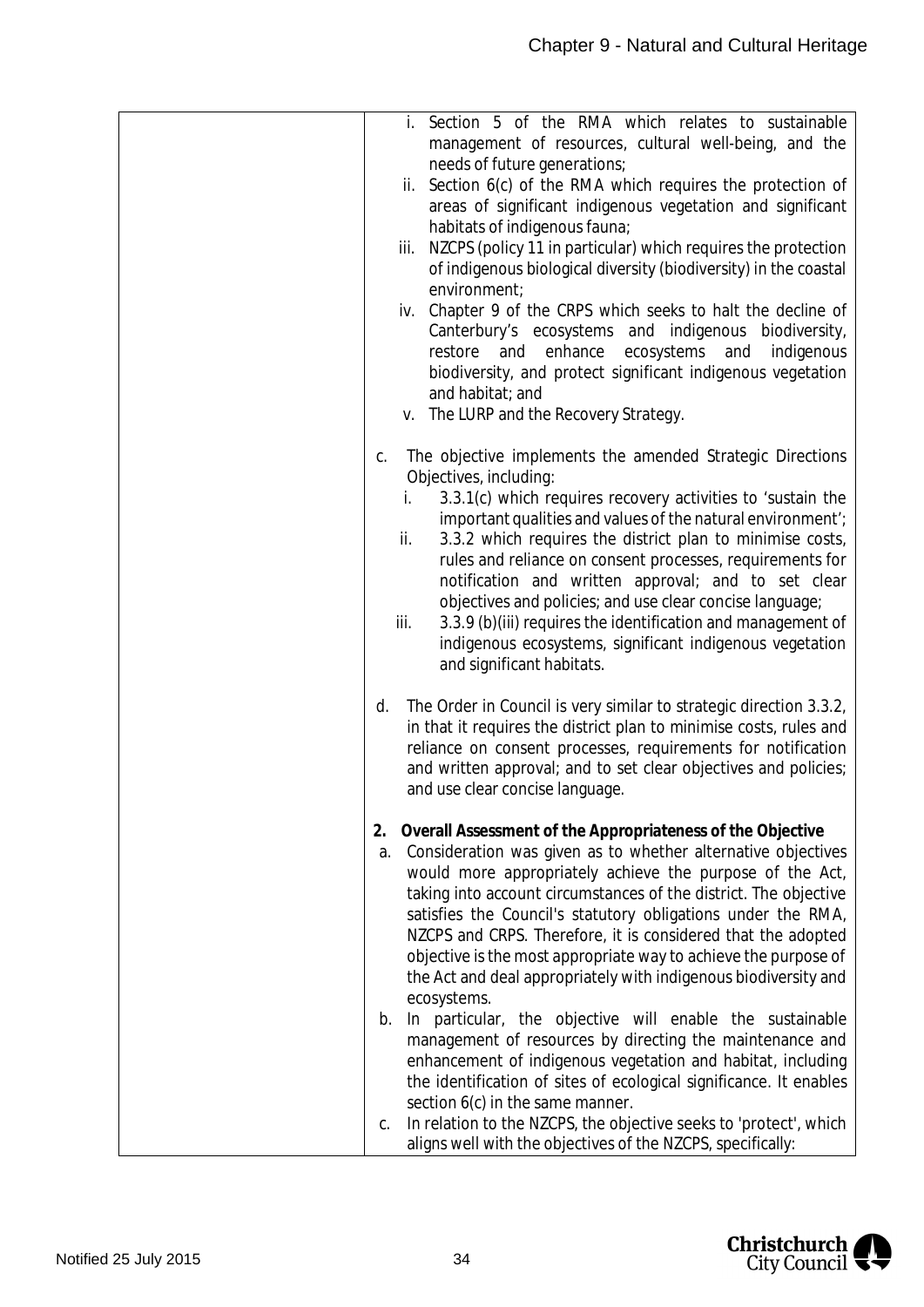| i. Section 5 of the RMA which relates to sustainable<br>management of resources, cultural well-being, and the<br>needs of future generations; |
|-----------------------------------------------------------------------------------------------------------------------------------------------|
| Section 6(c) of the RMA which requires the protection of<br>ii.                                                                               |
| areas of significant indigenous vegetation and significant                                                                                    |
| habitats of indigenous fauna;<br>NZCPS (policy 11 in particular) which requires the protection<br>iii.                                        |
| of indigenous biological diversity (biodiversity) in the coastal                                                                              |
| environment;                                                                                                                                  |
| Chapter 9 of the CRPS which seeks to halt the decline of<br>iv.                                                                               |
| Canterbury's ecosystems and indigenous biodiversity,<br>enhance<br>ecosystems<br>indigenous<br>restore<br>and<br>and                          |
| biodiversity, and protect significant indigenous vegetation                                                                                   |
| and habitat; and                                                                                                                              |
| v. The LURP and the Recovery Strategy.                                                                                                        |
| The objective implements the amended Strategic Directions<br>C.                                                                               |
| Objectives, including:                                                                                                                        |
| 3.3.1(c) which requires recovery activities to 'sustain the<br>i.<br>important qualities and values of the natural environment';              |
| ii.<br>3.3.2 which requires the district plan to minimise costs,                                                                              |
| rules and reliance on consent processes, requirements for                                                                                     |
| notification and written approval; and to set clear<br>objectives and policies; and use clear concise language;                               |
| 3.3.9 (b)(iii) requires the identification and management of<br>iii.                                                                          |
| indigenous ecosystems, significant indigenous vegetation                                                                                      |
| and significant habitats.                                                                                                                     |
| The Order in Council is very similar to strategic direction 3.3.2,<br>d.                                                                      |
| in that it requires the district plan to minimise costs, rules and                                                                            |
| reliance on consent processes, requirements for notification<br>and written approval; and to set clear objectives and policies;               |
| and use clear concise language.                                                                                                               |
| 2. Overall Assessment of the Appropriateness of the Objective                                                                                 |
| Consideration was given as to whether alternative objectives<br>a.                                                                            |
| would more appropriately achieve the purpose of the Act,                                                                                      |
| taking into account circumstances of the district. The objective                                                                              |
| satisfies the Council's statutory obligations under the RMA,<br>NZCPS and CRPS. Therefore, it is considered that the adopted                  |
| objective is the most appropriate way to achieve the purpose of                                                                               |
| the Act and deal appropriately with indigenous biodiversity and                                                                               |
| ecosystems.<br>b. In particular, the objective will enable the sustainable                                                                    |
| management of resources by directing the maintenance and                                                                                      |
| enhancement of indigenous vegetation and habitat, including                                                                                   |
| the identification of sites of ecological significance. It enables<br>section 6(c) in the same manner.                                        |
| In relation to the NZCPS, the objective seeks to 'protect', which<br>C.                                                                       |
| aligns well with the objectives of the NZCPS, specifically:                                                                                   |

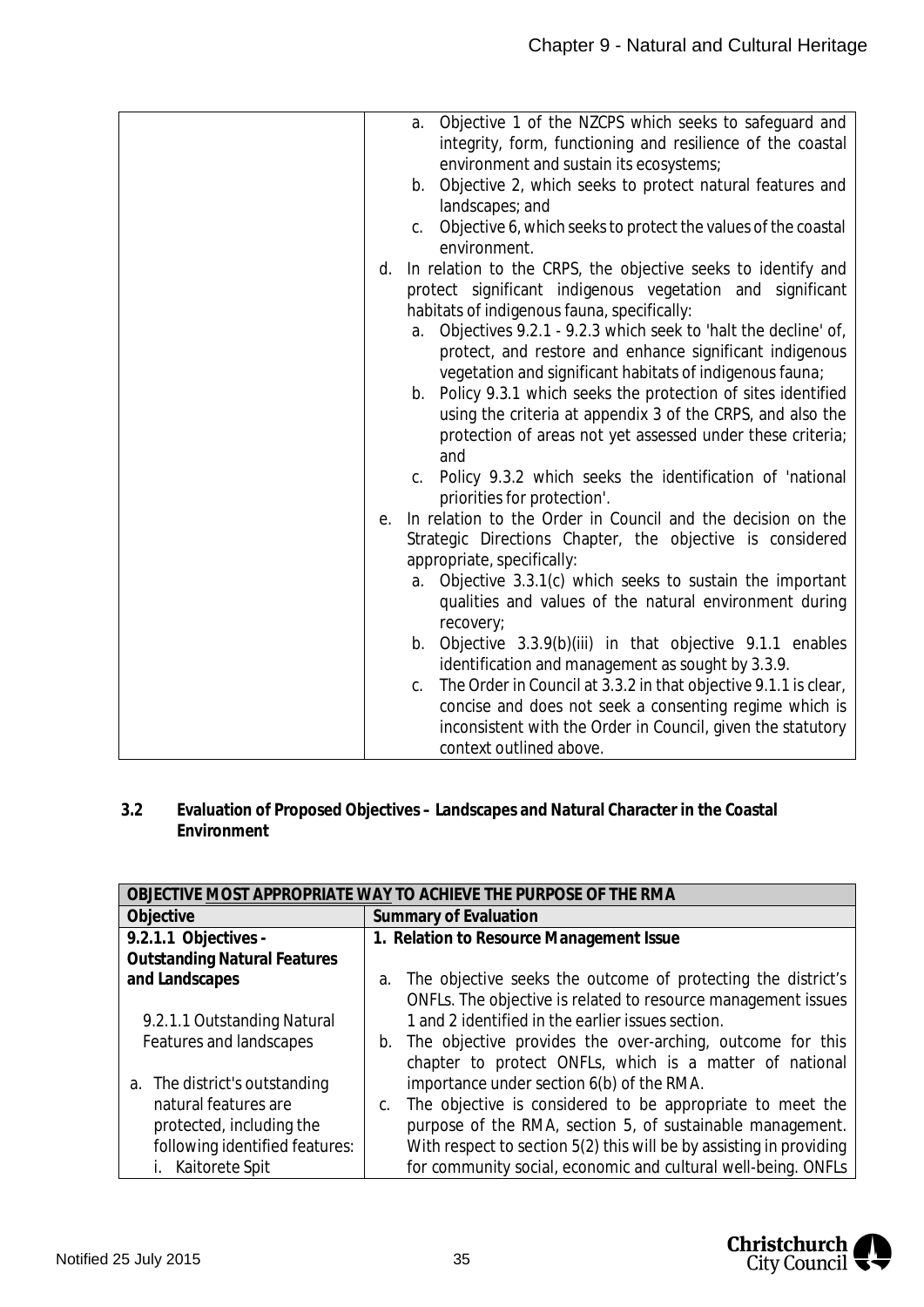|    | а.      | Objective 1 of the NZCPS which seeks to safeguard and<br>integrity, form, functioning and resilience of the coastal<br>environment and sustain its ecosystems;                                                      |
|----|---------|---------------------------------------------------------------------------------------------------------------------------------------------------------------------------------------------------------------------|
|    | b.      | Objective 2, which seeks to protect natural features and<br>landscapes; and                                                                                                                                         |
|    | $C_{1}$ | Objective 6, which seeks to protect the values of the coastal<br>environment.                                                                                                                                       |
| d. |         | In relation to the CRPS, the objective seeks to identify and<br>protect significant indigenous vegetation and significant<br>habitats of indigenous fauna, specifically:                                            |
|    | a.      | Objectives 9.2.1 - 9.2.3 which seek to 'halt the decline' of,<br>protect, and restore and enhance significant indigenous<br>vegetation and significant habitats of indigenous fauna;                                |
|    | b.      | Policy 9.3.1 which seeks the protection of sites identified<br>using the criteria at appendix 3 of the CRPS, and also the<br>protection of areas not yet assessed under these criteria;<br>and                      |
|    | $C_{1}$ | Policy 9.3.2 which seeks the identification of 'national<br>priorities for protection'.                                                                                                                             |
| е. |         | In relation to the Order in Council and the decision on the<br>Strategic Directions Chapter, the objective is considered<br>appropriate, specifically:                                                              |
|    | a.      | Objective 3.3.1(c) which seeks to sustain the important<br>qualities and values of the natural environment during<br>recovery;                                                                                      |
|    | b.      | Objective 3.3.9(b)(iii) in that objective 9.1.1 enables<br>identification and management as sought by 3.3.9.                                                                                                        |
|    | C.      | The Order in Council at 3.3.2 in that objective 9.1.1 is clear,<br>concise and does not seek a consenting regime which is<br>inconsistent with the Order in Council, given the statutory<br>context outlined above. |
|    |         |                                                                                                                                                                                                                     |

<span id="page-35-0"></span>**3.2 Evaluation of Proposed Objectives – Landscapes and Natural Character in the Coastal Environment**

| OBJECTIVE MOST APPROPRIATE WAY TO ACHIEVE THE PURPOSE OF THE RMA |                                                                     |  |
|------------------------------------------------------------------|---------------------------------------------------------------------|--|
| Objective                                                        | Summary of Evaluation                                               |  |
| 9.2.1.1 Objectives -                                             | 1. Relation to Resource Management Issue                            |  |
| <b>Outstanding Natural Features</b>                              |                                                                     |  |
| and Landscapes                                                   | The objective seeks the outcome of protecting the district's<br>a.  |  |
|                                                                  | ONFLs. The objective is related to resource management issues       |  |
| 9.2.1.1 Outstanding Natural                                      | 1 and 2 identified in the earlier issues section.                   |  |
| Features and landscapes                                          | b. The objective provides the over-arching, outcome for this        |  |
|                                                                  | chapter to protect ONFLs, which is a matter of national             |  |
| a. The district's outstanding                                    | importance under section 6(b) of the RMA.                           |  |
| natural features are                                             | The objective is considered to be appropriate to meet the           |  |
| protected, including the                                         | purpose of the RMA, section 5, of sustainable management.           |  |
| following identified features:                                   | With respect to section 5(2) this will be by assisting in providing |  |
| Kaitorete Spit                                                   | for community social, economic and cultural well-being. ONFLs       |  |

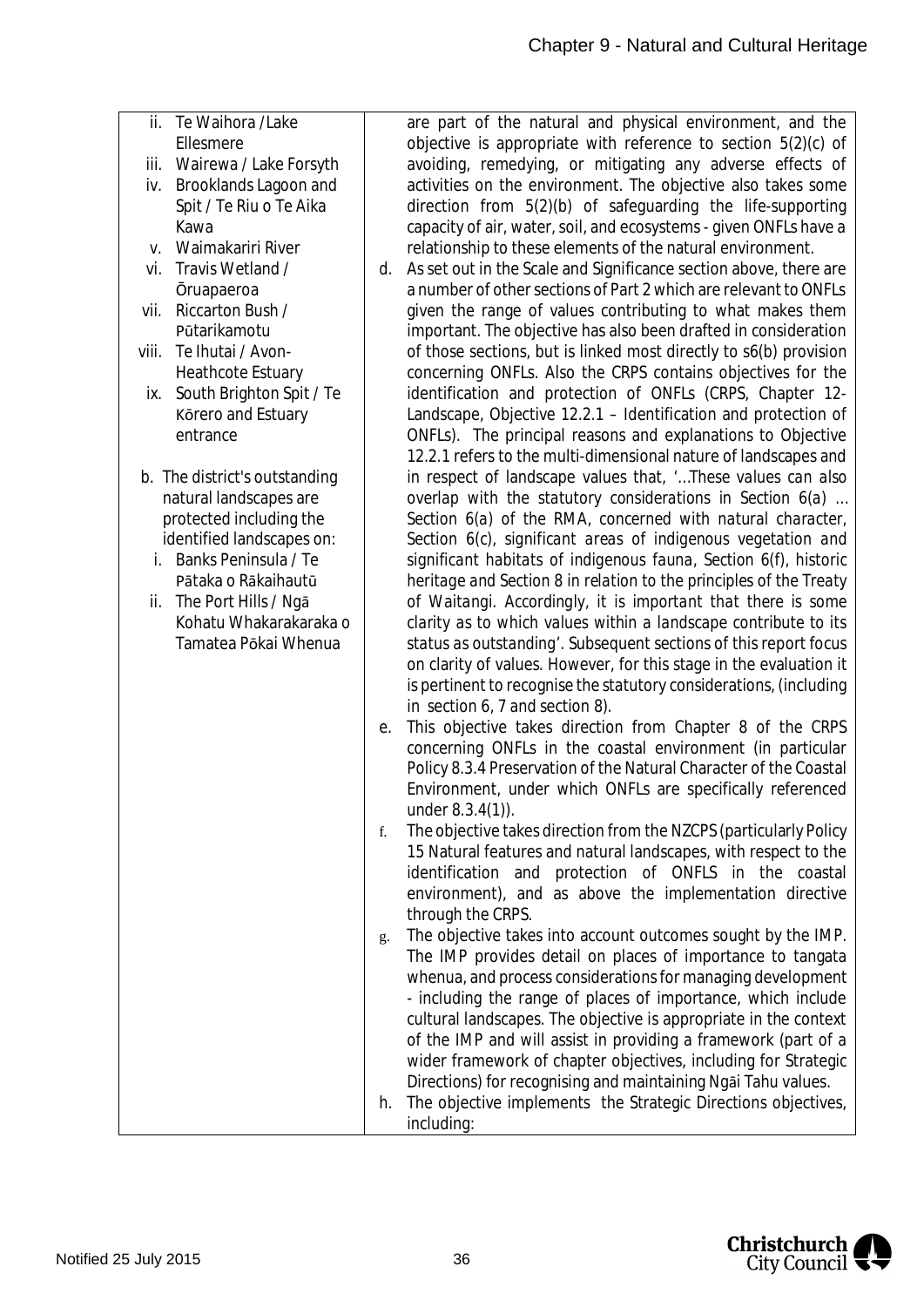| ii. Te Waihora / Lake<br>Ellesmere<br>Wairewa / Lake Forsyth<br>iii.<br>Brooklands Lagoon and<br>iv.<br>Spit / Te Riu o Te Aika<br>Kawa<br>Waimakariri River<br>V. | are part of the natural and physical environment, and the<br>objective is appropriate with reference to section $5(2)(c)$ of<br>avoiding, remedying, or mitigating any adverse effects of<br>activities on the environment. The objective also takes some<br>direction from 5(2)(b) of safeguarding the life-supporting<br>capacity of air, water, soil, and ecosystems - given ONFLs have a<br>relationship to these elements of the natural environment. |
|--------------------------------------------------------------------------------------------------------------------------------------------------------------------|------------------------------------------------------------------------------------------------------------------------------------------------------------------------------------------------------------------------------------------------------------------------------------------------------------------------------------------------------------------------------------------------------------------------------------------------------------|
| Travis Wetland /<br>vi.<br><b>Oruapaeroa</b>                                                                                                                       | As set out in the Scale and Significance section above, there are<br>d.<br>a number of other sections of Part 2 which are relevant to ONFLs                                                                                                                                                                                                                                                                                                                |
| Riccarton Bush /<br>vii.<br>Pūtarikamotu                                                                                                                           | given the range of values contributing to what makes them<br>important. The objective has also been drafted in consideration                                                                                                                                                                                                                                                                                                                               |
| Te Ihutai / Avon-<br>viii.<br><b>Heathcote Estuary</b>                                                                                                             | of those sections, but is linked most directly to s6(b) provision<br>concerning ONFLs. Also the CRPS contains objectives for the                                                                                                                                                                                                                                                                                                                           |
| South Brighton Spit / Te<br>ix.<br>Körero and Estuary<br>entrance                                                                                                  | identification and protection of ONFLs (CRPS, Chapter 12-<br>Landscape, Objective 12.2.1 - Identification and protection of<br>ONFLs). The principal reasons and explanations to Objective                                                                                                                                                                                                                                                                 |
| b. The district's outstanding                                                                                                                                      | 12.2.1 refers to the multi-dimensional nature of landscapes and<br>in respect of landscape values that, "These values can also                                                                                                                                                                                                                                                                                                                             |
| natural landscapes are<br>protected including the                                                                                                                  | overlap with the statutory considerations in Section 6(a)<br>Section 6(a) of the RMA, concerned with natural character,                                                                                                                                                                                                                                                                                                                                    |
| identified landscapes on:<br>i. Banks Peninsula / Te                                                                                                               | Section 6(c), significant areas of indigenous vegetation and<br>significant habitats of indigenous fauna, Section 6(f), historic                                                                                                                                                                                                                                                                                                                           |
| Pātaka o Rākaihautū<br>ii. The Port Hills / Ngā                                                                                                                    | heritage and Section 8 in relation to the principles of the Treaty<br>of Waitangi. Accordingly, it is important that there is some                                                                                                                                                                                                                                                                                                                         |
| Kohatu Whakarakaraka o<br>Tamatea Pōkai Whenua                                                                                                                     | clarity as to which values within a landscape contribute to its<br>status as outstanding'. Subsequent sections of this report focus                                                                                                                                                                                                                                                                                                                        |
|                                                                                                                                                                    | on clarity of values. However, for this stage in the evaluation it<br>is pertinent to recognise the statutory considerations, (including<br>in section 6, 7 and section 8).                                                                                                                                                                                                                                                                                |
|                                                                                                                                                                    | This objective takes direction from Chapter 8 of the CRPS<br>е.<br>concerning ONFLs in the coastal environment (in particular                                                                                                                                                                                                                                                                                                                              |
|                                                                                                                                                                    | Policy 8.3.4 Preservation of the Natural Character of the Coastal<br>Environment, under which ONFLs are specifically referenced<br>under $8.3.4(1)$ ).                                                                                                                                                                                                                                                                                                     |
|                                                                                                                                                                    | The objective takes direction from the NZCPS (particularly Policy<br>f.<br>15 Natural features and natural landscapes, with respect to the                                                                                                                                                                                                                                                                                                                 |
|                                                                                                                                                                    | identification and protection of ONFLS in the coastal                                                                                                                                                                                                                                                                                                                                                                                                      |
|                                                                                                                                                                    | environment), and as above the implementation directive<br>through the CRPS.                                                                                                                                                                                                                                                                                                                                                                               |
|                                                                                                                                                                    | The objective takes into account outcomes sought by the IMP.<br>g.<br>The IMP provides detail on places of importance to tangata                                                                                                                                                                                                                                                                                                                           |
|                                                                                                                                                                    | whenua, and process considerations for managing development<br>- including the range of places of importance, which include                                                                                                                                                                                                                                                                                                                                |
|                                                                                                                                                                    | cultural landscapes. The objective is appropriate in the context<br>of the IMP and will assist in providing a framework (part of a                                                                                                                                                                                                                                                                                                                         |
|                                                                                                                                                                    | wider framework of chapter objectives, including for Strategic<br>Directions) for recognising and maintaining Ngai Tahu values.                                                                                                                                                                                                                                                                                                                            |
|                                                                                                                                                                    | The objective implements the Strategic Directions objectives,<br>h.<br>including:                                                                                                                                                                                                                                                                                                                                                                          |

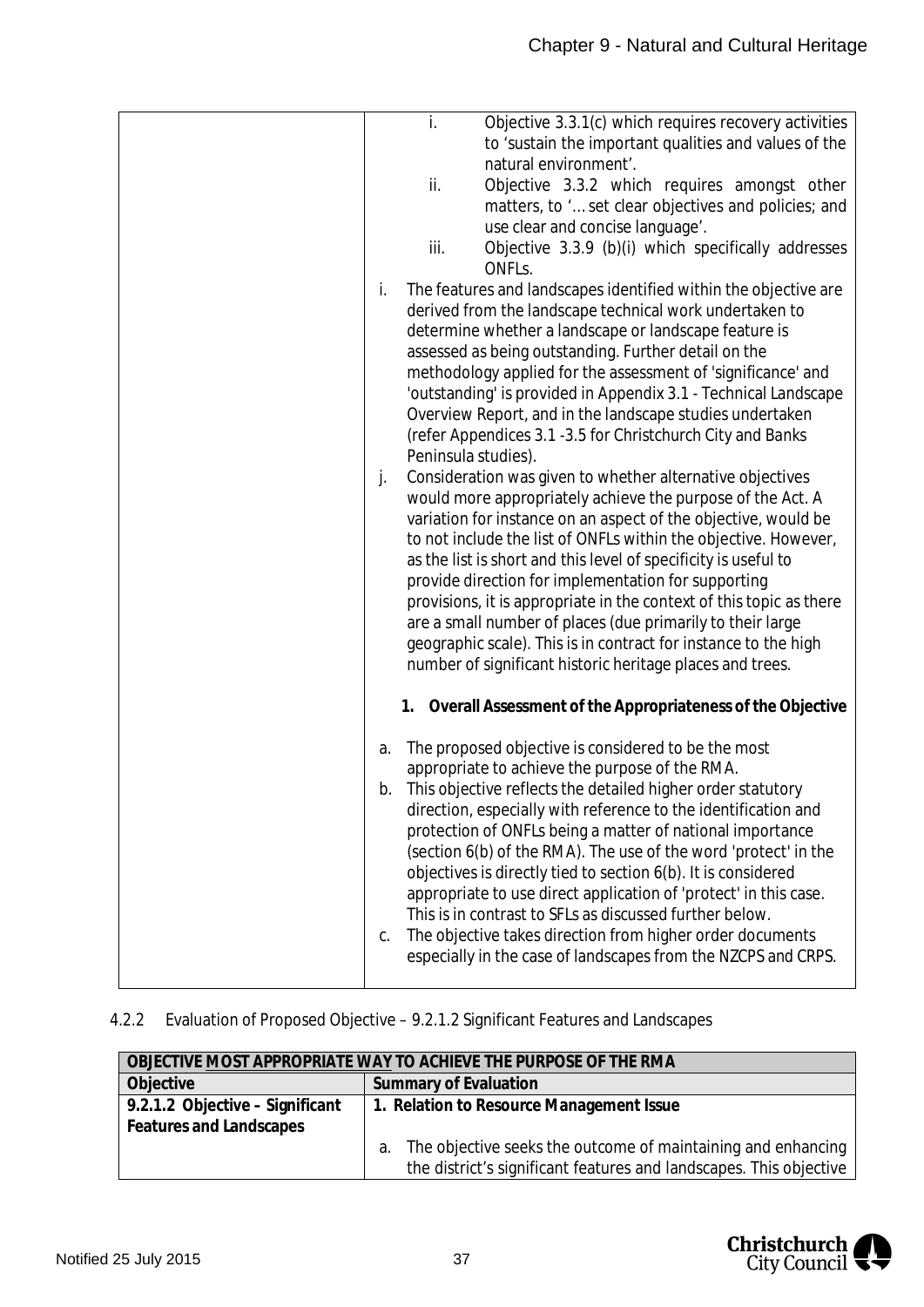| i.<br>Objective 3.3.1(c) which requires recovery activities           |
|-----------------------------------------------------------------------|
| to 'sustain the important qualities and values of the                 |
| natural environment'.                                                 |
| ii.<br>Objective 3.3.2 which requires amongst other                   |
| matters, to ' set clear objectives and policies; and                  |
| use clear and concise language'.                                      |
| Objective 3.3.9 (b)(i) which specifically addresses<br>iii.           |
| ONFL <sub>S</sub> .                                                   |
| The features and landscapes identified within the objective are<br>i. |
| derived from the landscape technical work undertaken to               |
| determine whether a landscape or landscape feature is                 |
| assessed as being outstanding. Further detail on the                  |
| methodology applied for the assessment of 'significance' and          |
| 'outstanding' is provided in Appendix 3.1 - Technical Landscape       |
| Overview Report, and in the landscape studies undertaken              |
| (refer Appendices 3.1 - 3.5 for Christchurch City and Banks           |
| Peninsula studies).                                                   |
| Consideration was given to whether alternative objectives<br>j.       |
| would more appropriately achieve the purpose of the Act. A            |
| variation for instance on an aspect of the objective, would be        |
| to not include the list of ONFLs within the objective. However,       |
| as the list is short and this level of specificity is useful to       |
| provide direction for implementation for supporting                   |
| provisions, it is appropriate in the context of this topic as there   |
| are a small number of places (due primarily to their large            |
|                                                                       |
| geographic scale). This is in contract for instance to the high       |
| number of significant historic heritage places and trees.             |
| 1. Overall Assessment of the Appropriateness of the Objective         |
| The proposed objective is considered to be the most<br>a.             |
| appropriate to achieve the purpose of the RMA.                        |
| This objective reflects the detailed higher order statutory<br>b.     |
| direction, especially with reference to the identification and        |
| protection of ONFLs being a matter of national importance             |
| (section 6(b) of the RMA). The use of the word 'protect' in the       |
| objectives is directly tied to section 6(b). It is considered         |
| appropriate to use direct application of 'protect' in this case.      |
| This is in contrast to SFLs as discussed further below.               |
| The objective takes direction from higher order documents<br>C.       |
| especially in the case of landscapes from the NZCPS and CRPS.         |
|                                                                       |
|                                                                       |

## 4.2.2 Evaluation of Proposed Objective – 9.2.1.2 Significant Features and Landscapes

| OBJECTIVE MOST APPROPRIATE WAY TO ACHIEVE THE PURPOSE OF THE RMA |                                                                                                                                          |  |
|------------------------------------------------------------------|------------------------------------------------------------------------------------------------------------------------------------------|--|
| Objective                                                        | Summary of Evaluation                                                                                                                    |  |
| 9.2.1.2 Objective - Significant<br>Features and Landscapes       | 1. Relation to Resource Management Issue                                                                                                 |  |
|                                                                  | The objective seeks the outcome of maintaining and enhancing<br>а.<br>the district's significant features and landscapes. This objective |  |

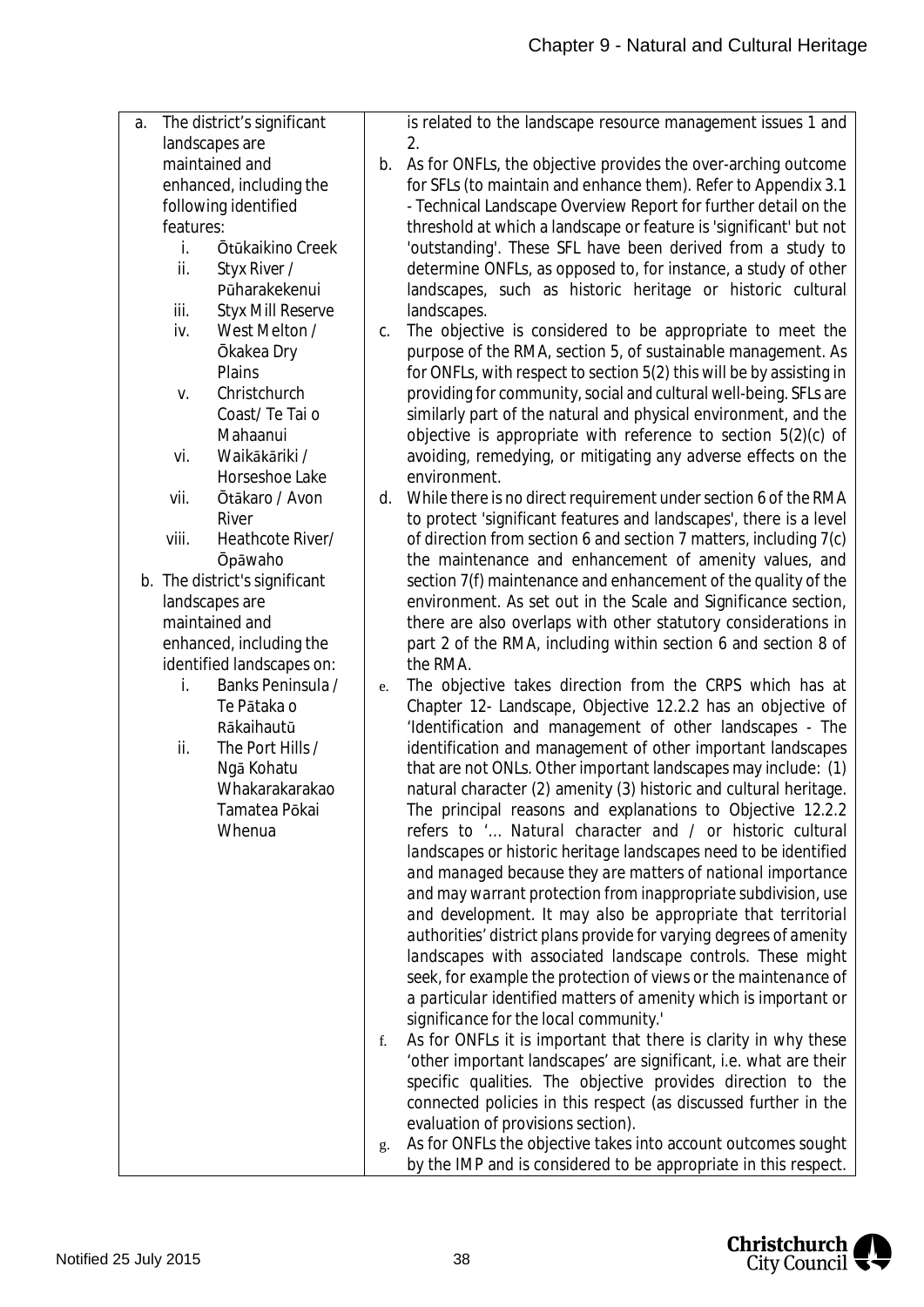| The district's significant<br>a. | is related to the landscape resource management issues 1 and          |
|----------------------------------|-----------------------------------------------------------------------|
| landscapes are                   | 2.                                                                    |
| maintained and                   | As for ONFLs, the objective provides the over-arching outcome<br>b.   |
| enhanced, including the          | for SFLs (to maintain and enhance them). Refer to Appendix 3.1        |
| following identified             | - Technical Landscape Overview Report for further detail on the       |
| features:                        | threshold at which a landscape or feature is 'significant' but not    |
| i.<br>Ōtūkaikino Creek           | 'outstanding'. These SFL have been derived from a study to            |
| ii.<br>Styx River /              | determine ONFLs, as opposed to, for instance, a study of other        |
| Pūharakekenui                    | landscapes, such as historic heritage or historic cultural            |
| iii.<br><b>Styx Mill Reserve</b> | landscapes.                                                           |
| iv.<br>West Melton /             | The objective is considered to be appropriate to meet the<br>C.       |
| Ōkakea Dry                       | purpose of the RMA, section 5, of sustainable management. As          |
| Plains                           | for ONFLs, with respect to section 5(2) this will be by assisting in  |
| Christchurch<br>V.               | providing for community, social and cultural well-being. SFLs are     |
| Coast/Te Tai o                   | similarly part of the natural and physical environment, and the       |
| Mahaanui                         | objective is appropriate with reference to section $5(2)(c)$ of       |
| Waikākāriki /<br>vi.             | avoiding, remedying, or mitigating any adverse effects on the         |
| Horseshoe Lake                   | environment.                                                          |
| Ōtākaro / Avon<br>vii.           | d. While there is no direct requirement under section 6 of the RMA    |
| River                            | to protect 'significant features and landscapes', there is a level    |
| viii.<br>Heathcote River/        | of direction from section 6 and section 7 matters, including 7(c)     |
| <b>Opāwaho</b>                   | the maintenance and enhancement of amenity values, and                |
| b. The district's significant    | section 7(f) maintenance and enhancement of the quality of the        |
| landscapes are                   | environment. As set out in the Scale and Significance section,        |
| maintained and                   | there are also overlaps with other statutory considerations in        |
| enhanced, including the          | part 2 of the RMA, including within section 6 and section 8 of        |
| identified landscapes on:        | the RMA.                                                              |
| i.<br>Banks Peninsula /          | The objective takes direction from the CRPS which has at<br>e.        |
| Te Pātaka o                      | Chapter 12- Landscape, Objective 12.2.2 has an objective of           |
| Rākaihautū                       | 'Identification and management of other landscapes - The              |
| ii.<br>The Port Hills /          | identification and management of other important landscapes           |
| Ngā Kohatu                       | that are not ONLs. Other important landscapes may include: (1)        |
| Whakarakarakao                   | natural character (2) amenity (3) historic and cultural heritage.     |
| Tamatea Pōkai                    | The principal reasons and explanations to Objective 12.2.2            |
| Whenua                           | refers to ' Natural character and / or historic cultural              |
|                                  | landscapes or historic heritage landscapes need to be identified      |
|                                  | and managed because they are matters of national importance           |
|                                  | and may warrant protection from inappropriate subdivision, use        |
|                                  | and development. It may also be appropriate that territorial          |
|                                  | authorities' district plans provide for varying degrees of amenity    |
|                                  | landscapes with associated landscape controls. These might            |
|                                  | seek, for example the protection of views or the maintenance of       |
|                                  | a particular identified matters of amenity which is important or      |
|                                  | significance for the local community.'                                |
|                                  | As for ONFLs it is important that there is clarity in why these<br>f. |
|                                  | 'other important landscapes' are significant, i.e. what are their     |
|                                  | specific qualities. The objective provides direction to the           |
|                                  | connected policies in this respect (as discussed further in the       |
|                                  | evaluation of provisions section).                                    |
|                                  | As for ONFLs the objective takes into account outcomes sought<br>g.   |
|                                  | by the IMP and is considered to be appropriate in this respect.       |

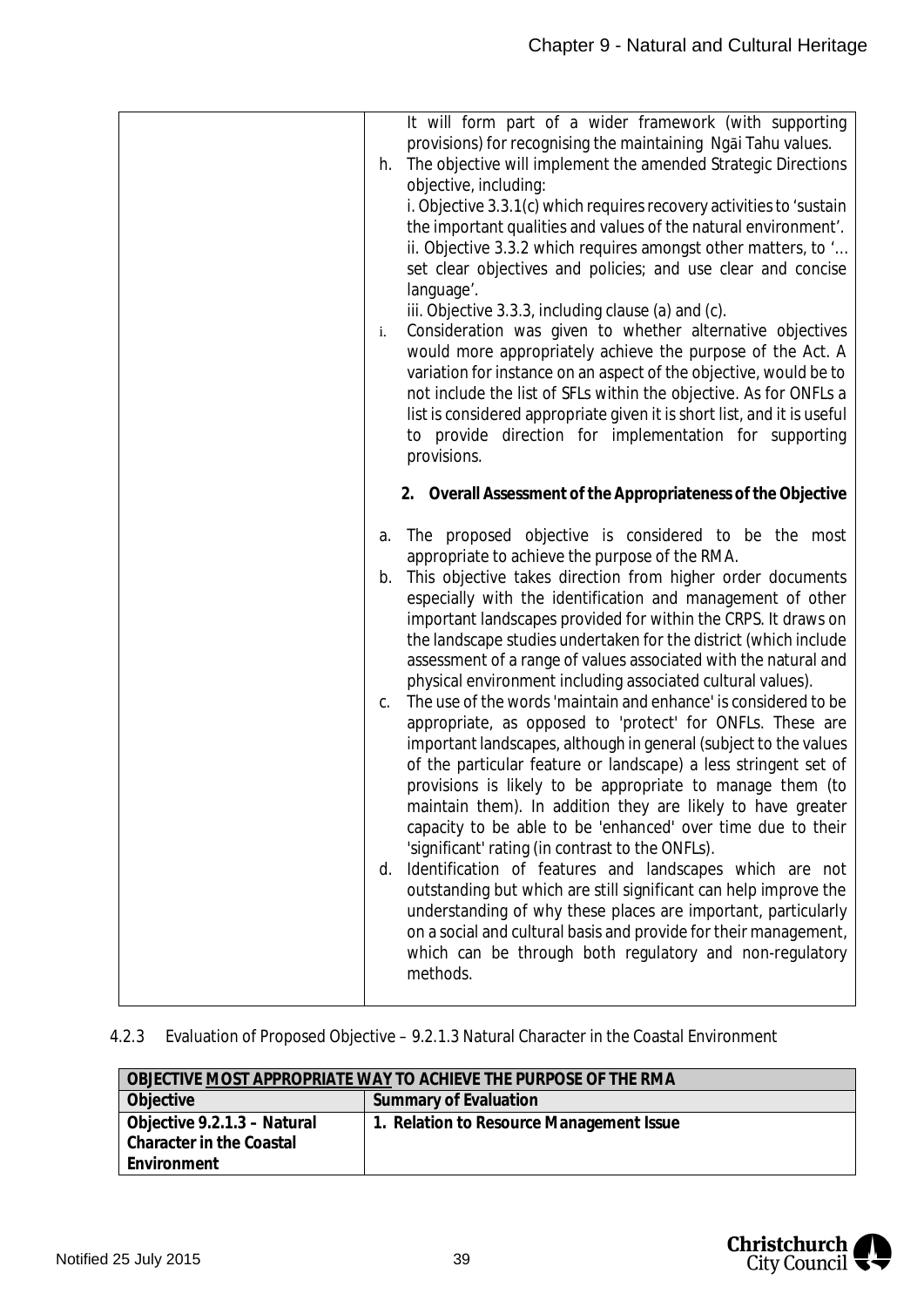| It will form part of a wider framework (with supporting<br>provisions) for recognising the maintaining Ngai Tahu values.<br>The objective will implement the amended Strategic Directions<br>h.<br>objective, including:<br>i. Objective 3.3.1(c) which requires recovery activities to 'sustain<br>the important qualities and values of the natural environment'.<br>ii. Objective 3.3.2 which requires amongst other matters, to '<br>set clear objectives and policies; and use clear and concise<br>language'.<br>iii. Objective 3.3.3, including clause (a) and (c).<br>Consideration was given to whether alternative objectives<br>i.<br>would more appropriately achieve the purpose of the Act. A<br>variation for instance on an aspect of the objective, would be to<br>not include the list of SFLs within the objective. As for ONFLs a<br>list is considered appropriate given it is short list, and it is useful<br>to provide direction for implementation for supporting<br>provisions.<br>2. Overall Assessment of the Appropriateness of the Objective                                                                                                                                                                                                                                                                                                                         |
|----------------------------------------------------------------------------------------------------------------------------------------------------------------------------------------------------------------------------------------------------------------------------------------------------------------------------------------------------------------------------------------------------------------------------------------------------------------------------------------------------------------------------------------------------------------------------------------------------------------------------------------------------------------------------------------------------------------------------------------------------------------------------------------------------------------------------------------------------------------------------------------------------------------------------------------------------------------------------------------------------------------------------------------------------------------------------------------------------------------------------------------------------------------------------------------------------------------------------------------------------------------------------------------------------------------------------------------------------------------------------------------------------|
| The proposed objective is considered to be the most<br>а.<br>appropriate to achieve the purpose of the RMA.<br>This objective takes direction from higher order documents<br>b.<br>especially with the identification and management of other<br>important landscapes provided for within the CRPS. It draws on<br>the landscape studies undertaken for the district (which include<br>assessment of a range of values associated with the natural and<br>physical environment including associated cultural values).<br>The use of the words 'maintain and enhance' is considered to be<br>C.<br>appropriate, as opposed to 'protect' for ONFLs. These are<br>important landscapes, although in general (subject to the values<br>of the particular feature or landscape) a less stringent set of<br>provisions is likely to be appropriate to manage them (to<br>maintain them). In addition they are likely to have greater<br>capacity to be able to be 'enhanced' over time due to their<br>'significant' rating (in contrast to the ONFLs).<br>Identification of features and landscapes which are not<br>d.<br>outstanding but which are still significant can help improve the<br>understanding of why these places are important, particularly<br>on a social and cultural basis and provide for their management,<br>which can be through both regulatory and non-regulatory<br>methods. |

## 4.2.3 Evaluation of Proposed Objective – 9.2.1.3 Natural Character in the Coastal Environment

| OBJECTIVE MOST APPROPRIATE WAY TO ACHIEVE THE PURPOSE OF THE RMA |                                          |  |  |
|------------------------------------------------------------------|------------------------------------------|--|--|
| Objective                                                        | Summary of Evaluation                    |  |  |
| Objective 9.2.1.3 - Natural                                      | 1. Relation to Resource Management Issue |  |  |
| Character in the Coastal                                         |                                          |  |  |
| Environment                                                      |                                          |  |  |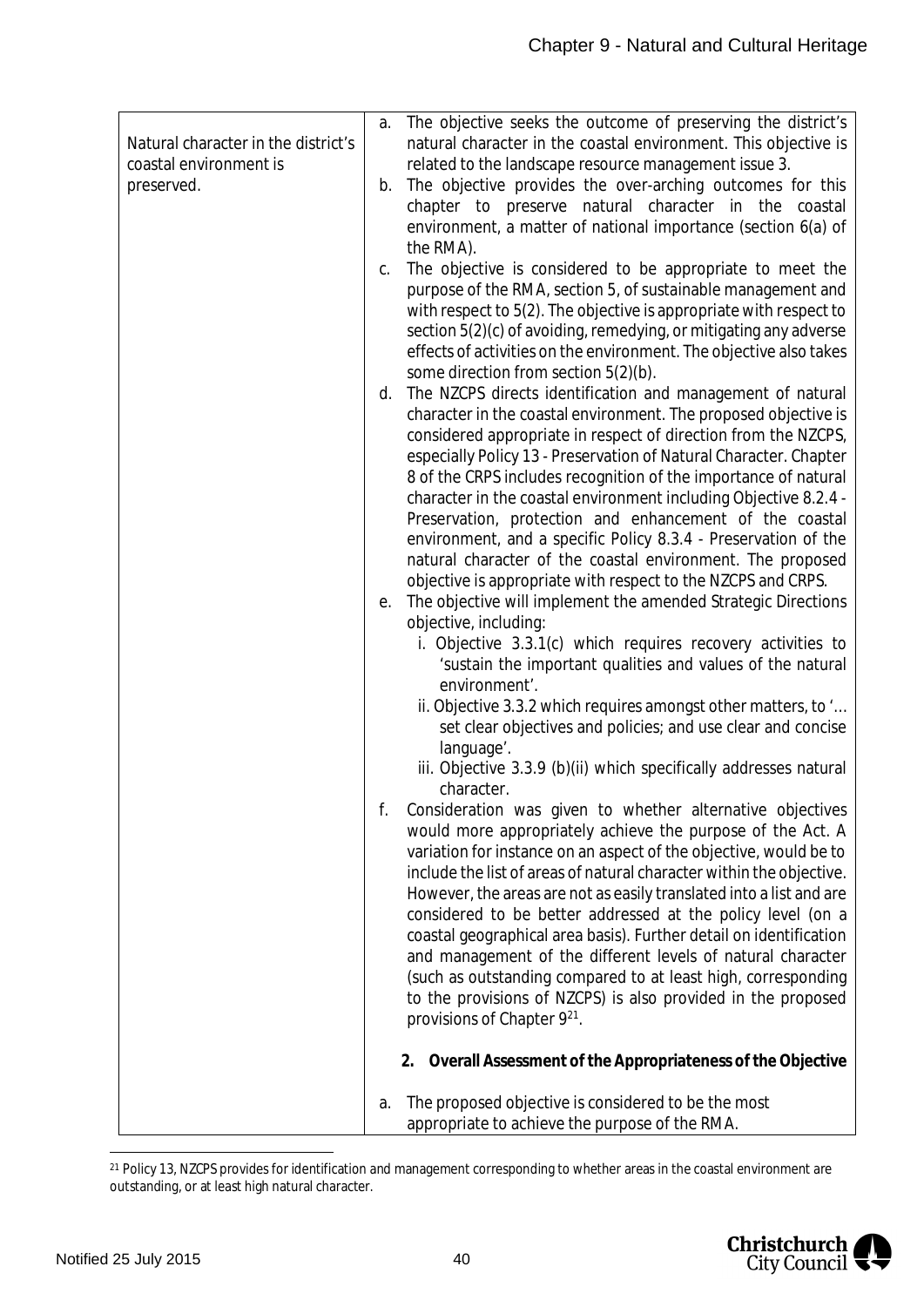|                                     | a. | The objective seeks the outcome of preserving the district's                                          |
|-------------------------------------|----|-------------------------------------------------------------------------------------------------------|
| Natural character in the district's |    | natural character in the coastal environment. This objective is                                       |
| coastal environment is              |    | related to the landscape resource management issue 3.                                                 |
| preserved.                          | b. | The objective provides the over-arching outcomes for this                                             |
|                                     |    | chapter to preserve natural character in the coastal                                                  |
|                                     |    | environment, a matter of national importance (section 6(a) of                                         |
|                                     |    | the RMA).                                                                                             |
|                                     | C. | The objective is considered to be appropriate to meet the                                             |
|                                     |    | purpose of the RMA, section 5, of sustainable management and                                          |
|                                     |    | with respect to 5(2). The objective is appropriate with respect to                                    |
|                                     |    | section 5(2)(c) of avoiding, remedying, or mitigating any adverse                                     |
|                                     |    | effects of activities on the environment. The objective also takes                                    |
|                                     |    | some direction from section 5(2)(b).<br>d. The NZCPS directs identification and management of natural |
|                                     |    | character in the coastal environment. The proposed objective is                                       |
|                                     |    | considered appropriate in respect of direction from the NZCPS,                                        |
|                                     |    | especially Policy 13 - Preservation of Natural Character. Chapter                                     |
|                                     |    | 8 of the CRPS includes recognition of the importance of natural                                       |
|                                     |    | character in the coastal environment including Objective 8.2.4 -                                      |
|                                     |    | Preservation, protection and enhancement of the coastal                                               |
|                                     |    | environment, and a specific Policy 8.3.4 - Preservation of the                                        |
|                                     |    | natural character of the coastal environment. The proposed                                            |
|                                     |    | objective is appropriate with respect to the NZCPS and CRPS.                                          |
|                                     | е. | The objective will implement the amended Strategic Directions                                         |
|                                     |    | objective, including:                                                                                 |
|                                     |    | i. Objective 3.3.1(c) which requires recovery activities to                                           |
|                                     |    | 'sustain the important qualities and values of the natural                                            |
|                                     |    | environment'.                                                                                         |
|                                     |    | ii. Objective 3.3.2 which requires amongst other matters, to '                                        |
|                                     |    | set clear objectives and policies; and use clear and concise                                          |
|                                     |    | language'.<br>iii. Objective 3.3.9 (b)(ii) which specifically addresses natural                       |
|                                     |    | character.                                                                                            |
|                                     | f. | Consideration was given to whether alternative objectives                                             |
|                                     |    | would more appropriately achieve the purpose of the Act. A                                            |
|                                     |    | variation for instance on an aspect of the objective, would be to                                     |
|                                     |    | include the list of areas of natural character within the objective.                                  |
|                                     |    | However, the areas are not as easily translated into a list and are                                   |
|                                     |    | considered to be better addressed at the policy level (on a                                           |
|                                     |    | coastal geographical area basis). Further detail on identification                                    |
|                                     |    | and management of the different levels of natural character                                           |
|                                     |    | (such as outstanding compared to at least high, corresponding                                         |
|                                     |    | to the provisions of NZCPS) is also provided in the proposed                                          |
|                                     |    | provisions of Chapter 9 <sup>21</sup> .                                                               |
|                                     |    | 2. Overall Assessment of the Appropriateness of the Objective                                         |
|                                     | а. | The proposed objective is considered to be the most                                                   |
|                                     |    | appropriate to achieve the purpose of the RMA.                                                        |
|                                     |    |                                                                                                       |

<span id="page-40-0"></span><sup>21</sup> Policy 13, NZCPS provides for identification and management corresponding to whether areas in the coastal environment are outstanding, or at least high natural character.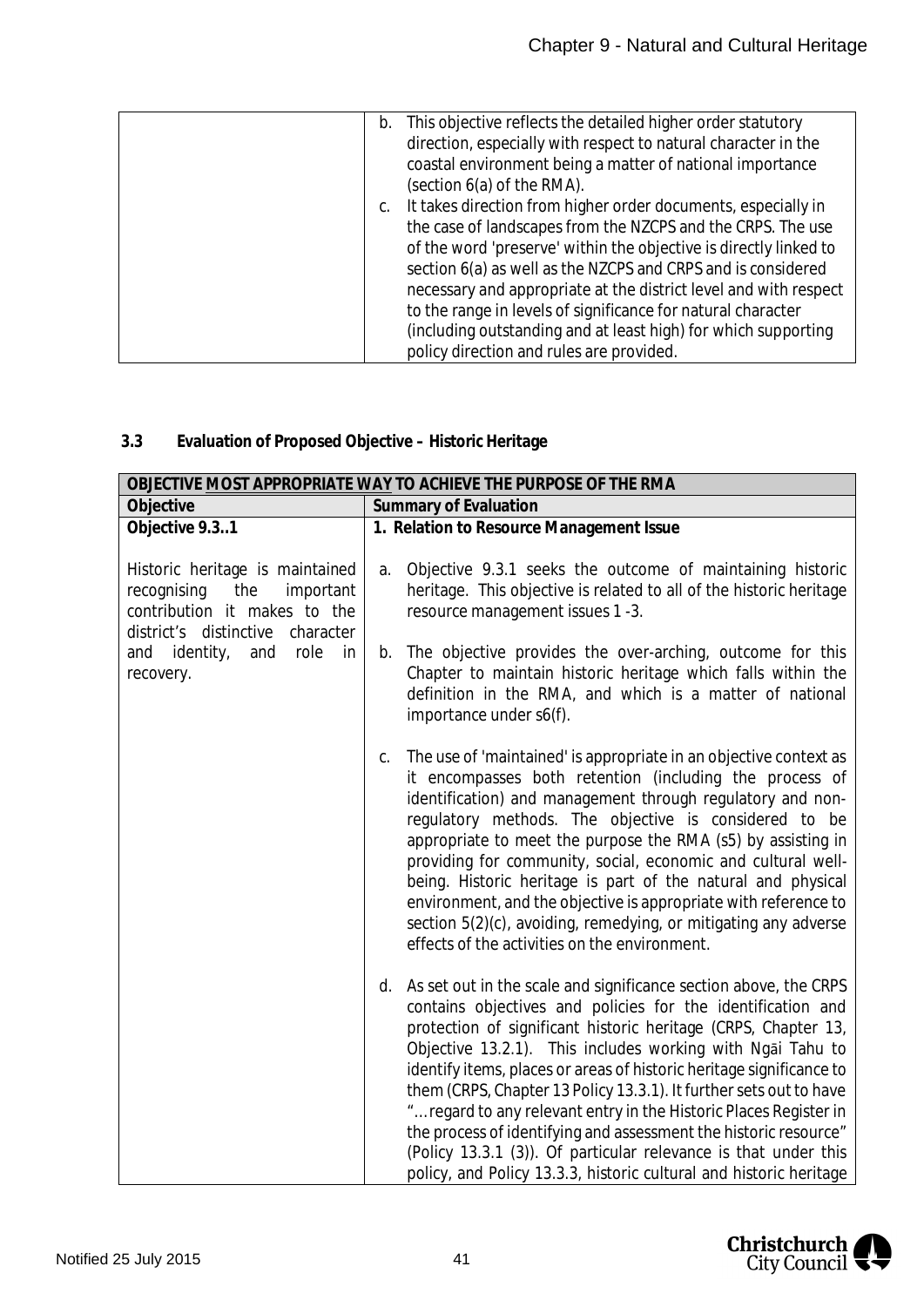| This objective reflects the detailed higher order statutory<br>b. |
|-------------------------------------------------------------------|
| direction, especially with respect to natural character in the    |
| coastal environment being a matter of national importance         |
| (section 6(a) of the RMA).                                        |
| It takes direction from higher order documents, especially in     |
| the case of landscapes from the NZCPS and the CRPS. The use       |
| of the word 'preserve' within the objective is directly linked to |
| section 6(a) as well as the NZCPS and CRPS and is considered      |
| necessary and appropriate at the district level and with respect  |
| to the range in levels of significance for natural character      |
| (including outstanding and at least high) for which supporting    |
| policy direction and rules are provided.                          |

## **3.3 Evaluation of Proposed Objective – Historic Heritage**

| OBJECTIVE MOST APPROPRIATE WAY TO ACHIEVE THE PURPOSE OF THE RMA                                                                          |                                                                                                                                                                                                                                                                                                                                                                                                                                                                                                                                                                                                                                                                                                    |  |  |
|-------------------------------------------------------------------------------------------------------------------------------------------|----------------------------------------------------------------------------------------------------------------------------------------------------------------------------------------------------------------------------------------------------------------------------------------------------------------------------------------------------------------------------------------------------------------------------------------------------------------------------------------------------------------------------------------------------------------------------------------------------------------------------------------------------------------------------------------------------|--|--|
| Objective                                                                                                                                 | Summary of Evaluation                                                                                                                                                                                                                                                                                                                                                                                                                                                                                                                                                                                                                                                                              |  |  |
| Objective 9.31                                                                                                                            | 1. Relation to Resource Management Issue                                                                                                                                                                                                                                                                                                                                                                                                                                                                                                                                                                                                                                                           |  |  |
| Historic heritage is maintained<br>recognising<br>the<br>important<br>contribution it makes to the<br>district's distinctive<br>character | Objective 9.3.1 seeks the outcome of maintaining historic<br>a.<br>heritage. This objective is related to all of the historic heritage<br>resource management issues 1 -3.                                                                                                                                                                                                                                                                                                                                                                                                                                                                                                                         |  |  |
| and identity,<br>role<br>and<br>in<br>recovery.                                                                                           | The objective provides the over-arching, outcome for this<br>b.<br>Chapter to maintain historic heritage which falls within the<br>definition in the RMA, and which is a matter of national<br>importance under s6(f).                                                                                                                                                                                                                                                                                                                                                                                                                                                                             |  |  |
|                                                                                                                                           | The use of 'maintained' is appropriate in an objective context as<br>C.<br>it encompasses both retention (including the process of<br>identification) and management through regulatory and non-<br>regulatory methods. The objective is considered to be<br>appropriate to meet the purpose the RMA (s5) by assisting in<br>providing for community, social, economic and cultural well-<br>being. Historic heritage is part of the natural and physical<br>environment, and the objective is appropriate with reference to<br>section 5(2)(c), avoiding, remedying, or mitigating any adverse<br>effects of the activities on the environment.                                                   |  |  |
|                                                                                                                                           | d. As set out in the scale and significance section above, the CRPS<br>contains objectives and policies for the identification and<br>protection of significant historic heritage (CRPS, Chapter 13,<br>Objective 13.2.1). This includes working with Ngai Tahu to<br>identify items, places or areas of historic heritage significance to<br>them (CRPS, Chapter 13 Policy 13.3.1). It further sets out to have<br>" regard to any relevant entry in the Historic Places Register in<br>the process of identifying and assessment the historic resource"<br>(Policy 13.3.1 (3)). Of particular relevance is that under this<br>policy, and Policy 13.3.3, historic cultural and historic heritage |  |  |

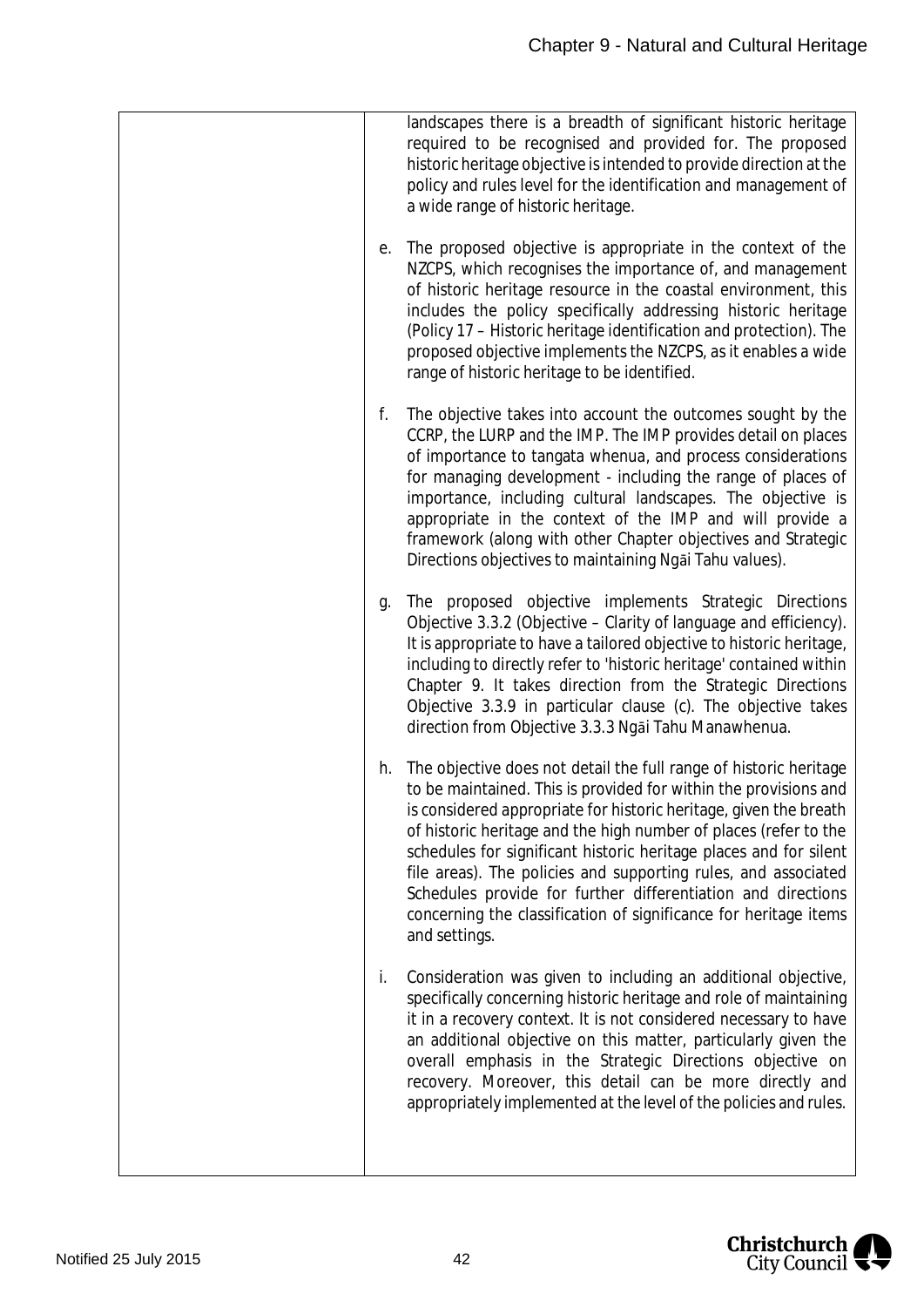| е. | landscapes there is a breadth of significant historic heritage<br>required to be recognised and provided for. The proposed<br>historic heritage objective is intended to provide direction at the<br>policy and rules level for the identification and management of<br>a wide range of historic heritage.<br>The proposed objective is appropriate in the context of the<br>NZCPS, which recognises the importance of, and management<br>of historic heritage resource in the coastal environment, this<br>includes the policy specifically addressing historic heritage<br>(Policy 17 – Historic heritage identification and protection). The<br>proposed objective implements the NZCPS, as it enables a wide<br>range of historic heritage to be identified. |
|----|------------------------------------------------------------------------------------------------------------------------------------------------------------------------------------------------------------------------------------------------------------------------------------------------------------------------------------------------------------------------------------------------------------------------------------------------------------------------------------------------------------------------------------------------------------------------------------------------------------------------------------------------------------------------------------------------------------------------------------------------------------------|
| f. | The objective takes into account the outcomes sought by the<br>CCRP, the LURP and the IMP. The IMP provides detail on places<br>of importance to tangata whenua, and process considerations<br>for managing development - including the range of places of<br>importance, including cultural landscapes. The objective is<br>appropriate in the context of the IMP and will provide a<br>framework (along with other Chapter objectives and Strategic<br>Directions objectives to maintaining Ngai Tahu values).                                                                                                                                                                                                                                                 |
| g. | The proposed objective implements Strategic Directions<br>Objective 3.3.2 (Objective - Clarity of language and efficiency).<br>It is appropriate to have a tailored objective to historic heritage,<br>including to directly refer to 'historic heritage' contained within<br>Chapter 9. It takes direction from the Strategic Directions<br>Objective 3.3.9 in particular clause (c). The objective takes<br>direction from Objective 3.3.3 Ngai Tahu Manawhenua.                                                                                                                                                                                                                                                                                               |
| h. | The objective does not detail the full range of historic heritage<br>to be maintained. This is provided for within the provisions and<br>is considered appropriate for historic heritage, given the breath<br>of historic heritage and the high number of places (refer to the<br>schedules for significant historic heritage places and for silent<br>file areas). The policies and supporting rules, and associated<br>Schedules provide for further differentiation and directions<br>concerning the classification of significance for heritage items<br>and settings.                                                                                                                                                                                       |
| i. | Consideration was given to including an additional objective,<br>specifically concerning historic heritage and role of maintaining<br>it in a recovery context. It is not considered necessary to have<br>an additional objective on this matter, particularly given the<br>overall emphasis in the Strategic Directions objective on<br>recovery. Moreover, this detail can be more directly and<br>appropriately implemented at the level of the policies and rules.                                                                                                                                                                                                                                                                                           |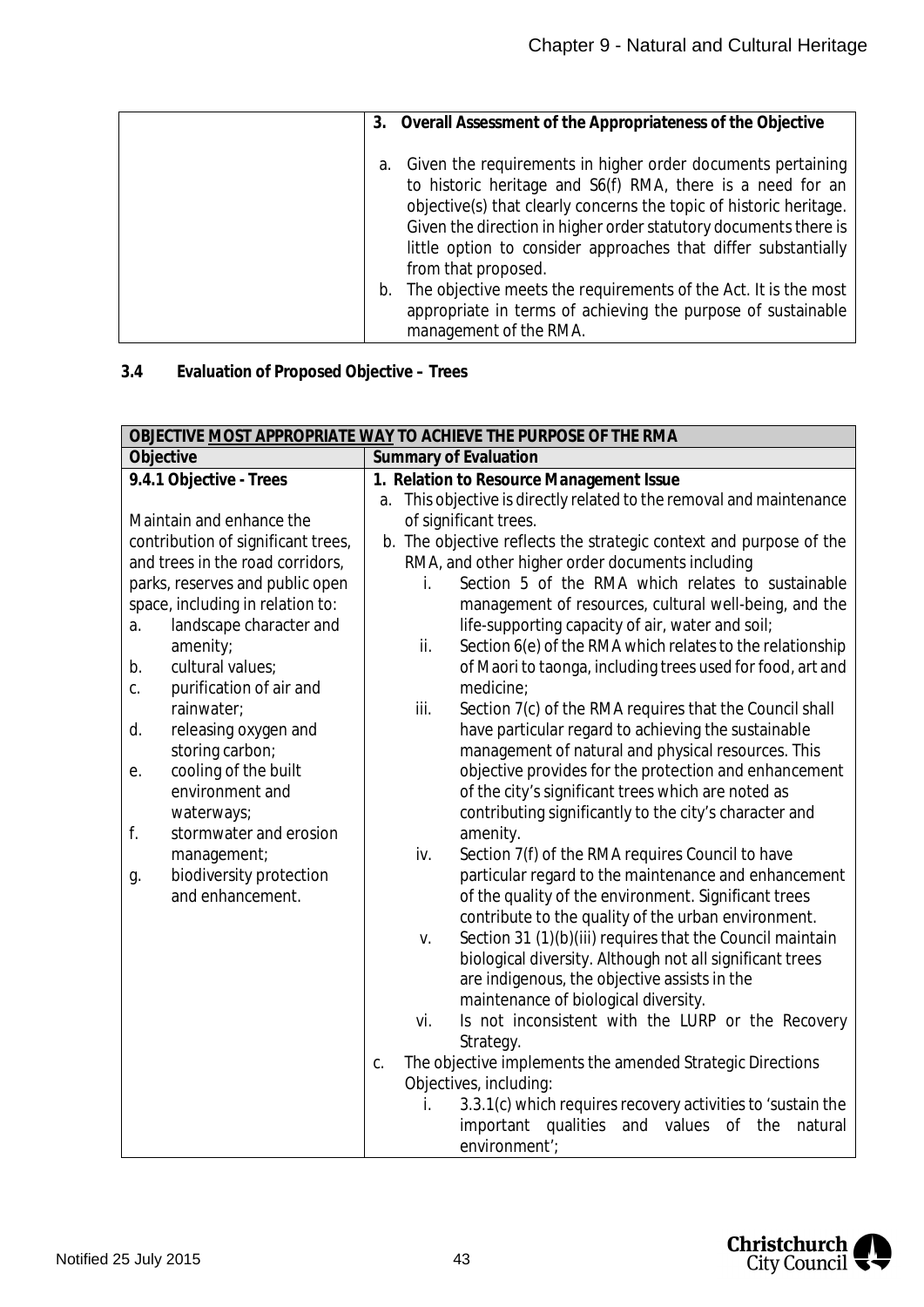| 3. | Overall Assessment of the Appropriateness of the Objective                                                                                                                                                                                                                                                                            |
|----|---------------------------------------------------------------------------------------------------------------------------------------------------------------------------------------------------------------------------------------------------------------------------------------------------------------------------------------|
| а. | Given the requirements in higher order documents pertaining<br>to historic heritage and S6(f) RMA, there is a need for an<br>objective(s) that clearly concerns the topic of historic heritage.<br>Given the direction in higher order statutory documents there is<br>little option to consider approaches that differ substantially |
| b. | from that proposed.<br>The objective meets the requirements of the Act. It is the most<br>appropriate in terms of achieving the purpose of sustainable<br>management of the RMA.                                                                                                                                                      |

# **3.4 Evaluation of Proposed Objective – Trees**

|                                    | OBJECTIVE MOST APPROPRIATE WAY TO ACHIEVE THE PURPOSE OF THE RMA                                                      |
|------------------------------------|-----------------------------------------------------------------------------------------------------------------------|
| Objective                          | Summary of Evaluation                                                                                                 |
| 9.4.1 Objective - Trees            | 1. Relation to Resource Management Issue                                                                              |
|                                    | a. This objective is directly related to the removal and maintenance                                                  |
| Maintain and enhance the           | of significant trees.                                                                                                 |
| contribution of significant trees, | b. The objective reflects the strategic context and purpose of the                                                    |
| and trees in the road corridors,   | RMA, and other higher order documents including                                                                       |
| parks, reserves and public open    | Section 5 of the RMA which relates to sustainable<br>i.                                                               |
| space, including in relation to:   | management of resources, cultural well-being, and the                                                                 |
| landscape character and<br>a.      | life-supporting capacity of air, water and soil;                                                                      |
| amenity;                           | ii.<br>Section 6(e) of the RMA which relates to the relationship                                                      |
| cultural values;<br>b.             | of Maori to taonga, including trees used for food, art and                                                            |
| purification of air and<br>C.      | medicine;                                                                                                             |
| rainwater;                         | iii.<br>Section 7(c) of the RMA requires that the Council shall                                                       |
| releasing oxygen and<br>d.         | have particular regard to achieving the sustainable                                                                   |
| storing carbon;                    | management of natural and physical resources. This                                                                    |
| cooling of the built<br>е.         | objective provides for the protection and enhancement                                                                 |
| environment and                    | of the city's significant trees which are noted as                                                                    |
| waterways;                         | contributing significantly to the city's character and                                                                |
| f.<br>stormwater and erosion       | amenity.                                                                                                              |
| management;                        | iv.<br>Section 7(f) of the RMA requires Council to have                                                               |
| biodiversity protection<br>g.      | particular regard to the maintenance and enhancement                                                                  |
| and enhancement.                   | of the quality of the environment. Significant trees                                                                  |
|                                    | contribute to the quality of the urban environment.                                                                   |
|                                    | Section 31 (1)(b)(iii) requires that the Council maintain<br>V.                                                       |
|                                    | biological diversity. Although not all significant trees                                                              |
|                                    | are indigenous, the objective assists in the                                                                          |
|                                    | maintenance of biological diversity.                                                                                  |
|                                    | Is not inconsistent with the LURP or the Recovery<br>vi.                                                              |
|                                    | Strategy.                                                                                                             |
|                                    | The objective implements the amended Strategic Directions<br>C.                                                       |
|                                    | Objectives, including:                                                                                                |
|                                    | 3.3.1(c) which requires recovery activities to 'sustain the<br>i.<br>important qualities and values of the<br>natural |
|                                    |                                                                                                                       |
|                                    | environment';                                                                                                         |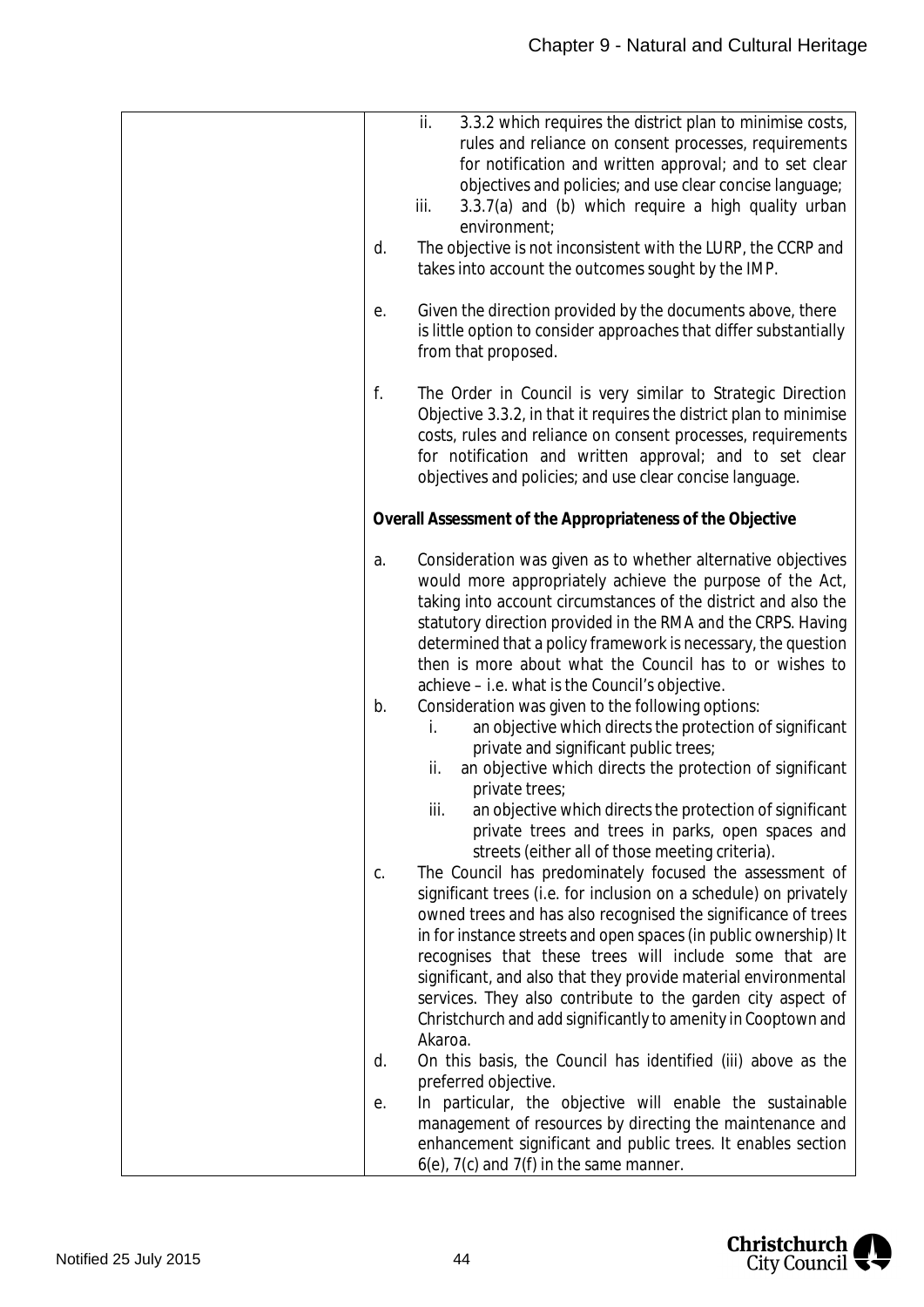| $\overline{\mathsf{ii}}$ .<br>3.3.2 which requires the district plan to minimise costs,<br>rules and reliance on consent processes, requirements<br>for notification and written approval; and to set clear<br>objectives and policies; and use clear concise language;<br>3.3.7(a) and (b) which require a high quality urban<br>iii.<br>environment;<br>The objective is not inconsistent with the LURP, the CCRP and<br>d.<br>takes into account the outcomes sought by the IMP.                                                                                                               |
|---------------------------------------------------------------------------------------------------------------------------------------------------------------------------------------------------------------------------------------------------------------------------------------------------------------------------------------------------------------------------------------------------------------------------------------------------------------------------------------------------------------------------------------------------------------------------------------------------|
| Given the direction provided by the documents above, there<br>е.<br>is little option to consider approaches that differ substantially<br>from that proposed.                                                                                                                                                                                                                                                                                                                                                                                                                                      |
| f.<br>The Order in Council is very similar to Strategic Direction<br>Objective 3.3.2, in that it requires the district plan to minimise<br>costs, rules and reliance on consent processes, requirements<br>for notification and written approval; and to set clear<br>objectives and policies; and use clear concise language.                                                                                                                                                                                                                                                                    |
| Overall Assessment of the Appropriateness of the Objective                                                                                                                                                                                                                                                                                                                                                                                                                                                                                                                                        |
| Consideration was given as to whether alternative objectives<br>a.<br>would more appropriately achieve the purpose of the Act,<br>taking into account circumstances of the district and also the<br>statutory direction provided in the RMA and the CRPS. Having<br>determined that a policy framework is necessary, the question<br>then is more about what the Council has to or wishes to<br>achieve - i.e. what is the Council's objective.                                                                                                                                                   |
| Consideration was given to the following options:<br>b.<br>an objective which directs the protection of significant<br>İ.<br>private and significant public trees;<br>an objective which directs the protection of significant<br>ii.<br>private trees;<br>an objective which directs the protection of significant<br>iii.<br>private trees and trees in parks, open spaces and                                                                                                                                                                                                                  |
| streets (either all of those meeting criteria).<br>The Council has predominately focused the assessment of<br>C.<br>significant trees (i.e. for inclusion on a schedule) on privately<br>owned trees and has also recognised the significance of trees<br>in for instance streets and open spaces (in public ownership) It<br>recognises that these trees will include some that are<br>significant, and also that they provide material environmental<br>services. They also contribute to the garden city aspect of<br>Christchurch and add significantly to amenity in Cooptown and<br>Akaroa. |
| On this basis, the Council has identified (iii) above as the<br>d.                                                                                                                                                                                                                                                                                                                                                                                                                                                                                                                                |
| preferred objective.<br>In particular, the objective will enable the sustainable<br>е.<br>management of resources by directing the maintenance and<br>enhancement significant and public trees. It enables section<br>$6(e)$ , $7(c)$ and $7(f)$ in the same manner.                                                                                                                                                                                                                                                                                                                              |

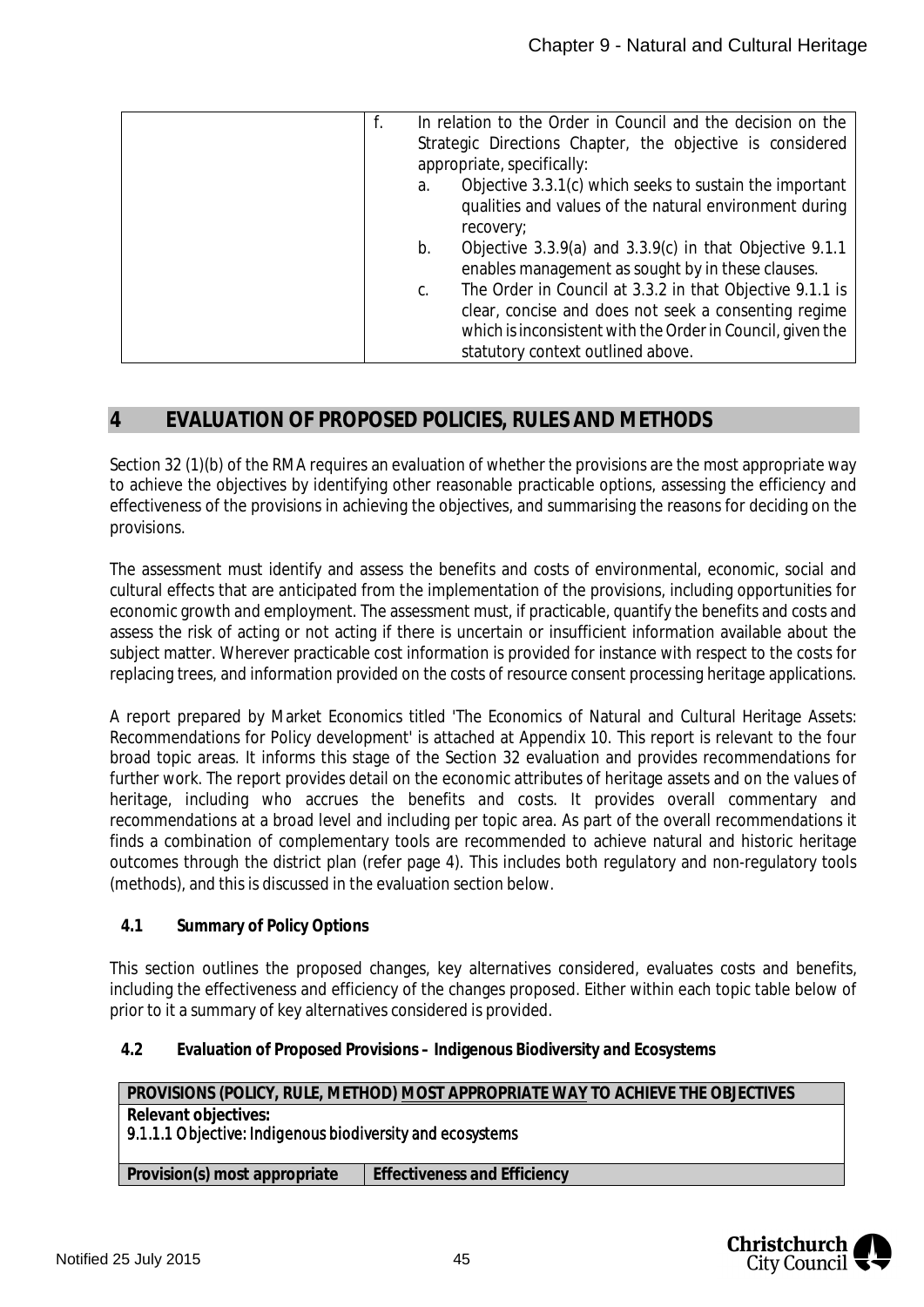| f. | In relation to the Order in Council and the decision on the<br>Strategic Directions Chapter, the objective is considered                                                                                            |
|----|---------------------------------------------------------------------------------------------------------------------------------------------------------------------------------------------------------------------|
|    | appropriate, specifically:                                                                                                                                                                                          |
| a. | Objective 3.3.1(c) which seeks to sustain the important<br>qualities and values of the natural environment during<br>recovery;                                                                                      |
| b. | Objective $3.3.9(a)$ and $3.3.9(c)$ in that Objective 9.1.1<br>enables management as sought by in these clauses.                                                                                                    |
| C. | The Order in Council at 3.3.2 in that Objective 9.1.1 is<br>clear, concise and does not seek a consenting regime<br>which is inconsistent with the Order in Council, given the<br>statutory context outlined above. |

## **4 EVALUATION OF PROPOSED POLICIES, RULES AND METHODS**

Section 32 (1)(b) of the RMA requires an evaluation of whether the provisions are the most appropriate way to achieve the objectives by identifying other reasonable practicable options, assessing the efficiency and effectiveness of the provisions in achieving the objectives, and summarising the reasons for deciding on the provisions.

The assessment must identify and assess the benefits and costs of environmental, economic, social and cultural effects that are anticipated from the implementation of the provisions, including opportunities for economic growth and employment. The assessment must, if practicable, quantify the benefits and costs and assess the risk of acting or not acting if there is uncertain or insufficient information available about the subject matter. Wherever practicable cost information is provided for instance with respect to the costs for replacing trees, and information provided on the costs of resource consent processing heritage applications.

A report prepared by Market Economics titled 'The Economics of Natural and Cultural Heritage Assets: Recommendations for Policy development' is attached at Appendix 10. This report is relevant to the four broad topic areas. It informs this stage of the Section 32 evaluation and provides recommendations for further work. The report provides detail on the economic attributes of heritage assets and on the values of heritage, including who accrues the benefits and costs. It provides overall commentary and recommendations at a broad level and including per topic area. As part of the overall recommendations it finds a combination of complementary tools are recommended to achieve natural and historic heritage outcomes through the district plan (refer page 4). This includes both regulatory and non-regulatory tools (methods), and this is discussed in the evaluation section below.

**4.1 Summary of Policy Options**

This section outlines the proposed changes, key alternatives considered, evaluates costs and benefits, including the effectiveness and efficiency of the changes proposed. Either within each topic table below of prior to it a summary of key alternatives considered is provided.

**4.2 Evaluation of Proposed Provisions – Indigenous Biodiversity and Ecosystems**

| PROVISIONS (POLICY, RULE, METHOD) MOST APPROPRIATE WAY TO ACHIEVE THE OBJECTIVES  |                              |  |  |
|-----------------------------------------------------------------------------------|------------------------------|--|--|
| Relevant objectives:<br>9.1.1.1 Objective: Indigenous biodiversity and ecosystems |                              |  |  |
| Provision(s) most appropriate                                                     | Effectiveness and Efficiency |  |  |
|                                                                                   |                              |  |  |

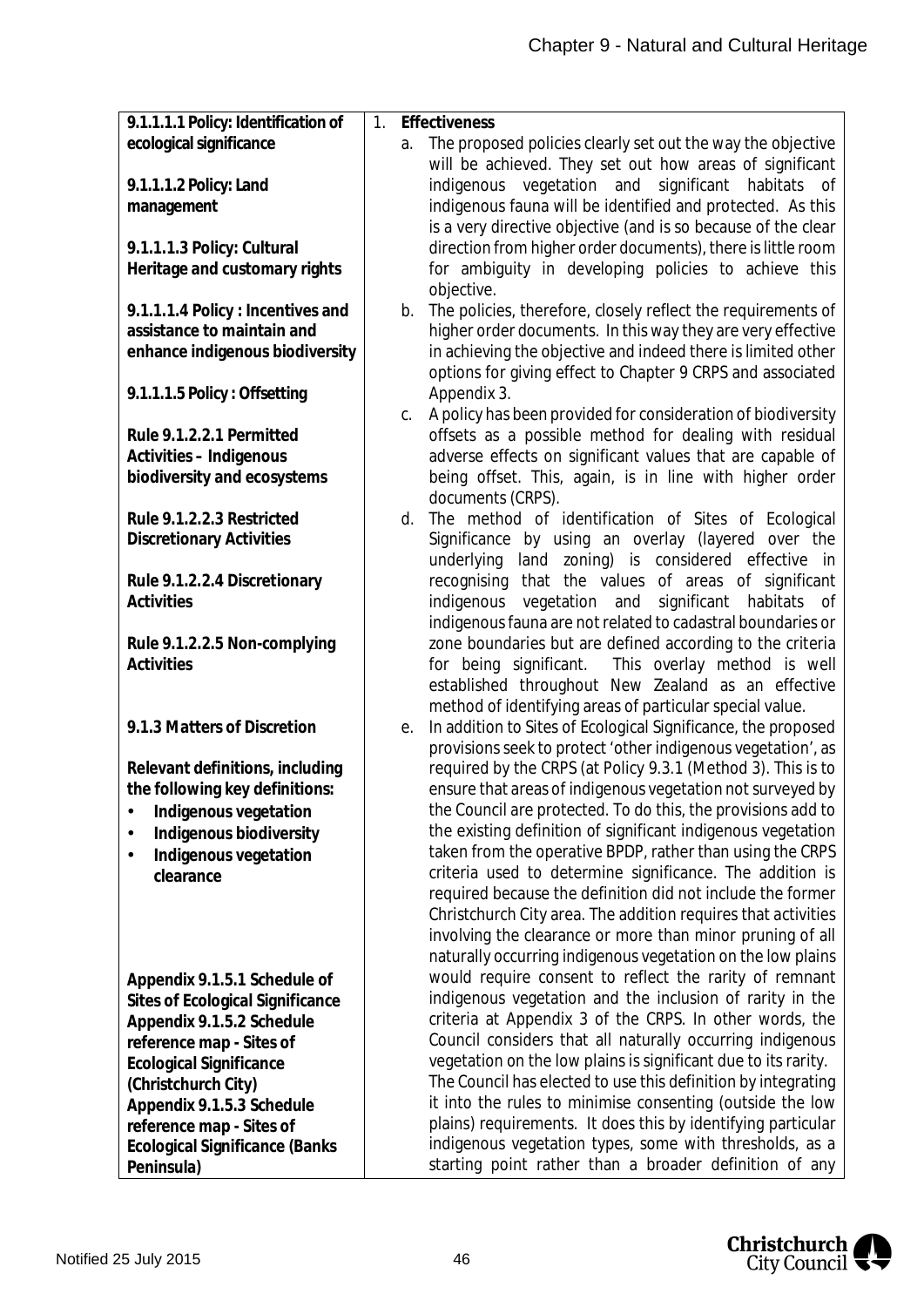| 9.1.1.1.1 Policy: Identification of   | Effectiveness<br>$1_{\cdot}$                                                                                           |
|---------------------------------------|------------------------------------------------------------------------------------------------------------------------|
| ecological significance               | The proposed policies clearly set out the way the objective<br>a.                                                      |
|                                       | will be achieved. They set out how areas of significant                                                                |
| 9.1.1.1.2 Policy: Land                | indigenous vegetation and significant habitats of                                                                      |
| management                            | indigenous fauna will be identified and protected. As this                                                             |
|                                       | is a very directive objective (and is so because of the clear                                                          |
| 9.1.1.1.3 Policy: Cultural            | direction from higher order documents), there is little room                                                           |
| Heritage and customary rights         | for ambiguity in developing policies to achieve this                                                                   |
|                                       | objective.                                                                                                             |
| 9.1.1.1.4 Policy: Incentives and      | The policies, therefore, closely reflect the requirements of<br>b.                                                     |
| assistance to maintain and            | higher order documents. In this way they are very effective                                                            |
| enhance indigenous biodiversity       | in achieving the objective and indeed there is limited other                                                           |
|                                       | options for giving effect to Chapter 9 CRPS and associated                                                             |
| 9.1.1.1.5 Policy: Offsetting          | Appendix 3.                                                                                                            |
|                                       | A policy has been provided for consideration of biodiversity<br>C.                                                     |
| Rule 9.1.2.2.1 Permitted              | offsets as a possible method for dealing with residual                                                                 |
| Activities - Indigenous               | adverse effects on significant values that are capable of                                                              |
| biodiversity and ecosystems           | being offset. This, again, is in line with higher order<br>documents (CRPS).                                           |
| Rule 9.1.2.2.3 Restricted             | The method of identification of Sites of Ecological<br>d.                                                              |
| <b>Discretionary Activities</b>       | Significance by using an overlay (layered over the                                                                     |
|                                       | underlying land zoning) is considered effective in                                                                     |
| Rule 9.1.2.2.4 Discretionary          | recognising that the values of areas of significant                                                                    |
| Activities                            | indigenous vegetation and significant habitats of                                                                      |
|                                       | indigenous fauna are not related to cadastral boundaries or                                                            |
| Rule 9.1.2.2.5 Non-complying          | zone boundaries but are defined according to the criteria                                                              |
| Activities                            | This overlay method is well<br>for being significant.                                                                  |
|                                       | established throughout New Zealand as an effective                                                                     |
|                                       | method of identifying areas of particular special value.                                                               |
| 9.1.3 Matters of Discretion           | In addition to Sites of Ecological Significance, the proposed<br>е.                                                    |
|                                       | provisions seek to protect 'other indigenous vegetation', as                                                           |
| Relevant definitions, including       | required by the CRPS (at Policy 9.3.1 (Method 3). This is to                                                           |
| the following key definitions:        | ensure that areas of indigenous vegetation not surveyed by                                                             |
| Indigenous vegetation                 | the Council are protected. To do this, the provisions add to                                                           |
| Indigenous biodiversity               | the existing definition of significant indigenous vegetation                                                           |
| Indigenous vegetation                 | taken from the operative BPDP, rather than using the CRPS                                                              |
| clearance                             | criteria used to determine significance. The addition is<br>required because the definition did not include the former |
|                                       | Christchurch City area. The addition requires that activities                                                          |
|                                       | involving the clearance or more than minor pruning of all                                                              |
|                                       | naturally occurring indigenous vegetation on the low plains                                                            |
| Appendix 9.1.5.1 Schedule of          | would require consent to reflect the rarity of remnant                                                                 |
| Sites of Ecological Significance      | indigenous vegetation and the inclusion of rarity in the                                                               |
| Appendix 9.1.5.2 Schedule             | criteria at Appendix 3 of the CRPS. In other words, the                                                                |
| reference map - Sites of              | Council considers that all naturally occurring indigenous                                                              |
| <b>Ecological Significance</b>        | vegetation on the low plains is significant due to its rarity.                                                         |
| (Christchurch City)                   | The Council has elected to use this definition by integrating                                                          |
| Appendix 9.1.5.3 Schedule             | it into the rules to minimise consenting (outside the low                                                              |
| reference map - Sites of              | plains) requirements. It does this by identifying particular                                                           |
| <b>Ecological Significance (Banks</b> | indigenous vegetation types, some with thresholds, as a                                                                |
| Peninsula)                            | starting point rather than a broader definition of any                                                                 |

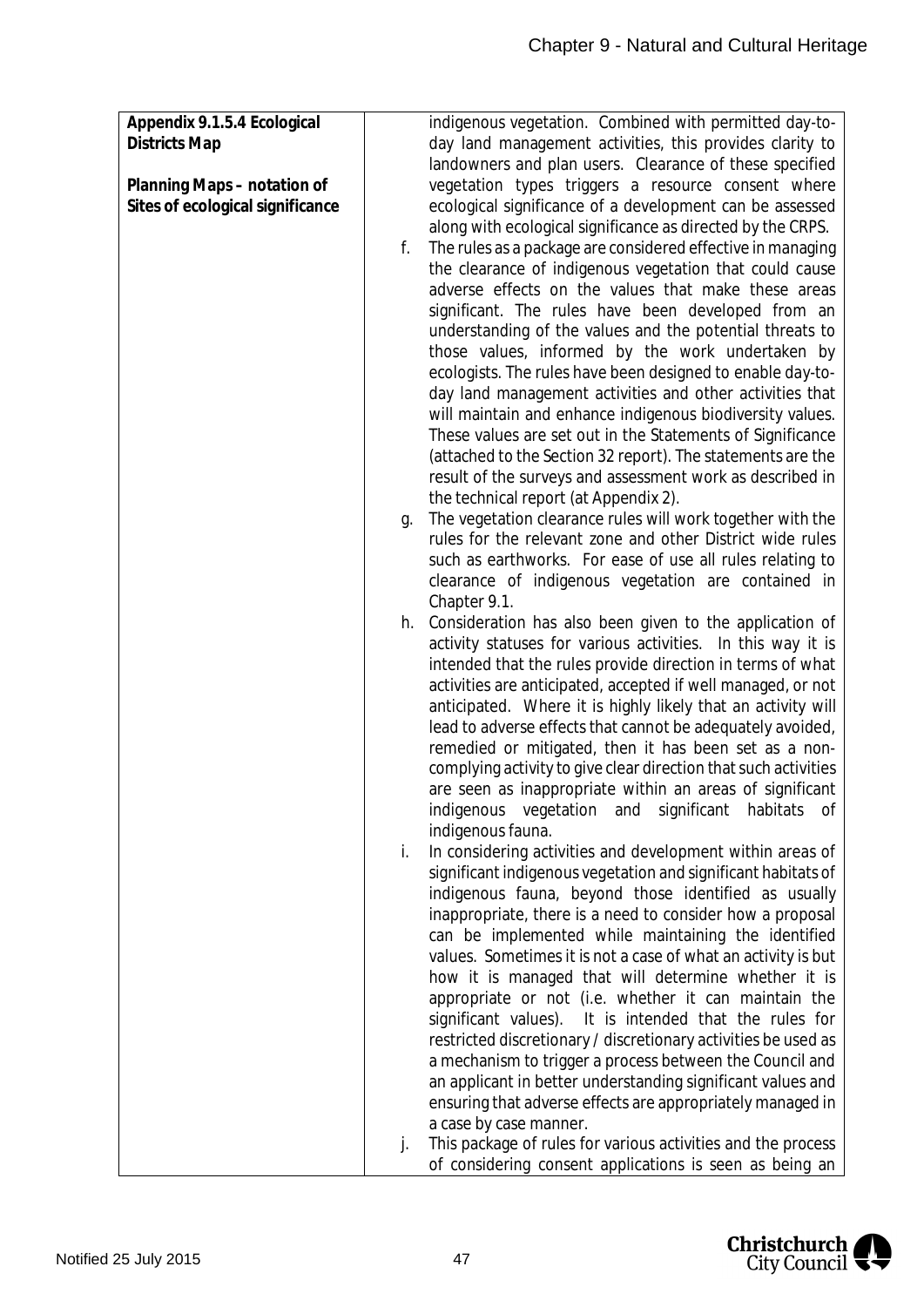| Appendix 9.1.5.4 Ecological      | indigenous vegetation. Combined with permitted day-to-             |
|----------------------------------|--------------------------------------------------------------------|
|                                  |                                                                    |
| <b>Districts Map</b>             | day land management activities, this provides clarity to           |
|                                  | landowners and plan users. Clearance of these specified            |
| Planning Maps - notation of      | vegetation types triggers a resource consent where                 |
| Sites of ecological significance | ecological significance of a development can be assessed           |
|                                  | along with ecological significance as directed by the CRPS.        |
|                                  | The rules as a package are considered effective in managing<br>f.  |
|                                  | the clearance of indigenous vegetation that could cause            |
|                                  | adverse effects on the values that make these areas                |
|                                  | significant. The rules have been developed from an                 |
|                                  | understanding of the values and the potential threats to           |
|                                  | those values, informed by the work undertaken by                   |
|                                  | ecologists. The rules have been designed to enable day-to-         |
|                                  | day land management activities and other activities that           |
|                                  | will maintain and enhance indigenous biodiversity values.          |
|                                  | These values are set out in the Statements of Significance         |
|                                  | (attached to the Section 32 report). The statements are the        |
|                                  | result of the surveys and assessment work as described in          |
|                                  | the technical report (at Appendix 2).                              |
|                                  | The vegetation clearance rules will work together with the<br>g.   |
|                                  | rules for the relevant zone and other District wide rules          |
|                                  | such as earthworks. For ease of use all rules relating to          |
|                                  | clearance of indigenous vegetation are contained in                |
|                                  | Chapter 9.1.                                                       |
|                                  | Consideration has also been given to the application of<br>h.      |
|                                  | activity statuses for various activities. In this way it is        |
|                                  | intended that the rules provide direction in terms of what         |
|                                  | activities are anticipated, accepted if well managed, or not       |
|                                  | anticipated. Where it is highly likely that an activity will       |
|                                  | lead to adverse effects that cannot be adequately avoided,         |
|                                  | remedied or mitigated, then it has been set as a non-              |
|                                  | complying activity to give clear direction that such activities    |
|                                  | are seen as inappropriate within an areas of significant           |
|                                  | indigenous vegetation and significant habitats of                  |
|                                  | indigenous fauna.                                                  |
|                                  | In considering activities and development within areas of<br>i.    |
|                                  | significant indigenous vegetation and significant habitats of      |
|                                  | indigenous fauna, beyond those identified as usually               |
|                                  | inappropriate, there is a need to consider how a proposal          |
|                                  | can be implemented while maintaining the identified                |
|                                  | values. Sometimes it is not a case of what an activity is but      |
|                                  | how it is managed that will determine whether it is                |
|                                  | appropriate or not (i.e. whether it can maintain the               |
|                                  | significant values). It is intended that the rules for             |
|                                  | restricted discretionary / discretionary activities be used as     |
|                                  | a mechanism to trigger a process between the Council and           |
|                                  | an applicant in better understanding significant values and        |
|                                  | ensuring that adverse effects are appropriately managed in         |
|                                  | a case by case manner.                                             |
|                                  | This package of rules for various activities and the process<br>j. |
|                                  | of considering consent applications is seen as being an            |

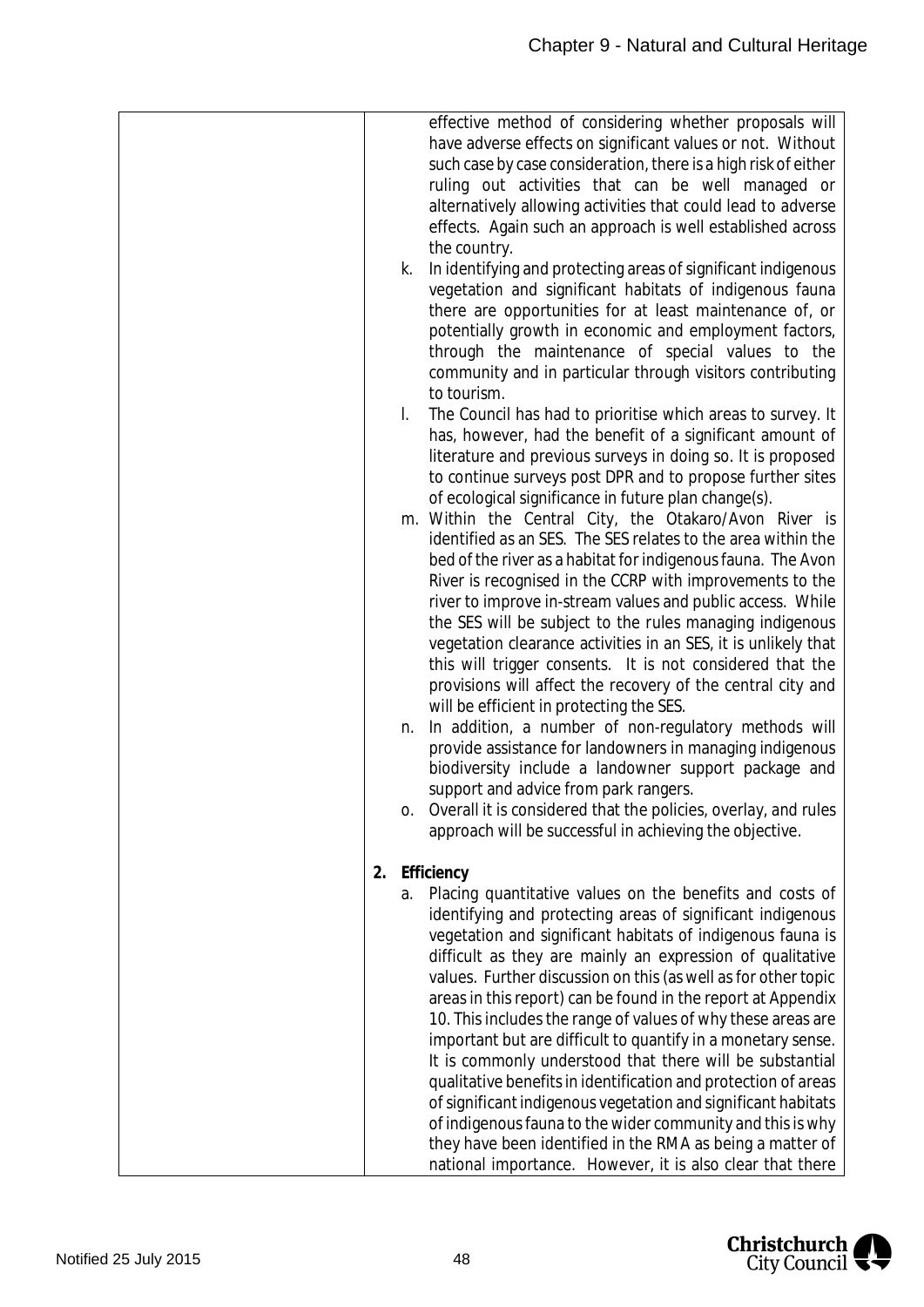|    |              | effective method of considering whether proposals will<br>have adverse effects on significant values or not. Without |
|----|--------------|----------------------------------------------------------------------------------------------------------------------|
|    |              |                                                                                                                      |
|    |              | such case by case consideration, there is a high risk of either                                                      |
|    |              | ruling out activities that can be well managed or                                                                    |
|    |              | alternatively allowing activities that could lead to adverse                                                         |
|    |              | effects. Again such an approach is well established across                                                           |
|    |              | the country.                                                                                                         |
|    | k.           | In identifying and protecting areas of significant indigenous                                                        |
|    |              | vegetation and significant habitats of indigenous fauna                                                              |
|    |              | there are opportunities for at least maintenance of, or                                                              |
|    |              | potentially growth in economic and employment factors,                                                               |
|    |              | through the maintenance of special values to the                                                                     |
|    |              | community and in particular through visitors contributing                                                            |
|    |              | to tourism.                                                                                                          |
|    | $\mathsf{L}$ | The Council has had to prioritise which areas to survey. It                                                          |
|    |              | has, however, had the benefit of a significant amount of                                                             |
|    |              | literature and previous surveys in doing so. It is proposed                                                          |
|    |              | to continue surveys post DPR and to propose further sites                                                            |
|    |              | of ecological significance in future plan change(s).                                                                 |
|    |              | m. Within the Central City, the Otakaro/Avon River is                                                                |
|    |              | identified as an SES. The SES relates to the area within the                                                         |
|    |              | bed of the river as a habitat for indigenous fauna. The Avon                                                         |
|    |              | River is recognised in the CCRP with improvements to the                                                             |
|    |              | river to improve in-stream values and public access. While                                                           |
|    |              | the SES will be subject to the rules managing indigenous                                                             |
|    |              | vegetation clearance activities in an SES, it is unlikely that                                                       |
|    |              | this will trigger consents. It is not considered that the                                                            |
|    |              | provisions will affect the recovery of the central city and                                                          |
|    |              | will be efficient in protecting the SES.                                                                             |
|    | n.           | In addition, a number of non-regulatory methods will                                                                 |
|    |              | provide assistance for landowners in managing indigenous                                                             |
|    |              | biodiversity include a landowner support package and                                                                 |
|    |              | support and advice from park rangers.                                                                                |
|    | 0.           | Overall it is considered that the policies, overlay, and rules                                                       |
|    |              | approach will be successful in achieving the objective.                                                              |
| 2. |              | Efficiency                                                                                                           |
|    |              | a. Placing quantitative values on the benefits and costs of                                                          |
|    |              | identifying and protecting areas of significant indigenous                                                           |
|    |              | vegetation and significant habitats of indigenous fauna is                                                           |
|    |              | difficult as they are mainly an expression of qualitative                                                            |
|    |              | values. Further discussion on this (as well as for other topic                                                       |
|    |              | areas in this report) can be found in the report at Appendix                                                         |
|    |              | 10. This includes the range of values of why these areas are                                                         |
|    |              | important but are difficult to quantify in a monetary sense.                                                         |
|    |              | It is commonly understood that there will be substantial                                                             |
|    |              | qualitative benefits in identification and protection of areas                                                       |
|    |              | of significant indigenous vegetation and significant habitats                                                        |
|    |              | of indigenous fauna to the wider community and this is why                                                           |
|    |              | they have been identified in the RMA as being a matter of                                                            |
|    |              | national importance. However, it is also clear that there                                                            |

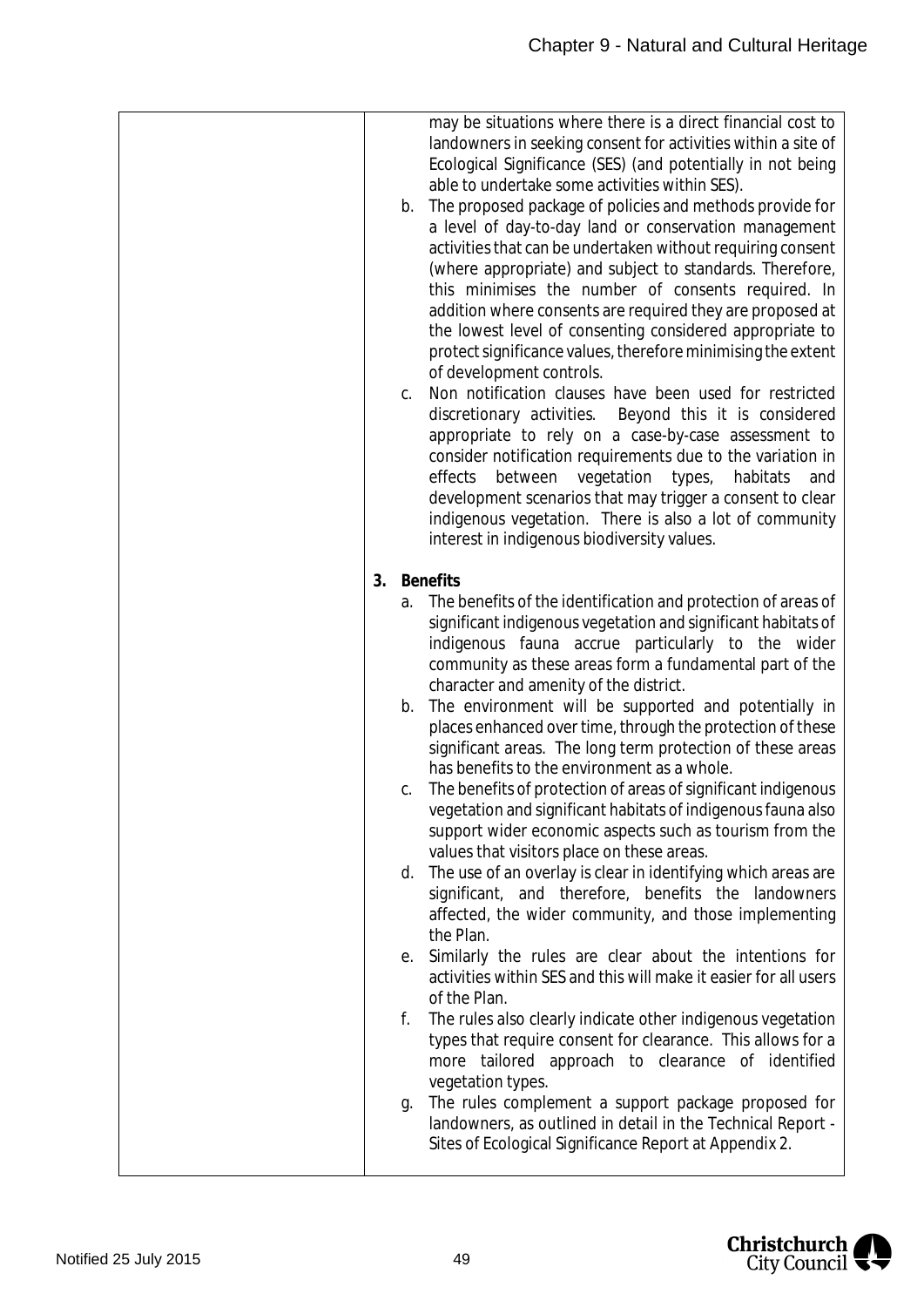| may be situations where there is a direct financial cost to<br>landowners in seeking consent for activities within a site of<br>Ecological Significance (SES) (and potentially in not being<br>able to undertake some activities within SES).<br>The proposed package of policies and methods provide for<br>b.<br>a level of day-to-day land or conservation management<br>activities that can be undertaken without requiring consent<br>(where appropriate) and subject to standards. Therefore,<br>this minimises the number of consents required. In<br>addition where consents are required they are proposed at<br>the lowest level of consenting considered appropriate to<br>protect significance values, therefore minimising the extent<br>of development controls.<br>Non notification clauses have been used for restricted<br>C.<br>discretionary activities. Beyond this it is considered<br>appropriate to rely on a case-by-case assessment to<br>consider notification requirements due to the variation in<br>vegetation<br>habitats<br>effects<br>between<br>types,<br>development scenarios that may trigger a consent to clear<br>indigenous vegetation. There is also a lot of community<br>interest in indigenous biodiversity values.<br><b>Benefits</b><br>3.<br>The benefits of the identification and protection of areas of<br>a.<br>significant indigenous vegetation and significant habitats of<br>indigenous fauna accrue particularly to the wider<br>community as these areas form a fundamental part of the<br>character and amenity of the district.<br>The environment will be supported and potentially in<br>b.<br>places enhanced over time, through the protection of these<br>significant areas. The long term protection of these areas<br>has benefits to the environment as a whole.<br>The benefits of protection of areas of significant indigenous<br>C.<br>vegetation and significant habitats of indigenous fauna also |     |
|---------------------------------------------------------------------------------------------------------------------------------------------------------------------------------------------------------------------------------------------------------------------------------------------------------------------------------------------------------------------------------------------------------------------------------------------------------------------------------------------------------------------------------------------------------------------------------------------------------------------------------------------------------------------------------------------------------------------------------------------------------------------------------------------------------------------------------------------------------------------------------------------------------------------------------------------------------------------------------------------------------------------------------------------------------------------------------------------------------------------------------------------------------------------------------------------------------------------------------------------------------------------------------------------------------------------------------------------------------------------------------------------------------------------------------------------------------------------------------------------------------------------------------------------------------------------------------------------------------------------------------------------------------------------------------------------------------------------------------------------------------------------------------------------------------------------------------------------------------------------------------------------------------------------------------------------------------------------------|-----|
|                                                                                                                                                                                                                                                                                                                                                                                                                                                                                                                                                                                                                                                                                                                                                                                                                                                                                                                                                                                                                                                                                                                                                                                                                                                                                                                                                                                                                                                                                                                                                                                                                                                                                                                                                                                                                                                                                                                                                                           | and |
|                                                                                                                                                                                                                                                                                                                                                                                                                                                                                                                                                                                                                                                                                                                                                                                                                                                                                                                                                                                                                                                                                                                                                                                                                                                                                                                                                                                                                                                                                                                                                                                                                                                                                                                                                                                                                                                                                                                                                                           |     |
| support wider economic aspects such as tourism from the<br>values that visitors place on these areas.<br>d. The use of an overlay is clear in identifying which areas are<br>significant, and therefore, benefits the landowners<br>affected, the wider community, and those implementing<br>the Plan.<br>Similarly the rules are clear about the intentions for<br>е.<br>activities within SES and this will make it easier for all users<br>of the Plan.<br>f.<br>The rules also clearly indicate other indigenous vegetation<br>types that require consent for clearance. This allows for a<br>more tailored approach to clearance of identified<br>vegetation types.<br>The rules complement a support package proposed for<br>g.<br>landowners, as outlined in detail in the Technical Report -<br>Sites of Ecological Significance Report at Appendix 2.                                                                                                                                                                                                                                                                                                                                                                                                                                                                                                                                                                                                                                                                                                                                                                                                                                                                                                                                                                                                                                                                                                            |     |

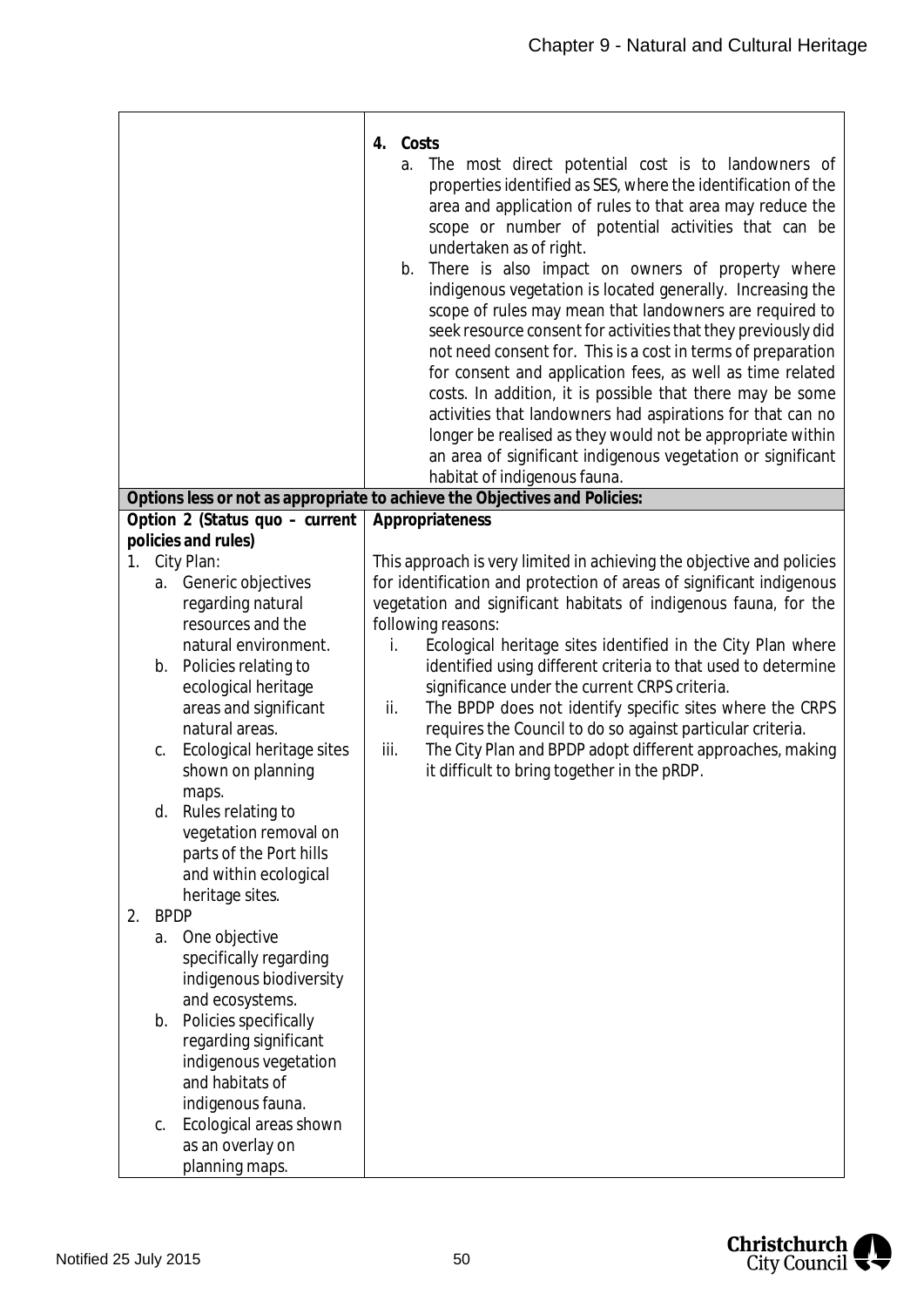|    |             |                                                  | 4. Costs<br>The most direct potential cost is to landowners of<br>a.<br>properties identified as SES, where the identification of the<br>area and application of rules to that area may reduce the<br>scope or number of potential activities that can be<br>undertaken as of right.<br>b. There is also impact on owners of property where<br>indigenous vegetation is located generally. Increasing the<br>scope of rules may mean that landowners are required to<br>seek resource consent for activities that they previously did<br>not need consent for. This is a cost in terms of preparation<br>for consent and application fees, as well as time related<br>costs. In addition, it is possible that there may be some<br>activities that landowners had aspirations for that can no |
|----|-------------|--------------------------------------------------|-----------------------------------------------------------------------------------------------------------------------------------------------------------------------------------------------------------------------------------------------------------------------------------------------------------------------------------------------------------------------------------------------------------------------------------------------------------------------------------------------------------------------------------------------------------------------------------------------------------------------------------------------------------------------------------------------------------------------------------------------------------------------------------------------|
|    |             |                                                  | longer be realised as they would not be appropriate within<br>an area of significant indigenous vegetation or significant                                                                                                                                                                                                                                                                                                                                                                                                                                                                                                                                                                                                                                                                     |
|    |             |                                                  | habitat of indigenous fauna.<br>Options less or not as appropriate to achieve the Objectives and Policies:                                                                                                                                                                                                                                                                                                                                                                                                                                                                                                                                                                                                                                                                                    |
|    |             | Option 2 (Status quo - current                   | Appropriateness                                                                                                                                                                                                                                                                                                                                                                                                                                                                                                                                                                                                                                                                                                                                                                               |
|    |             | policies and rules)                              |                                                                                                                                                                                                                                                                                                                                                                                                                                                                                                                                                                                                                                                                                                                                                                                               |
| 1. |             | City Plan:                                       | This approach is very limited in achieving the objective and policies                                                                                                                                                                                                                                                                                                                                                                                                                                                                                                                                                                                                                                                                                                                         |
|    |             | a. Generic objectives                            | for identification and protection of areas of significant indigenous                                                                                                                                                                                                                                                                                                                                                                                                                                                                                                                                                                                                                                                                                                                          |
|    |             | regarding natural                                | vegetation and significant habitats of indigenous fauna, for the                                                                                                                                                                                                                                                                                                                                                                                                                                                                                                                                                                                                                                                                                                                              |
|    |             | resources and the                                | following reasons:                                                                                                                                                                                                                                                                                                                                                                                                                                                                                                                                                                                                                                                                                                                                                                            |
|    |             | natural environment.                             | Ecological heritage sites identified in the City Plan where<br>i.                                                                                                                                                                                                                                                                                                                                                                                                                                                                                                                                                                                                                                                                                                                             |
|    | b.          | Policies relating to                             | identified using different criteria to that used to determine                                                                                                                                                                                                                                                                                                                                                                                                                                                                                                                                                                                                                                                                                                                                 |
|    |             | ecological heritage                              | significance under the current CRPS criteria.                                                                                                                                                                                                                                                                                                                                                                                                                                                                                                                                                                                                                                                                                                                                                 |
|    |             | areas and significant                            | The BPDP does not identify specific sites where the CRPS<br>ii.                                                                                                                                                                                                                                                                                                                                                                                                                                                                                                                                                                                                                                                                                                                               |
|    |             | natural areas.                                   | requires the Council to do so against particular criteria.                                                                                                                                                                                                                                                                                                                                                                                                                                                                                                                                                                                                                                                                                                                                    |
|    | С.          | Ecological heritage sites                        | The City Plan and BPDP adopt different approaches, making<br>iii.                                                                                                                                                                                                                                                                                                                                                                                                                                                                                                                                                                                                                                                                                                                             |
|    |             | shown on planning                                | it difficult to bring together in the pRDP.                                                                                                                                                                                                                                                                                                                                                                                                                                                                                                                                                                                                                                                                                                                                                   |
|    |             | maps.                                            |                                                                                                                                                                                                                                                                                                                                                                                                                                                                                                                                                                                                                                                                                                                                                                                               |
|    | d.          | Rules relating to                                |                                                                                                                                                                                                                                                                                                                                                                                                                                                                                                                                                                                                                                                                                                                                                                                               |
|    |             | vegetation removal on<br>parts of the Port hills |                                                                                                                                                                                                                                                                                                                                                                                                                                                                                                                                                                                                                                                                                                                                                                                               |
|    |             | and within ecological                            |                                                                                                                                                                                                                                                                                                                                                                                                                                                                                                                                                                                                                                                                                                                                                                                               |
|    |             | heritage sites.                                  |                                                                                                                                                                                                                                                                                                                                                                                                                                                                                                                                                                                                                                                                                                                                                                                               |
| 2. | <b>BPDP</b> |                                                  |                                                                                                                                                                                                                                                                                                                                                                                                                                                                                                                                                                                                                                                                                                                                                                                               |
|    | a.          | One objective                                    |                                                                                                                                                                                                                                                                                                                                                                                                                                                                                                                                                                                                                                                                                                                                                                                               |
|    |             | specifically regarding                           |                                                                                                                                                                                                                                                                                                                                                                                                                                                                                                                                                                                                                                                                                                                                                                                               |
|    |             | indigenous biodiversity                          |                                                                                                                                                                                                                                                                                                                                                                                                                                                                                                                                                                                                                                                                                                                                                                                               |
|    |             | and ecosystems.                                  |                                                                                                                                                                                                                                                                                                                                                                                                                                                                                                                                                                                                                                                                                                                                                                                               |
|    | b.          | Policies specifically                            |                                                                                                                                                                                                                                                                                                                                                                                                                                                                                                                                                                                                                                                                                                                                                                                               |
|    |             | regarding significant                            |                                                                                                                                                                                                                                                                                                                                                                                                                                                                                                                                                                                                                                                                                                                                                                                               |
|    |             | indigenous vegetation                            |                                                                                                                                                                                                                                                                                                                                                                                                                                                                                                                                                                                                                                                                                                                                                                                               |
|    |             | and habitats of                                  |                                                                                                                                                                                                                                                                                                                                                                                                                                                                                                                                                                                                                                                                                                                                                                                               |
|    |             | indigenous fauna.                                |                                                                                                                                                                                                                                                                                                                                                                                                                                                                                                                                                                                                                                                                                                                                                                                               |
|    | C.          | Ecological areas shown                           |                                                                                                                                                                                                                                                                                                                                                                                                                                                                                                                                                                                                                                                                                                                                                                                               |
|    |             | as an overlay on                                 |                                                                                                                                                                                                                                                                                                                                                                                                                                                                                                                                                                                                                                                                                                                                                                                               |
|    |             | planning maps.                                   |                                                                                                                                                                                                                                                                                                                                                                                                                                                                                                                                                                                                                                                                                                                                                                                               |

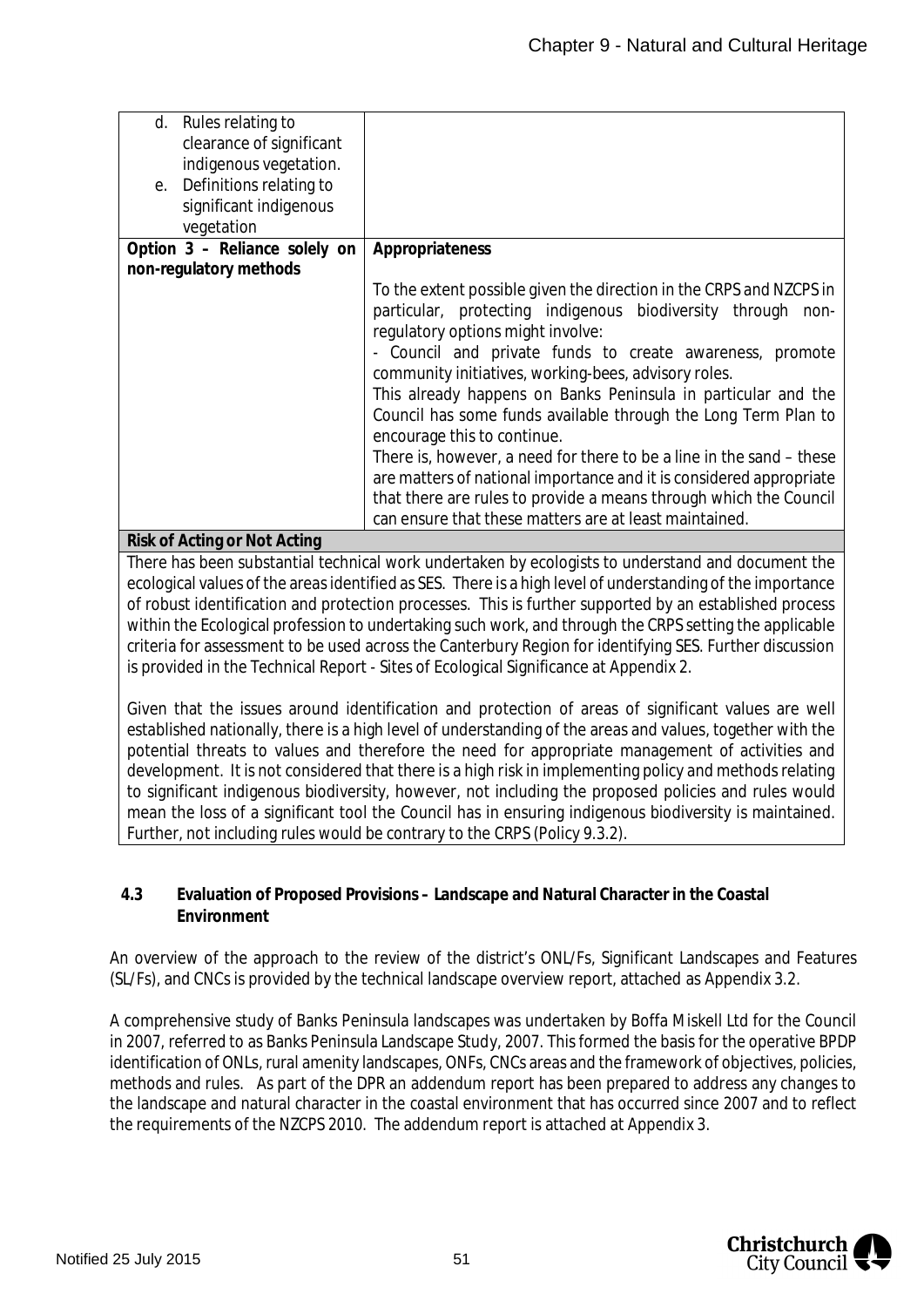| Rules relating to<br>d.       |                                                                      |
|-------------------------------|----------------------------------------------------------------------|
| clearance of significant      |                                                                      |
|                               |                                                                      |
| indigenous vegetation.        |                                                                      |
| e. Definitions relating to    |                                                                      |
|                               |                                                                      |
| significant indigenous        |                                                                      |
| vegetation                    |                                                                      |
| Option 3 - Reliance solely on | Appropriateness                                                      |
| non-regulatory methods        |                                                                      |
|                               | To the extent possible given the direction in the CRPS and NZCPS in  |
|                               |                                                                      |
|                               | particular, protecting indigenous biodiversity through non-          |
|                               | regulatory options might involve:                                    |
|                               | - Council and private funds to create awareness, promote             |
|                               |                                                                      |
|                               | community initiatives, working-bees, advisory roles.                 |
|                               | This already happens on Banks Peninsula in particular and the        |
|                               | Council has some funds available through the Long Term Plan to       |
|                               |                                                                      |
|                               | encourage this to continue.                                          |
|                               | There is, however, a need for there to be a line in the sand – these |
|                               | are matters of national importance and it is considered appropriate  |
|                               |                                                                      |
|                               | that there are rules to provide a means through which the Council    |
|                               | can ensure that these matters are at least maintained.               |
| Risk of Acting or Not Acting  |                                                                      |

There has been substantial technical work undertaken by ecologists to understand and document the ecological values of the areas identified as SES. There is a high level of understanding of the importance of robust identification and protection processes. This is further supported by an established process within the Ecological profession to undertaking such work, and through the CRPS setting the applicable criteria for assessment to be used across the Canterbury Region for identifying SES. Further discussion is provided in the Technical Report - Sites of Ecological Significance at Appendix 2.

Given that the issues around identification and protection of areas of significant values are well established nationally, there is a high level of understanding of the areas and values, together with the potential threats to values and therefore the need for appropriate management of activities and development. It is not considered that there is a high risk in implementing policy and methods relating to significant indigenous biodiversity, however, not including the proposed policies and rules would mean the loss of a significant tool the Council has in ensuring indigenous biodiversity is maintained. Further, not including rules would be contrary to the CRPS (Policy 9.3.2).

**4.3 Evaluation of Proposed Provisions – Landscape and Natural Character in the Coastal Environment**

An overview of the approach to the review of the district's ONL/Fs, Significant Landscapes and Features (SL/Fs), and CNCs is provided by the technical landscape overview report, attached as Appendix 3.2.

A comprehensive study of Banks Peninsula landscapes was undertaken by Boffa Miskell Ltd for the Council in 2007, referred to as Banks Peninsula Landscape Study, 2007. This formed the basis for the operative BPDP identification of ONLs, rural amenity landscapes, ONFs, CNCs areas and the framework of objectives, policies, methods and rules. As part of the DPR an addendum report has been prepared to address any changes to the landscape and natural character in the coastal environment that has occurred since 2007 and to reflect the requirements of the NZCPS 2010. The addendum report is attached at Appendix 3.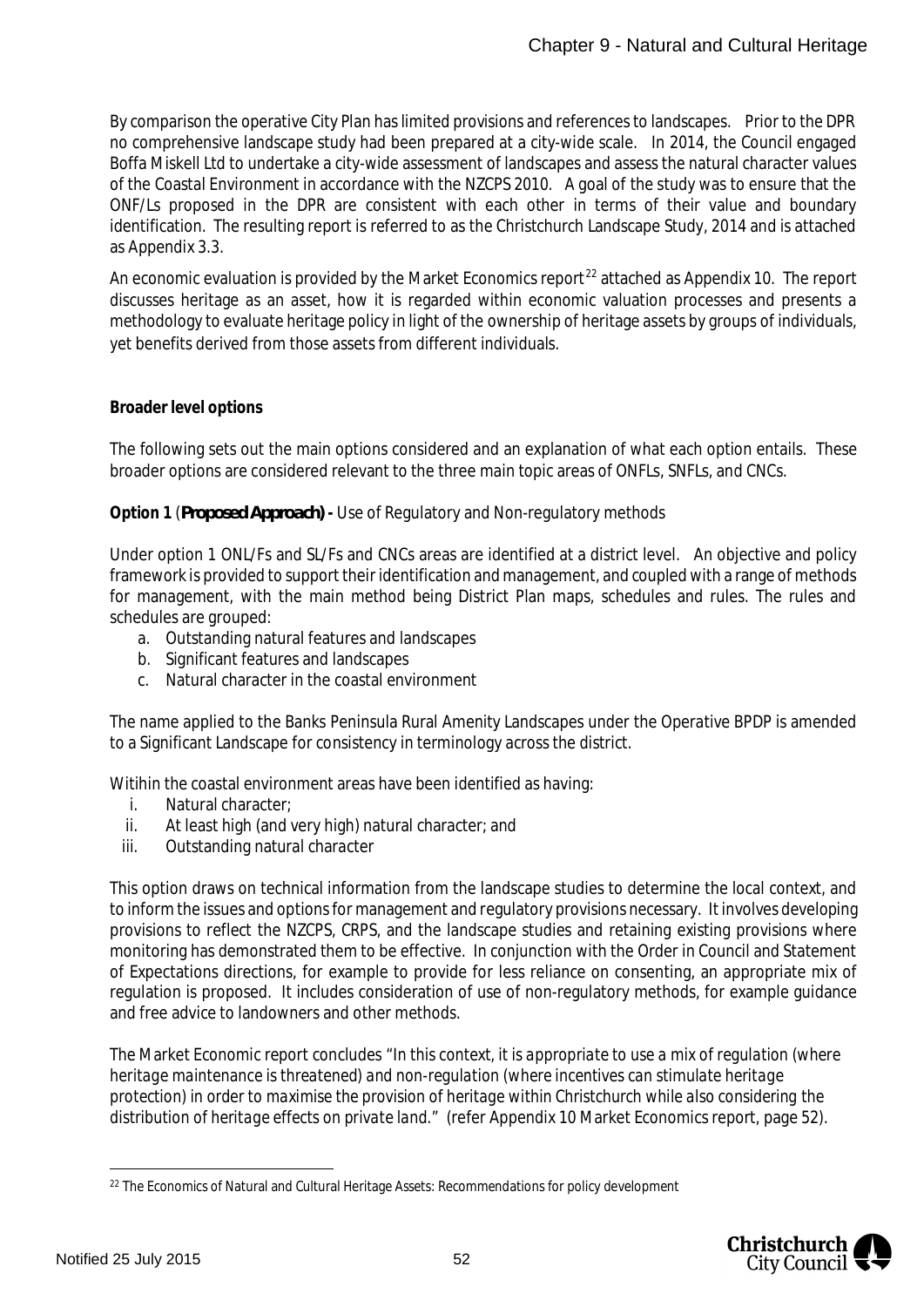By comparison the operative City Plan has limited provisions and references to landscapes. Prior to the DPR no comprehensive landscape study had been prepared at a city-wide scale. In 2014, the Council engaged Boffa Miskell Ltd to undertake a city-wide assessment of landscapes and assess the natural character values of the Coastal Environment in accordance with the NZCPS 2010. A goal of the study was to ensure that the ONF/Ls proposed in the DPR are consistent with each other in terms of their value and boundary identification. The resulting report is referred to as the Christchurch Landscape Study, 2014 and is attached as Appendix 3.3.

An economic evaluation is provided by the Market Economics report<sup>[22](#page-52-0)</sup> attached as Appendix 10. The report discusses heritage as an asset, how it is regarded within economic valuation processes and presents a methodology to evaluate heritage policy in light of the ownership of heritage assets by groups of individuals, yet benefits derived from those assets from different individuals.

### **Broader level options**

The following sets out the main options considered and an explanation of what each option entails. These broader options are considered relevant to the three main topic areas of ONFLs, SNFLs, and CNCs.

#### **Option 1** (*Proposed Approach)* **-** Use of Regulatory and Non-regulatory methods

Under option 1 ONL/Fs and SL/Fs and CNCs areas are identified at a district level. An objective and policy framework is provided to support their identification and management, and coupled with a range of methods for management, with the main method being District Plan maps, schedules and rules. The rules and schedules are grouped:

- a. Outstanding natural features and landscapes
- b. Significant features and landscapes
- c. Natural character in the coastal environment

The name applied to the Banks Peninsula Rural Amenity Landscapes under the Operative BPDP is amended to a Significant Landscape for consistency in terminology across the district.

Witihin the coastal environment areas have been identified as having:

- i. Natural character;
- ii. At least high (and very high) natural character; and
- iii. Outstanding natural character

This option draws on technical information from the landscape studies to determine the local context, and to inform the issues and options for management and regulatory provisions necessary. It involves developing provisions to reflect the NZCPS, CRPS, and the landscape studies and retaining existing provisions where monitoring has demonstrated them to be effective. In conjunction with the Order in Council and Statement of Expectations directions, for example to provide for less reliance on consenting, an appropriate mix of regulation is proposed. It includes consideration of use of non-regulatory methods, for example guidance and free advice to landowners and other methods.

The Market Economic report concludes *"In this context, it is appropriate to use a mix of regulation (where heritage maintenance is threatened) and non-regulation (where incentives can stimulate heritage protection) in order to maximise the provision of heritage within Christchurch while also considering the distribution of heritage effects on private land."* (refer Appendix 10 Market Economics report, page 52).

<span id="page-52-0"></span><sup>&</sup>lt;sup>22</sup> The Economics of Natural and Cultural Heritage Assets: Recommendations for policy development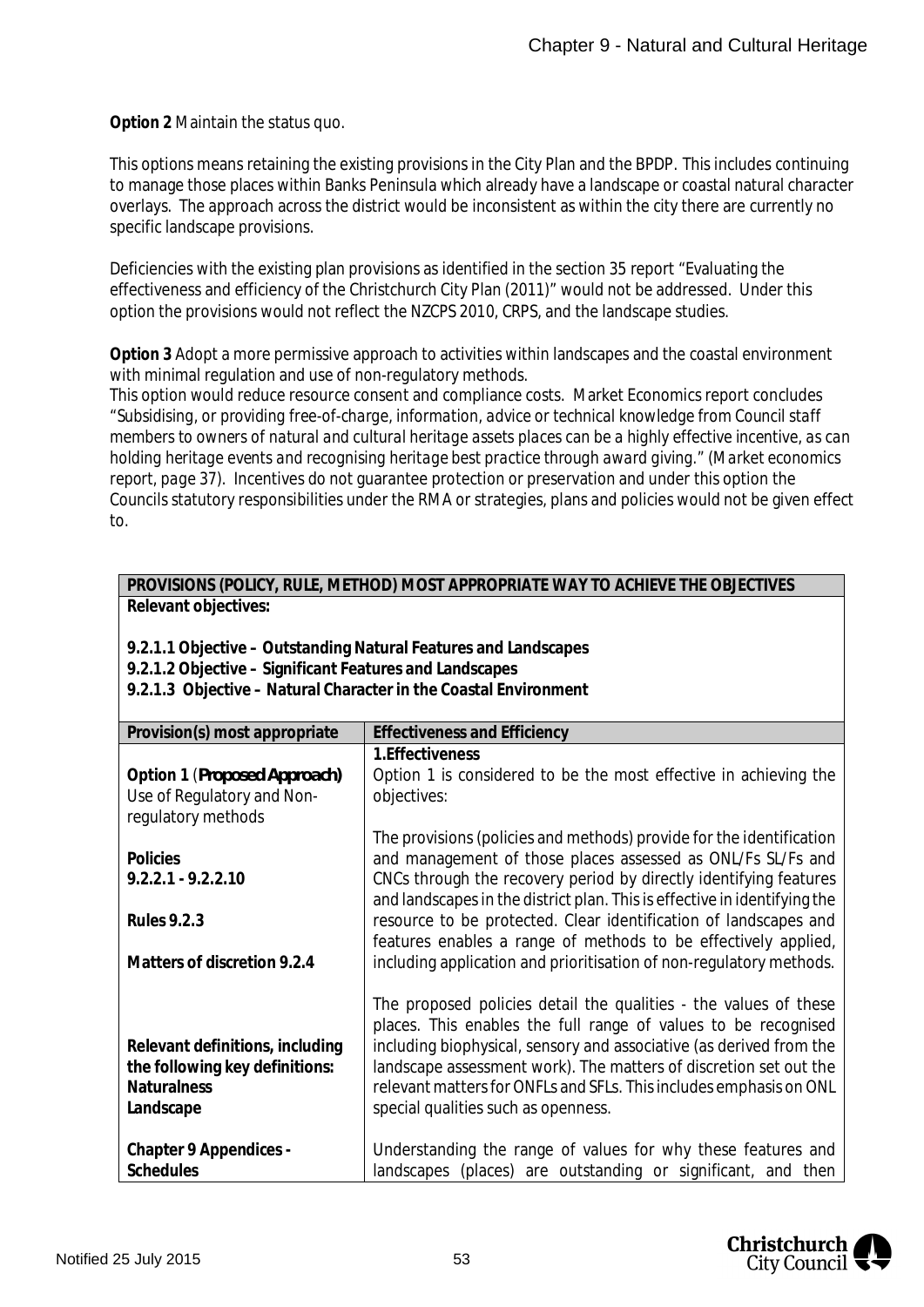**Option 2** Maintain the status quo.

This options means retaining the existing provisions in the City Plan and the BPDP. This includes continuing to manage those places within Banks Peninsula which already have a landscape or coastal natural character overlays. The approach across the district would be inconsistent as within the city there are currently no specific landscape provisions.

Deficiencies with the existing plan provisions as identified in the section 35 report "Evaluating the effectiveness and efficiency of the Christchurch City Plan (2011)" would not be addressed. Under this option the provisions would not reflect the NZCPS 2010, CRPS, and the landscape studies.

**Option 3** Adopt a more permissive approach to activities within landscapes and the coastal environment with minimal regulation and use of non-regulatory methods.

This option would reduce resource consent and compliance costs. Market Economics report concludes *"Subsidising, or providing free-of-charge, information, advice or technical knowledge from Council staff members to owners of natural and cultural heritage assets places can be a highly effective incentive, as can holding heritage events and recognising heritage best practice through award giving." (Market economics report, page 37).* Incentives do not guarantee protection or preservation and under this option the Councils statutory responsibilities under the RMA or strategies, plans and policies would not be given effect to.

| PROVISIONS (POLICY, RULE, METHOD) MOST APPROPRIATE WAY TO ACHIEVE THE OBJECTIVES |  |  |  |
|----------------------------------------------------------------------------------|--|--|--|
| Relevant objectives:                                                             |  |  |  |

**9.2.1.1 Objective – Outstanding Natural Features and Landscapes**

**9.2.1.2 Objective – Significant Features and Landscapes**

**9.2.1.3 Objective – Natural Character in the Coastal Environment**

| Provision(s) most appropriate   | <b>Effectiveness and Efficiency</b>                                       |
|---------------------------------|---------------------------------------------------------------------------|
|                                 | 1. Effectiveness                                                          |
| Option 1 (Proposed Approach)    | Option 1 is considered to be the most effective in achieving the          |
| Use of Regulatory and Non-      | objectives:                                                               |
| regulatory methods              |                                                                           |
|                                 | The provisions (policies and methods) provide for the identification      |
| <b>Policies</b>                 | and management of those places assessed as ONL/Fs SL/Fs and               |
| $9.2.2.1 - 9.2.2.10$            | CNCs through the recovery period by directly identifying features         |
|                                 | and landscapes in the district plan. This is effective in identifying the |
| <b>Rules 9.2.3</b>              | resource to be protected. Clear identification of landscapes and          |
|                                 | features enables a range of methods to be effectively applied,            |
| Matters of discretion 9.2.4     | including application and prioritisation of non-regulatory methods.       |
|                                 |                                                                           |
|                                 | The proposed policies detail the qualities - the values of these          |
|                                 | places. This enables the full range of values to be recognised            |
| Relevant definitions, including | including biophysical, sensory and associative (as derived from the       |
| the following key definitions:  | landscape assessment work). The matters of discretion set out the         |
| <b>Naturalness</b>              | relevant matters for ONFLs and SFLs. This includes emphasis on ONL        |
| Landscape                       | special qualities such as openness.                                       |
|                                 |                                                                           |
| Chapter 9 Appendices -          | Understanding the range of values for why these features and              |
| <b>Schedules</b>                | landscapes (places) are outstanding or significant, and then              |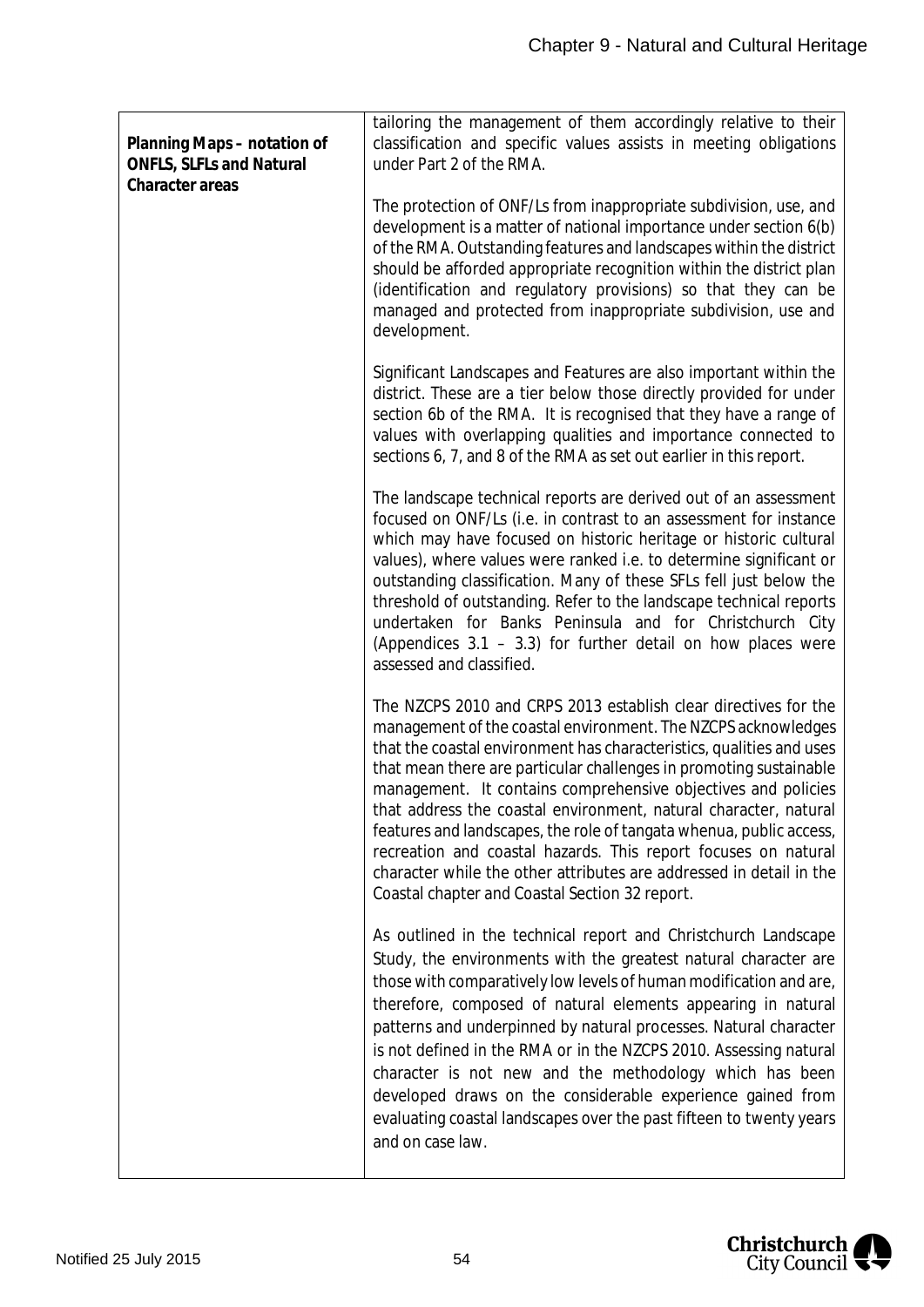| Planning Maps - notation of<br><b>ONFLS, SLFLs and Natural</b><br>Character areas | tailoring the management of them accordingly relative to their<br>classification and specific values assists in meeting obligations<br>under Part 2 of the RMA.                                                                                                                                                                                                                                                                                                                                                                                                                                                                                                                       |
|-----------------------------------------------------------------------------------|---------------------------------------------------------------------------------------------------------------------------------------------------------------------------------------------------------------------------------------------------------------------------------------------------------------------------------------------------------------------------------------------------------------------------------------------------------------------------------------------------------------------------------------------------------------------------------------------------------------------------------------------------------------------------------------|
|                                                                                   | The protection of ONF/Ls from inappropriate subdivision, use, and<br>development is a matter of national importance under section 6(b)<br>of the RMA. Outstanding features and landscapes within the district<br>should be afforded appropriate recognition within the district plan<br>(identification and regulatory provisions) so that they can be<br>managed and protected from inappropriate subdivision, use and<br>development.                                                                                                                                                                                                                                               |
|                                                                                   | Significant Landscapes and Features are also important within the<br>district. These are a tier below those directly provided for under<br>section 6b of the RMA. It is recognised that they have a range of<br>values with overlapping qualities and importance connected to<br>sections 6, 7, and 8 of the RMA as set out earlier in this report.                                                                                                                                                                                                                                                                                                                                   |
|                                                                                   | The landscape technical reports are derived out of an assessment<br>focused on ONF/Ls (i.e. in contrast to an assessment for instance<br>which may have focused on historic heritage or historic cultural<br>values), where values were ranked i.e. to determine significant or<br>outstanding classification. Many of these SFLs fell just below the<br>threshold of outstanding. Refer to the landscape technical reports<br>undertaken for Banks Peninsula and for Christchurch City<br>(Appendices $3.1 - 3.3$ ) for further detail on how places were<br>assessed and classified.                                                                                                |
|                                                                                   | The NZCPS 2010 and CRPS 2013 establish clear directives for the<br>management of the coastal environment. The NZCPS acknowledges<br>that the coastal environment has characteristics, qualities and uses<br>that mean there are particular challenges in promoting sustainable<br>management. It contains comprehensive objectives and policies<br>that address the coastal environment, natural character, natural<br>features and landscapes, the role of tangata whenua, public access,<br>recreation and coastal hazards. This report focuses on natural<br>character while the other attributes are addressed in detail in the<br>Coastal chapter and Coastal Section 32 report. |
|                                                                                   | As outlined in the technical report and Christchurch Landscape<br>Study, the environments with the greatest natural character are<br>those with comparatively low levels of human modification and are,<br>therefore, composed of natural elements appearing in natural<br>patterns and underpinned by natural processes. Natural character<br>is not defined in the RMA or in the NZCPS 2010. Assessing natural<br>character is not new and the methodology which has been<br>developed draws on the considerable experience gained from<br>evaluating coastal landscapes over the past fifteen to twenty years<br>and on case law.                                                  |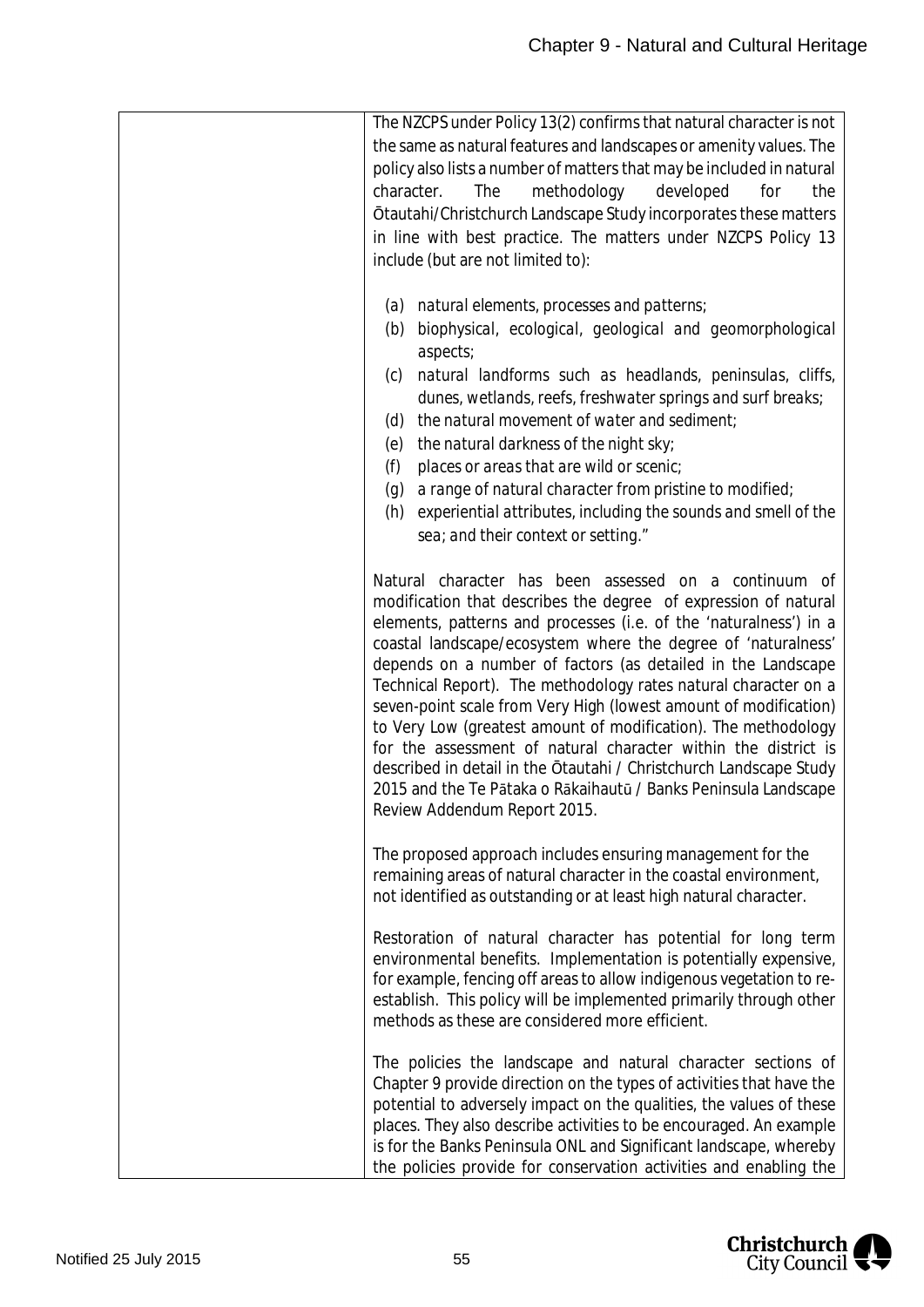| The NZCPS under Policy 13(2) confirms that natural character is not<br>the same as natural features and landscapes or amenity values. The<br>policy also lists a number of matters that may be included in natural<br>methodology<br>character.<br>The<br>developed<br>for<br>the<br>Otautahi/Christchurch Landscape Study incorporates these matters<br>in line with best practice. The matters under NZCPS Policy 13<br>include (but are not limited to):                                                                                                                                                                                                                                                                                                                        |
|------------------------------------------------------------------------------------------------------------------------------------------------------------------------------------------------------------------------------------------------------------------------------------------------------------------------------------------------------------------------------------------------------------------------------------------------------------------------------------------------------------------------------------------------------------------------------------------------------------------------------------------------------------------------------------------------------------------------------------------------------------------------------------|
| natural elements, processes and patterns;<br>(a)<br>biophysical, ecological, geological and geomorphological<br>(b)<br>aspects;<br>natural landforms such as headlands, peninsulas, cliffs,<br>(c)<br>dunes, wetlands, reefs, freshwater springs and surf breaks;<br>the natural movement of water and sediment;<br>(d)<br>the natural darkness of the night sky;<br>(e)<br>places or areas that are wild or scenic;<br>(f)<br>a range of natural character from pristine to modified;<br>(g)<br>experiential attributes, including the sounds and smell of the<br>(h)<br>sea; and their context or setting."                                                                                                                                                                      |
| Natural character has been assessed on a continuum of<br>modification that describes the degree of expression of natural<br>elements, patterns and processes (i.e. of the 'naturalness') in a<br>coastal landscape/ecosystem where the degree of 'naturalness'<br>depends on a number of factors (as detailed in the Landscape<br>Technical Report). The methodology rates natural character on a<br>seven-point scale from Very High (lowest amount of modification)<br>to Very Low (greatest amount of modification). The methodology<br>for the assessment of natural character within the district is<br>described in detail in the Otautahi / Christchurch Landscape Study<br>2015 and the Te Pātaka o Rākaihautū / Banks Peninsula Landscape<br>Review Addendum Report 2015. |
| The proposed approach includes ensuring management for the<br>remaining areas of natural character in the coastal environment,<br>not identified as outstanding or at least high natural character.                                                                                                                                                                                                                                                                                                                                                                                                                                                                                                                                                                                |
| Restoration of natural character has potential for long term<br>environmental benefits. Implementation is potentially expensive,<br>for example, fencing off areas to allow indigenous vegetation to re-<br>establish. This policy will be implemented primarily through other<br>methods as these are considered more efficient.                                                                                                                                                                                                                                                                                                                                                                                                                                                  |
| The policies the landscape and natural character sections of<br>Chapter 9 provide direction on the types of activities that have the<br>potential to adversely impact on the qualities, the values of these<br>places. They also describe activities to be encouraged. An example<br>is for the Banks Peninsula ONL and Significant landscape, whereby<br>the policies provide for conservation activities and enabling the                                                                                                                                                                                                                                                                                                                                                        |

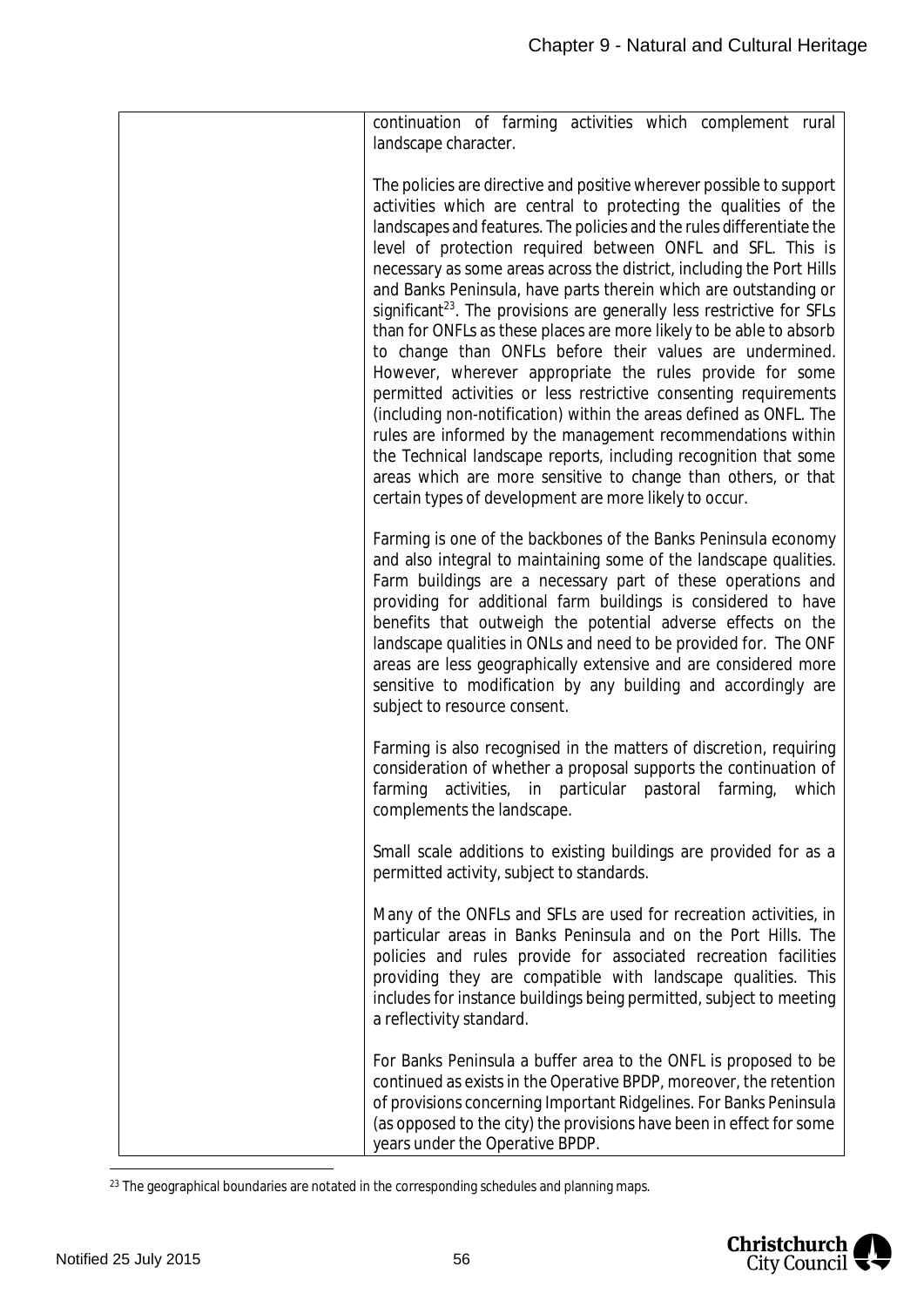| continuation of farming activities which complement rural<br>landscape character.<br>The policies are directive and positive wherever possible to support<br>activities which are central to protecting the qualities of the<br>landscapes and features. The policies and the rules differentiate the<br>level of protection required between ONFL and SFL. This is<br>necessary as some areas across the district, including the Port Hills<br>and Banks Peninsula, have parts therein which are outstanding or<br>significant <sup>23</sup> . The provisions are generally less restrictive for SFLs<br>than for ONFLs as these places are more likely to be able to absorb<br>to change than ONFLs before their values are undermined.<br>However, wherever appropriate the rules provide for some<br>permitted activities or less restrictive consenting requirements<br>(including non-notification) within the areas defined as ONFL. The<br>rules are informed by the management recommendations within<br>the Technical landscape reports, including recognition that some<br>areas which are more sensitive to change than others, or that<br>certain types of development are more likely to occur.<br>Farming is one of the backbones of the Banks Peninsula economy<br>and also integral to maintaining some of the landscape qualities.<br>Farm buildings are a necessary part of these operations and<br>providing for additional farm buildings is considered to have<br>benefits that outweigh the potential adverse effects on the<br>landscape qualities in ONLs and need to be provided for. The ONF<br>areas are less geographically extensive and are considered more<br>sensitive to modification by any building and accordingly are<br>subject to resource consent.<br>Farming is also recognised in the matters of discretion, requiring<br>consideration of whether a proposal supports the continuation of<br>farming<br>activities, in particular pastoral farming,<br>which<br>complements the landscape.<br>Small scale additions to existing buildings are provided for as a<br>permitted activity, subject to standards.<br>Many of the ONFLs and SFLs are used for recreation activities, in<br>particular areas in Banks Peninsula and on the Port Hills. The<br>policies and rules provide for associated recreation facilities<br>providing they are compatible with landscape qualities. This<br>includes for instance buildings being permitted, subject to meeting<br>a reflectivity standard.<br>For Banks Peninsula a buffer area to the ONFL is proposed to be<br>continued as exists in the Operative BPDP, moreover, the retention<br>of provisions concerning Important Ridgelines. For Banks Peninsula<br>(as opposed to the city) the provisions have been in effect for some<br>years under the Operative BPDP. |  |
|-----------------------------------------------------------------------------------------------------------------------------------------------------------------------------------------------------------------------------------------------------------------------------------------------------------------------------------------------------------------------------------------------------------------------------------------------------------------------------------------------------------------------------------------------------------------------------------------------------------------------------------------------------------------------------------------------------------------------------------------------------------------------------------------------------------------------------------------------------------------------------------------------------------------------------------------------------------------------------------------------------------------------------------------------------------------------------------------------------------------------------------------------------------------------------------------------------------------------------------------------------------------------------------------------------------------------------------------------------------------------------------------------------------------------------------------------------------------------------------------------------------------------------------------------------------------------------------------------------------------------------------------------------------------------------------------------------------------------------------------------------------------------------------------------------------------------------------------------------------------------------------------------------------------------------------------------------------------------------------------------------------------------------------------------------------------------------------------------------------------------------------------------------------------------------------------------------------------------------------------------------------------------------------------------------------------------------------------------------------------------------------------------------------------------------------------------------------------------------------------------------------------------------------------------------------------------------------------------------------------------------------------------------------------------------------------------------------------------------------------------------------------------------------------------------------------------------------------------------------------|--|
|                                                                                                                                                                                                                                                                                                                                                                                                                                                                                                                                                                                                                                                                                                                                                                                                                                                                                                                                                                                                                                                                                                                                                                                                                                                                                                                                                                                                                                                                                                                                                                                                                                                                                                                                                                                                                                                                                                                                                                                                                                                                                                                                                                                                                                                                                                                                                                                                                                                                                                                                                                                                                                                                                                                                                                                                                                                                 |  |
|                                                                                                                                                                                                                                                                                                                                                                                                                                                                                                                                                                                                                                                                                                                                                                                                                                                                                                                                                                                                                                                                                                                                                                                                                                                                                                                                                                                                                                                                                                                                                                                                                                                                                                                                                                                                                                                                                                                                                                                                                                                                                                                                                                                                                                                                                                                                                                                                                                                                                                                                                                                                                                                                                                                                                                                                                                                                 |  |
|                                                                                                                                                                                                                                                                                                                                                                                                                                                                                                                                                                                                                                                                                                                                                                                                                                                                                                                                                                                                                                                                                                                                                                                                                                                                                                                                                                                                                                                                                                                                                                                                                                                                                                                                                                                                                                                                                                                                                                                                                                                                                                                                                                                                                                                                                                                                                                                                                                                                                                                                                                                                                                                                                                                                                                                                                                                                 |  |
|                                                                                                                                                                                                                                                                                                                                                                                                                                                                                                                                                                                                                                                                                                                                                                                                                                                                                                                                                                                                                                                                                                                                                                                                                                                                                                                                                                                                                                                                                                                                                                                                                                                                                                                                                                                                                                                                                                                                                                                                                                                                                                                                                                                                                                                                                                                                                                                                                                                                                                                                                                                                                                                                                                                                                                                                                                                                 |  |
|                                                                                                                                                                                                                                                                                                                                                                                                                                                                                                                                                                                                                                                                                                                                                                                                                                                                                                                                                                                                                                                                                                                                                                                                                                                                                                                                                                                                                                                                                                                                                                                                                                                                                                                                                                                                                                                                                                                                                                                                                                                                                                                                                                                                                                                                                                                                                                                                                                                                                                                                                                                                                                                                                                                                                                                                                                                                 |  |
|                                                                                                                                                                                                                                                                                                                                                                                                                                                                                                                                                                                                                                                                                                                                                                                                                                                                                                                                                                                                                                                                                                                                                                                                                                                                                                                                                                                                                                                                                                                                                                                                                                                                                                                                                                                                                                                                                                                                                                                                                                                                                                                                                                                                                                                                                                                                                                                                                                                                                                                                                                                                                                                                                                                                                                                                                                                                 |  |
|                                                                                                                                                                                                                                                                                                                                                                                                                                                                                                                                                                                                                                                                                                                                                                                                                                                                                                                                                                                                                                                                                                                                                                                                                                                                                                                                                                                                                                                                                                                                                                                                                                                                                                                                                                                                                                                                                                                                                                                                                                                                                                                                                                                                                                                                                                                                                                                                                                                                                                                                                                                                                                                                                                                                                                                                                                                                 |  |

<span id="page-56-0"></span><sup>&</sup>lt;sup>23</sup> The geographical boundaries are notated in the corresponding schedules and planning maps.

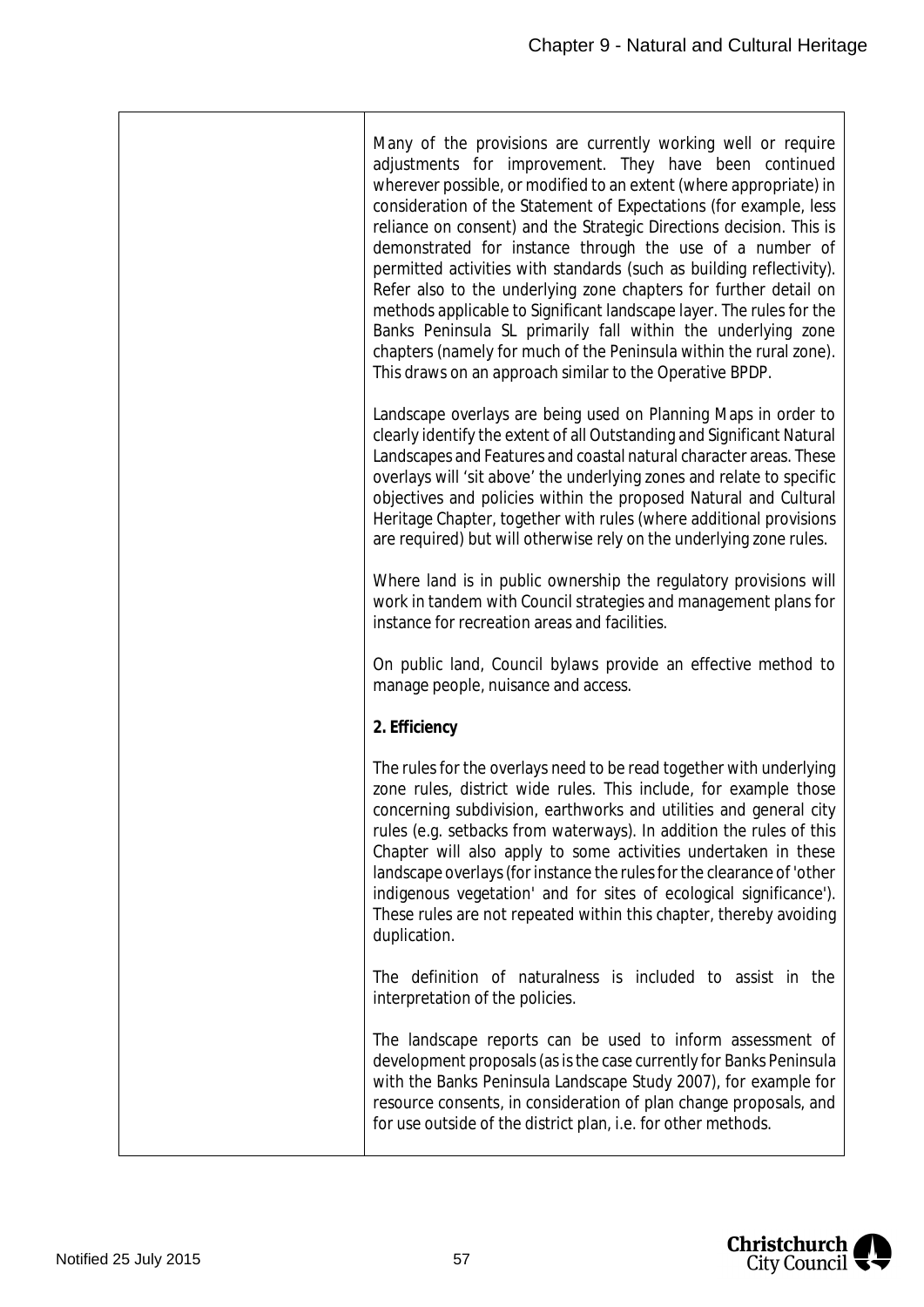| Many of the provisions are currently working well or require<br>adjustments for improvement. They have been continued<br>wherever possible, or modified to an extent (where appropriate) in<br>consideration of the Statement of Expectations (for example, less<br>reliance on consent) and the Strategic Directions decision. This is<br>demonstrated for instance through the use of a number of<br>permitted activities with standards (such as building reflectivity).<br>Refer also to the underlying zone chapters for further detail on<br>methods applicable to Significant landscape layer. The rules for the<br>Banks Peninsula SL primarily fall within the underlying zone<br>chapters (namely for much of the Peninsula within the rural zone).<br>This draws on an approach similar to the Operative BPDP. |
|---------------------------------------------------------------------------------------------------------------------------------------------------------------------------------------------------------------------------------------------------------------------------------------------------------------------------------------------------------------------------------------------------------------------------------------------------------------------------------------------------------------------------------------------------------------------------------------------------------------------------------------------------------------------------------------------------------------------------------------------------------------------------------------------------------------------------|
| Landscape overlays are being used on Planning Maps in order to<br>clearly identify the extent of all Outstanding and Significant Natural<br>Landscapes and Features and coastal natural character areas. These<br>overlays will 'sit above' the underlying zones and relate to specific<br>objectives and policies within the proposed Natural and Cultural<br>Heritage Chapter, together with rules (where additional provisions<br>are required) but will otherwise rely on the underlying zone rules.                                                                                                                                                                                                                                                                                                                  |
| Where land is in public ownership the regulatory provisions will<br>work in tandem with Council strategies and management plans for<br>instance for recreation areas and facilities.                                                                                                                                                                                                                                                                                                                                                                                                                                                                                                                                                                                                                                      |
| On public land, Council bylaws provide an effective method to<br>manage people, nuisance and access.                                                                                                                                                                                                                                                                                                                                                                                                                                                                                                                                                                                                                                                                                                                      |
| 2. Efficiency                                                                                                                                                                                                                                                                                                                                                                                                                                                                                                                                                                                                                                                                                                                                                                                                             |
| The rules for the overlays need to be read together with underlying<br>zone rules, district wide rules. This include, for example those<br>concerning subdivision, earthworks and utilities and general city<br>rules (e.g. setbacks from waterways). In addition the rules of this<br>Chapter will also apply to some activities undertaken in these<br>landscape overlays (for instance the rules for the clearance of 'other<br>indigenous vegetation' and for sites of ecological significance').<br>These rules are not repeated within this chapter, thereby avoiding<br>duplication.                                                                                                                                                                                                                               |
| The definition of naturalness is included to assist in the<br>interpretation of the policies.                                                                                                                                                                                                                                                                                                                                                                                                                                                                                                                                                                                                                                                                                                                             |
| The landscape reports can be used to inform assessment of<br>development proposals (as is the case currently for Banks Peninsula<br>with the Banks Peninsula Landscape Study 2007), for example for<br>resource consents, in consideration of plan change proposals, and<br>for use outside of the district plan, i.e. for other methods.                                                                                                                                                                                                                                                                                                                                                                                                                                                                                 |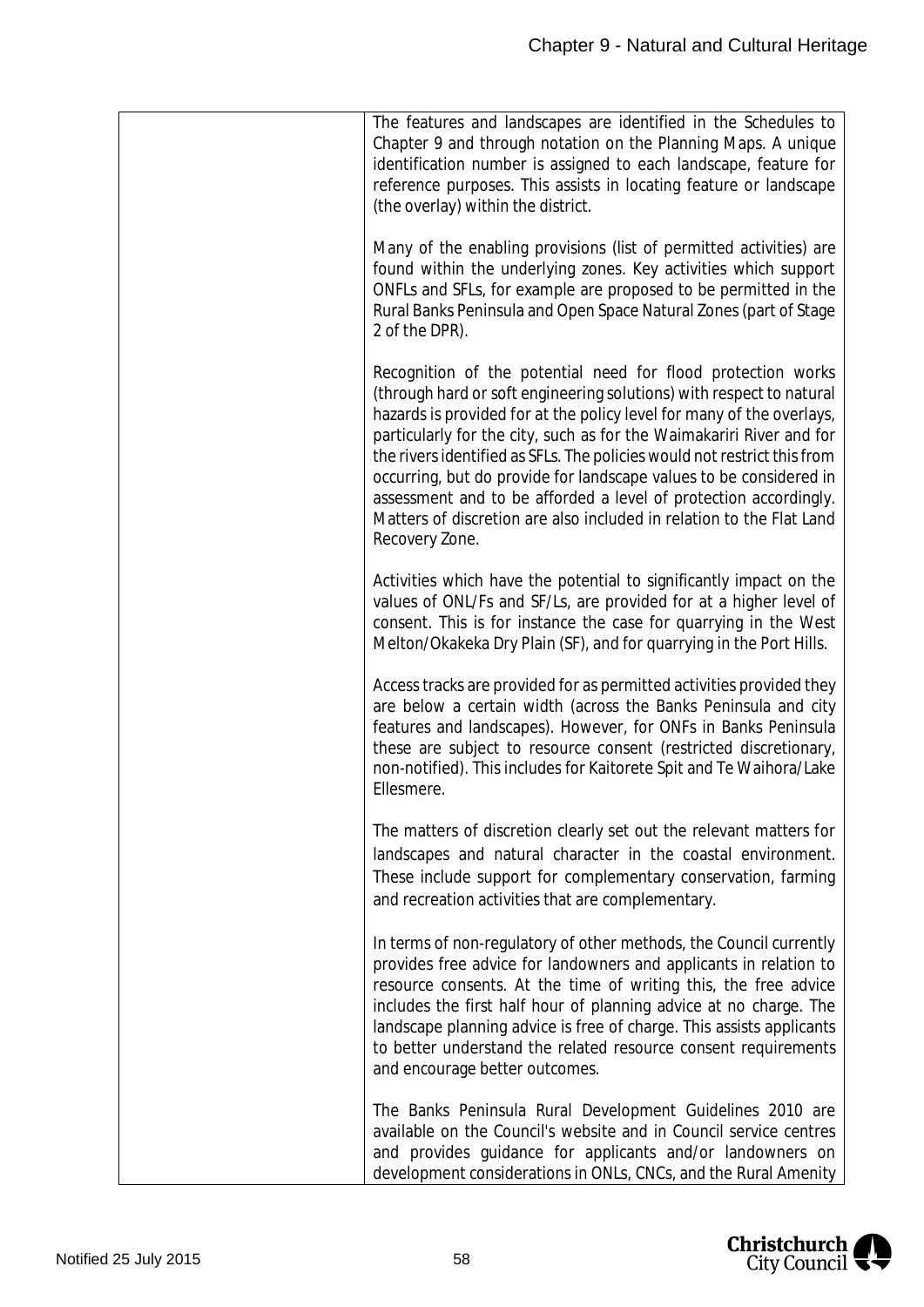| The features and landscapes are identified in the Schedules to<br>Chapter 9 and through notation on the Planning Maps. A unique<br>identification number is assigned to each landscape, feature for<br>reference purposes. This assists in locating feature or landscape<br>(the overlay) within the district.                                                                                                                                                                                                                                                                                        |
|-------------------------------------------------------------------------------------------------------------------------------------------------------------------------------------------------------------------------------------------------------------------------------------------------------------------------------------------------------------------------------------------------------------------------------------------------------------------------------------------------------------------------------------------------------------------------------------------------------|
| Many of the enabling provisions (list of permitted activities) are<br>found within the underlying zones. Key activities which support<br>ONFLs and SFLs, for example are proposed to be permitted in the<br>Rural Banks Peninsula and Open Space Natural Zones (part of Stage<br>2 of the DPR).                                                                                                                                                                                                                                                                                                       |
| Recognition of the potential need for flood protection works<br>(through hard or soft engineering solutions) with respect to natural<br>hazards is provided for at the policy level for many of the overlays,<br>particularly for the city, such as for the Waimakariri River and for<br>the rivers identified as SFLs. The policies would not restrict this from<br>occurring, but do provide for landscape values to be considered in<br>assessment and to be afforded a level of protection accordingly.<br>Matters of discretion are also included in relation to the Flat Land<br>Recovery Zone. |
| Activities which have the potential to significantly impact on the<br>values of ONL/Fs and SF/Ls, are provided for at a higher level of<br>consent. This is for instance the case for quarrying in the West<br>Melton/Okakeka Dry Plain (SF), and for quarrying in the Port Hills.                                                                                                                                                                                                                                                                                                                    |
| Access tracks are provided for as permitted activities provided they<br>are below a certain width (across the Banks Peninsula and city<br>features and landscapes). However, for ONFs in Banks Peninsula<br>these are subject to resource consent (restricted discretionary,<br>non-notified). This includes for Kaitorete Spit and Te Waihora/Lake<br>Ellesmere.                                                                                                                                                                                                                                     |
| The matters of discretion clearly set out the relevant matters for<br>landscapes and natural character in the coastal environment.<br>These include support for complementary conservation, farming<br>and recreation activities that are complementary.                                                                                                                                                                                                                                                                                                                                              |
| In terms of non-regulatory of other methods, the Council currently<br>provides free advice for landowners and applicants in relation to<br>resource consents. At the time of writing this, the free advice<br>includes the first half hour of planning advice at no charge. The<br>landscape planning advice is free of charge. This assists applicants<br>to better understand the related resource consent requirements<br>and encourage better outcomes.                                                                                                                                           |
| The Banks Peninsula Rural Development Guidelines 2010 are<br>available on the Council's website and in Council service centres<br>and provides guidance for applicants and/or landowners on<br>development considerations in ONLs, CNCs, and the Rural Amenity                                                                                                                                                                                                                                                                                                                                        |

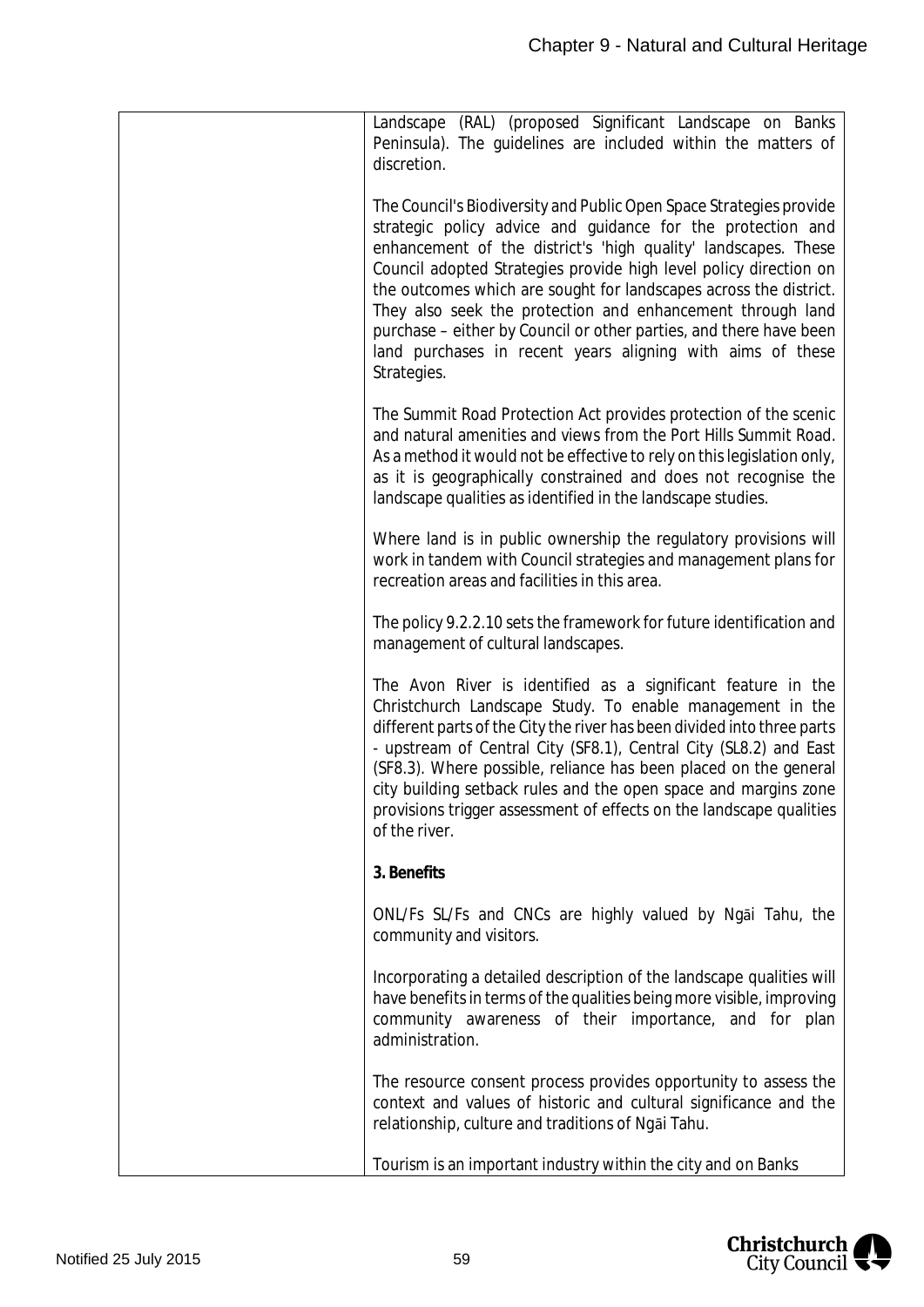| Landscape (RAL) (proposed Significant Landscape on Banks<br>Peninsula). The guidelines are included within the matters of<br>discretion.                                                                                                                                                                                                                                                                                                                                                                                                                        |
|-----------------------------------------------------------------------------------------------------------------------------------------------------------------------------------------------------------------------------------------------------------------------------------------------------------------------------------------------------------------------------------------------------------------------------------------------------------------------------------------------------------------------------------------------------------------|
| The Council's Biodiversity and Public Open Space Strategies provide<br>strategic policy advice and guidance for the protection and<br>enhancement of the district's 'high quality' landscapes. These<br>Council adopted Strategies provide high level policy direction on<br>the outcomes which are sought for landscapes across the district.<br>They also seek the protection and enhancement through land<br>purchase - either by Council or other parties, and there have been<br>land purchases in recent years aligning with aims of these<br>Strategies. |
| The Summit Road Protection Act provides protection of the scenic<br>and natural amenities and views from the Port Hills Summit Road.<br>As a method it would not be effective to rely on this legislation only,<br>as it is geographically constrained and does not recognise the<br>landscape qualities as identified in the landscape studies.                                                                                                                                                                                                                |
| Where land is in public ownership the regulatory provisions will<br>work in tandem with Council strategies and management plans for<br>recreation areas and facilities in this area.                                                                                                                                                                                                                                                                                                                                                                            |
| The policy 9.2.2.10 sets the framework for future identification and<br>management of cultural landscapes.                                                                                                                                                                                                                                                                                                                                                                                                                                                      |
| The Avon River is identified as a significant feature in the<br>Christchurch Landscape Study. To enable management in the<br>different parts of the City the river has been divided into three parts<br>- upstream of Central City (SF8.1), Central City (SL8.2) and East<br>(SF8.3). Where possible, reliance has been placed on the general<br>city building setback rules and the open space and margins zone<br>provisions trigger assessment of effects on the landscape qualities<br>of the river.                                                        |
| 3. Benefits                                                                                                                                                                                                                                                                                                                                                                                                                                                                                                                                                     |
| ONL/Fs SL/Fs and CNCs are highly valued by Ngai Tahu, the<br>community and visitors.                                                                                                                                                                                                                                                                                                                                                                                                                                                                            |
| Incorporating a detailed description of the landscape qualities will<br>have benefits in terms of the qualities being more visible, improving<br>community awareness of their importance, and for plan<br>administration.                                                                                                                                                                                                                                                                                                                                       |
| The resource consent process provides opportunity to assess the<br>context and values of historic and cultural significance and the<br>relationship, culture and traditions of Ngai Tahu.                                                                                                                                                                                                                                                                                                                                                                       |
| Tourism is an important industry within the city and on Banks                                                                                                                                                                                                                                                                                                                                                                                                                                                                                                   |

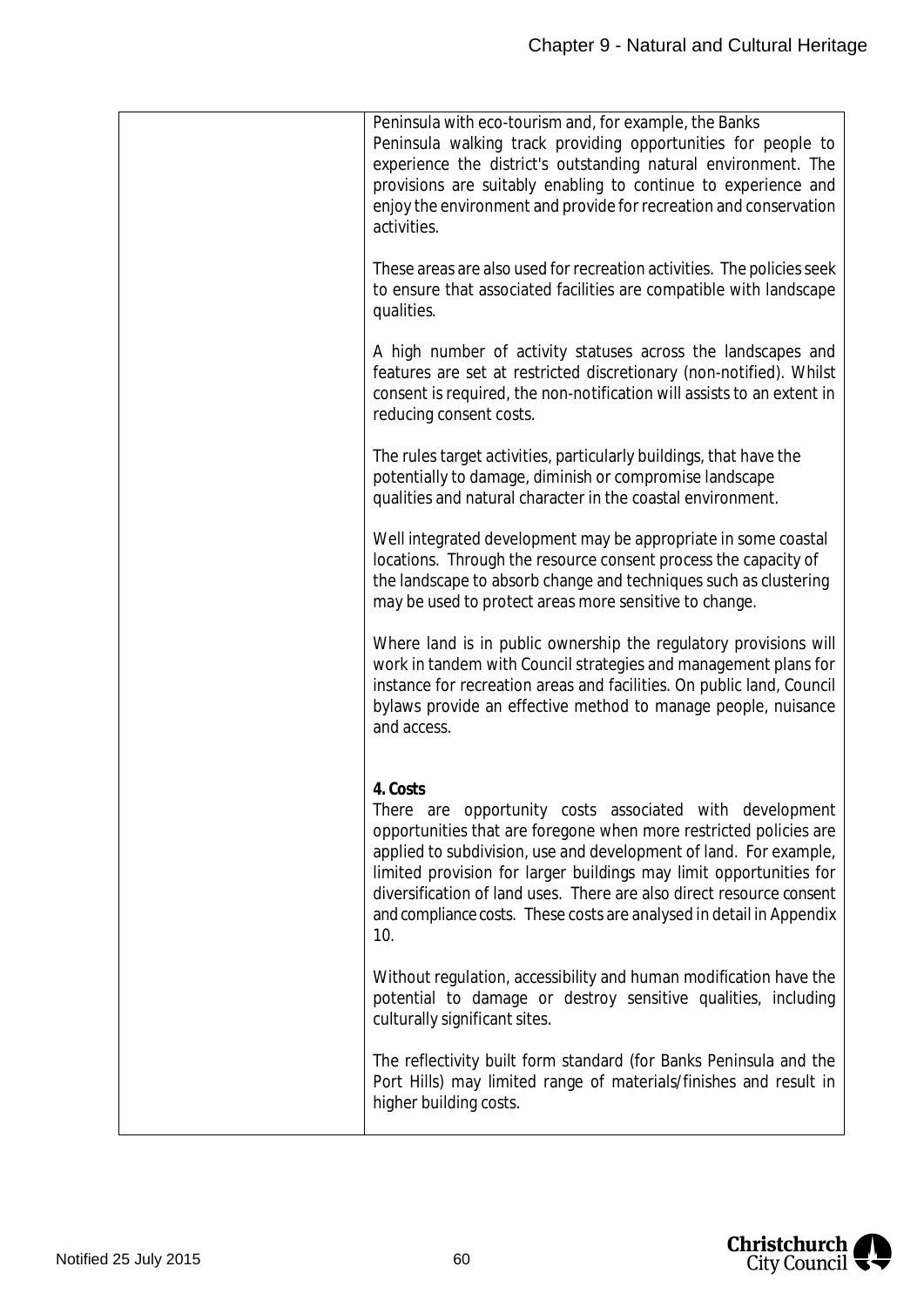| Peninsula with eco-tourism and, for example, the Banks<br>Peninsula walking track providing opportunities for people to<br>experience the district's outstanding natural environment. The<br>provisions are suitably enabling to continue to experience and<br>enjoy the environment and provide for recreation and conservation<br>activities.                                                                                            |
|--------------------------------------------------------------------------------------------------------------------------------------------------------------------------------------------------------------------------------------------------------------------------------------------------------------------------------------------------------------------------------------------------------------------------------------------|
| These areas are also used for recreation activities. The policies seek<br>to ensure that associated facilities are compatible with landscape<br>qualities.                                                                                                                                                                                                                                                                                 |
| A high number of activity statuses across the landscapes and<br>features are set at restricted discretionary (non-notified). Whilst<br>consent is required, the non-notification will assists to an extent in<br>reducing consent costs.                                                                                                                                                                                                   |
| The rules target activities, particularly buildings, that have the<br>potentially to damage, diminish or compromise landscape<br>qualities and natural character in the coastal environment.                                                                                                                                                                                                                                               |
| Well integrated development may be appropriate in some coastal<br>locations. Through the resource consent process the capacity of<br>the landscape to absorb change and techniques such as clustering<br>may be used to protect areas more sensitive to change.                                                                                                                                                                            |
| Where land is in public ownership the regulatory provisions will<br>work in tandem with Council strategies and management plans for<br>instance for recreation areas and facilities. On public land, Council<br>bylaws provide an effective method to manage people, nuisance<br>and access.                                                                                                                                               |
| 4. Costs<br>There are opportunity costs associated with development<br>opportunities that are foregone when more restricted policies are<br>applied to subdivision, use and development of land. For example,<br>limited provision for larger buildings may limit opportunities for<br>diversification of land uses. There are also direct resource consent<br>and compliance costs. These costs are analysed in detail in Appendix<br>10. |
| Without regulation, accessibility and human modification have the<br>potential to damage or destroy sensitive qualities, including<br>culturally significant sites.                                                                                                                                                                                                                                                                        |
| The reflectivity built form standard (for Banks Peninsula and the<br>Port Hills) may limited range of materials/finishes and result in<br>higher building costs.                                                                                                                                                                                                                                                                           |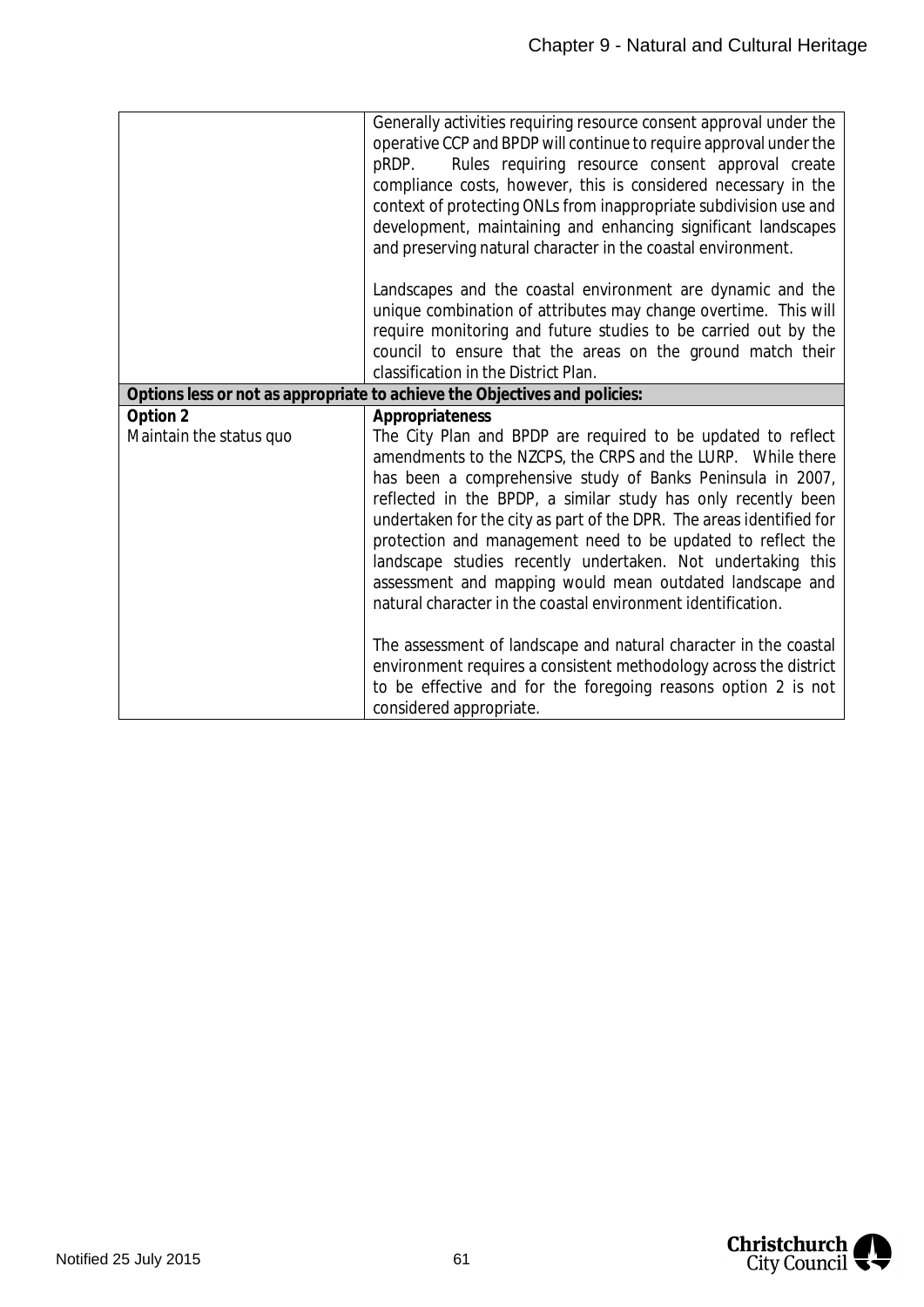|                                     | Generally activities requiring resource consent approval under the<br>operative CCP and BPDP will continue to require approval under the<br>Rules requiring resource consent approval create<br>pRDP.<br>compliance costs, however, this is considered necessary in the<br>context of protecting ONLs from inappropriate subdivision use and<br>development, maintaining and enhancing significant landscapes<br>and preserving natural character in the coastal environment.                                                                                                                                    |
|-------------------------------------|------------------------------------------------------------------------------------------------------------------------------------------------------------------------------------------------------------------------------------------------------------------------------------------------------------------------------------------------------------------------------------------------------------------------------------------------------------------------------------------------------------------------------------------------------------------------------------------------------------------|
|                                     | Landscapes and the coastal environment are dynamic and the<br>unique combination of attributes may change overtime. This will<br>require monitoring and future studies to be carried out by the<br>council to ensure that the areas on the ground match their<br>classification in the District Plan.                                                                                                                                                                                                                                                                                                            |
|                                     | Options less or not as appropriate to achieve the Objectives and policies:                                                                                                                                                                                                                                                                                                                                                                                                                                                                                                                                       |
| Option 2<br>Maintain the status quo | Appropriateness<br>The City Plan and BPDP are required to be updated to reflect<br>amendments to the NZCPS, the CRPS and the LURP.  While there<br>has been a comprehensive study of Banks Peninsula in 2007,<br>reflected in the BPDP, a similar study has only recently been<br>undertaken for the city as part of the DPR. The areas identified for<br>protection and management need to be updated to reflect the<br>landscape studies recently undertaken. Not undertaking this<br>assessment and mapping would mean outdated landscape and<br>natural character in the coastal environment identification. |
|                                     | The assessment of landscape and natural character in the coastal<br>environment requires a consistent methodology across the district<br>to be effective and for the foregoing reasons option 2 is not<br>considered appropriate.                                                                                                                                                                                                                                                                                                                                                                                |

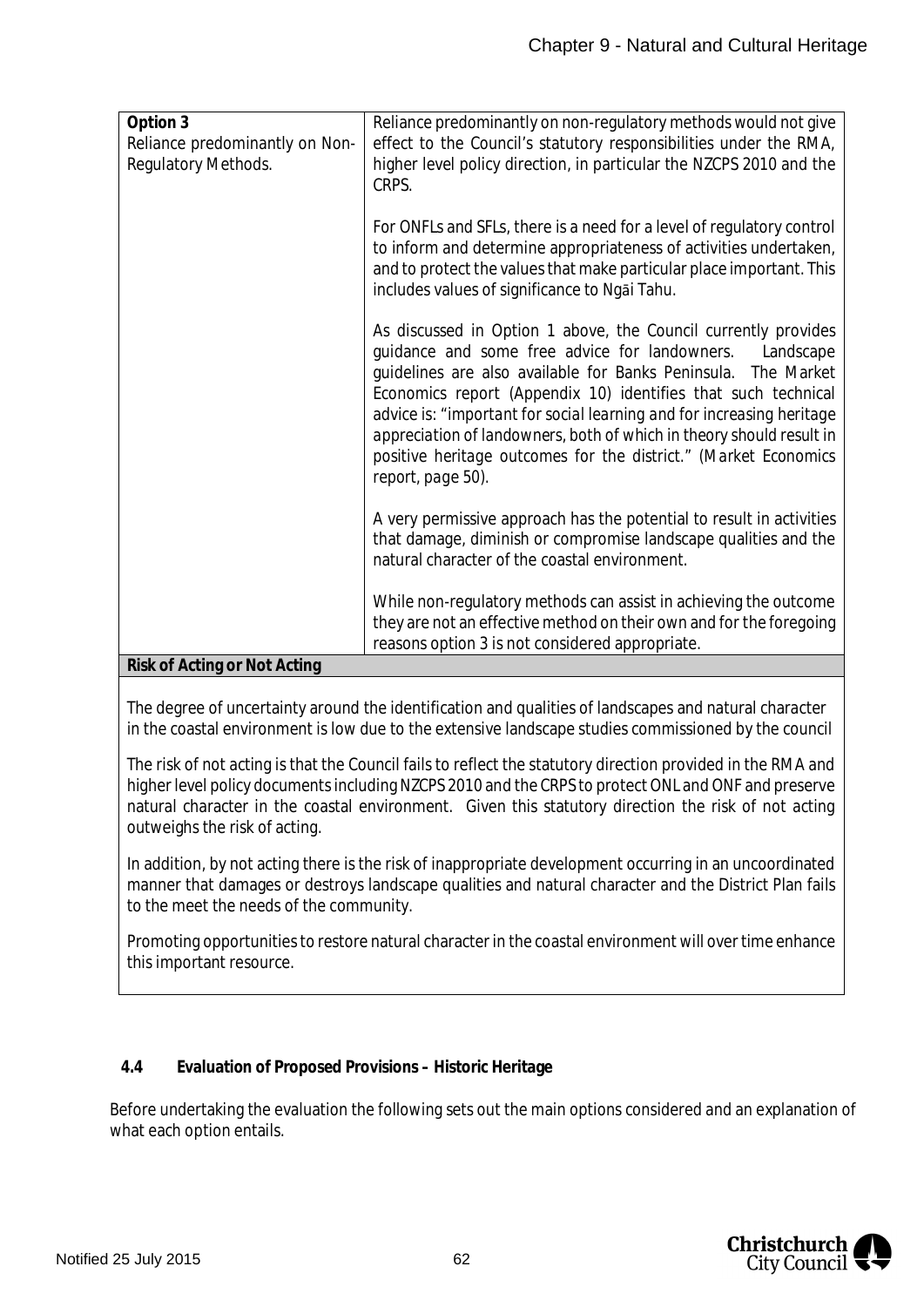| Option 3                       | Reliance predominantly on non-regulatory methods would not give                                                        |
|--------------------------------|------------------------------------------------------------------------------------------------------------------------|
| Reliance predominantly on Non- | effect to the Council's statutory responsibilities under the RMA,                                                      |
| Regulatory Methods.            | higher level policy direction, in particular the NZCPS 2010 and the                                                    |
|                                | CRPS.                                                                                                                  |
|                                |                                                                                                                        |
|                                | For ONFLs and SFLs, there is a need for a level of regulatory control                                                  |
|                                | to inform and determine appropriateness of activities undertaken,                                                      |
|                                | and to protect the values that make particular place important. This<br>includes values of significance to Ngai Tahu.  |
|                                |                                                                                                                        |
|                                | As discussed in Option 1 above, the Council currently provides                                                         |
|                                | guidance and some free advice for landowners.<br>Landscape                                                             |
|                                | guidelines are also available for Banks Peninsula. The Market                                                          |
|                                | Economics report (Appendix 10) identifies that such technical                                                          |
|                                | advice is: "important for social learning and for increasing heritage                                                  |
|                                | appreciation of landowners, both of which in theory should result in                                                   |
|                                | positive heritage outcomes for the district." (Market Economics                                                        |
|                                | report, page 50).                                                                                                      |
|                                |                                                                                                                        |
|                                | A very permissive approach has the potential to result in activities                                                   |
|                                | that damage, diminish or compromise landscape qualities and the                                                        |
|                                | natural character of the coastal environment.                                                                          |
|                                |                                                                                                                        |
|                                | While non-regulatory methods can assist in achieving the outcome                                                       |
|                                | they are not an effective method on their own and for the foregoing<br>reasons option 3 is not considered appropriate. |
| Risk of Acting or Not Acting   |                                                                                                                        |
|                                |                                                                                                                        |

The degree of uncertainty around the identification and qualities of landscapes and natural character in the coastal environment is low due to the extensive landscape studies commissioned by the council

The risk of not acting is that the Council fails to reflect the statutory direction provided in the RMA and higher level policy documents including NZCPS 2010 and the CRPS to protect ONL and ONF and preserve natural character in the coastal environment. Given this statutory direction the risk of not acting outweighs the risk of acting.

In addition, by not acting there is the risk of inappropriate development occurring in an uncoordinated manner that damages or destroys landscape qualities and natural character and the District Plan fails to the meet the needs of the community.

Promoting opportunities to restore natural character in the coastal environment will over time enhance this important resource.

### **4.4 Evaluation of Proposed Provisions – Historic Heritage**

Before undertaking the evaluation the following sets out the main options considered and an explanation of what each option entails.

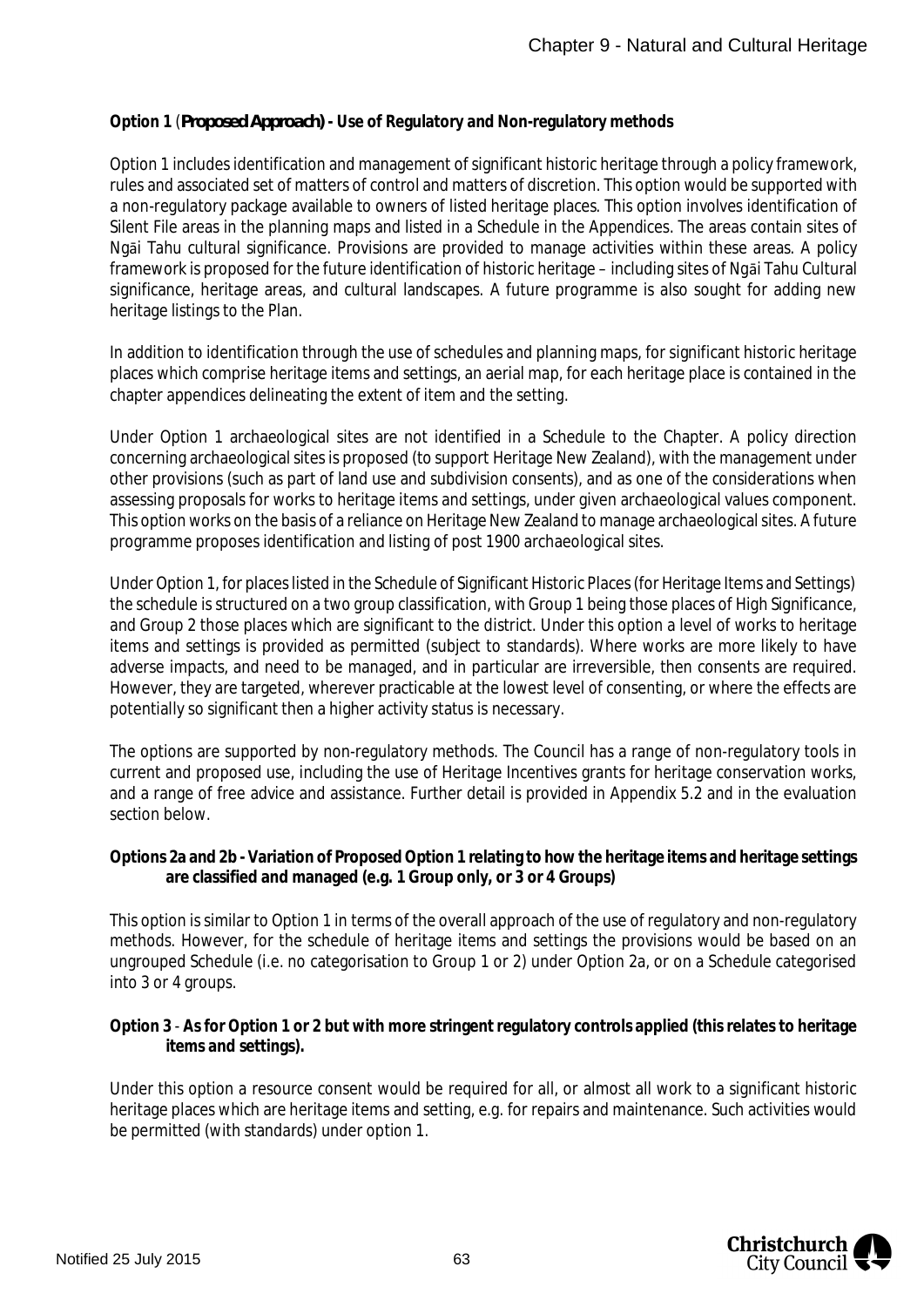#### **Option 1** (*Proposed Approach)* **- Use of Regulatory and Non-regulatory methods**

Option 1 includes identification and management of significant historic heritage through a policy framework, rules and associated set of matters of control and matters of discretion. This option would be supported with a non-regulatory package available to owners of listed heritage places. This option involves identification of Silent File areas in the planning maps and listed in a Schedule in the Appendices. The areas contain sites of Ngāi Tahu cultural significance. Provisions are provided to manage activities within these areas. A policy framework is proposed for the future identification of historic heritage – including sites of Ngāi Tahu Cultural significance, heritage areas, and cultural landscapes. A future programme is also sought for adding new heritage listings to the Plan.

In addition to identification through the use of schedules and planning maps, for significant historic heritage places which comprise heritage items and settings, an aerial map, for each heritage place is contained in the chapter appendices delineating the extent of item and the setting.

Under Option 1 archaeological sites are not identified in a Schedule to the Chapter. A policy direction concerning archaeological sites is proposed (to support Heritage New Zealand), with the management under other provisions (such as part of land use and subdivision consents), and as one of the considerations when assessing proposals for works to heritage items and settings, under given archaeological values component. This option works on the basis of a reliance on Heritage New Zealand to manage archaeological sites. A future programme proposes identification and listing of post 1900 archaeological sites.

Under Option 1, for places listed in the Schedule of Significant Historic Places (for Heritage Items and Settings) the schedule is structured on a two group classification, with Group 1 being those places of High Significance, and Group 2 those places which are significant to the district. Under this option a level of works to heritage items and settings is provided as permitted (subject to standards). Where works are more likely to have adverse impacts, and need to be managed, and in particular are irreversible, then consents are required. However, they are targeted, wherever practicable at the lowest level of consenting, or where the effects are potentially so significant then a higher activity status is necessary.

The options are supported by non-regulatory methods. The Council has a range of non-regulatory tools in current and proposed use, including the use of Heritage Incentives grants for heritage conservation works, and a range of free advice and assistance. Further detail is provided in Appendix 5.2 and in the evaluation section below.

**Options 2a and 2b - Variation of Proposed Option 1 relating to how the heritage items and heritage settings are classified and managed (e.g. 1 Group only, or 3 or 4 Groups)**

This option is similar to Option 1 in terms of the overall approach of the use of regulatory and non-regulatory methods. However, for the schedule of heritage items and settings the provisions would be based on an ungrouped Schedule (i.e. no categorisation to Group 1 or 2) under Option 2a, or on a Schedule categorised into 3 or 4 groups.

**Option 3** - **As for Option 1 or 2 but with more stringent regulatory controls applied (this relates to heritage items and settings).**

Under this option a resource consent would be required for all, or almost all work to a significant historic heritage places which are heritage items and setting, e.g. for repairs and maintenance. Such activities would be permitted (with standards) under option 1.

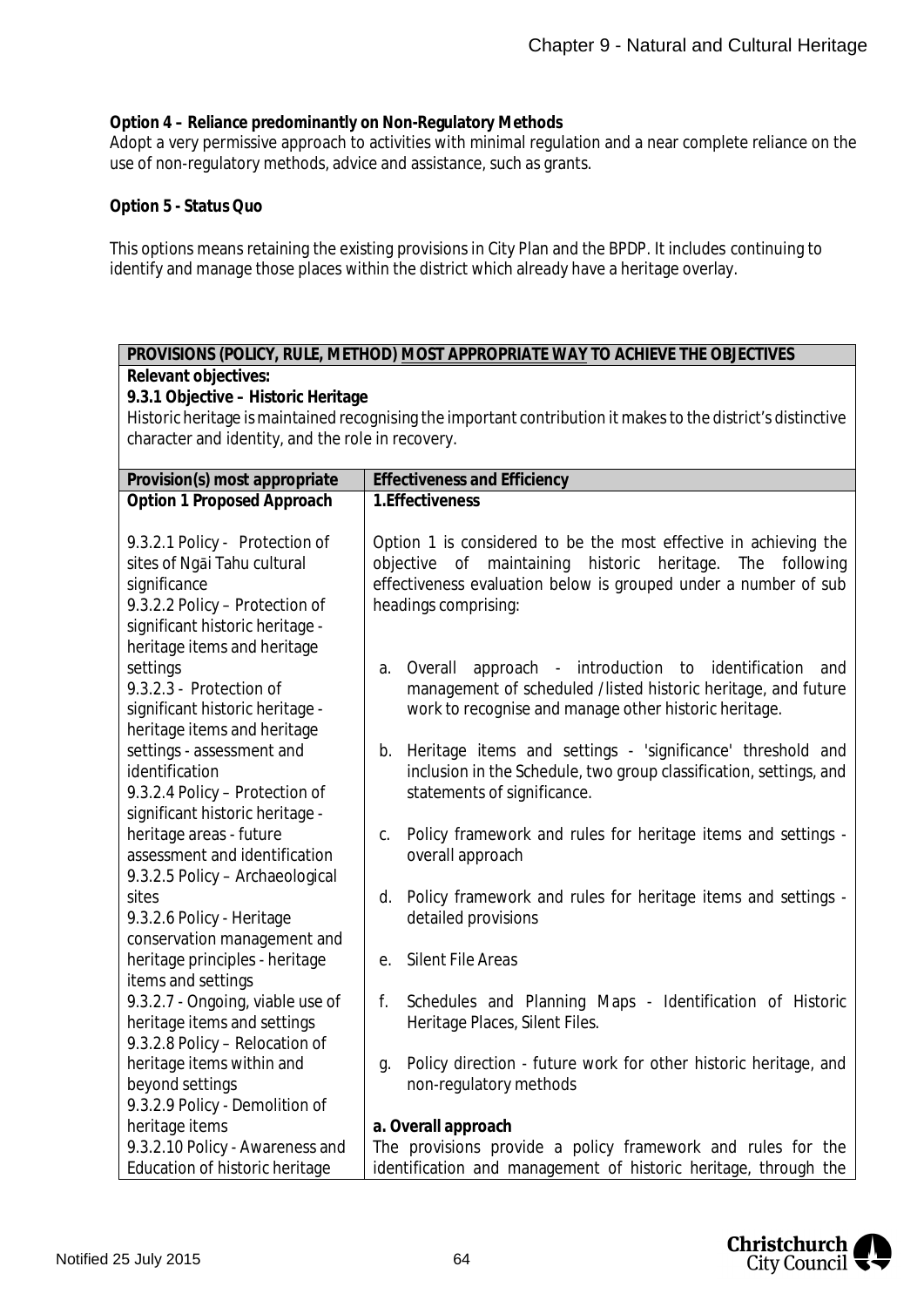**Option 4 – Reliance predominantly on Non-Regulatory Methods**

Adopt a very permissive approach to activities with minimal regulation and a near complete reliance on the use of non-regulatory methods, advice and assistance, such as grants.

**Option 5 - Status Quo**

This options means retaining the existing provisions in City Plan and the BPDP. It includes continuing to identify and manage those places within the district which already have a heritage overlay.

#### **PROVISIONS (POLICY, RULE, METHOD) MOST APPROPRIATE WAY TO ACHIEVE THE OBJECTIVES Relevant objectives:**

**9.3.1 Objective – Historic Heritage**

Historic heritage is maintained recognising the important contribution it makes to the district's distinctive character and identity, and the role in recovery.

| Provision(s) most appropriate                                                                                                                      | <b>Effectiveness and Efficiency</b>                                                                                                                                                                                                  |
|----------------------------------------------------------------------------------------------------------------------------------------------------|--------------------------------------------------------------------------------------------------------------------------------------------------------------------------------------------------------------------------------------|
| Option 1 Proposed Approach                                                                                                                         | 1. Effectiveness                                                                                                                                                                                                                     |
| 9.3.2.1 Policy - Protection of<br>sites of Ngai Tahu cultural<br>significance<br>9.3.2.2 Policy - Protection of<br>significant historic heritage - | Option 1 is considered to be the most effective in achieving the<br>historic<br>objective of maintaining<br>heritage.<br>The<br>following<br>effectiveness evaluation below is grouped under a number of sub<br>headings comprising: |
| heritage items and heritage<br>settings<br>9.3.2.3 - Protection of<br>significant historic heritage -<br>heritage items and heritage               | approach - introduction to identification<br>Overall<br>and<br>a.<br>management of scheduled /listed historic heritage, and future<br>work to recognise and manage other historic heritage.                                          |
| settings - assessment and<br>identification<br>9.3.2.4 Policy - Protection of<br>significant historic heritage -                                   | b. Heritage items and settings - 'significance' threshold and<br>inclusion in the Schedule, two group classification, settings, and<br>statements of significance.                                                                   |
| heritage areas - future                                                                                                                            | Policy framework and rules for heritage items and settings -                                                                                                                                                                         |
| assessment and identification                                                                                                                      | C.                                                                                                                                                                                                                                   |
| 9.3.2.5 Policy - Archaeological                                                                                                                    | overall approach                                                                                                                                                                                                                     |
| sites                                                                                                                                              | Policy framework and rules for heritage items and settings -                                                                                                                                                                         |
| 9.3.2.6 Policy - Heritage                                                                                                                          | d.                                                                                                                                                                                                                                   |
| conservation management and                                                                                                                        | detailed provisions                                                                                                                                                                                                                  |
| heritage principles - heritage                                                                                                                     | <b>Silent File Areas</b>                                                                                                                                                                                                             |
| items and settings                                                                                                                                 | e.                                                                                                                                                                                                                                   |
| 9.3.2.7 - Ongoing, viable use of                                                                                                                   | Schedules and Planning Maps - Identification of Historic                                                                                                                                                                             |
| heritage items and settings                                                                                                                        | f.                                                                                                                                                                                                                                   |
| 9.3.2.8 Policy - Relocation of                                                                                                                     | Heritage Places, Silent Files.                                                                                                                                                                                                       |
| heritage items within and                                                                                                                          | Policy direction - future work for other historic heritage, and                                                                                                                                                                      |
| beyond settings                                                                                                                                    | q.                                                                                                                                                                                                                                   |
| 9.3.2.9 Policy - Demolition of                                                                                                                     | non-regulatory methods                                                                                                                                                                                                               |
| heritage items                                                                                                                                     | a. Overall approach                                                                                                                                                                                                                  |
| 9.3.2.10 Policy - Awareness and                                                                                                                    | The provisions provide a policy framework and rules for the                                                                                                                                                                          |
| Education of historic heritage                                                                                                                     | identification and management of historic heritage, through the                                                                                                                                                                      |

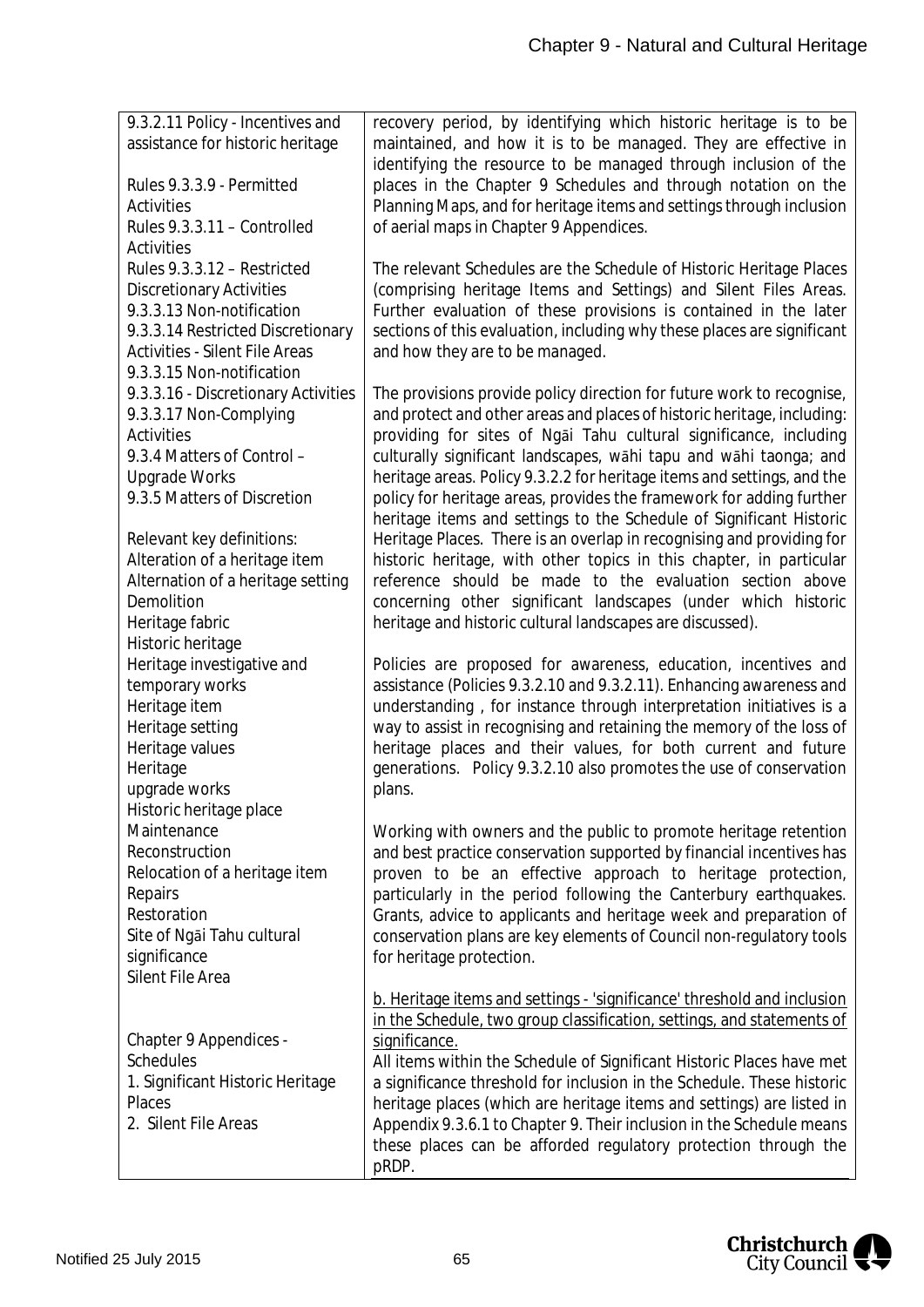| 9.3.2.11 Policy - Incentives and                    | recovery period, by identifying which historic heritage is to be                                                                                |
|-----------------------------------------------------|-------------------------------------------------------------------------------------------------------------------------------------------------|
| assistance for historic heritage                    | maintained, and how it is to be managed. They are effective in                                                                                  |
|                                                     | identifying the resource to be managed through inclusion of the                                                                                 |
| Rules 9.3.3.9 - Permitted                           | places in the Chapter 9 Schedules and through notation on the                                                                                   |
| <b>Activities</b>                                   | Planning Maps, and for heritage items and settings through inclusion                                                                            |
| Rules 9.3.3.11 - Controlled                         | of aerial maps in Chapter 9 Appendices.                                                                                                         |
| <b>Activities</b>                                   |                                                                                                                                                 |
| Rules 9.3.3.12 - Restricted                         | The relevant Schedules are the Schedule of Historic Heritage Places                                                                             |
| <b>Discretionary Activities</b>                     | (comprising heritage Items and Settings) and Silent Files Areas.                                                                                |
| 9.3.3.13 Non-notification                           | Further evaluation of these provisions is contained in the later                                                                                |
| 9.3.3.14 Restricted Discretionary                   | sections of this evaluation, including why these places are significant                                                                         |
| <b>Activities - Silent File Areas</b>               | and how they are to be managed.                                                                                                                 |
| 9.3.3.15 Non-notification                           |                                                                                                                                                 |
| 9.3.3.16 - Discretionary Activities                 | The provisions provide policy direction for future work to recognise,                                                                           |
| 9.3.3.17 Non-Complying                              | and protect and other areas and places of historic heritage, including:                                                                         |
| <b>Activities</b>                                   | providing for sites of Ngai Tahu cultural significance, including                                                                               |
| 9.3.4 Matters of Control -                          | culturally significant landscapes, wahi tapu and wahi taonga; and                                                                               |
| <b>Upgrade Works</b><br>9.3.5 Matters of Discretion | heritage areas. Policy 9.3.2.2 for heritage items and settings, and the<br>policy for heritage areas, provides the framework for adding further |
|                                                     | heritage items and settings to the Schedule of Significant Historic                                                                             |
| Relevant key definitions:                           | Heritage Places. There is an overlap in recognising and providing for                                                                           |
| Alteration of a heritage item                       | historic heritage, with other topics in this chapter, in particular                                                                             |
| Alternation of a heritage setting                   | reference should be made to the evaluation section above                                                                                        |
| Demolition                                          | concerning other significant landscapes (under which historic                                                                                   |
| Heritage fabric                                     | heritage and historic cultural landscapes are discussed).                                                                                       |
| Historic heritage                                   |                                                                                                                                                 |
| Heritage investigative and                          | Policies are proposed for awareness, education, incentives and                                                                                  |
| temporary works                                     | assistance (Policies 9.3.2.10 and 9.3.2.11). Enhancing awareness and                                                                            |
| Heritage item                                       | understanding, for instance through interpretation initiatives is a                                                                             |
| Heritage setting                                    | way to assist in recognising and retaining the memory of the loss of                                                                            |
| Heritage values                                     | heritage places and their values, for both current and future                                                                                   |
| Heritage                                            | generations. Policy 9.3.2.10 also promotes the use of conservation                                                                              |
| upgrade works                                       | plans.                                                                                                                                          |
| Historic heritage place                             |                                                                                                                                                 |
| Maintenance                                         | Working with owners and the public to promote heritage retention                                                                                |
| Reconstruction                                      | and best practice conservation supported by financial incentives has                                                                            |
| Relocation of a heritage item<br>Repairs            | proven to be an effective approach to heritage protection,<br>particularly in the period following the Canterbury earthquakes.                  |
| Restoration                                         | Grants, advice to applicants and heritage week and preparation of                                                                               |
| Site of Ngai Tahu cultural                          | conservation plans are key elements of Council non-regulatory tools                                                                             |
| significance                                        | for heritage protection.                                                                                                                        |
| <b>Silent File Area</b>                             |                                                                                                                                                 |
|                                                     | b. Heritage items and settings - 'significance' threshold and inclusion                                                                         |
|                                                     | in the Schedule, two group classification, settings, and statements of                                                                          |
| Chapter 9 Appendices -                              | significance.                                                                                                                                   |
| <b>Schedules</b>                                    | All items within the Schedule of Significant Historic Places have met                                                                           |
| 1. Significant Historic Heritage                    | a significance threshold for inclusion in the Schedule. These historic                                                                          |
| Places                                              | heritage places (which are heritage items and settings) are listed in                                                                           |
| 2. Silent File Areas                                | Appendix 9.3.6.1 to Chapter 9. Their inclusion in the Schedule means                                                                            |
|                                                     | these places can be afforded regulatory protection through the                                                                                  |
|                                                     | pRDP.                                                                                                                                           |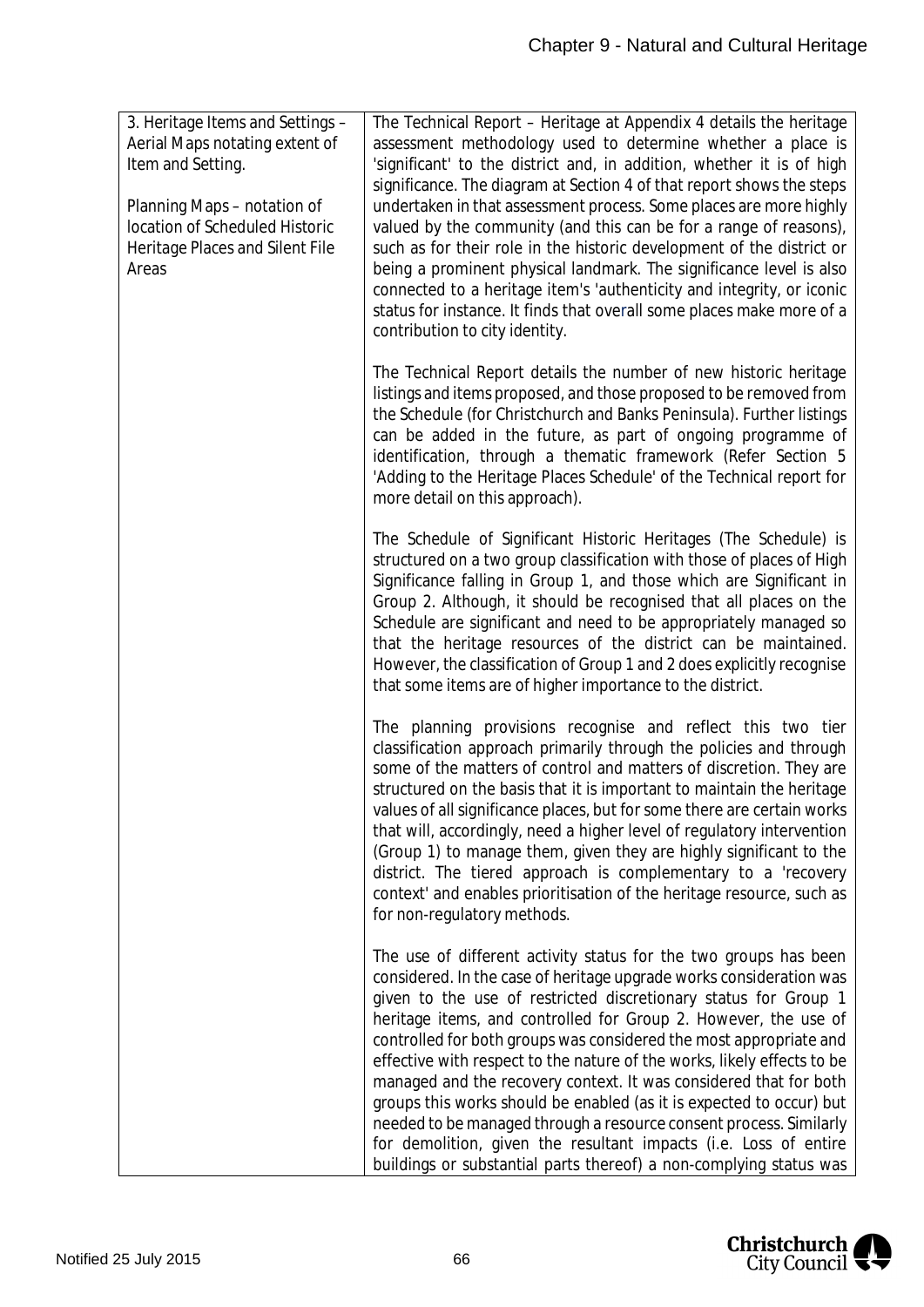| 3. Heritage Items and Settings -<br>Aerial Maps notating extent of<br>Item and Setting.<br>Planning Maps - notation of<br>location of Scheduled Historic<br>Heritage Places and Silent File<br>Areas | The Technical Report - Heritage at Appendix 4 details the heritage<br>assessment methodology used to determine whether a place is<br>'significant' to the district and, in addition, whether it is of high<br>significance. The diagram at Section 4 of that report shows the steps<br>undertaken in that assessment process. Some places are more highly<br>valued by the community (and this can be for a range of reasons),<br>such as for their role in the historic development of the district or<br>being a prominent physical landmark. The significance level is also<br>connected to a heritage item's 'authenticity and integrity, or iconic<br>status for instance. It finds that overall some places make more of a<br>contribution to city identity.                          |
|------------------------------------------------------------------------------------------------------------------------------------------------------------------------------------------------------|---------------------------------------------------------------------------------------------------------------------------------------------------------------------------------------------------------------------------------------------------------------------------------------------------------------------------------------------------------------------------------------------------------------------------------------------------------------------------------------------------------------------------------------------------------------------------------------------------------------------------------------------------------------------------------------------------------------------------------------------------------------------------------------------|
|                                                                                                                                                                                                      | The Technical Report details the number of new historic heritage<br>listings and items proposed, and those proposed to be removed from<br>the Schedule (for Christchurch and Banks Peninsula). Further listings<br>can be added in the future, as part of ongoing programme of<br>identification, through a thematic framework (Refer Section 5<br>'Adding to the Heritage Places Schedule' of the Technical report for<br>more detail on this approach).                                                                                                                                                                                                                                                                                                                                   |
|                                                                                                                                                                                                      | The Schedule of Significant Historic Heritages (The Schedule) is<br>structured on a two group classification with those of places of High<br>Significance falling in Group 1, and those which are Significant in<br>Group 2. Although, it should be recognised that all places on the<br>Schedule are significant and need to be appropriately managed so<br>that the heritage resources of the district can be maintained.<br>However, the classification of Group 1 and 2 does explicitly recognise<br>that some items are of higher importance to the district.                                                                                                                                                                                                                          |
|                                                                                                                                                                                                      | The planning provisions recognise and reflect this two tier<br>classification approach primarily through the policies and through<br>some of the matters of control and matters of discretion. They are<br>structured on the basis that it is important to maintain the heritage<br>values of all significance places, but for some there are certain works<br>that will, accordingly, need a higher level of regulatory intervention<br>(Group 1) to manage them, given they are highly significant to the<br>district. The tiered approach is complementary to a 'recovery<br>context' and enables prioritisation of the heritage resource, such as<br>for non-regulatory methods.                                                                                                        |
|                                                                                                                                                                                                      | The use of different activity status for the two groups has been<br>considered. In the case of heritage upgrade works consideration was<br>given to the use of restricted discretionary status for Group 1<br>heritage items, and controlled for Group 2. However, the use of<br>controlled for both groups was considered the most appropriate and<br>effective with respect to the nature of the works, likely effects to be<br>managed and the recovery context. It was considered that for both<br>groups this works should be enabled (as it is expected to occur) but<br>needed to be managed through a resource consent process. Similarly<br>for demolition, given the resultant impacts (i.e. Loss of entire<br>buildings or substantial parts thereof) a non-complying status was |

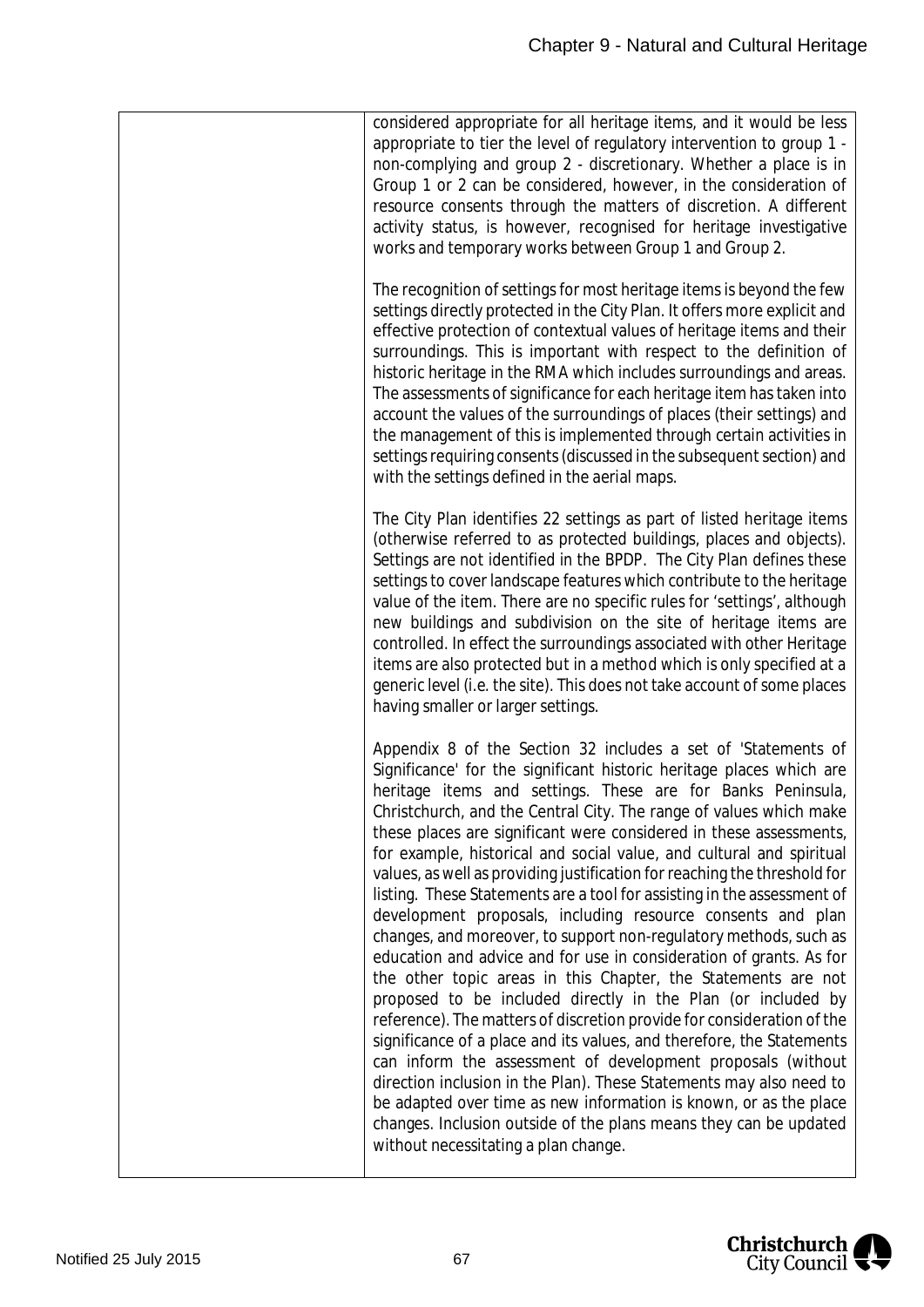| considered appropriate for all heritage items, and it would be less<br>appropriate to tier the level of regulatory intervention to group 1 -<br>non-complying and group 2 - discretionary. Whether a place is in<br>Group 1 or 2 can be considered, however, in the consideration of<br>resource consents through the matters of discretion. A different<br>activity status, is however, recognised for heritage investigative<br>works and temporary works between Group 1 and Group 2.                                                                                                                                                                                                                                                                                                                                                                                                                                                                                                                                                                                                                                                                                                                                                                                                                                                                                                                |
|---------------------------------------------------------------------------------------------------------------------------------------------------------------------------------------------------------------------------------------------------------------------------------------------------------------------------------------------------------------------------------------------------------------------------------------------------------------------------------------------------------------------------------------------------------------------------------------------------------------------------------------------------------------------------------------------------------------------------------------------------------------------------------------------------------------------------------------------------------------------------------------------------------------------------------------------------------------------------------------------------------------------------------------------------------------------------------------------------------------------------------------------------------------------------------------------------------------------------------------------------------------------------------------------------------------------------------------------------------------------------------------------------------|
| The recognition of settings for most heritage items is beyond the few<br>settings directly protected in the City Plan. It offers more explicit and<br>effective protection of contextual values of heritage items and their<br>surroundings. This is important with respect to the definition of<br>historic heritage in the RMA which includes surroundings and areas.<br>The assessments of significance for each heritage item has taken into<br>account the values of the surroundings of places (their settings) and<br>the management of this is implemented through certain activities in<br>settings requiring consents (discussed in the subsequent section) and<br>with the settings defined in the aerial maps.                                                                                                                                                                                                                                                                                                                                                                                                                                                                                                                                                                                                                                                                              |
| The City Plan identifies 22 settings as part of listed heritage items<br>(otherwise referred to as protected buildings, places and objects).<br>Settings are not identified in the BPDP. The City Plan defines these<br>settings to cover landscape features which contribute to the heritage<br>value of the item. There are no specific rules for 'settings', although<br>new buildings and subdivision on the site of heritage items are<br>controlled. In effect the surroundings associated with other Heritage<br>items are also protected but in a method which is only specified at a<br>generic level (i.e. the site). This does not take account of some places<br>having smaller or larger settings.                                                                                                                                                                                                                                                                                                                                                                                                                                                                                                                                                                                                                                                                                         |
| Appendix 8 of the Section 32 includes a set of 'Statements of<br>Significance' for the significant historic heritage places which are<br>heritage items and settings. These are for Banks Peninsula,<br>Christchurch, and the Central City. The range of values which make<br>these places are significant were considered in these assessments,<br>for example, historical and social value, and cultural and spiritual<br>values, as well as providing justification for reaching the threshold for<br>listing. These Statements are a tool for assisting in the assessment of<br>development proposals, including resource consents and plan<br>changes, and moreover, to support non-regulatory methods, such as<br>education and advice and for use in consideration of grants. As for<br>the other topic areas in this Chapter, the Statements are not<br>proposed to be included directly in the Plan (or included by<br>reference). The matters of discretion provide for consideration of the<br>significance of a place and its values, and therefore, the Statements<br>can inform the assessment of development proposals (without<br>direction inclusion in the Plan). These Statements may also need to<br>be adapted over time as new information is known, or as the place<br>changes. Inclusion outside of the plans means they can be updated<br>without necessitating a plan change. |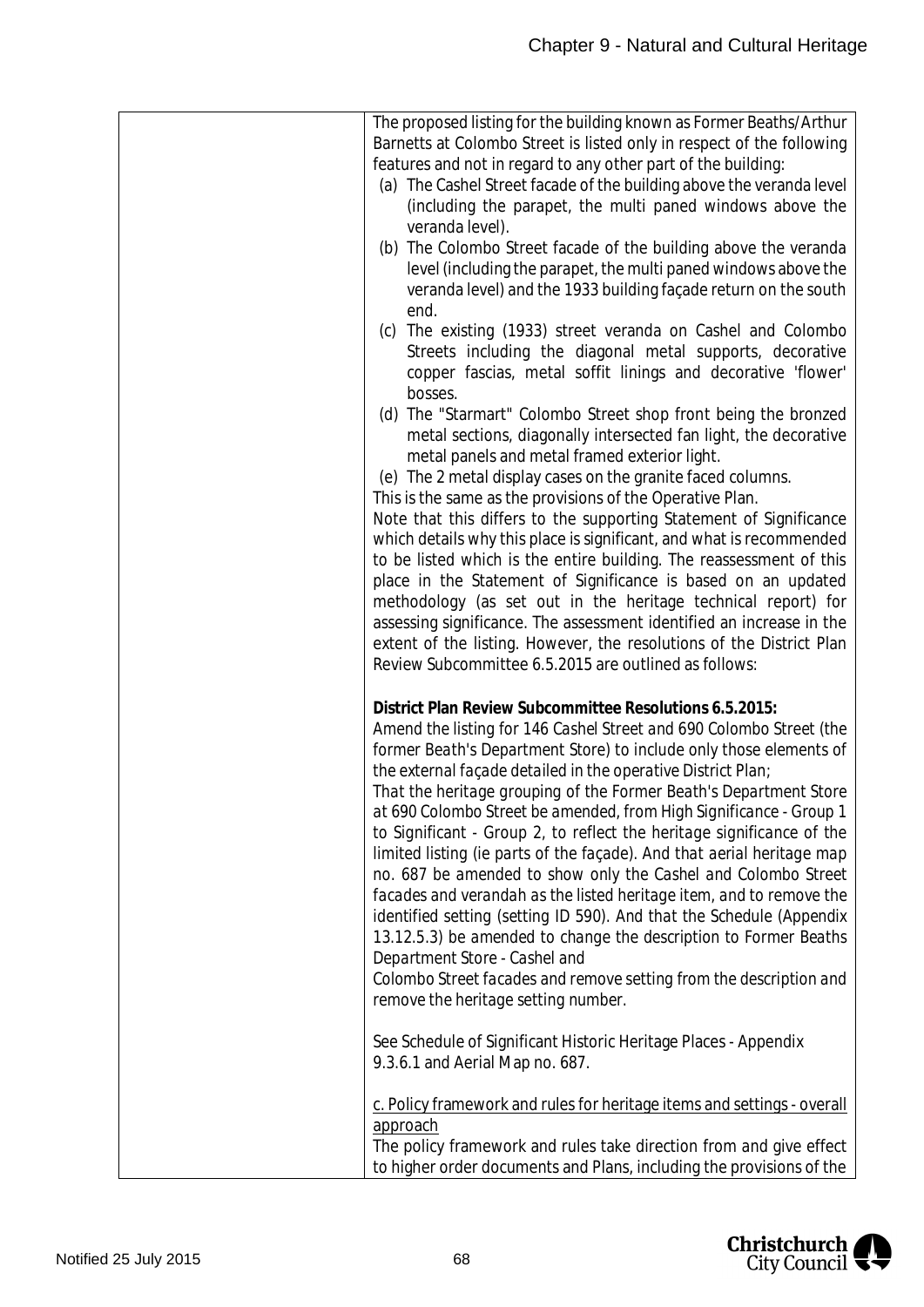| The proposed listing for the building known as Former Beaths/Arthur     |
|-------------------------------------------------------------------------|
| Barnetts at Colombo Street is listed only in respect of the following   |
| features and not in regard to any other part of the building:           |
| (a) The Cashel Street facade of the building above the veranda level    |
| (including the parapet, the multi paned windows above the               |
| veranda level).                                                         |
| (b) The Colombo Street facade of the building above the veranda         |
| level (including the parapet, the multi paned windows above the         |
|                                                                         |
| veranda level) and the 1933 building façade return on the south         |
| end.                                                                    |
| (c) The existing (1933) street veranda on Cashel and Colombo            |
| Streets including the diagonal metal supports, decorative               |
| copper fascias, metal soffit linings and decorative 'flower'            |
| bosses.                                                                 |
| (d) The "Starmart" Colombo Street shop front being the bronzed          |
| metal sections, diagonally intersected fan light, the decorative        |
| metal panels and metal framed exterior light.                           |
| (e) The 2 metal display cases on the granite faced columns.             |
|                                                                         |
| This is the same as the provisions of the Operative Plan.               |
| Note that this differs to the supporting Statement of Significance      |
| which details why this place is significant, and what is recommended    |
| to be listed which is the entire building. The reassessment of this     |
| place in the Statement of Significance is based on an updated           |
| methodology (as set out in the heritage technical report) for           |
| assessing significance. The assessment identified an increase in the    |
| extent of the listing. However, the resolutions of the District Plan    |
| Review Subcommittee 6.5.2015 are outlined as follows:                   |
|                                                                         |
| District Plan Review Subcommittee Resolutions 6.5.2015:                 |
|                                                                         |
| Amend the listing for 146 Cashel Street and 690 Colombo Street (the     |
| former Beath's Department Store) to include only those elements of      |
| the external façade detailed in the operative District Plan;            |
| That the heritage grouping of the Former Beath's Department Store       |
| at 690 Colombo Street be amended, from High Significance - Group 1      |
| to Significant - Group 2, to reflect the heritage significance of the   |
| limited listing (ie parts of the façade). And that aerial heritage map  |
| no. 687 be amended to show only the Cashel and Colombo Street           |
| facades and verandah as the listed heritage item, and to remove the     |
| identified setting (setting ID 590). And that the Schedule (Appendix    |
| 13.12.5.3) be amended to change the description to Former Beaths        |
| Department Store - Cashel and                                           |
|                                                                         |
| Colombo Street facades and remove setting from the description and      |
| remove the heritage setting number.                                     |
|                                                                         |
| See Schedule of Significant Historic Heritage Places - Appendix         |
| 9.3.6.1 and Aerial Map no. 687.                                         |
|                                                                         |
| c. Policy framework and rules for heritage items and settings - overall |
| approach                                                                |
| The policy framework and rules take direction from and give effect      |
| to higher order documents and Plans, including the provisions of the    |

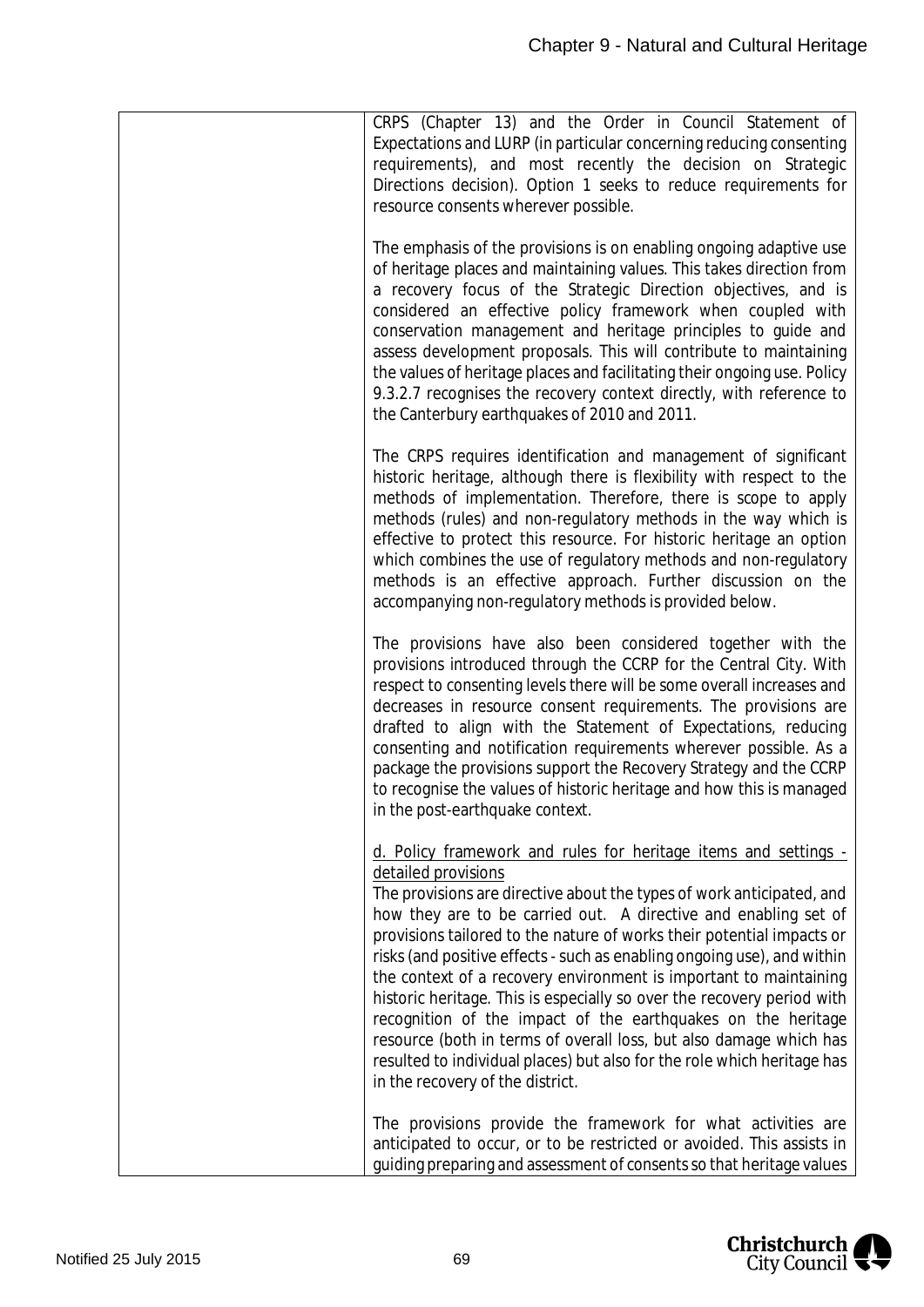| CRPS (Chapter 13) and the Order in Council Statement of<br>Expectations and LURP (in particular concerning reducing consenting<br>requirements), and most recently the decision on Strategic<br>Directions decision). Option 1 seeks to reduce requirements for<br>resource consents wherever possible.                                                                                                                                                                                                                                                                                                                                                                                                                                                                                    |
|--------------------------------------------------------------------------------------------------------------------------------------------------------------------------------------------------------------------------------------------------------------------------------------------------------------------------------------------------------------------------------------------------------------------------------------------------------------------------------------------------------------------------------------------------------------------------------------------------------------------------------------------------------------------------------------------------------------------------------------------------------------------------------------------|
| The emphasis of the provisions is on enabling ongoing adaptive use<br>of heritage places and maintaining values. This takes direction from<br>a recovery focus of the Strategic Direction objectives, and is<br>considered an effective policy framework when coupled with<br>conservation management and heritage principles to guide and<br>assess development proposals. This will contribute to maintaining<br>the values of heritage places and facilitating their ongoing use. Policy<br>9.3.2.7 recognises the recovery context directly, with reference to<br>the Canterbury earthquakes of 2010 and 2011.                                                                                                                                                                         |
| The CRPS requires identification and management of significant<br>historic heritage, although there is flexibility with respect to the<br>methods of implementation. Therefore, there is scope to apply<br>methods (rules) and non-regulatory methods in the way which is<br>effective to protect this resource. For historic heritage an option<br>which combines the use of regulatory methods and non-regulatory<br>methods is an effective approach. Further discussion on the<br>accompanying non-regulatory methods is provided below.                                                                                                                                                                                                                                               |
| The provisions have also been considered together with the<br>provisions introduced through the CCRP for the Central City. With<br>respect to consenting levels there will be some overall increases and<br>decreases in resource consent requirements. The provisions are<br>drafted to align with the Statement of Expectations, reducing<br>consenting and notification requirements wherever possible. As a<br>package the provisions support the Recovery Strategy and the CCRP<br>to recognise the values of historic heritage and how this is managed<br>in the post-earthquake context.                                                                                                                                                                                            |
| d. Policy framework and rules for heritage items and settings -<br>detailed provisions<br>The provisions are directive about the types of work anticipated, and<br>how they are to be carried out. A directive and enabling set of<br>provisions tailored to the nature of works their potential impacts or<br>risks (and positive effects - such as enabling ongoing use), and within<br>the context of a recovery environment is important to maintaining<br>historic heritage. This is especially so over the recovery period with<br>recognition of the impact of the earthquakes on the heritage<br>resource (both in terms of overall loss, but also damage which has<br>resulted to individual places) but also for the role which heritage has<br>in the recovery of the district. |
| The provisions provide the framework for what activities are<br>anticipated to occur, or to be restricted or avoided. This assists in<br>guiding preparing and assessment of consents so that heritage values                                                                                                                                                                                                                                                                                                                                                                                                                                                                                                                                                                              |

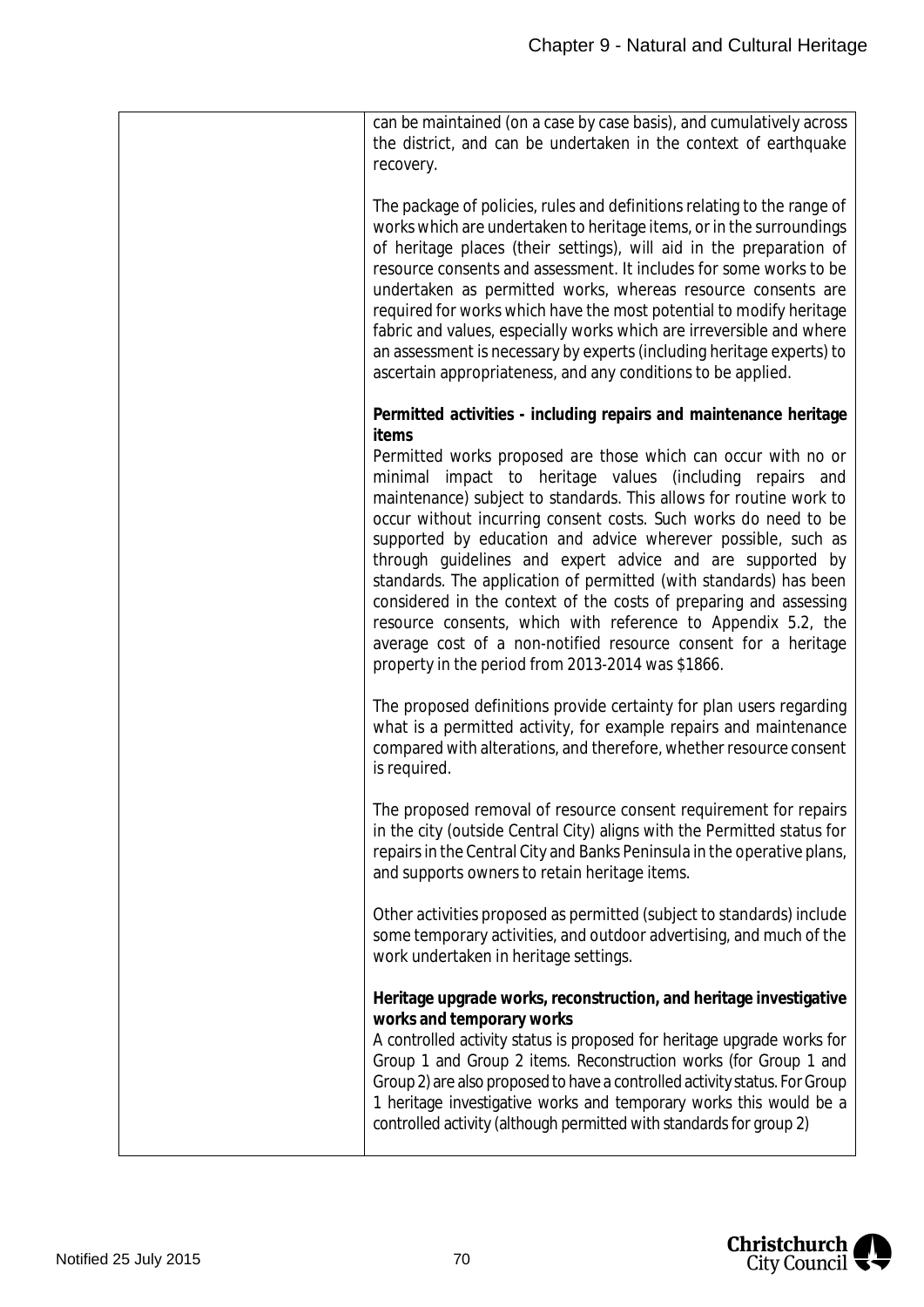| can be maintained (on a case by case basis), and cumulatively across<br>the district, and can be undertaken in the context of earthquake<br>recovery.                                                                                                                                                                                                                                                                                                                                                                                                                                                                                                                                                                                                                                                          |
|----------------------------------------------------------------------------------------------------------------------------------------------------------------------------------------------------------------------------------------------------------------------------------------------------------------------------------------------------------------------------------------------------------------------------------------------------------------------------------------------------------------------------------------------------------------------------------------------------------------------------------------------------------------------------------------------------------------------------------------------------------------------------------------------------------------|
| The package of policies, rules and definitions relating to the range of<br>works which are undertaken to heritage items, or in the surroundings<br>of heritage places (their settings), will aid in the preparation of<br>resource consents and assessment. It includes for some works to be<br>undertaken as permitted works, whereas resource consents are<br>required for works which have the most potential to modify heritage<br>fabric and values, especially works which are irreversible and where<br>an assessment is necessary by experts (including heritage experts) to<br>ascertain appropriateness, and any conditions to be applied.                                                                                                                                                           |
| Permitted activities - including repairs and maintenance heritage<br>items<br>Permitted works proposed are those which can occur with no or<br>minimal impact to heritage values (including repairs and<br>maintenance) subject to standards. This allows for routine work to<br>occur without incurring consent costs. Such works do need to be<br>supported by education and advice wherever possible, such as<br>through guidelines and expert advice and are supported by<br>standards. The application of permitted (with standards) has been<br>considered in the context of the costs of preparing and assessing<br>resource consents, which with reference to Appendix 5.2, the<br>average cost of a non-notified resource consent for a heritage<br>property in the period from 2013-2014 was \$1866. |
| The proposed definitions provide certainty for plan users regarding<br>what is a permitted activity, for example repairs and maintenance<br>compared with alterations, and therefore, whether resource consent<br>is required.                                                                                                                                                                                                                                                                                                                                                                                                                                                                                                                                                                                 |
| The proposed removal of resource consent requirement for repairs<br>in the city (outside Central City) aligns with the Permitted status for<br>repairs in the Central City and Banks Peninsula in the operative plans,<br>and supports owners to retain heritage items.                                                                                                                                                                                                                                                                                                                                                                                                                                                                                                                                        |
| Other activities proposed as permitted (subject to standards) include<br>some temporary activities, and outdoor advertising, and much of the<br>work undertaken in heritage settings.                                                                                                                                                                                                                                                                                                                                                                                                                                                                                                                                                                                                                          |
| Heritage upgrade works, reconstruction, and heritage investigative<br>works and temporary works<br>A controlled activity status is proposed for heritage upgrade works for<br>Group 1 and Group 2 items. Reconstruction works (for Group 1 and<br>Group 2) are also proposed to have a controlled activity status. For Group<br>1 heritage investigative works and temporary works this would be a<br>controlled activity (although permitted with standards for group 2)                                                                                                                                                                                                                                                                                                                                      |

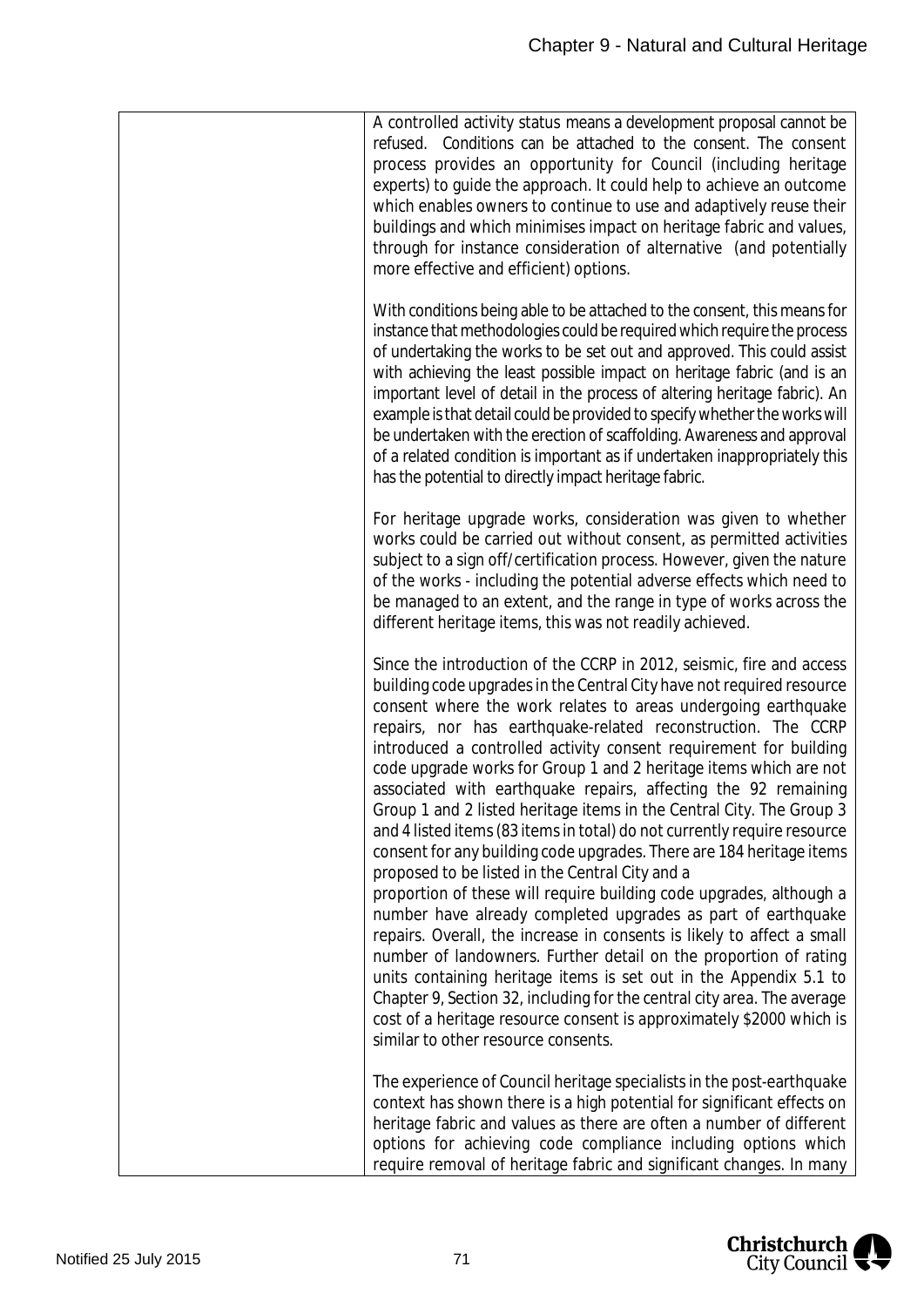| A controlled activity status means a development proposal cannot be<br>refused. Conditions can be attached to the consent. The consent<br>process provides an opportunity for Council (including heritage<br>experts) to guide the approach. It could help to achieve an outcome<br>which enables owners to continue to use and adaptively reuse their<br>buildings and which minimises impact on heritage fabric and values,<br>through for instance consideration of alternative (and potentially<br>more effective and efficient) options.                                                                                                                                                                                                                                                                                                                                                                                                                                                                                                                                                                                                                                                                                                                                                                                 |
|-------------------------------------------------------------------------------------------------------------------------------------------------------------------------------------------------------------------------------------------------------------------------------------------------------------------------------------------------------------------------------------------------------------------------------------------------------------------------------------------------------------------------------------------------------------------------------------------------------------------------------------------------------------------------------------------------------------------------------------------------------------------------------------------------------------------------------------------------------------------------------------------------------------------------------------------------------------------------------------------------------------------------------------------------------------------------------------------------------------------------------------------------------------------------------------------------------------------------------------------------------------------------------------------------------------------------------|
| With conditions being able to be attached to the consent, this means for<br>instance that methodologies could be required which require the process<br>of undertaking the works to be set out and approved. This could assist<br>with achieving the least possible impact on heritage fabric (and is an<br>important level of detail in the process of altering heritage fabric). An<br>example is that detail could be provided to specify whether the works will<br>be undertaken with the erection of scaffolding. Awareness and approval<br>of a related condition is important as if undertaken inappropriately this<br>has the potential to directly impact heritage fabric.                                                                                                                                                                                                                                                                                                                                                                                                                                                                                                                                                                                                                                            |
| For heritage upgrade works, consideration was given to whether<br>works could be carried out without consent, as permitted activities<br>subject to a sign off/certification process. However, given the nature<br>of the works - including the potential adverse effects which need to<br>be managed to an extent, and the range in type of works across the<br>different heritage items, this was not readily achieved.                                                                                                                                                                                                                                                                                                                                                                                                                                                                                                                                                                                                                                                                                                                                                                                                                                                                                                     |
| Since the introduction of the CCRP in 2012, seismic, fire and access<br>building code upgrades in the Central City have not required resource<br>consent where the work relates to areas undergoing earthquake<br>repairs, nor has earthquake-related reconstruction. The CCRP<br>introduced a controlled activity consent requirement for building<br>code upgrade works for Group 1 and 2 heritage items which are not<br>associated with earthquake repairs, affecting the 92 remaining<br>Group 1 and 2 listed heritage items in the Central City. The Group 3<br>and 4 listed items (83 items in total) do not currently require resource<br>consent for any building code upgrades. There are 184 heritage items<br>proposed to be listed in the Central City and a<br>proportion of these will require building code upgrades, although a<br>number have already completed upgrades as part of earthquake<br>repairs. Overall, the increase in consents is likely to affect a small<br>number of landowners. Further detail on the proportion of rating<br>units containing heritage items is set out in the Appendix 5.1 to<br>Chapter 9, Section 32, including for the central city area. The average<br>cost of a heritage resource consent is approximately \$2000 which is<br>similar to other resource consents. |
| The experience of Council heritage specialists in the post-earthquake<br>context has shown there is a high potential for significant effects on<br>heritage fabric and values as there are often a number of different<br>options for achieving code compliance including options which<br>require removal of heritage fabric and significant changes. In many                                                                                                                                                                                                                                                                                                                                                                                                                                                                                                                                                                                                                                                                                                                                                                                                                                                                                                                                                                |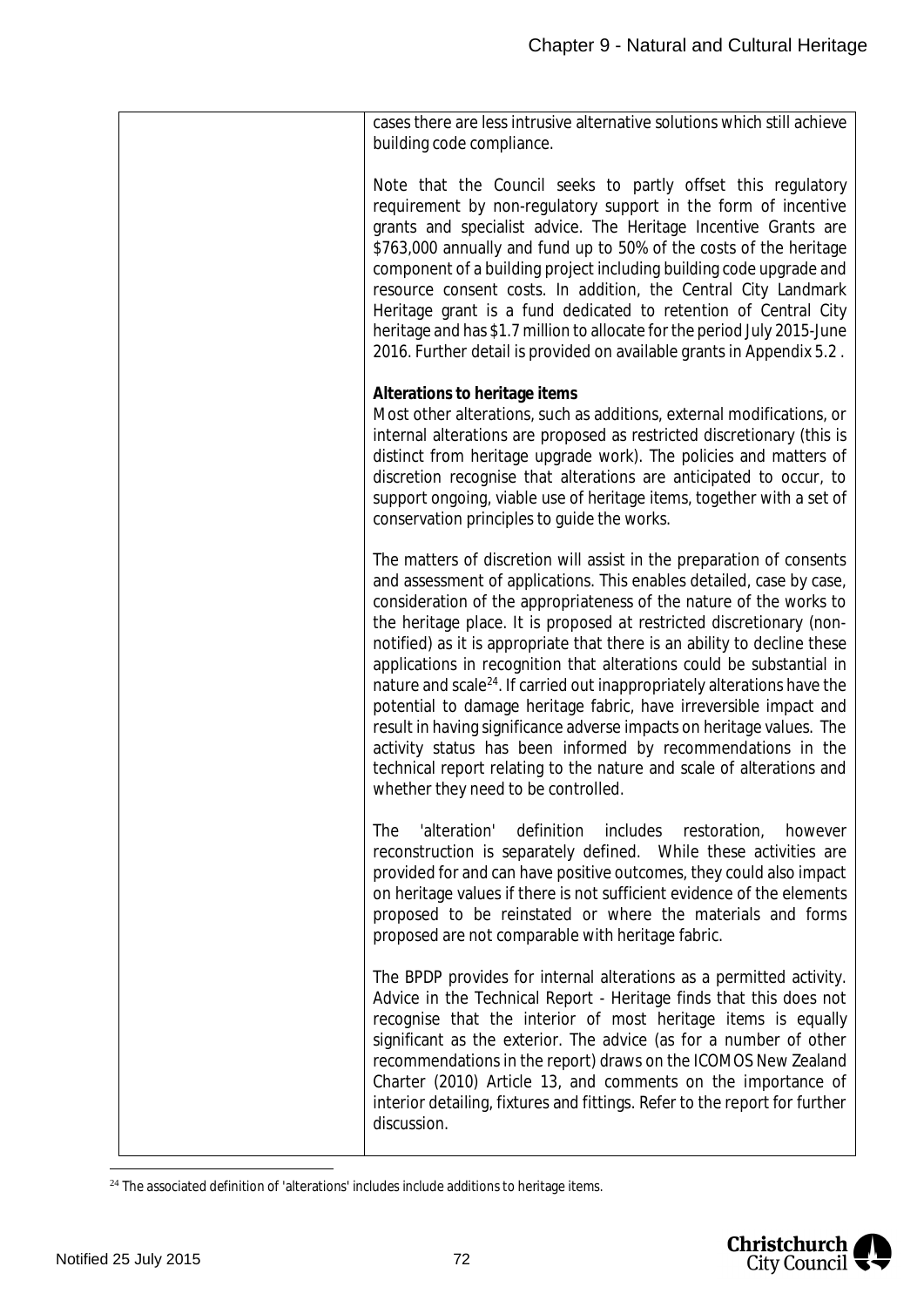| cases there are less intrusive alternative solutions which still achieve<br>building code compliance.<br>Note that the Council seeks to partly offset this regulatory<br>requirement by non-regulatory support in the form of incentive<br>grants and specialist advice. The Heritage Incentive Grants are<br>\$763,000 annually and fund up to 50% of the costs of the heritage<br>component of a building project including building code upgrade and<br>resource consent costs. In addition, the Central City Landmark<br>Heritage grant is a fund dedicated to retention of Central City<br>heritage and has \$1.7 million to allocate for the period July 2015-June<br>2016. Further detail is provided on available grants in Appendix 5.2.<br>Alterations to heritage items<br>Most other alterations, such as additions, external modifications, or<br>internal alterations are proposed as restricted discretionary (this is<br>distinct from heritage upgrade work). The policies and matters of<br>discretion recognise that alterations are anticipated to occur, to<br>support ongoing, viable use of heritage items, together with a set of<br>conservation principles to quide the works.<br>The matters of discretion will assist in the preparation of consents |                                                                      |
|----------------------------------------------------------------------------------------------------------------------------------------------------------------------------------------------------------------------------------------------------------------------------------------------------------------------------------------------------------------------------------------------------------------------------------------------------------------------------------------------------------------------------------------------------------------------------------------------------------------------------------------------------------------------------------------------------------------------------------------------------------------------------------------------------------------------------------------------------------------------------------------------------------------------------------------------------------------------------------------------------------------------------------------------------------------------------------------------------------------------------------------------------------------------------------------------------------------------------------------------------------------------------------|----------------------------------------------------------------------|
|                                                                                                                                                                                                                                                                                                                                                                                                                                                                                                                                                                                                                                                                                                                                                                                                                                                                                                                                                                                                                                                                                                                                                                                                                                                                                  |                                                                      |
|                                                                                                                                                                                                                                                                                                                                                                                                                                                                                                                                                                                                                                                                                                                                                                                                                                                                                                                                                                                                                                                                                                                                                                                                                                                                                  |                                                                      |
|                                                                                                                                                                                                                                                                                                                                                                                                                                                                                                                                                                                                                                                                                                                                                                                                                                                                                                                                                                                                                                                                                                                                                                                                                                                                                  |                                                                      |
| consideration of the appropriateness of the nature of the works to<br>the heritage place. It is proposed at restricted discretionary (non-<br>notified) as it is appropriate that there is an ability to decline these<br>applications in recognition that alterations could be substantial in<br>nature and scale <sup>24</sup> . If carried out inappropriately alterations have the<br>potential to damage heritage fabric, have irreversible impact and<br>result in having significance adverse impacts on heritage values. The<br>activity status has been informed by recommendations in the<br>technical report relating to the nature and scale of alterations and<br>whether they need to be controlled.                                                                                                                                                                                                                                                                                                                                                                                                                                                                                                                                                               | and assessment of applications. This enables detailed, case by case, |
| definition includes restoration,<br>'alteration'<br><b>The</b><br>however<br>reconstruction is separately defined. While these activities are<br>provided for and can have positive outcomes, they could also impact<br>on heritage values if there is not sufficient evidence of the elements<br>proposed to be reinstated or where the materials and forms<br>proposed are not comparable with heritage fabric.                                                                                                                                                                                                                                                                                                                                                                                                                                                                                                                                                                                                                                                                                                                                                                                                                                                                |                                                                      |
| The BPDP provides for internal alterations as a permitted activity.<br>Advice in the Technical Report - Heritage finds that this does not<br>recognise that the interior of most heritage items is equally<br>significant as the exterior. The advice (as for a number of other<br>recommendations in the report) draws on the ICOMOS New Zealand<br>Charter (2010) Article 13, and comments on the importance of<br>interior detailing, fixtures and fittings. Refer to the report for further<br>discussion.                                                                                                                                                                                                                                                                                                                                                                                                                                                                                                                                                                                                                                                                                                                                                                   |                                                                      |

<span id="page-72-0"></span><sup>&</sup>lt;sup>24</sup> The associated definition of 'alterations' includes include additions to heritage items.

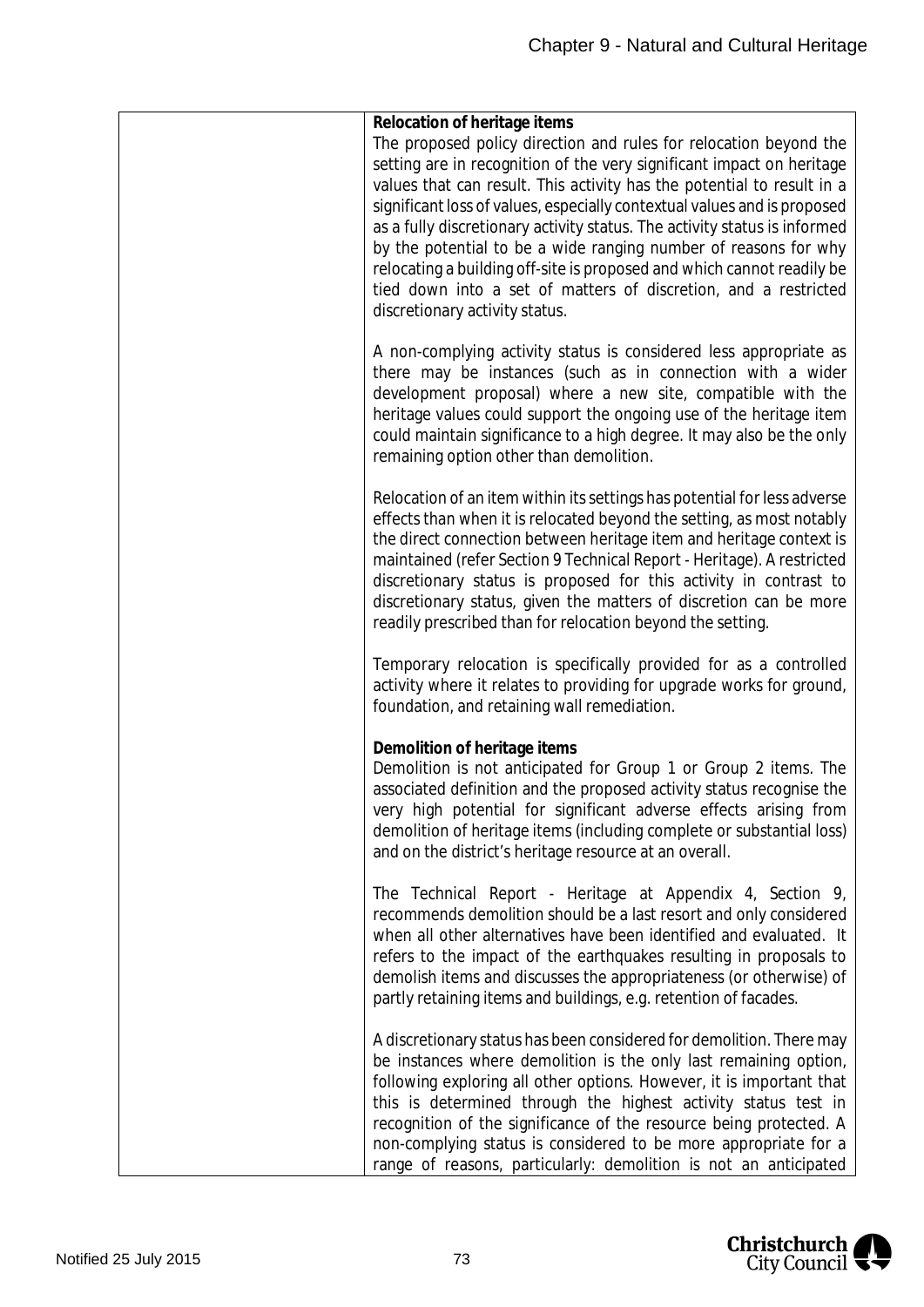| Relocation of heritage items<br>The proposed policy direction and rules for relocation beyond the<br>setting are in recognition of the very significant impact on heritage<br>values that can result. This activity has the potential to result in a<br>significant loss of values, especially contextual values and is proposed<br>as a fully discretionary activity status. The activity status is informed<br>by the potential to be a wide ranging number of reasons for why<br>relocating a building off-site is proposed and which cannot readily be<br>tied down into a set of matters of discretion, and a restricted<br>discretionary activity status. |
|-----------------------------------------------------------------------------------------------------------------------------------------------------------------------------------------------------------------------------------------------------------------------------------------------------------------------------------------------------------------------------------------------------------------------------------------------------------------------------------------------------------------------------------------------------------------------------------------------------------------------------------------------------------------|
| A non-complying activity status is considered less appropriate as<br>there may be instances (such as in connection with a wider<br>development proposal) where a new site, compatible with the<br>heritage values could support the ongoing use of the heritage item<br>could maintain significance to a high degree. It may also be the only<br>remaining option other than demolition.                                                                                                                                                                                                                                                                        |
| Relocation of an item within its settings has potential for less adverse<br>effects than when it is relocated beyond the setting, as most notably<br>the direct connection between heritage item and heritage context is<br>maintained (refer Section 9 Technical Report - Heritage). A restricted<br>discretionary status is proposed for this activity in contrast to<br>discretionary status, given the matters of discretion can be more<br>readily prescribed than for relocation beyond the setting.                                                                                                                                                      |
| Temporary relocation is specifically provided for as a controlled<br>activity where it relates to providing for upgrade works for ground,<br>foundation, and retaining wall remediation.                                                                                                                                                                                                                                                                                                                                                                                                                                                                        |
| Demolition of heritage items<br>Demolition is not anticipated for Group 1 or Group 2 items. The<br>associated definition and the proposed activity status recognise the<br>very high potential for significant adverse effects arising from<br>demolition of heritage items (including complete or substantial loss)<br>and on the district's heritage resource at an overall.                                                                                                                                                                                                                                                                                  |
| The Technical Report - Heritage at Appendix 4, Section 9,<br>recommends demolition should be a last resort and only considered<br>when all other alternatives have been identified and evaluated. It<br>refers to the impact of the earthquakes resulting in proposals to<br>demolish items and discusses the appropriateness (or otherwise) of<br>partly retaining items and buildings, e.g. retention of facades.                                                                                                                                                                                                                                             |
| A discretionary status has been considered for demolition. There may<br>be instances where demolition is the only last remaining option,<br>following exploring all other options. However, it is important that<br>this is determined through the highest activity status test in<br>recognition of the significance of the resource being protected. A<br>non-complying status is considered to be more appropriate for a<br>range of reasons, particularly: demolition is not an anticipated                                                                                                                                                                 |

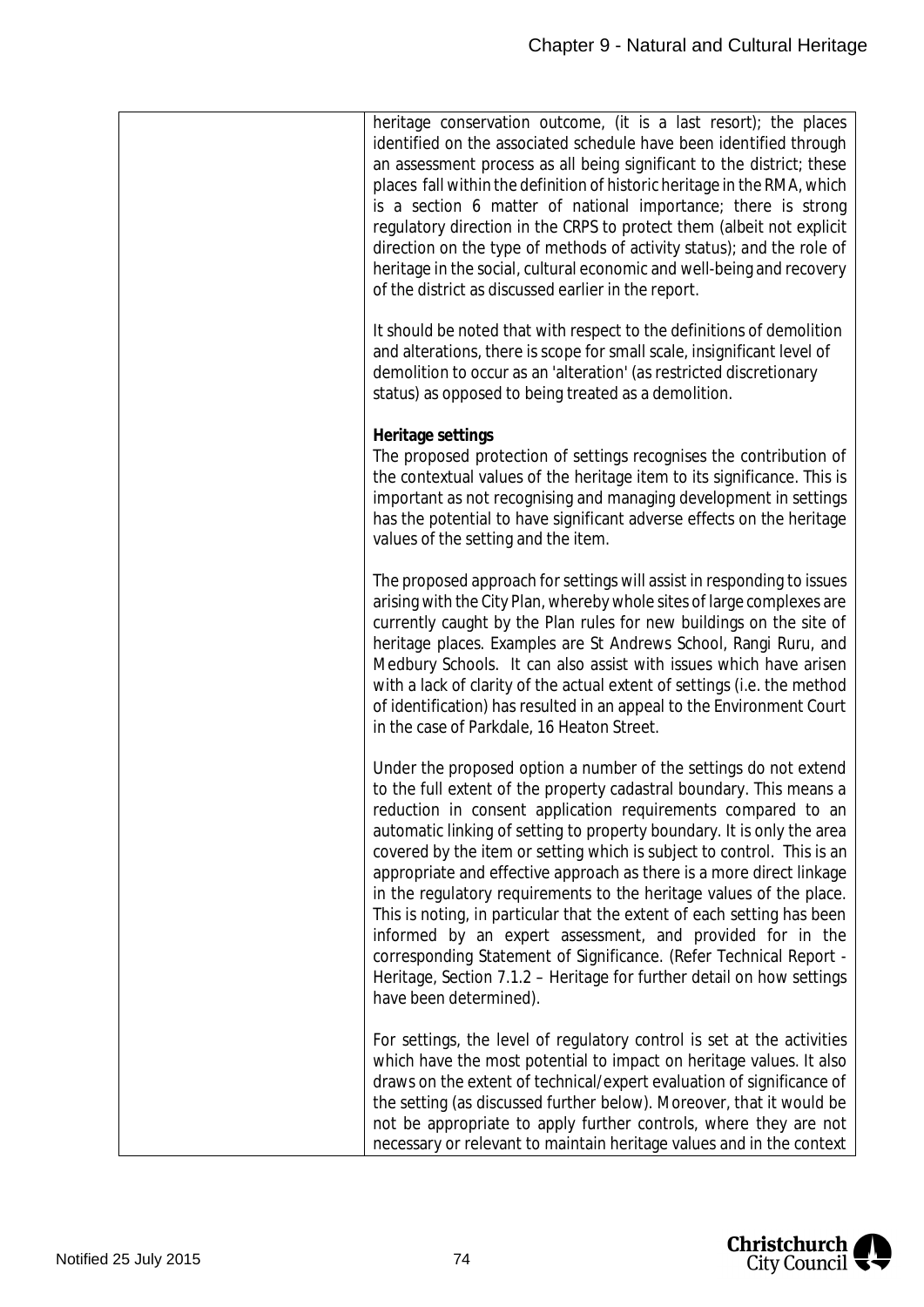| heritage conservation outcome, (it is a last resort); the places<br>identified on the associated schedule have been identified through<br>an assessment process as all being significant to the district; these<br>places fall within the definition of historic heritage in the RMA, which<br>is a section 6 matter of national importance; there is strong<br>regulatory direction in the CRPS to protect them (albeit not explicit<br>direction on the type of methods of activity status); and the role of<br>heritage in the social, cultural economic and well-being and recovery<br>of the district as discussed earlier in the report.                                                                                                                                                                             |
|----------------------------------------------------------------------------------------------------------------------------------------------------------------------------------------------------------------------------------------------------------------------------------------------------------------------------------------------------------------------------------------------------------------------------------------------------------------------------------------------------------------------------------------------------------------------------------------------------------------------------------------------------------------------------------------------------------------------------------------------------------------------------------------------------------------------------|
| It should be noted that with respect to the definitions of demolition<br>and alterations, there is scope for small scale, insignificant level of<br>demolition to occur as an 'alteration' (as restricted discretionary<br>status) as opposed to being treated as a demolition.                                                                                                                                                                                                                                                                                                                                                                                                                                                                                                                                            |
| Heritage settings<br>The proposed protection of settings recognises the contribution of<br>the contextual values of the heritage item to its significance. This is<br>important as not recognising and managing development in settings<br>has the potential to have significant adverse effects on the heritage<br>values of the setting and the item.                                                                                                                                                                                                                                                                                                                                                                                                                                                                    |
| The proposed approach for settings will assist in responding to issues<br>arising with the City Plan, whereby whole sites of large complexes are<br>currently caught by the Plan rules for new buildings on the site of<br>heritage places. Examples are St Andrews School, Rangi Ruru, and<br>Medbury Schools. It can also assist with issues which have arisen<br>with a lack of clarity of the actual extent of settings (i.e. the method<br>of identification) has resulted in an appeal to the Environment Court<br>in the case of Parkdale, 16 Heaton Street.                                                                                                                                                                                                                                                        |
| Under the proposed option a number of the settings do not extend<br>to the full extent of the property cadastral boundary. This means a<br>reduction in consent application requirements compared to an<br>automatic linking of setting to property boundary. It is only the area<br>covered by the item or setting which is subject to control. This is an<br>appropriate and effective approach as there is a more direct linkage<br>in the regulatory requirements to the heritage values of the place.<br>This is noting, in particular that the extent of each setting has been<br>informed by an expert assessment, and provided for in the<br>corresponding Statement of Significance. (Refer Technical Report -<br>Heritage, Section 7.1.2 – Heritage for further detail on how settings<br>have been determined). |
| For settings, the level of regulatory control is set at the activities<br>which have the most potential to impact on heritage values. It also<br>draws on the extent of technical/expert evaluation of significance of<br>the setting (as discussed further below). Moreover, that it would be<br>not be appropriate to apply further controls, where they are not<br>necessary or relevant to maintain heritage values and in the context                                                                                                                                                                                                                                                                                                                                                                                 |

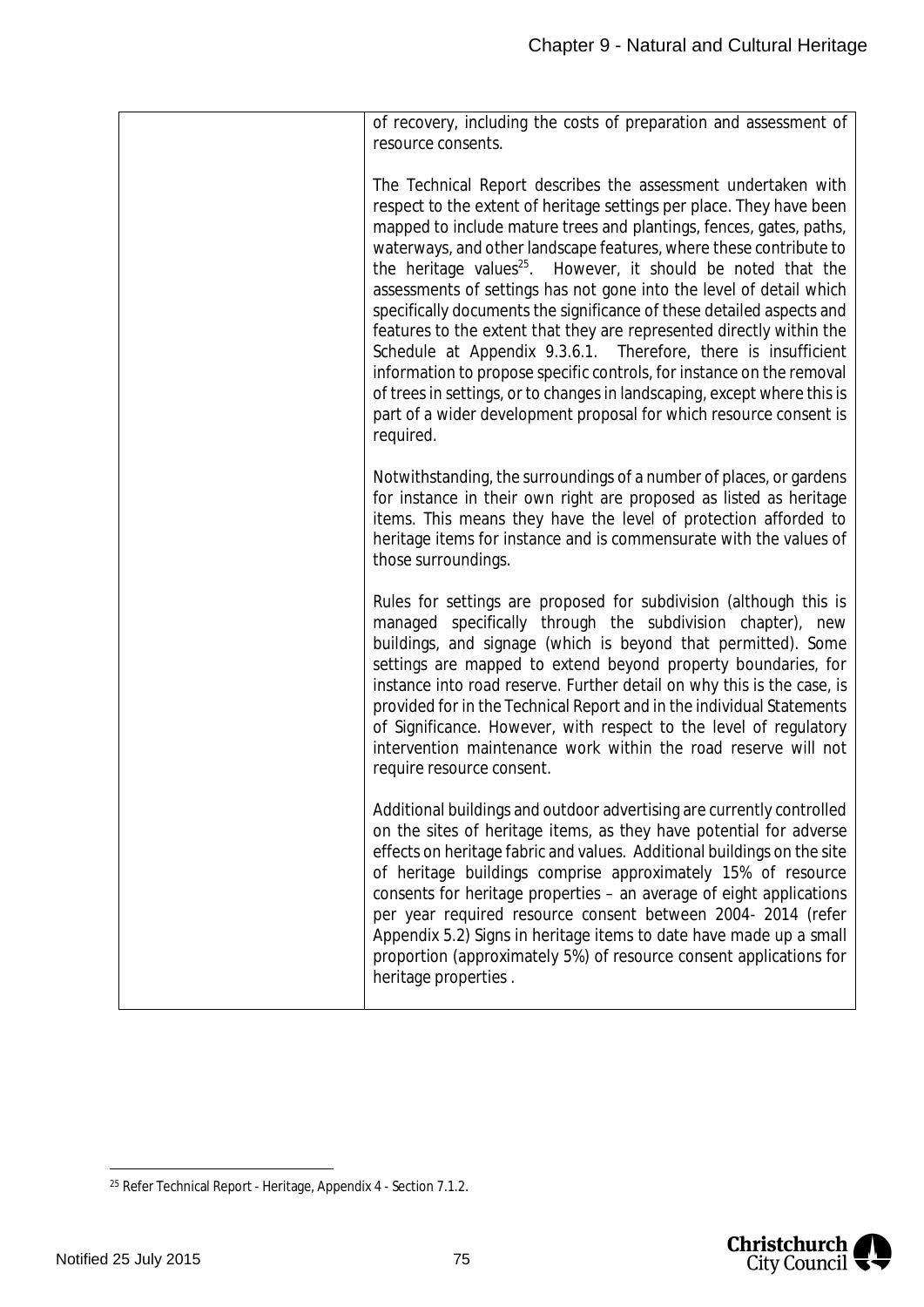| of recovery, including the costs of preparation and assessment of<br>resource consents.                                                                                                                                                                                                                                                                                                                                                                                                                                                                                                                                                                                                                                                                                                                                                                                                             |
|-----------------------------------------------------------------------------------------------------------------------------------------------------------------------------------------------------------------------------------------------------------------------------------------------------------------------------------------------------------------------------------------------------------------------------------------------------------------------------------------------------------------------------------------------------------------------------------------------------------------------------------------------------------------------------------------------------------------------------------------------------------------------------------------------------------------------------------------------------------------------------------------------------|
| The Technical Report describes the assessment undertaken with<br>respect to the extent of heritage settings per place. They have been<br>mapped to include mature trees and plantings, fences, gates, paths,<br>waterways, and other landscape features, where these contribute to<br>the heritage values <sup>25</sup> .<br>However, it should be noted that the<br>assessments of settings has not gone into the level of detail which<br>specifically documents the significance of these detailed aspects and<br>features to the extent that they are represented directly within the<br>Schedule at Appendix 9.3.6.1. Therefore, there is insufficient<br>information to propose specific controls, for instance on the removal<br>of trees in settings, or to changes in landscaping, except where this is<br>part of a wider development proposal for which resource consent is<br>required. |
| Notwithstanding, the surroundings of a number of places, or gardens<br>for instance in their own right are proposed as listed as heritage<br>items. This means they have the level of protection afforded to<br>heritage items for instance and is commensurate with the values of<br>those surroundings.                                                                                                                                                                                                                                                                                                                                                                                                                                                                                                                                                                                           |
| Rules for settings are proposed for subdivision (although this is<br>managed specifically through the subdivision chapter), new<br>buildings, and signage (which is beyond that permitted). Some<br>settings are mapped to extend beyond property boundaries, for<br>instance into road reserve. Further detail on why this is the case, is<br>provided for in the Technical Report and in the individual Statements<br>of Significance. However, with respect to the level of regulatory<br>intervention maintenance work within the road reserve will not<br>require resource consent.                                                                                                                                                                                                                                                                                                            |
| Additional buildings and outdoor advertising are currently controlled<br>on the sites of heritage items, as they have potential for adverse<br>effects on heritage fabric and values. Additional buildings on the site<br>of heritage buildings comprise approximately 15% of resource<br>consents for heritage properties - an average of eight applications<br>per year required resource consent between 2004- 2014 (refer<br>Appendix 5.2) Signs in heritage items to date have made up a small<br>proportion (approximately 5%) of resource consent applications for<br>heritage properties.                                                                                                                                                                                                                                                                                                   |



<span id="page-75-0"></span><sup>25</sup> Refer Technical Report - Heritage, Appendix 4 - Section 7.1.2.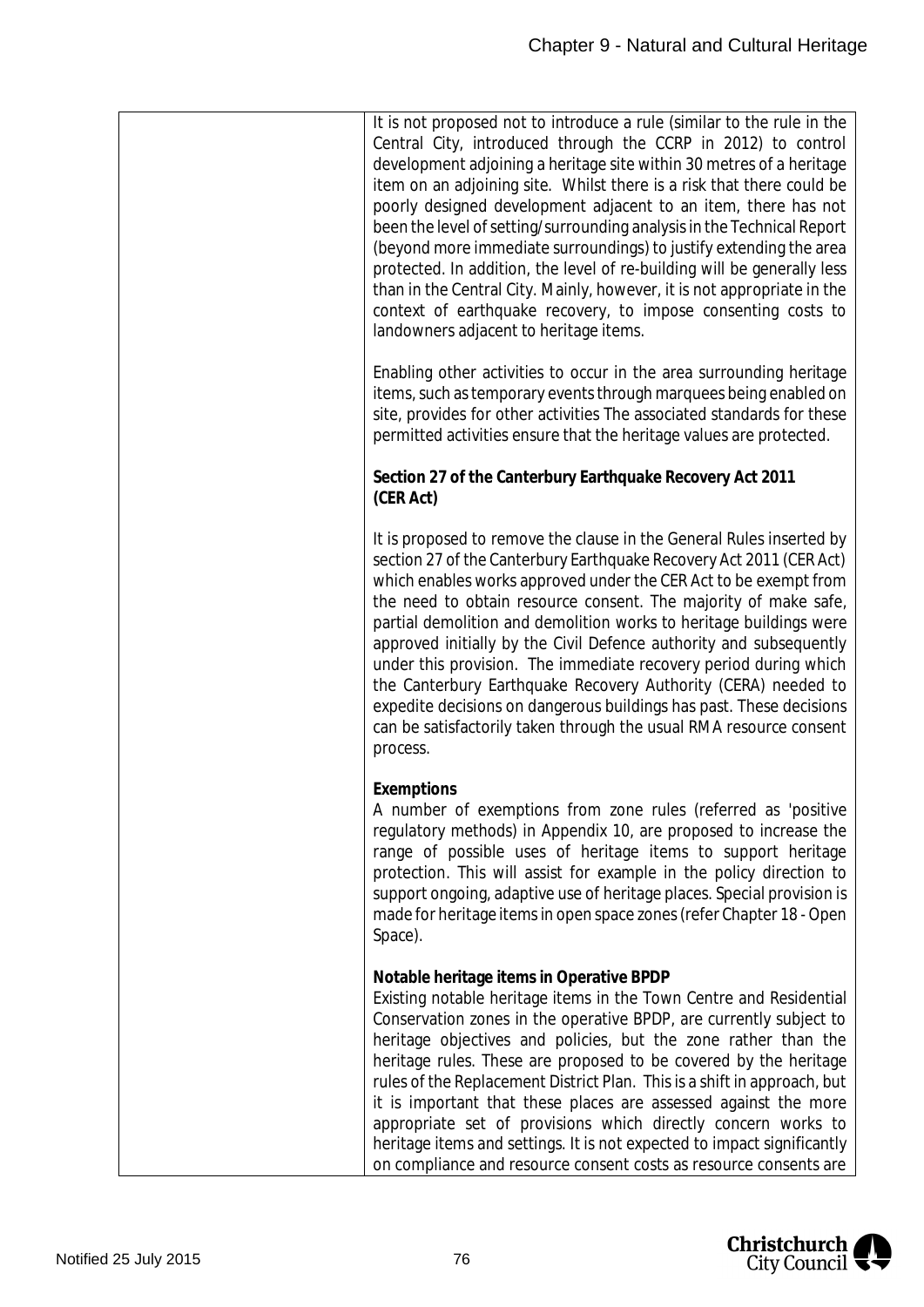| It is not proposed not to introduce a rule (similar to the rule in the<br>Central City, introduced through the CCRP in 2012) to control<br>development adjoining a heritage site within 30 metres of a heritage<br>item on an adjoining site. Whilst there is a risk that there could be<br>poorly designed development adjacent to an item, there has not<br>been the level of setting/surrounding analysis in the Technical Report<br>(beyond more immediate surroundings) to justify extending the area<br>protected. In addition, the level of re-building will be generally less<br>than in the Central City. Mainly, however, it is not appropriate in the<br>context of earthquake recovery, to impose consenting costs to<br>landowners adjacent to heritage items. |
|-----------------------------------------------------------------------------------------------------------------------------------------------------------------------------------------------------------------------------------------------------------------------------------------------------------------------------------------------------------------------------------------------------------------------------------------------------------------------------------------------------------------------------------------------------------------------------------------------------------------------------------------------------------------------------------------------------------------------------------------------------------------------------|
| Enabling other activities to occur in the area surrounding heritage<br>items, such as temporary events through marquees being enabled on<br>site, provides for other activities The associated standards for these<br>permitted activities ensure that the heritage values are protected.                                                                                                                                                                                                                                                                                                                                                                                                                                                                                   |
| Section 27 of the Canterbury Earthquake Recovery Act 2011<br>(CER Act)                                                                                                                                                                                                                                                                                                                                                                                                                                                                                                                                                                                                                                                                                                      |
| It is proposed to remove the clause in the General Rules inserted by<br>section 27 of the Canterbury Earthquake Recovery Act 2011 (CER Act)<br>which enables works approved under the CER Act to be exempt from<br>the need to obtain resource consent. The majority of make safe,<br>partial demolition and demolition works to heritage buildings were<br>approved initially by the Civil Defence authority and subsequently<br>under this provision. The immediate recovery period during which<br>the Canterbury Earthquake Recovery Authority (CERA) needed to<br>expedite decisions on dangerous buildings has past. These decisions<br>can be satisfactorily taken through the usual RMA resource consent<br>process.                                                |
| Exemptions<br>A number of exemptions from zone rules (referred as 'positive<br>regulatory methods) in Appendix 10, are proposed to increase the<br>range of possible uses of heritage items to support heritage<br>protection. This will assist for example in the policy direction to<br>support ongoing, adaptive use of heritage places. Special provision is<br>made for heritage items in open space zones (refer Chapter 18 - Open<br>Space).                                                                                                                                                                                                                                                                                                                         |
| Notable heritage items in Operative BPDP<br>Existing notable heritage items in the Town Centre and Residential<br>Conservation zones in the operative BPDP, are currently subject to<br>heritage objectives and policies, but the zone rather than the<br>heritage rules. These are proposed to be covered by the heritage<br>rules of the Replacement District Plan. This is a shift in approach, but<br>it is important that these places are assessed against the more<br>appropriate set of provisions which directly concern works to<br>heritage items and settings. It is not expected to impact significantly<br>on compliance and resource consent costs as resource consents are                                                                                  |

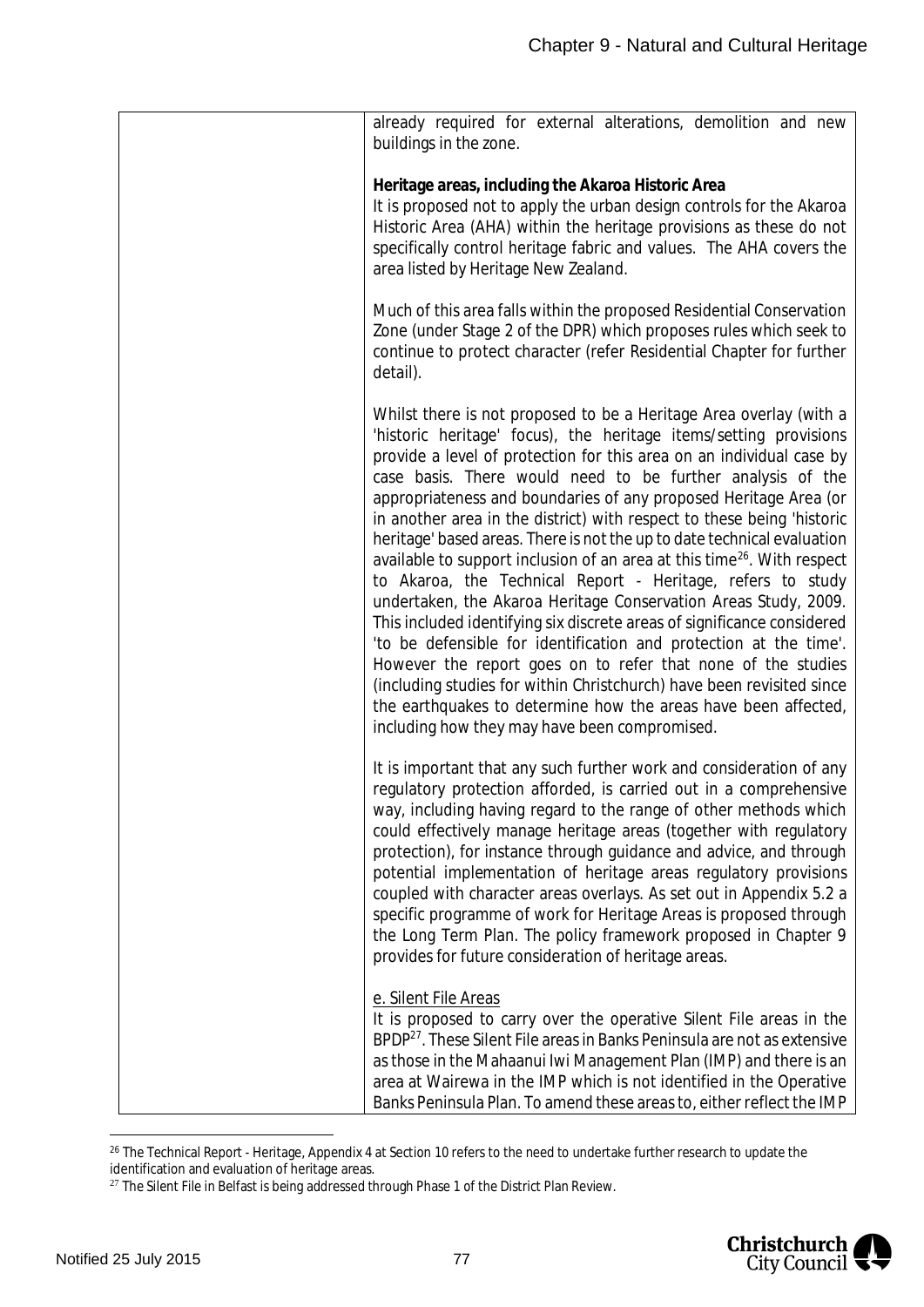| already required for external alterations, demolition and new<br>buildings in the zone.                                                                                                                                                                                                                                                                                                                                                                                                                                                                                                                                                                                                                                                                                                                                                                                                                                                                                                                                                                                                                                                     |
|---------------------------------------------------------------------------------------------------------------------------------------------------------------------------------------------------------------------------------------------------------------------------------------------------------------------------------------------------------------------------------------------------------------------------------------------------------------------------------------------------------------------------------------------------------------------------------------------------------------------------------------------------------------------------------------------------------------------------------------------------------------------------------------------------------------------------------------------------------------------------------------------------------------------------------------------------------------------------------------------------------------------------------------------------------------------------------------------------------------------------------------------|
| Heritage areas, including the Akaroa Historic Area<br>It is proposed not to apply the urban design controls for the Akaroa<br>Historic Area (AHA) within the heritage provisions as these do not<br>specifically control heritage fabric and values. The AHA covers the<br>area listed by Heritage New Zealand.                                                                                                                                                                                                                                                                                                                                                                                                                                                                                                                                                                                                                                                                                                                                                                                                                             |
| Much of this area falls within the proposed Residential Conservation<br>Zone (under Stage 2 of the DPR) which proposes rules which seek to<br>continue to protect character (refer Residential Chapter for further<br>detail).                                                                                                                                                                                                                                                                                                                                                                                                                                                                                                                                                                                                                                                                                                                                                                                                                                                                                                              |
| Whilst there is not proposed to be a Heritage Area overlay (with a<br>'historic heritage' focus), the heritage items/setting provisions<br>provide a level of protection for this area on an individual case by<br>case basis. There would need to be further analysis of the<br>appropriateness and boundaries of any proposed Heritage Area (or<br>in another area in the district) with respect to these being 'historic<br>heritage' based areas. There is not the up to date technical evaluation<br>available to support inclusion of an area at this time <sup>26</sup> . With respect<br>to Akaroa, the Technical Report - Heritage, refers to study<br>undertaken, the Akaroa Heritage Conservation Areas Study, 2009.<br>This included identifying six discrete areas of significance considered<br>'to be defensible for identification and protection at the time'.<br>However the report goes on to refer that none of the studies<br>(including studies for within Christchurch) have been revisited since<br>the earthquakes to determine how the areas have been affected,<br>including how they may have been compromised. |
| It is important that any such further work and consideration of any<br>regulatory protection afforded, is carried out in a comprehensive<br>way, including having regard to the range of other methods which<br>could effectively manage heritage areas (together with regulatory<br>protection), for instance through guidance and advice, and through<br>potential implementation of heritage areas regulatory provisions<br>coupled with character areas overlays. As set out in Appendix 5.2 a<br>specific programme of work for Heritage Areas is proposed through<br>the Long Term Plan. The policy framework proposed in Chapter 9<br>provides for future consideration of heritage areas.                                                                                                                                                                                                                                                                                                                                                                                                                                           |
| e. Silent File Areas<br>It is proposed to carry over the operative Silent File areas in the<br>BPDP <sup>27</sup> . These Silent File areas in Banks Peninsula are not as extensive<br>as those in the Mahaanui Iwi Management Plan (IMP) and there is an<br>area at Wairewa in the IMP which is not identified in the Operative<br>Banks Peninsula Plan. To amend these areas to, either reflect the IMP                                                                                                                                                                                                                                                                                                                                                                                                                                                                                                                                                                                                                                                                                                                                   |

<span id="page-77-0"></span><sup>&</sup>lt;sup>26</sup> The Technical Report - Heritage, Appendix 4 at Section 10 refers to the need to undertake further research to update the identification and evaluation of heritage areas.



<span id="page-77-1"></span><sup>&</sup>lt;sup>27</sup> The Silent File in Belfast is being addressed through Phase 1 of the District Plan Review.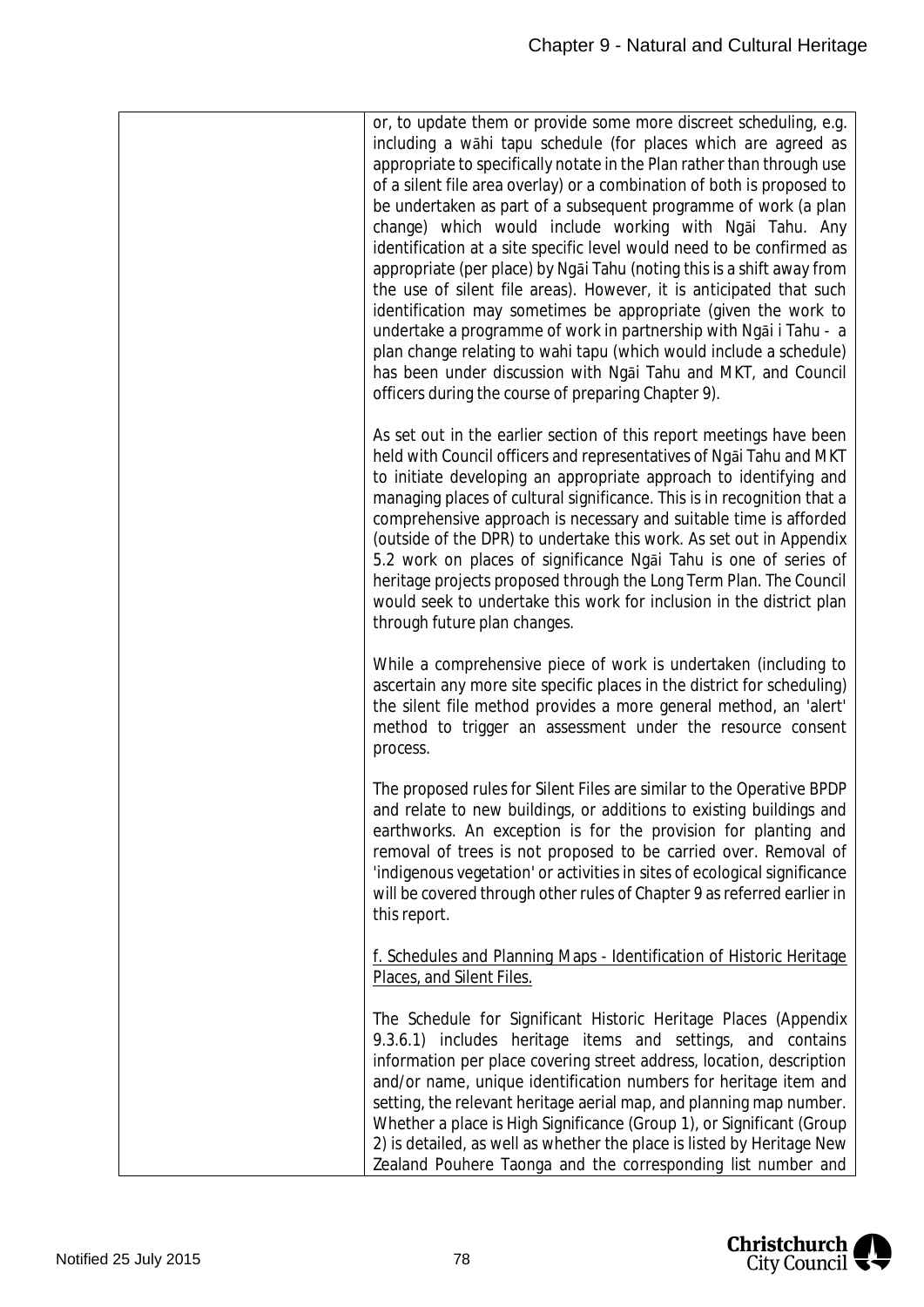| or, to update them or provide some more discreet scheduling, e.g.<br>including a wahi tapu schedule (for places which are agreed as<br>appropriate to specifically notate in the Plan rather than through use<br>of a silent file area overlay) or a combination of both is proposed to<br>be undertaken as part of a subsequent programme of work (a plan<br>change) which would include working with Ngai Tahu. Any<br>identification at a site specific level would need to be confirmed as<br>appropriate (per place) by Ngai Tahu (noting this is a shift away from<br>the use of silent file areas). However, it is anticipated that such<br>identification may sometimes be appropriate (given the work to<br>undertake a programme of work in partnership with Ngai i Tahu - a<br>plan change relating to wahi tapu (which would include a schedule)<br>has been under discussion with Ngai Tahu and MKT, and Council<br>officers during the course of preparing Chapter 9). |
|--------------------------------------------------------------------------------------------------------------------------------------------------------------------------------------------------------------------------------------------------------------------------------------------------------------------------------------------------------------------------------------------------------------------------------------------------------------------------------------------------------------------------------------------------------------------------------------------------------------------------------------------------------------------------------------------------------------------------------------------------------------------------------------------------------------------------------------------------------------------------------------------------------------------------------------------------------------------------------------|
| As set out in the earlier section of this report meetings have been<br>held with Council officers and representatives of Ngai Tahu and MKT<br>to initiate developing an appropriate approach to identifying and<br>managing places of cultural significance. This is in recognition that a<br>comprehensive approach is necessary and suitable time is afforded<br>(outside of the DPR) to undertake this work. As set out in Appendix<br>5.2 work on places of significance Ngai Tahu is one of series of<br>heritage projects proposed through the Long Term Plan. The Council<br>would seek to undertake this work for inclusion in the district plan<br>through future plan changes.                                                                                                                                                                                                                                                                                             |
| While a comprehensive piece of work is undertaken (including to<br>ascertain any more site specific places in the district for scheduling)<br>the silent file method provides a more general method, an 'alert'<br>method to trigger an assessment under the resource consent<br>process.                                                                                                                                                                                                                                                                                                                                                                                                                                                                                                                                                                                                                                                                                            |
| The proposed rules for Silent Files are similar to the Operative BPDP<br>and relate to new buildings, or additions to existing buildings and<br>earthworks. An exception is for the provision for planting and<br>removal of trees is not proposed to be carried over. Removal of<br>'indigenous vegetation' or activities in sites of ecological significance<br>will be covered through other rules of Chapter 9 as referred earlier in<br>this report.                                                                                                                                                                                                                                                                                                                                                                                                                                                                                                                            |
| f. Schedules and Planning Maps - Identification of Historic Heritage<br>Places, and Silent Files.                                                                                                                                                                                                                                                                                                                                                                                                                                                                                                                                                                                                                                                                                                                                                                                                                                                                                    |
| The Schedule for Significant Historic Heritage Places (Appendix<br>9.3.6.1) includes heritage items and settings, and contains<br>information per place covering street address, location, description<br>and/or name, unique identification numbers for heritage item and<br>setting, the relevant heritage aerial map, and planning map number.<br>Whether a place is High Significance (Group 1), or Significant (Group                                                                                                                                                                                                                                                                                                                                                                                                                                                                                                                                                           |

2) is detailed, as well as whether the place is listed by Heritage New Zealand Pouhere Taonga and the corresponding list number and

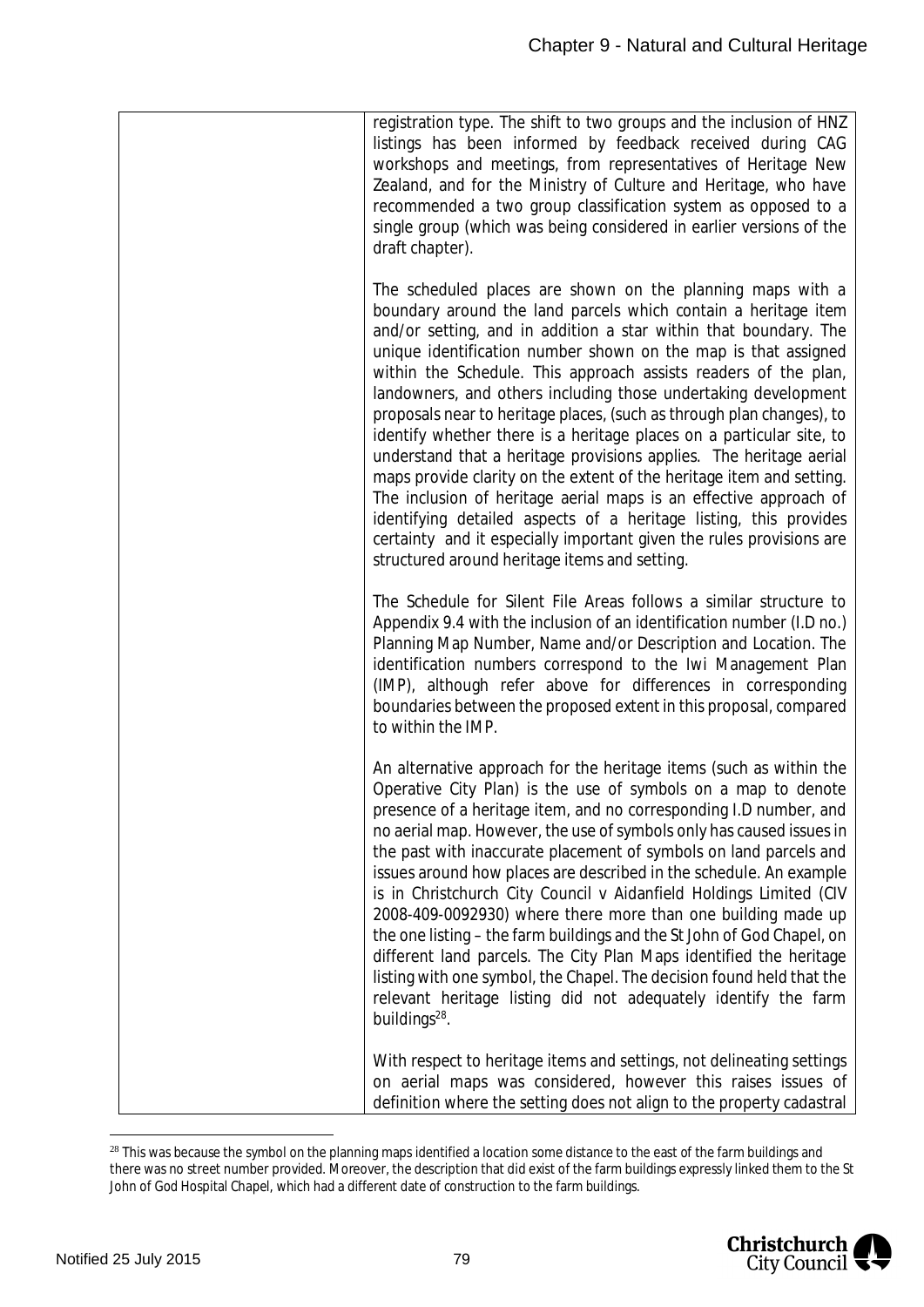| registration type. The shift to two groups and the inclusion of HNZ<br>listings has been informed by feedback received during CAG<br>workshops and meetings, from representatives of Heritage New<br>Zealand, and for the Ministry of Culture and Heritage, who have<br>recommended a two group classification system as opposed to a<br>single group (which was being considered in earlier versions of the<br>draft chapter).                                                                                                                                                                                                                                                                                                                                                                                                                                                                                                                                           |
|---------------------------------------------------------------------------------------------------------------------------------------------------------------------------------------------------------------------------------------------------------------------------------------------------------------------------------------------------------------------------------------------------------------------------------------------------------------------------------------------------------------------------------------------------------------------------------------------------------------------------------------------------------------------------------------------------------------------------------------------------------------------------------------------------------------------------------------------------------------------------------------------------------------------------------------------------------------------------|
| The scheduled places are shown on the planning maps with a<br>boundary around the land parcels which contain a heritage item<br>and/or setting, and in addition a star within that boundary. The<br>unique identification number shown on the map is that assigned<br>within the Schedule. This approach assists readers of the plan,<br>landowners, and others including those undertaking development<br>proposals near to heritage places, (such as through plan changes), to<br>identify whether there is a heritage places on a particular site, to<br>understand that a heritage provisions applies. The heritage aerial<br>maps provide clarity on the extent of the heritage item and setting.<br>The inclusion of heritage aerial maps is an effective approach of<br>identifying detailed aspects of a heritage listing, this provides<br>certainty and it especially important given the rules provisions are<br>structured around heritage items and setting. |
| The Schedule for Silent File Areas follows a similar structure to<br>Appendix 9.4 with the inclusion of an identification number (I.D no.)<br>Planning Map Number, Name and/or Description and Location. The<br>identification numbers correspond to the Iwi Management Plan<br>(IMP), although refer above for differences in corresponding<br>boundaries between the proposed extent in this proposal, compared<br>to within the IMP.                                                                                                                                                                                                                                                                                                                                                                                                                                                                                                                                   |
| An alternative approach for the heritage items (such as within the<br>Operative City Plan) is the use of symbols on a map to denote<br>presence of a heritage item, and no corresponding I.D number, and<br>no aerial map. However, the use of symbols only has caused issues in<br>the past with inaccurate placement of symbols on land parcels and<br>issues around how places are described in the schedule. An example<br>is in Christchurch City Council v Aidanfield Holdings Limited (CIV<br>2008-409-0092930) where there more than one building made up<br>the one listing - the farm buildings and the St John of God Chapel, on<br>different land parcels. The City Plan Maps identified the heritage<br>listing with one symbol, the Chapel. The decision found held that the<br>relevant heritage listing did not adequately identify the farm<br>buildings <sup>28</sup> .                                                                                 |
| With respect to heritage items and settings, not delineating settings<br>on aerial maps was considered, however this raises issues of<br>definition where the setting does not align to the property cadastral                                                                                                                                                                                                                                                                                                                                                                                                                                                                                                                                                                                                                                                                                                                                                            |

<span id="page-79-0"></span><sup>&</sup>lt;sup>28</sup> This was because the symbol on the planning maps identified a location some distance to the east of the farm buildings and there was no street number provided. Moreover, the description that did exist of the farm buildings expressly linked them to the St John of God Hospital Chapel, which had a different date of construction to the farm buildings.

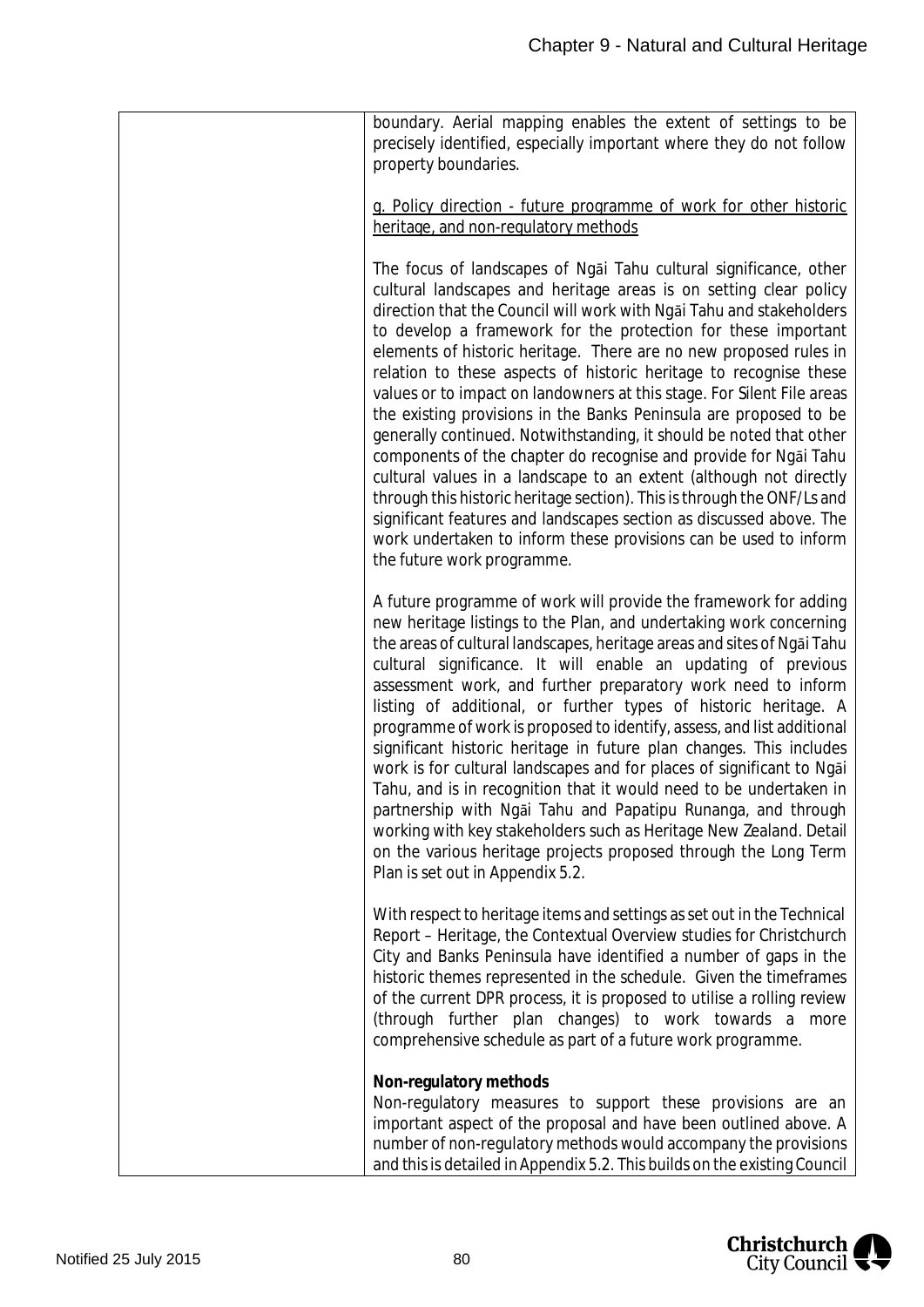| boundary. Aerial mapping enables the extent of settings to be<br>precisely identified, especially important where they do not follow<br>property boundaries.                                                                                                                                                                                                                                                                                                                                                                                                                                                                                                                                                                                                                                                                                                                                                                                                                                                                                  |
|-----------------------------------------------------------------------------------------------------------------------------------------------------------------------------------------------------------------------------------------------------------------------------------------------------------------------------------------------------------------------------------------------------------------------------------------------------------------------------------------------------------------------------------------------------------------------------------------------------------------------------------------------------------------------------------------------------------------------------------------------------------------------------------------------------------------------------------------------------------------------------------------------------------------------------------------------------------------------------------------------------------------------------------------------|
| g. Policy direction - future programme of work for other historic<br>heritage, and non-regulatory methods                                                                                                                                                                                                                                                                                                                                                                                                                                                                                                                                                                                                                                                                                                                                                                                                                                                                                                                                     |
| The focus of landscapes of Ngai Tahu cultural significance, other<br>cultural landscapes and heritage areas is on setting clear policy<br>direction that the Council will work with Ngai Tahu and stakeholders<br>to develop a framework for the protection for these important<br>elements of historic heritage. There are no new proposed rules in<br>relation to these aspects of historic heritage to recognise these<br>values or to impact on landowners at this stage. For Silent File areas<br>the existing provisions in the Banks Peninsula are proposed to be<br>generally continued. Notwithstanding, it should be noted that other<br>components of the chapter do recognise and provide for Ngai Tahu<br>cultural values in a landscape to an extent (although not directly<br>through this historic heritage section). This is through the ONF/Ls and<br>significant features and landscapes section as discussed above. The<br>work undertaken to inform these provisions can be used to inform<br>the future work programme. |
| A future programme of work will provide the framework for adding<br>new heritage listings to the Plan, and undertaking work concerning<br>the areas of cultural landscapes, heritage areas and sites of Ngai Tahu<br>cultural significance. It will enable an updating of previous<br>assessment work, and further preparatory work need to inform<br>listing of additional, or further types of historic heritage. A<br>programme of work is proposed to identify, assess, and list additional<br>significant historic heritage in future plan changes. This includes<br>work is for cultural landscapes and for places of significant to Ngai<br>Tahu, and is in recognition that it would need to be undertaken in<br>partnership with Ngai Tahu and Papatipu Runanga, and through<br>working with key stakeholders such as Heritage New Zealand. Detail<br>on the various heritage projects proposed through the Long Term<br>Plan is set out in Appendix 5.2.                                                                            |
| With respect to heritage items and settings as set out in the Technical<br>Report - Heritage, the Contextual Overview studies for Christchurch<br>City and Banks Peninsula have identified a number of gaps in the<br>historic themes represented in the schedule. Given the timeframes<br>of the current DPR process, it is proposed to utilise a rolling review<br>(through further plan changes) to work towards a more<br>comprehensive schedule as part of a future work programme.                                                                                                                                                                                                                                                                                                                                                                                                                                                                                                                                                      |
| Non-regulatory methods<br>Non-regulatory measures to support these provisions are an<br>important aspect of the proposal and have been outlined above. A<br>number of non-regulatory methods would accompany the provisions<br>and this is detailed in Appendix 5.2. This builds on the existing Council                                                                                                                                                                                                                                                                                                                                                                                                                                                                                                                                                                                                                                                                                                                                      |

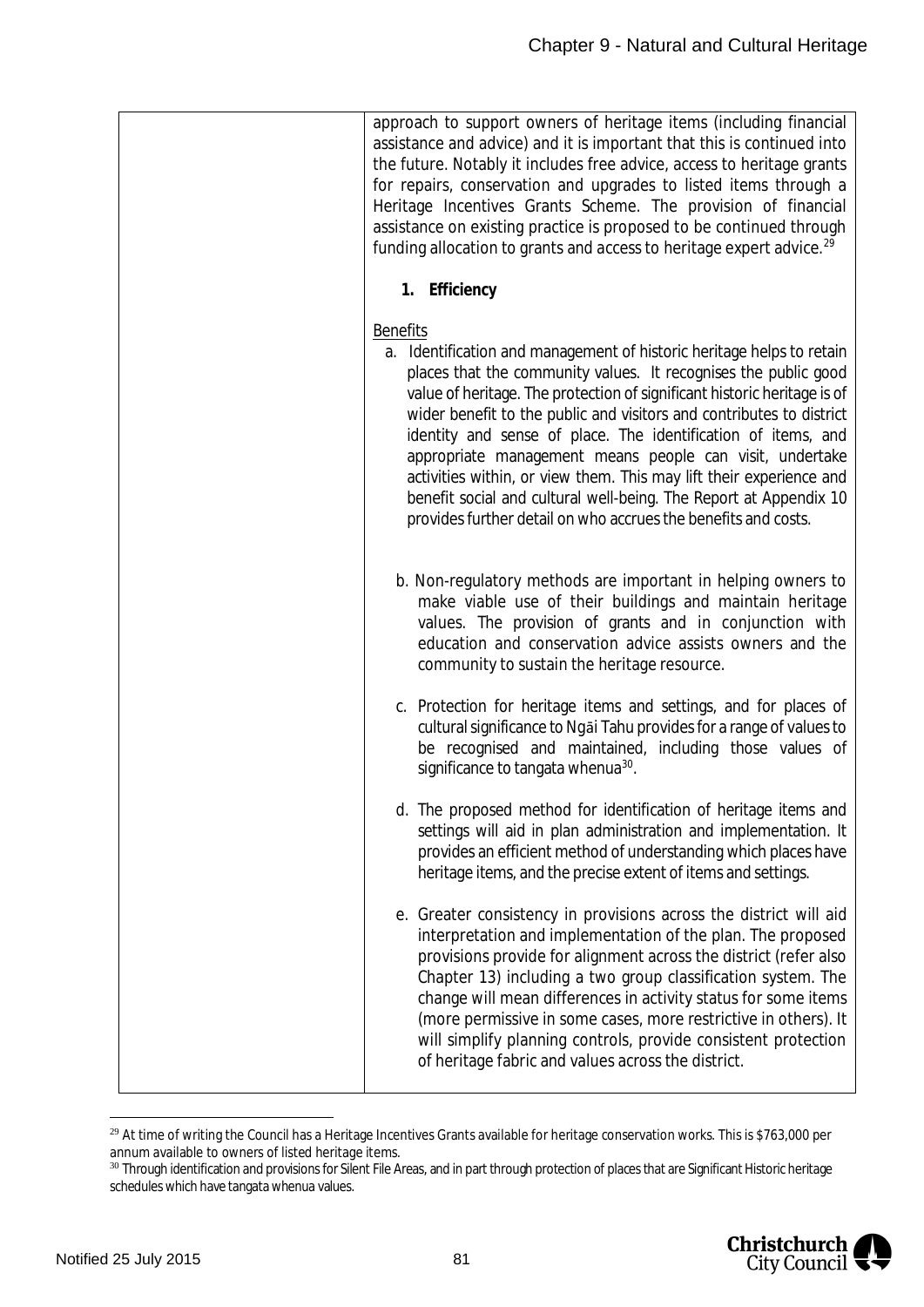|  | approach to support owners of heritage items (including financial<br>assistance and advice) and it is important that this is continued into<br>the future. Notably it includes free advice, access to heritage grants<br>for repairs, conservation and upgrades to listed items through a<br>Heritage Incentives Grants Scheme. The provision of financial<br>assistance on existing practice is proposed to be continued through<br>funding allocation to grants and access to heritage expert advice. <sup>29</sup>                                                                                                                                      |
|--|------------------------------------------------------------------------------------------------------------------------------------------------------------------------------------------------------------------------------------------------------------------------------------------------------------------------------------------------------------------------------------------------------------------------------------------------------------------------------------------------------------------------------------------------------------------------------------------------------------------------------------------------------------|
|  | 1. Efficiency                                                                                                                                                                                                                                                                                                                                                                                                                                                                                                                                                                                                                                              |
|  | <b>Benefits</b><br>a. Identification and management of historic heritage helps to retain<br>places that the community values. It recognises the public good<br>value of heritage. The protection of significant historic heritage is of<br>wider benefit to the public and visitors and contributes to district<br>identity and sense of place. The identification of items, and<br>appropriate management means people can visit, undertake<br>activities within, or view them. This may lift their experience and<br>benefit social and cultural well-being. The Report at Appendix 10<br>provides further detail on who accrues the benefits and costs. |
|  | b. Non-regulatory methods are important in helping owners to<br>make viable use of their buildings and maintain heritage<br>values. The provision of grants and in conjunction with<br>education and conservation advice assists owners and the<br>community to sustain the heritage resource.                                                                                                                                                                                                                                                                                                                                                             |
|  | c. Protection for heritage items and settings, and for places of<br>cultural significance to Ngai Tahu provides for a range of values to<br>be recognised and maintained, including those values of<br>significance to tangata whenua <sup>30</sup> .                                                                                                                                                                                                                                                                                                                                                                                                      |
|  | d. The proposed method for identification of heritage items and<br>settings will aid in plan administration and implementation. It<br>provides an efficient method of understanding which places have<br>heritage items, and the precise extent of items and settings.                                                                                                                                                                                                                                                                                                                                                                                     |
|  | e. Greater consistency in provisions across the district will aid<br>interpretation and implementation of the plan. The proposed<br>provisions provide for alignment across the district (refer also<br>Chapter 13) including a two group classification system. The<br>change will mean differences in activity status for some items<br>(more permissive in some cases, more restrictive in others). It<br>will simplify planning controls, provide consistent protection<br>of heritage fabric and values across the district.                                                                                                                          |

<span id="page-81-0"></span><sup>&</sup>lt;sup>29</sup> At time of writing the Council has a Heritage Incentives Grants available for heritage conservation works. This is \$763,000 per annum available to owners of listed heritage items.

<span id="page-81-1"></span><sup>30</sup> Through identification and provisions for Silent File Areas, and in part through protection of places that are Significant Historic heritage schedules which have tangata whenua values.

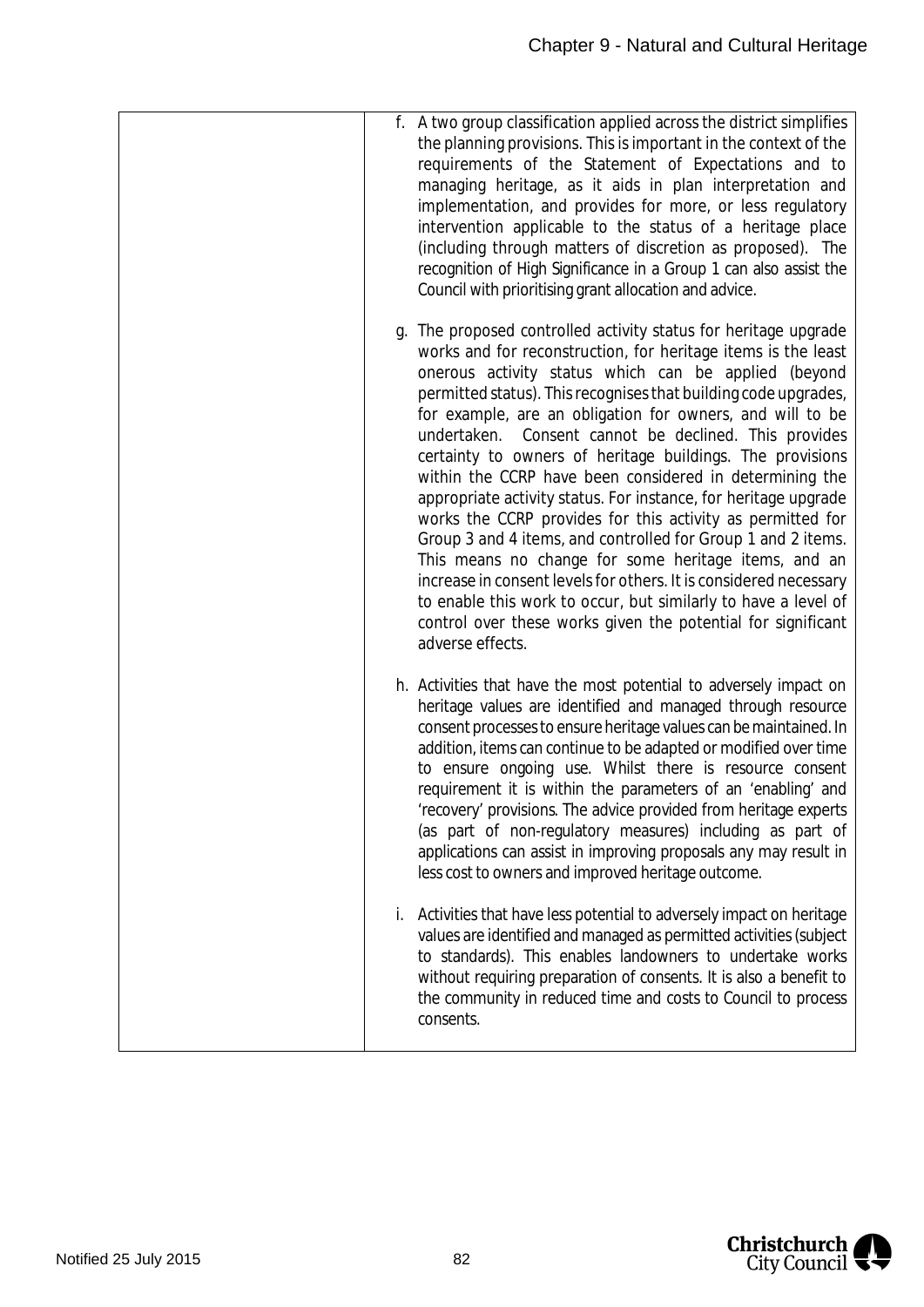| f. A two group classification applied across the district simplifies<br>the planning provisions. This is important in the context of the<br>requirements of the Statement of Expectations and to<br>managing heritage, as it aids in plan interpretation and<br>implementation, and provides for more, or less regulatory<br>intervention applicable to the status of a heritage place<br>(including through matters of discretion as proposed). The<br>recognition of High Significance in a Group 1 can also assist the<br>Council with prioritising grant allocation and advice.                                                                                                                                                                                                                                                                                                                                                                                                           |
|-----------------------------------------------------------------------------------------------------------------------------------------------------------------------------------------------------------------------------------------------------------------------------------------------------------------------------------------------------------------------------------------------------------------------------------------------------------------------------------------------------------------------------------------------------------------------------------------------------------------------------------------------------------------------------------------------------------------------------------------------------------------------------------------------------------------------------------------------------------------------------------------------------------------------------------------------------------------------------------------------|
| g. The proposed controlled activity status for heritage upgrade<br>works and for reconstruction, for heritage items is the least<br>onerous activity status which can be applied (beyond<br>permitted status). This recognises that building code upgrades,<br>for example, are an obligation for owners, and will to be<br>undertaken. Consent cannot be declined. This provides<br>certainty to owners of heritage buildings. The provisions<br>within the CCRP have been considered in determining the<br>appropriate activity status. For instance, for heritage upgrade<br>works the CCRP provides for this activity as permitted for<br>Group 3 and 4 items, and controlled for Group 1 and 2 items.<br>This means no change for some heritage items, and an<br>increase in consent levels for others. It is considered necessary<br>to enable this work to occur, but similarly to have a level of<br>control over these works given the potential for significant<br>adverse effects. |
| h. Activities that have the most potential to adversely impact on<br>heritage values are identified and managed through resource<br>consent processes to ensure heritage values can be maintained. In<br>addition, items can continue to be adapted or modified over time<br>to ensure ongoing use. Whilst there is resource consent<br>requirement it is within the parameters of an 'enabling' and<br>'recovery' provisions. The advice provided from heritage experts<br>(as part of non-regulatory measures) including as part of<br>applications can assist in improving proposals any may result in<br>less cost to owners and improved heritage outcome.                                                                                                                                                                                                                                                                                                                               |
| Activities that have less potential to adversely impact on heritage<br>İ.<br>values are identified and managed as permitted activities (subject<br>to standards). This enables landowners to undertake works<br>without requiring preparation of consents. It is also a benefit to<br>the community in reduced time and costs to Council to process<br>consents.                                                                                                                                                                                                                                                                                                                                                                                                                                                                                                                                                                                                                              |

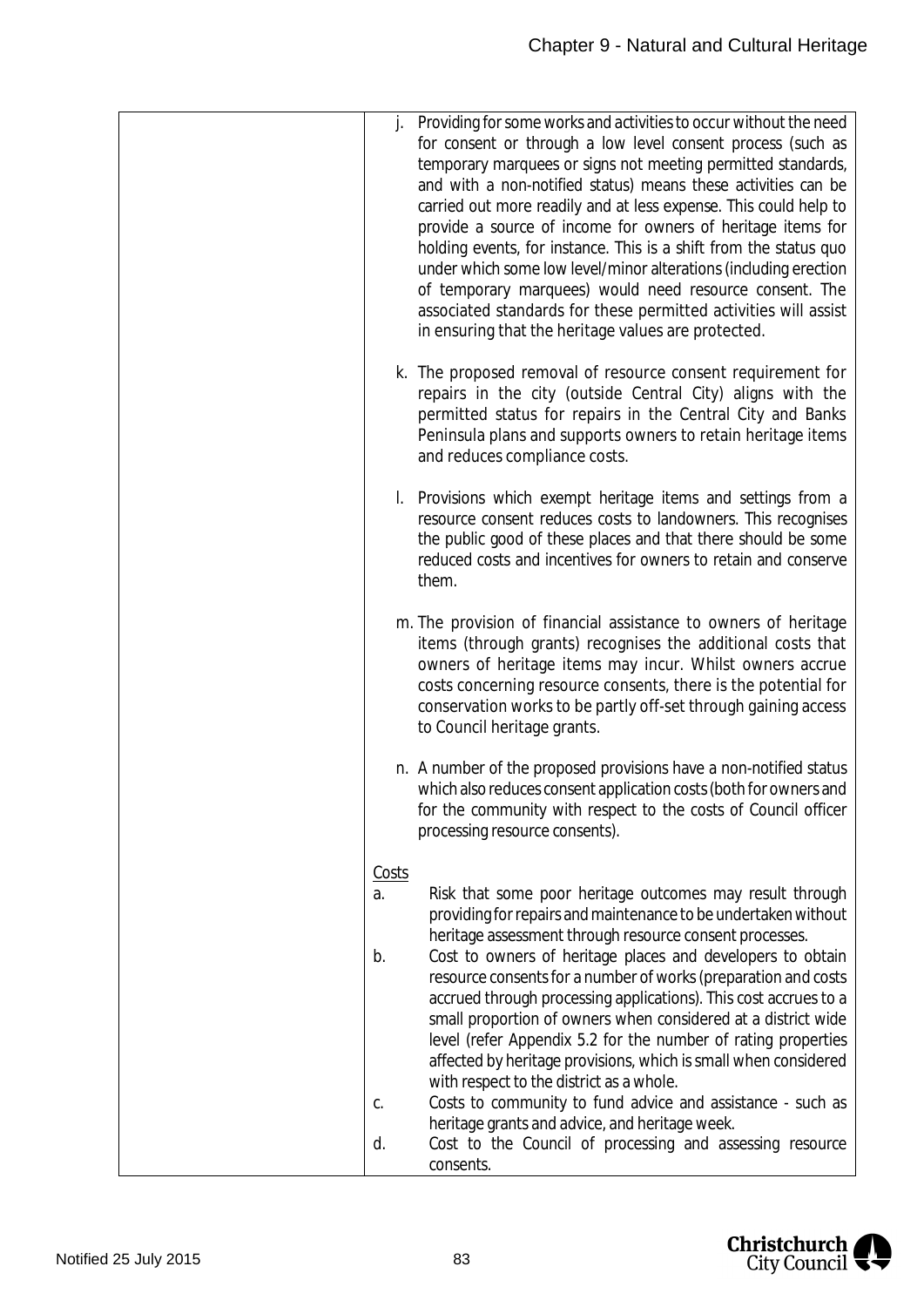| Providing for some works and activities to occur without the need<br>j.<br>for consent or through a low level consent process (such as<br>temporary marquees or signs not meeting permitted standards,<br>and with a non-notified status) means these activities can be<br>carried out more readily and at less expense. This could help to<br>provide a source of income for owners of heritage items for<br>holding events, for instance. This is a shift from the status quo<br>under which some low level/minor alterations (including erection<br>of temporary marquees) would need resource consent. The<br>associated standards for these permitted activities will assist<br>in ensuring that the heritage values are protected.                                                                                                                             |
|----------------------------------------------------------------------------------------------------------------------------------------------------------------------------------------------------------------------------------------------------------------------------------------------------------------------------------------------------------------------------------------------------------------------------------------------------------------------------------------------------------------------------------------------------------------------------------------------------------------------------------------------------------------------------------------------------------------------------------------------------------------------------------------------------------------------------------------------------------------------|
| k. The proposed removal of resource consent requirement for<br>repairs in the city (outside Central City) aligns with the<br>permitted status for repairs in the Central City and Banks<br>Peninsula plans and supports owners to retain heritage items<br>and reduces compliance costs.                                                                                                                                                                                                                                                                                                                                                                                                                                                                                                                                                                             |
| I. Provisions which exempt heritage items and settings from a<br>resource consent reduces costs to landowners. This recognises<br>the public good of these places and that there should be some<br>reduced costs and incentives for owners to retain and conserve<br>them.                                                                                                                                                                                                                                                                                                                                                                                                                                                                                                                                                                                           |
| m. The provision of financial assistance to owners of heritage<br>items (through grants) recognises the additional costs that<br>owners of heritage items may incur. Whilst owners accrue<br>costs concerning resource consents, there is the potential for<br>conservation works to be partly off-set through gaining access<br>to Council heritage grants.                                                                                                                                                                                                                                                                                                                                                                                                                                                                                                         |
| n. A number of the proposed provisions have a non-notified status<br>which also reduces consent application costs (both for owners and<br>for the community with respect to the costs of Council officer<br>processing resource consents).                                                                                                                                                                                                                                                                                                                                                                                                                                                                                                                                                                                                                           |
| Costs<br>Risk that some poor heritage outcomes may result through<br>a.<br>providing for repairs and maintenance to be undertaken without<br>heritage assessment through resource consent processes.<br>Cost to owners of heritage places and developers to obtain<br>b.<br>resource consents for a number of works (preparation and costs<br>accrued through processing applications). This cost accrues to a<br>small proportion of owners when considered at a district wide<br>level (refer Appendix 5.2 for the number of rating properties<br>affected by heritage provisions, which is small when considered<br>with respect to the district as a whole.<br>Costs to community to fund advice and assistance - such as<br>C.<br>heritage grants and advice, and heritage week.<br>Cost to the Council of processing and assessing resource<br>d.<br>consents. |

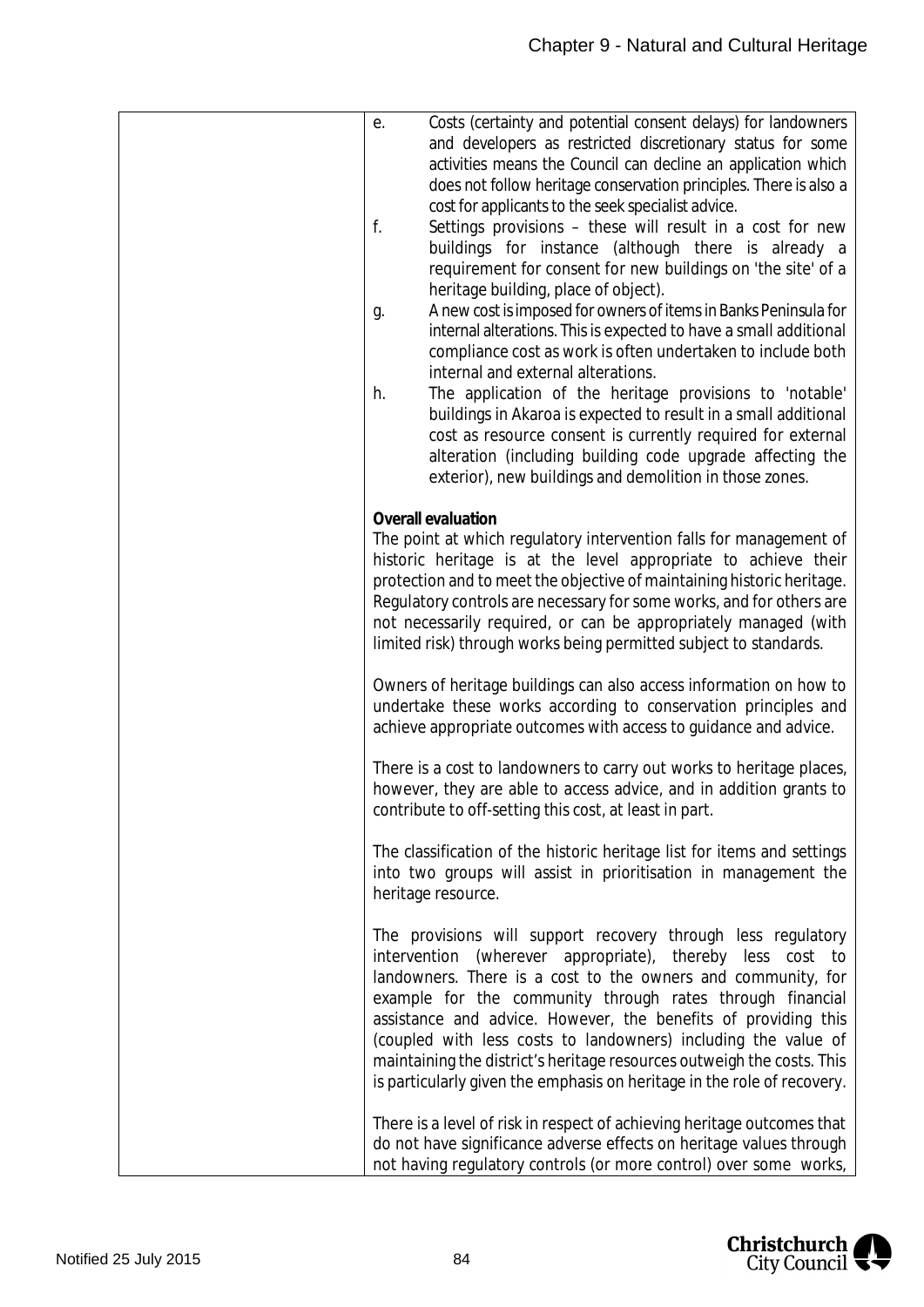| Costs (certainty and potential consent delays) for landowners<br>е.<br>and developers as restricted discretionary status for some<br>activities means the Council can decline an application which                                                                                                                                                                                                                                                                                                                                              |
|-------------------------------------------------------------------------------------------------------------------------------------------------------------------------------------------------------------------------------------------------------------------------------------------------------------------------------------------------------------------------------------------------------------------------------------------------------------------------------------------------------------------------------------------------|
| does not follow heritage conservation principles. There is also a<br>cost for applicants to the seek specialist advice.<br>f.<br>Settings provisions - these will result in a cost for new                                                                                                                                                                                                                                                                                                                                                      |
| buildings for instance (although there is already a<br>requirement for consent for new buildings on 'the site' of a<br>heritage building, place of object).                                                                                                                                                                                                                                                                                                                                                                                     |
| A new cost is imposed for owners of items in Banks Peninsula for<br>g.<br>internal alterations. This is expected to have a small additional<br>compliance cost as work is often undertaken to include both                                                                                                                                                                                                                                                                                                                                      |
| internal and external alterations.<br>The application of the heritage provisions to 'notable'<br>h.<br>buildings in Akaroa is expected to result in a small additional                                                                                                                                                                                                                                                                                                                                                                          |
| cost as resource consent is currently required for external<br>alteration (including building code upgrade affecting the<br>exterior), new buildings and demolition in those zones.                                                                                                                                                                                                                                                                                                                                                             |
| Overall evaluation<br>The point at which regulatory intervention falls for management of<br>historic heritage is at the level appropriate to achieve their                                                                                                                                                                                                                                                                                                                                                                                      |
| protection and to meet the objective of maintaining historic heritage.<br>Regulatory controls are necessary for some works, and for others are<br>not necessarily required, or can be appropriately managed (with<br>limited risk) through works being permitted subject to standards.                                                                                                                                                                                                                                                          |
| Owners of heritage buildings can also access information on how to<br>undertake these works according to conservation principles and<br>achieve appropriate outcomes with access to guidance and advice.                                                                                                                                                                                                                                                                                                                                        |
| There is a cost to landowners to carry out works to heritage places,<br>however, they are able to access advice, and in addition grants to<br>contribute to off-setting this cost, at least in part.                                                                                                                                                                                                                                                                                                                                            |
| The classification of the historic heritage list for items and settings<br>into two groups will assist in prioritisation in management the<br>heritage resource.                                                                                                                                                                                                                                                                                                                                                                                |
| The provisions will support recovery through less regulatory<br>intervention (wherever appropriate), thereby less cost to<br>landowners. There is a cost to the owners and community, for<br>example for the community through rates through financial<br>assistance and advice. However, the benefits of providing this<br>(coupled with less costs to landowners) including the value of<br>maintaining the district's heritage resources outweigh the costs. This<br>is particularly given the emphasis on heritage in the role of recovery. |
| There is a level of risk in respect of achieving heritage outcomes that<br>do not have significance adverse effects on heritage values through<br>not having regulatory controls (or more control) over some works,                                                                                                                                                                                                                                                                                                                             |

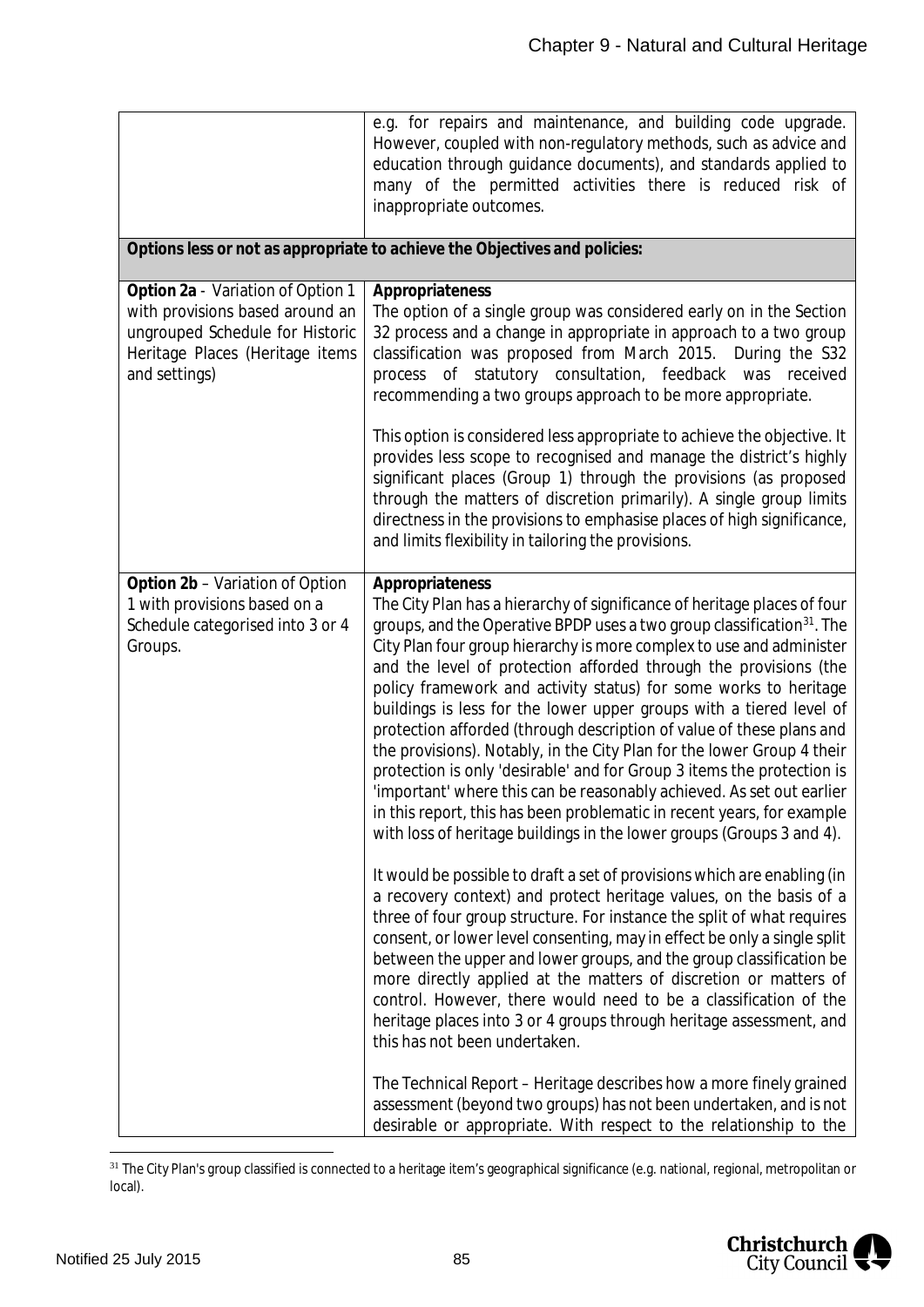|                                                                                                                                                             | e.g. for repairs and maintenance, and building code upgrade.<br>However, coupled with non-regulatory methods, such as advice and<br>education through guidance documents), and standards applied to<br>many of the permitted activities there is reduced risk of<br>inappropriate outcomes.                                                                                                                                                                                                                                                                                                                                                                                                                                                                                                                                                                                                                                                                                                                                                                                                                                                                                                                                                                                                                                                                                                                                                                                                                                                                                                                                            |
|-------------------------------------------------------------------------------------------------------------------------------------------------------------|----------------------------------------------------------------------------------------------------------------------------------------------------------------------------------------------------------------------------------------------------------------------------------------------------------------------------------------------------------------------------------------------------------------------------------------------------------------------------------------------------------------------------------------------------------------------------------------------------------------------------------------------------------------------------------------------------------------------------------------------------------------------------------------------------------------------------------------------------------------------------------------------------------------------------------------------------------------------------------------------------------------------------------------------------------------------------------------------------------------------------------------------------------------------------------------------------------------------------------------------------------------------------------------------------------------------------------------------------------------------------------------------------------------------------------------------------------------------------------------------------------------------------------------------------------------------------------------------------------------------------------------|
|                                                                                                                                                             | Options less or not as appropriate to achieve the Objectives and policies:                                                                                                                                                                                                                                                                                                                                                                                                                                                                                                                                                                                                                                                                                                                                                                                                                                                                                                                                                                                                                                                                                                                                                                                                                                                                                                                                                                                                                                                                                                                                                             |
| Option 2a - Variation of Option 1<br>with provisions based around an<br>ungrouped Schedule for Historic<br>Heritage Places (Heritage items<br>and settings) | Appropriateness<br>The option of a single group was considered early on in the Section<br>32 process and a change in appropriate in approach to a two group<br>classification was proposed from March 2015. During the S32<br>process of statutory consultation, feedback was received<br>recommending a two groups approach to be more appropriate.                                                                                                                                                                                                                                                                                                                                                                                                                                                                                                                                                                                                                                                                                                                                                                                                                                                                                                                                                                                                                                                                                                                                                                                                                                                                                   |
|                                                                                                                                                             | This option is considered less appropriate to achieve the objective. It<br>provides less scope to recognised and manage the district's highly<br>significant places (Group 1) through the provisions (as proposed<br>through the matters of discretion primarily). A single group limits<br>directness in the provisions to emphasise places of high significance,<br>and limits flexibility in tailoring the provisions.                                                                                                                                                                                                                                                                                                                                                                                                                                                                                                                                                                                                                                                                                                                                                                                                                                                                                                                                                                                                                                                                                                                                                                                                              |
| Option 2b - Variation of Option<br>1 with provisions based on a<br>Schedule categorised into 3 or 4<br>Groups.                                              | Appropriateness<br>The City Plan has a hierarchy of significance of heritage places of four<br>groups, and the Operative BPDP uses a two group classification <sup>31</sup> . The<br>City Plan four group hierarchy is more complex to use and administer<br>and the level of protection afforded through the provisions (the<br>policy framework and activity status) for some works to heritage<br>buildings is less for the lower upper groups with a tiered level of<br>protection afforded (through description of value of these plans and<br>the provisions). Notably, in the City Plan for the lower Group 4 their<br>protection is only 'desirable' and for Group 3 items the protection is<br>'important' where this can be reasonably achieved. As set out earlier<br>in this report, this has been problematic in recent years, for example<br>with loss of heritage buildings in the lower groups (Groups 3 and 4).<br>It would be possible to draft a set of provisions which are enabling (in<br>a recovery context) and protect heritage values, on the basis of a<br>three of four group structure. For instance the split of what requires<br>consent, or lower level consenting, may in effect be only a single split<br>between the upper and lower groups, and the group classification be<br>more directly applied at the matters of discretion or matters of<br>control. However, there would need to be a classification of the<br>heritage places into 3 or 4 groups through heritage assessment, and<br>this has not been undertaken.<br>The Technical Report – Heritage describes how a more finely grained |
|                                                                                                                                                             | assessment (beyond two groups) has not been undertaken, and is not<br>desirable or appropriate. With respect to the relationship to the                                                                                                                                                                                                                                                                                                                                                                                                                                                                                                                                                                                                                                                                                                                                                                                                                                                                                                                                                                                                                                                                                                                                                                                                                                                                                                                                                                                                                                                                                                |

<span id="page-85-0"></span><sup>&</sup>lt;sup>31</sup> The City Plan's group classified is connected to a heritage item's geographical significance (e.g. national, regional, metropolitan or local).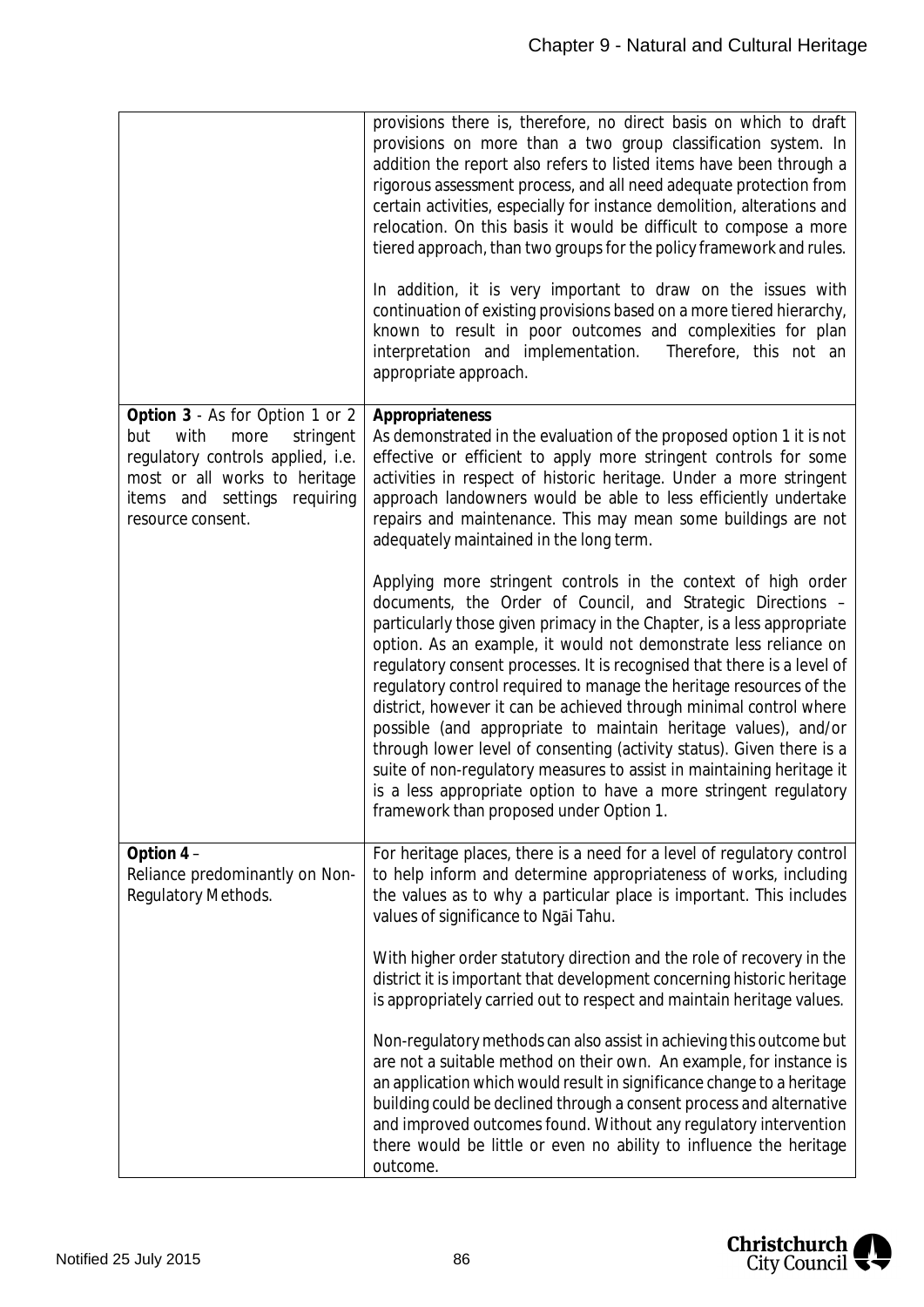|                                                                                                                                                                                                | provisions there is, therefore, no direct basis on which to draft<br>provisions on more than a two group classification system. In<br>addition the report also refers to listed items have been through a<br>rigorous assessment process, and all need adequate protection from<br>certain activities, especially for instance demolition, alterations and<br>relocation. On this basis it would be difficult to compose a more<br>tiered approach, than two groups for the policy framework and rules.<br>In addition, it is very important to draw on the issues with<br>continuation of existing provisions based on a more tiered hierarchy,<br>known to result in poor outcomes and complexities for plan<br>interpretation and implementation.<br>Therefore, this not an<br>appropriate approach.                               |
|------------------------------------------------------------------------------------------------------------------------------------------------------------------------------------------------|---------------------------------------------------------------------------------------------------------------------------------------------------------------------------------------------------------------------------------------------------------------------------------------------------------------------------------------------------------------------------------------------------------------------------------------------------------------------------------------------------------------------------------------------------------------------------------------------------------------------------------------------------------------------------------------------------------------------------------------------------------------------------------------------------------------------------------------|
| Option 3 - As for Option 1 or 2<br>with<br>but<br>more<br>stringent<br>regulatory controls applied, i.e.<br>most or all works to heritage<br>items and settings requiring<br>resource consent. | Appropriateness<br>As demonstrated in the evaluation of the proposed option 1 it is not<br>effective or efficient to apply more stringent controls for some<br>activities in respect of historic heritage. Under a more stringent<br>approach landowners would be able to less efficiently undertake<br>repairs and maintenance. This may mean some buildings are not<br>adequately maintained in the long term.                                                                                                                                                                                                                                                                                                                                                                                                                      |
|                                                                                                                                                                                                | Applying more stringent controls in the context of high order<br>documents, the Order of Council, and Strategic Directions -<br>particularly those given primacy in the Chapter, is a less appropriate<br>option. As an example, it would not demonstrate less reliance on<br>regulatory consent processes. It is recognised that there is a level of<br>regulatory control required to manage the heritage resources of the<br>district, however it can be achieved through minimal control where<br>possible (and appropriate to maintain heritage values), and/or<br>through lower level of consenting (activity status). Given there is a<br>suite of non-regulatory measures to assist in maintaining heritage it<br>is a less appropriate option to have a more stringent regulatory<br>framework than proposed under Option 1. |
| Option $4-$<br>Reliance predominantly on Non-<br>Regulatory Methods.                                                                                                                           | For heritage places, there is a need for a level of regulatory control<br>to help inform and determine appropriateness of works, including<br>the values as to why a particular place is important. This includes<br>values of significance to Ngai Tahu.                                                                                                                                                                                                                                                                                                                                                                                                                                                                                                                                                                             |
|                                                                                                                                                                                                | With higher order statutory direction and the role of recovery in the<br>district it is important that development concerning historic heritage<br>is appropriately carried out to respect and maintain heritage values.                                                                                                                                                                                                                                                                                                                                                                                                                                                                                                                                                                                                              |
|                                                                                                                                                                                                | Non-regulatory methods can also assist in achieving this outcome but<br>are not a suitable method on their own. An example, for instance is<br>an application which would result in significance change to a heritage<br>building could be declined through a consent process and alternative<br>and improved outcomes found. Without any regulatory intervention<br>there would be little or even no ability to influence the heritage<br>outcome.                                                                                                                                                                                                                                                                                                                                                                                   |

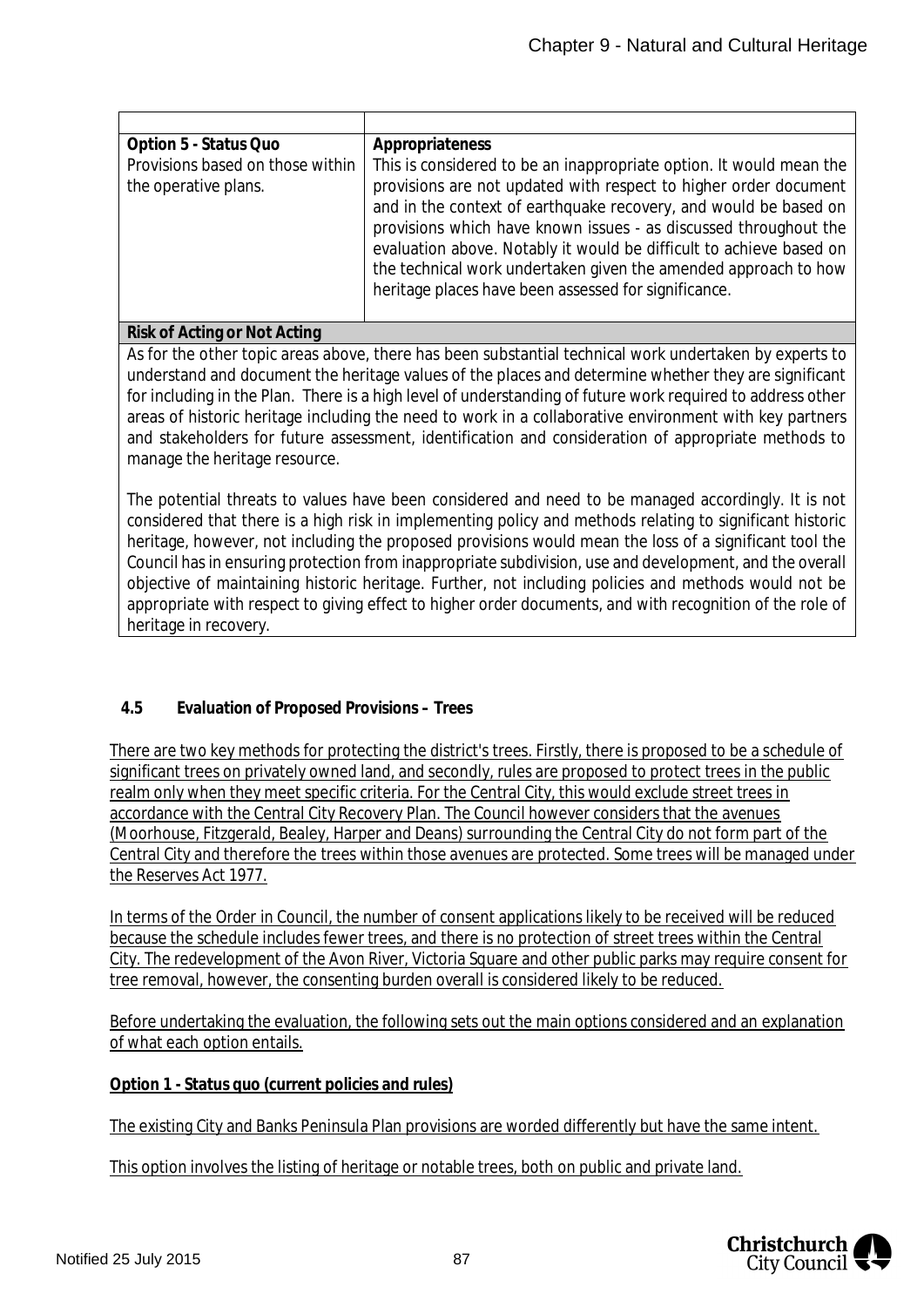| Option 5 - Status Quo            | Appropriateness                                                     |
|----------------------------------|---------------------------------------------------------------------|
| Provisions based on those within | This is considered to be an inappropriate option. It would mean the |
| the operative plans.             | provisions are not updated with respect to higher order document    |
|                                  | and in the context of earthquake recovery, and would be based on    |
|                                  | provisions which have known issues - as discussed throughout the    |
|                                  | evaluation above. Notably it would be difficult to achieve based on |
|                                  | the technical work undertaken given the amended approach to how     |
|                                  | heritage places have been assessed for significance.                |
|                                  |                                                                     |

#### **Risk of Acting or Not Acting**

As for the other topic areas above, there has been substantial technical work undertaken by experts to understand and document the heritage values of the places and determine whether they are significant for including in the Plan. There is a high level of understanding of future work required to address other areas of historic heritage including the need to work in a collaborative environment with key partners and stakeholders for future assessment, identification and consideration of appropriate methods to manage the heritage resource.

The potential threats to values have been considered and need to be managed accordingly. It is not considered that there is a high risk in implementing policy and methods relating to significant historic heritage, however, not including the proposed provisions would mean the loss of a significant tool the Council has in ensuring protection from inappropriate subdivision, use and development, and the overall objective of maintaining historic heritage. Further, not including policies and methods would not be appropriate with respect to giving effect to higher order documents, and with recognition of the role of heritage in recovery.

### **4.5 Evaluation of Proposed Provisions – Trees**

There are two key methods for protecting the district's trees. Firstly, there is proposed to be a schedule of significant trees on privately owned land, and secondly, rules are proposed to protect trees in the public realm only when they meet specific criteria. For the Central City, this would exclude street trees in accordance with the Central City Recovery Plan. The Council however considers that the avenues (Moorhouse, Fitzgerald, Bealey, Harper and Deans) surrounding the Central City do not form part of the Central City and therefore the trees within those avenues are protected. Some trees will be managed under the Reserves Act 1977.

In terms of the Order in Council, the number of consent applications likely to be received will be reduced because the schedule includes fewer trees, and there is no protection of street trees within the Central City. The redevelopment of the Avon River, Victoria Square and other public parks may require consent for tree removal, however, the consenting burden overall is considered likely to be reduced.

Before undertaking the evaluation, the following sets out the main options considered and an explanation of what each option entails.

**Option 1 - Status quo (current policies and rules)**

The existing City and Banks Peninsula Plan provisions are worded differently but have the same intent.

This option involves the listing of heritage or notable trees, both on public and private land.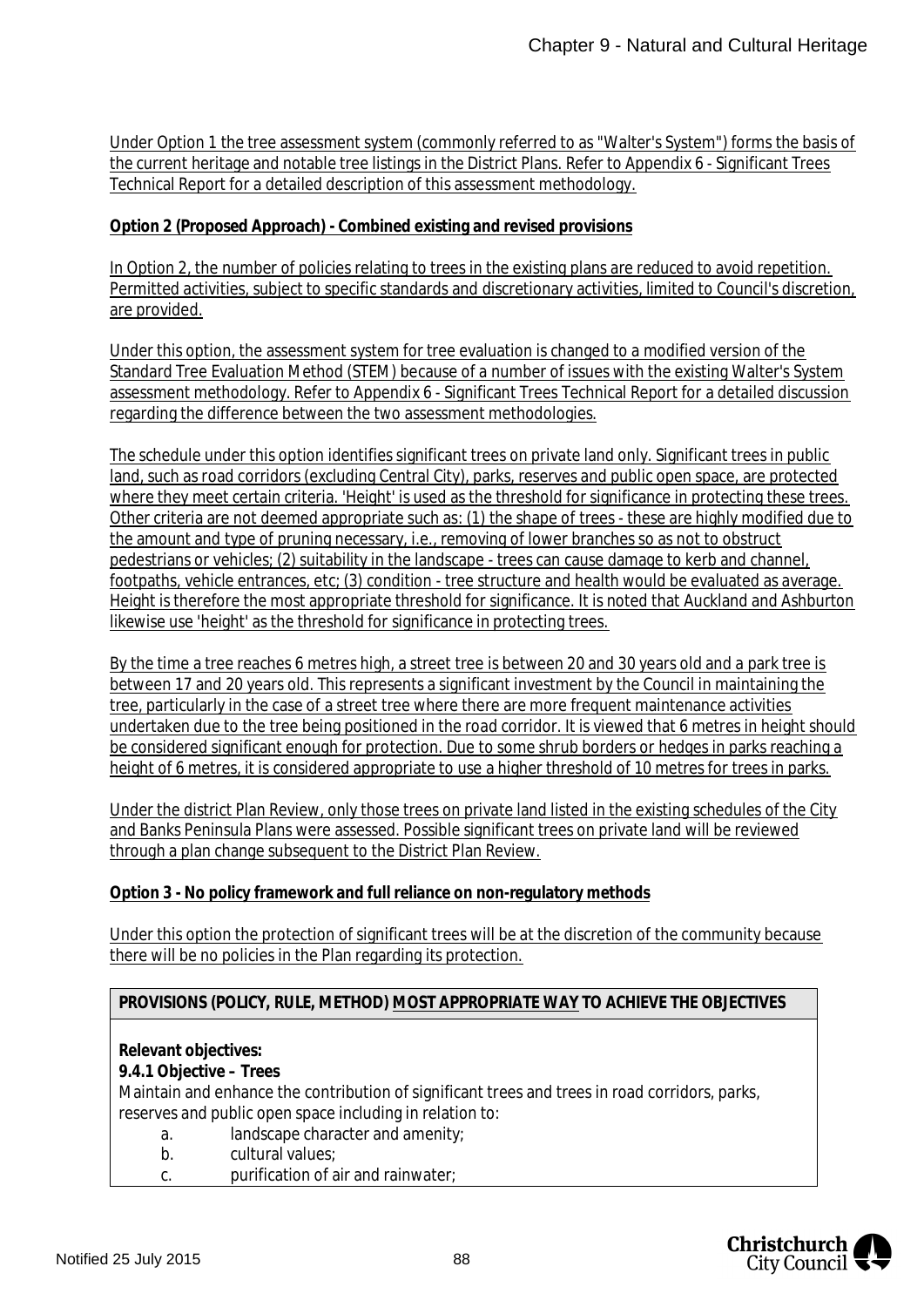Under Option 1 the tree assessment system (commonly referred to as "Walter's System") forms the basis of the current heritage and notable tree listings in the District Plans. Refer to Appendix 6 - Significant Trees Technical Report for a detailed description of this assessment methodology.

**Option 2 (Proposed Approach) - Combined existing and revised provisions**

In Option 2, the number of policies relating to trees in the existing plans are reduced to avoid repetition. Permitted activities, subject to specific standards and discretionary activities, limited to Council's discretion, are provided.

Under this option, the assessment system for tree evaluation is changed to a modified version of the Standard Tree Evaluation Method (STEM) because of a number of issues with the existing Walter's System assessment methodology. Refer to Appendix 6 - Significant Trees Technical Report for a detailed discussion regarding the difference between the two assessment methodologies.

The schedule under this option identifies significant trees on private land only. Significant trees in public land, such as road corridors (excluding Central City), parks, reserves and public open space, are protected where they meet certain criteria. 'Height' is used as the threshold for significance in protecting these trees. Other criteria are not deemed appropriate such as: (1) the shape of trees - these are highly modified due to the amount and type of pruning necessary, i.e., removing of lower branches so as not to obstruct pedestrians or vehicles; (2) suitability in the landscape - trees can cause damage to kerb and channel, footpaths, vehicle entrances, etc; (3) condition - tree structure and health would be evaluated as average. Height is therefore the most appropriate threshold for significance. It is noted that Auckland and Ashburton likewise use 'height' as the threshold for significance in protecting trees.

By the time a tree reaches 6 metres high, a street tree is between 20 and 30 years old and a park tree is between 17 and 20 years old. This represents a significant investment by the Council in maintaining the tree, particularly in the case of a street tree where there are more frequent maintenance activities undertaken due to the tree being positioned in the road corridor. It is viewed that 6 metres in height should be considered significant enough for protection. Due to some shrub borders or hedges in parks reaching a height of 6 metres, it is considered appropriate to use a higher threshold of 10 metres for trees in parks.

Under the district Plan Review, only those trees on private land listed in the existing schedules of the City and Banks Peninsula Plans were assessed. Possible significant trees on private land will be reviewed through a plan change subsequent to the District Plan Review.

### **Option 3 - No policy framework and full reliance on non-regulatory methods**

Under this option the protection of significant trees will be at the discretion of the community because there will be no policies in the Plan regarding its protection.

**PROVISIONS (POLICY, RULE, METHOD) MOST APPROPRIATE WAY TO ACHIEVE THE OBJECTIVES**

**Relevant objectives:**

**9.4.1 Objective – Trees**

Maintain and enhance the contribution of significant trees and trees in road corridors, parks, reserves and public open space including in relation to:

- a. landscape character and amenity;
- b. cultural values;
- c. purification of air and rainwater;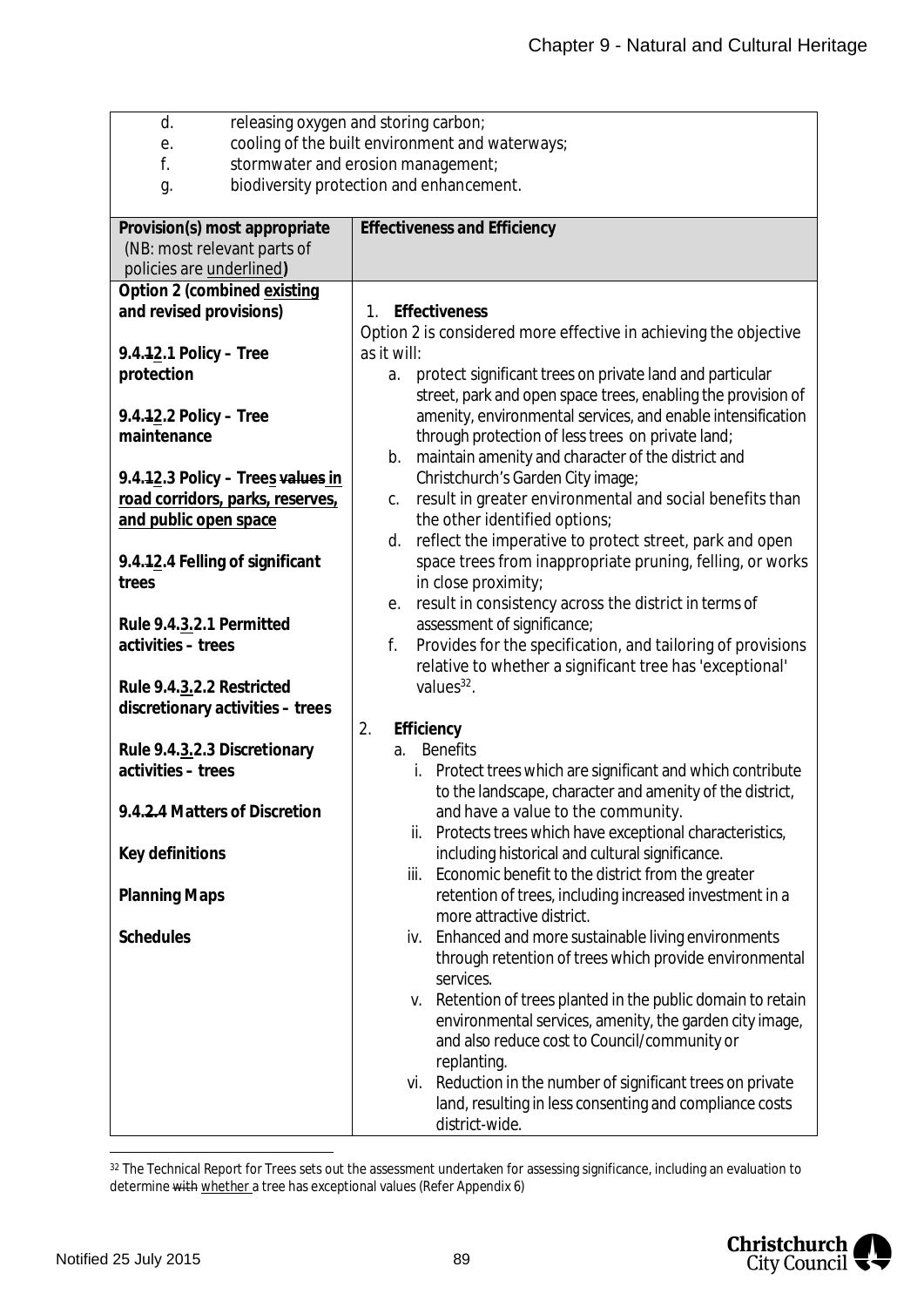| d.                                             | releasing oxygen and storing carbon;                                                                                       |  |  |
|------------------------------------------------|----------------------------------------------------------------------------------------------------------------------------|--|--|
| е.                                             | cooling of the built environment and waterways;                                                                            |  |  |
| f.                                             | stormwater and erosion management;                                                                                         |  |  |
| biodiversity protection and enhancement.<br>g. |                                                                                                                            |  |  |
| Provision(s) most appropriate                  | <b>Effectiveness and Efficiency</b>                                                                                        |  |  |
| (NB: most relevant parts of                    |                                                                                                                            |  |  |
| policies are <i>underlined</i> )               |                                                                                                                            |  |  |
| Option 2 (combined existing                    |                                                                                                                            |  |  |
| and revised provisions)                        | 1. Effectiveness                                                                                                           |  |  |
|                                                | Option 2 is considered more effective in achieving the objective                                                           |  |  |
| $9.4.12.1$ Policy – Tree                       | as it will:                                                                                                                |  |  |
| protection                                     | protect significant trees on private land and particular<br>a.                                                             |  |  |
|                                                | street, park and open space trees, enabling the provision of                                                               |  |  |
| 9.4.12.2 Policy - Tree                         | amenity, environmental services, and enable intensification                                                                |  |  |
| maintenance                                    | through protection of less trees on private land;                                                                          |  |  |
|                                                | maintain amenity and character of the district and<br>b.                                                                   |  |  |
| 9.4.12.3 Policy - Trees values in              | Christchurch's Garden City image;                                                                                          |  |  |
| road corridors, parks, reserves,               | result in greater environmental and social benefits than<br>C.                                                             |  |  |
| and public open space                          | the other identified options;                                                                                              |  |  |
|                                                | reflect the imperative to protect street, park and open<br>d.<br>space trees from inappropriate pruning, felling, or works |  |  |
| 9.4.12.4 Felling of significant<br>trees       | in close proximity;                                                                                                        |  |  |
|                                                | result in consistency across the district in terms of<br>е.                                                                |  |  |
| Rule 9.4.3.2.1 Permitted                       | assessment of significance;                                                                                                |  |  |
| activities - trees                             | f.<br>Provides for the specification, and tailoring of provisions                                                          |  |  |
|                                                | relative to whether a significant tree has 'exceptional'                                                                   |  |  |
| Rule 9.4.3.2.2 Restricted                      | values $32$ .                                                                                                              |  |  |
| discretionary activities - trees               |                                                                                                                            |  |  |
|                                                | Efficiency<br>2.                                                                                                           |  |  |
| Rule 9.4.3.2.3 Discretionary                   | <b>Benefits</b><br>a.                                                                                                      |  |  |
| activities - trees                             | Protect trees which are significant and which contribute<br>i.                                                             |  |  |
|                                                | to the landscape, character and amenity of the district,                                                                   |  |  |
| 9.4.2.4 Matters of Discretion                  | and have a value to the community.                                                                                         |  |  |
|                                                | Protects trees which have exceptional characteristics,<br>ii.                                                              |  |  |
| Key definitions                                | including historical and cultural significance.                                                                            |  |  |
|                                                | Economic benefit to the district from the greater<br>iii.                                                                  |  |  |
| <b>Planning Maps</b>                           | retention of trees, including increased investment in a                                                                    |  |  |
|                                                | more attractive district.                                                                                                  |  |  |
| <b>Schedules</b>                               | Enhanced and more sustainable living environments<br>iv.                                                                   |  |  |
|                                                | through retention of trees which provide environmental                                                                     |  |  |
|                                                | services.                                                                                                                  |  |  |
|                                                | Retention of trees planted in the public domain to retain<br>v.                                                            |  |  |
|                                                | environmental services, amenity, the garden city image,                                                                    |  |  |
|                                                | and also reduce cost to Council/community or                                                                               |  |  |
|                                                | replanting.                                                                                                                |  |  |
|                                                | Reduction in the number of significant trees on private<br>vi.                                                             |  |  |
|                                                | land, resulting in less consenting and compliance costs                                                                    |  |  |
|                                                | district-wide.                                                                                                             |  |  |

<span id="page-89-0"></span>32 The Technical Report for Trees sets out the assessment undertaken for assessing significance, including an evaluation to determine with whether a tree has exceptional values (Refer Appendix 6)

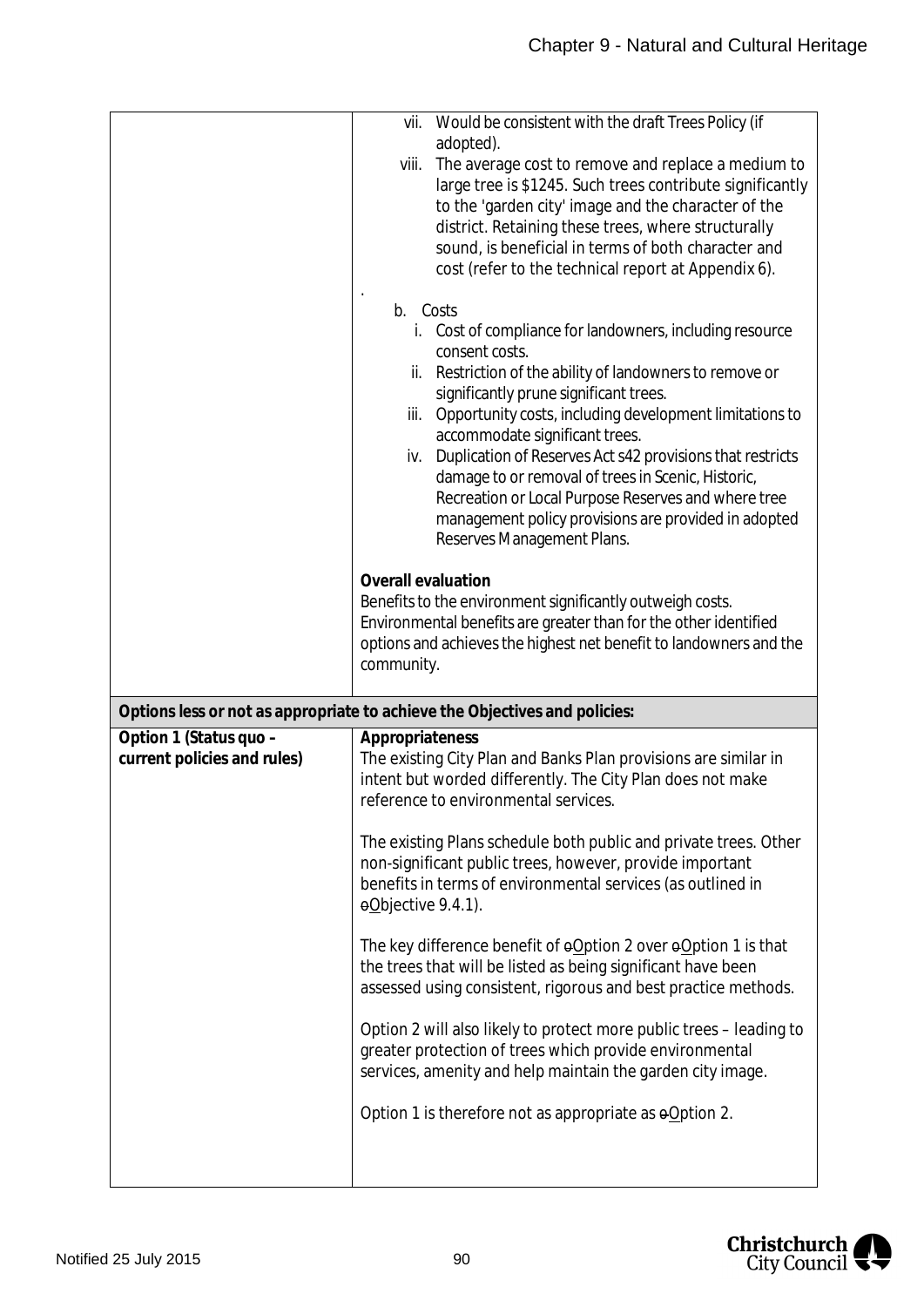|                                                       | Would be consistent with the draft Trees Policy (if<br>vii.                                                                                                                                                                                                                                                                                                                                                                                                                                                                                                                     |
|-------------------------------------------------------|---------------------------------------------------------------------------------------------------------------------------------------------------------------------------------------------------------------------------------------------------------------------------------------------------------------------------------------------------------------------------------------------------------------------------------------------------------------------------------------------------------------------------------------------------------------------------------|
|                                                       | adopted).<br>The average cost to remove and replace a medium to<br>viii.<br>large tree is \$1245. Such trees contribute significantly<br>to the 'garden city' image and the character of the<br>district. Retaining these trees, where structurally<br>sound, is beneficial in terms of both character and<br>cost (refer to the technical report at Appendix 6).                                                                                                                                                                                                               |
|                                                       | b. Costs<br>Cost of compliance for landowners, including resource<br>İ.<br>consent costs.<br>Restriction of the ability of landowners to remove or<br>ii.<br>significantly prune significant trees.<br>Opportunity costs, including development limitations to<br>iii.<br>accommodate significant trees.<br>Duplication of Reserves Act s42 provisions that restricts<br>iv.<br>damage to or removal of trees in Scenic, Historic,<br>Recreation or Local Purpose Reserves and where tree<br>management policy provisions are provided in adopted<br>Reserves Management Plans. |
|                                                       | Overall evaluation<br>Benefits to the environment significantly outweigh costs.<br>Environmental benefits are greater than for the other identified<br>options and achieves the highest net benefit to landowners and the<br>community.                                                                                                                                                                                                                                                                                                                                         |
|                                                       | Options less or not as appropriate to achieve the Objectives and policies:                                                                                                                                                                                                                                                                                                                                                                                                                                                                                                      |
| Option 1 (Status quo -<br>current policies and rules) | Appropriateness<br>The existing City Plan and Banks Plan provisions are similar in<br>intent but worded differently. The City Plan does not make<br>reference to environmental services.                                                                                                                                                                                                                                                                                                                                                                                        |
|                                                       | The existing Plans schedule both public and private trees. Other<br>non-significant public trees, however, provide important<br>benefits in terms of environmental services (as outlined in<br>eObjective 9.4.1).                                                                                                                                                                                                                                                                                                                                                               |
|                                                       | The key difference benefit of oOption 2 over oOption 1 is that<br>the trees that will be listed as being significant have been<br>assessed using consistent, rigorous and best practice methods.                                                                                                                                                                                                                                                                                                                                                                                |
|                                                       | Option 2 will also likely to protect more public trees - leading to<br>greater protection of trees which provide environmental<br>services, amenity and help maintain the garden city image.                                                                                                                                                                                                                                                                                                                                                                                    |
|                                                       | Option 1 is therefore not as appropriate as $\Theta$ Option 2.                                                                                                                                                                                                                                                                                                                                                                                                                                                                                                                  |
|                                                       |                                                                                                                                                                                                                                                                                                                                                                                                                                                                                                                                                                                 |

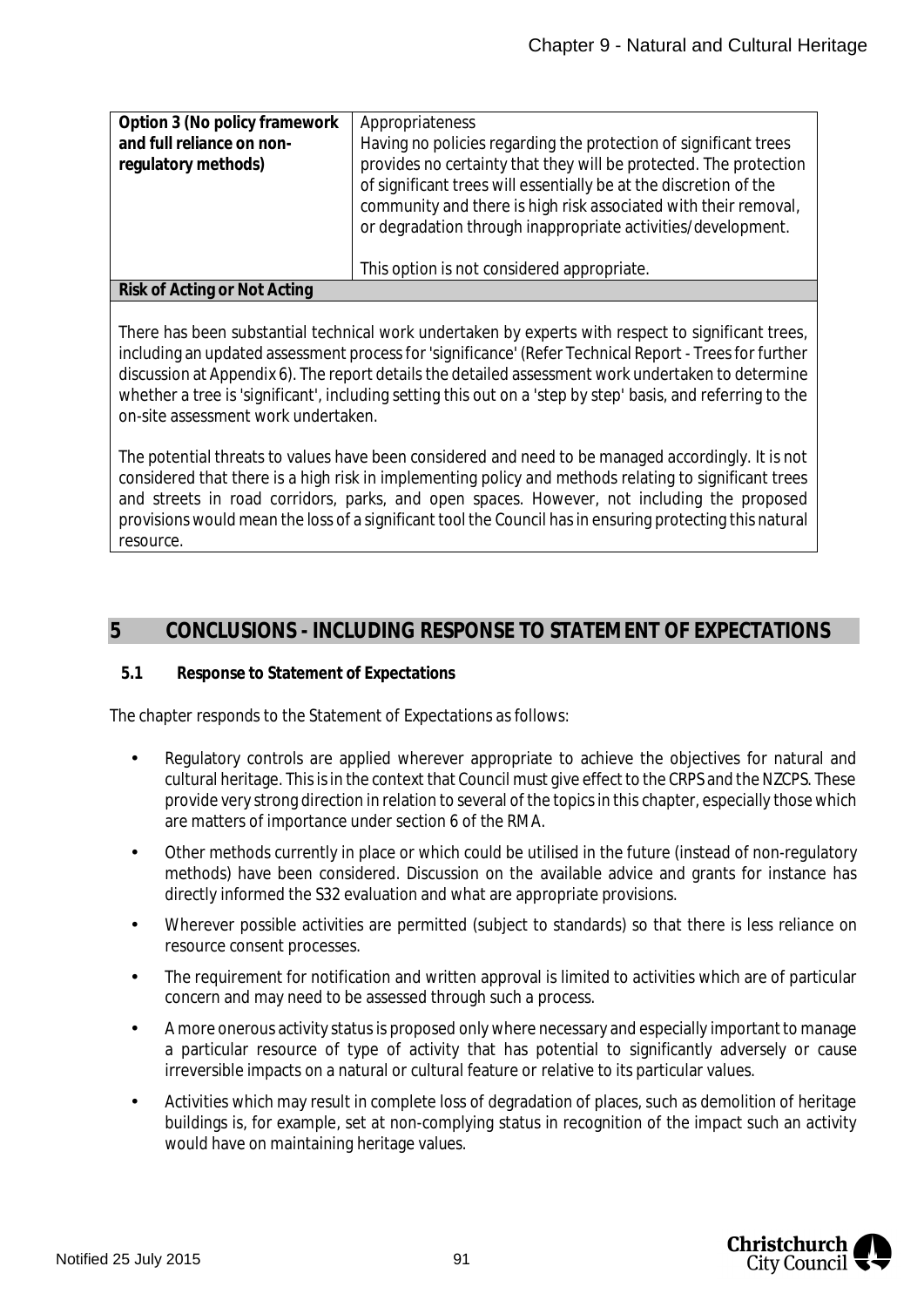| Option 3 (No policy framework<br>and full reliance on non-<br>regulatory methods) | Appropriateness<br>Having no policies regarding the protection of significant trees<br>provides no certainty that they will be protected. The protection<br>of significant trees will essentially be at the discretion of the<br>community and there is high risk associated with their removal,<br>or degradation through inappropriate activities/development.<br>This option is not considered appropriate. |
|-----------------------------------------------------------------------------------|----------------------------------------------------------------------------------------------------------------------------------------------------------------------------------------------------------------------------------------------------------------------------------------------------------------------------------------------------------------------------------------------------------------|
| Risk of Acting or Not Acting                                                      |                                                                                                                                                                                                                                                                                                                                                                                                                |
|                                                                                   |                                                                                                                                                                                                                                                                                                                                                                                                                |

There has been substantial technical work undertaken by experts with respect to significant trees, including an updated assessment process for 'significance' (Refer Technical Report - Trees for further discussion at Appendix 6). The report details the detailed assessment work undertaken to determine whether a tree is 'significant', including setting this out on a 'step by step' basis, and referring to the on-site assessment work undertaken.

The potential threats to values have been considered and need to be managed accordingly. It is not considered that there is a high risk in implementing policy and methods relating to significant trees and streets in road corridors, parks, and open spaces. However, not including the proposed provisions would mean the loss of a significant tool the Council has in ensuring protecting this natural resource.

## **5 CONCLUSIONS - INCLUDING RESPONSE TO STATEMENT OF EXPECTATIONS**

### **5.1 Response to Statement of Expectations**

The chapter responds to the Statement of Expectations as follows:

- Regulatory controls are applied wherever appropriate to achieve the objectives for natural and cultural heritage. This is in the context that Council must give effect to the CRPS and the NZCPS. These provide very strong direction in relation to several of the topics in this chapter, especially those which are matters of importance under section 6 of the RMA.
- Other methods currently in place or which could be utilised in the future (instead of non-regulatory methods) have been considered. Discussion on the available advice and grants for instance has directly informed the S32 evaluation and what are appropriate provisions.
- Wherever possible activities are permitted (subject to standards) so that there is less reliance on resource consent processes.
- The requirement for notification and written approval is limited to activities which are of particular concern and may need to be assessed through such a process.
- A more onerous activity status is proposed only where necessary and especially important to manage a particular resource of type of activity that has potential to significantly adversely or cause irreversible impacts on a natural or cultural feature or relative to its particular values.
- Activities which may result in complete loss of degradation of places, such as demolition of heritage buildings is, for example, set at non-complying status in recognition of the impact such an activity would have on maintaining heritage values.

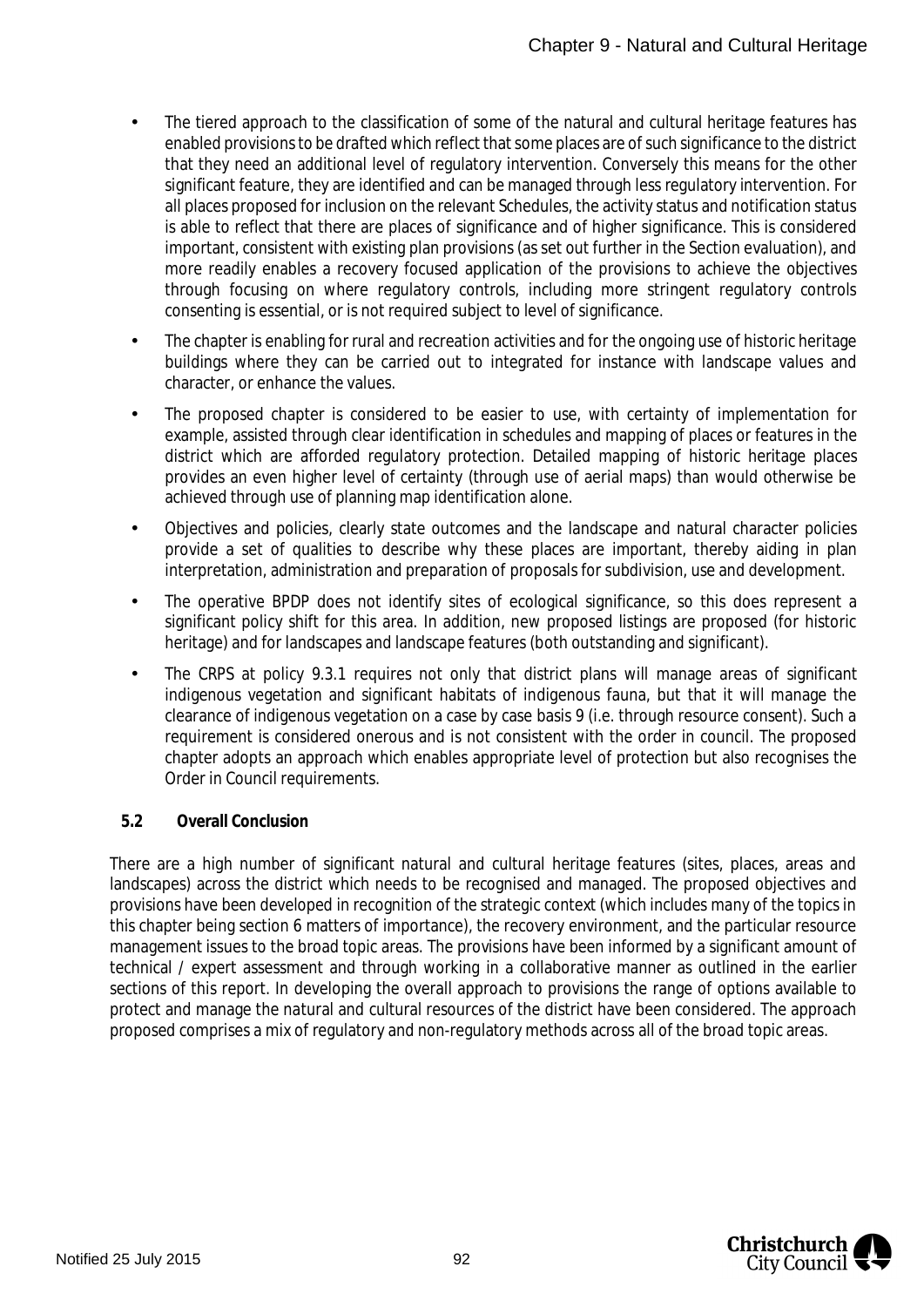- The tiered approach to the classification of some of the natural and cultural heritage features has enabled provisions to be drafted which reflect that some places are of such significance to the district that they need an additional level of regulatory intervention. Conversely this means for the other significant feature, they are identified and can be managed through less regulatory intervention. For all places proposed for inclusion on the relevant Schedules, the activity status and notification status is able to reflect that there are places of significance and of higher significance. This is considered important, consistent with existing plan provisions (as set out further in the Section evaluation), and more readily enables a recovery focused application of the provisions to achieve the objectives through focusing on where regulatory controls, including more stringent regulatory controls consenting is essential, or is not required subject to level of significance.
- The chapter is enabling for rural and recreation activities and for the ongoing use of historic heritage buildings where they can be carried out to integrated for instance with landscape values and character, or enhance the values.
- The proposed chapter is considered to be easier to use, with certainty of implementation for example, assisted through clear identification in schedules and mapping of places or features in the district which are afforded regulatory protection. Detailed mapping of historic heritage places provides an even higher level of certainty (through use of aerial maps) than would otherwise be achieved through use of planning map identification alone.
- Objectives and policies, clearly state outcomes and the landscape and natural character policies  $\mathbf{r}$ provide a set of qualities to describe why these places are important, thereby aiding in plan interpretation, administration and preparation of proposals for subdivision, use and development.
- The operative BPDP does not identify sites of ecological significance, so this does represent a significant policy shift for this area. In addition, new proposed listings are proposed (for historic heritage) and for landscapes and landscape features (both outstanding and significant).
- The CRPS at policy 9.3.1 requires not only that district plans will manage areas of significant indigenous vegetation and significant habitats of indigenous fauna, but that it will manage the clearance of indigenous vegetation on a case by case basis 9 (i.e. through resource consent). Such a requirement is considered onerous and is not consistent with the order in council. The proposed chapter adopts an approach which enables appropriate level of protection but also recognises the Order in Council requirements.
- **5.2 Overall Conclusion**

There are a high number of significant natural and cultural heritage features (sites, places, areas and landscapes) across the district which needs to be recognised and managed. The proposed objectives and provisions have been developed in recognition of the strategic context (which includes many of the topics in this chapter being section 6 matters of importance), the recovery environment, and the particular resource management issues to the broad topic areas. The provisions have been informed by a significant amount of technical / expert assessment and through working in a collaborative manner as outlined in the earlier sections of this report. In developing the overall approach to provisions the range of options available to protect and manage the natural and cultural resources of the district have been considered. The approach proposed comprises a mix of regulatory and non-regulatory methods across all of the broad topic areas.

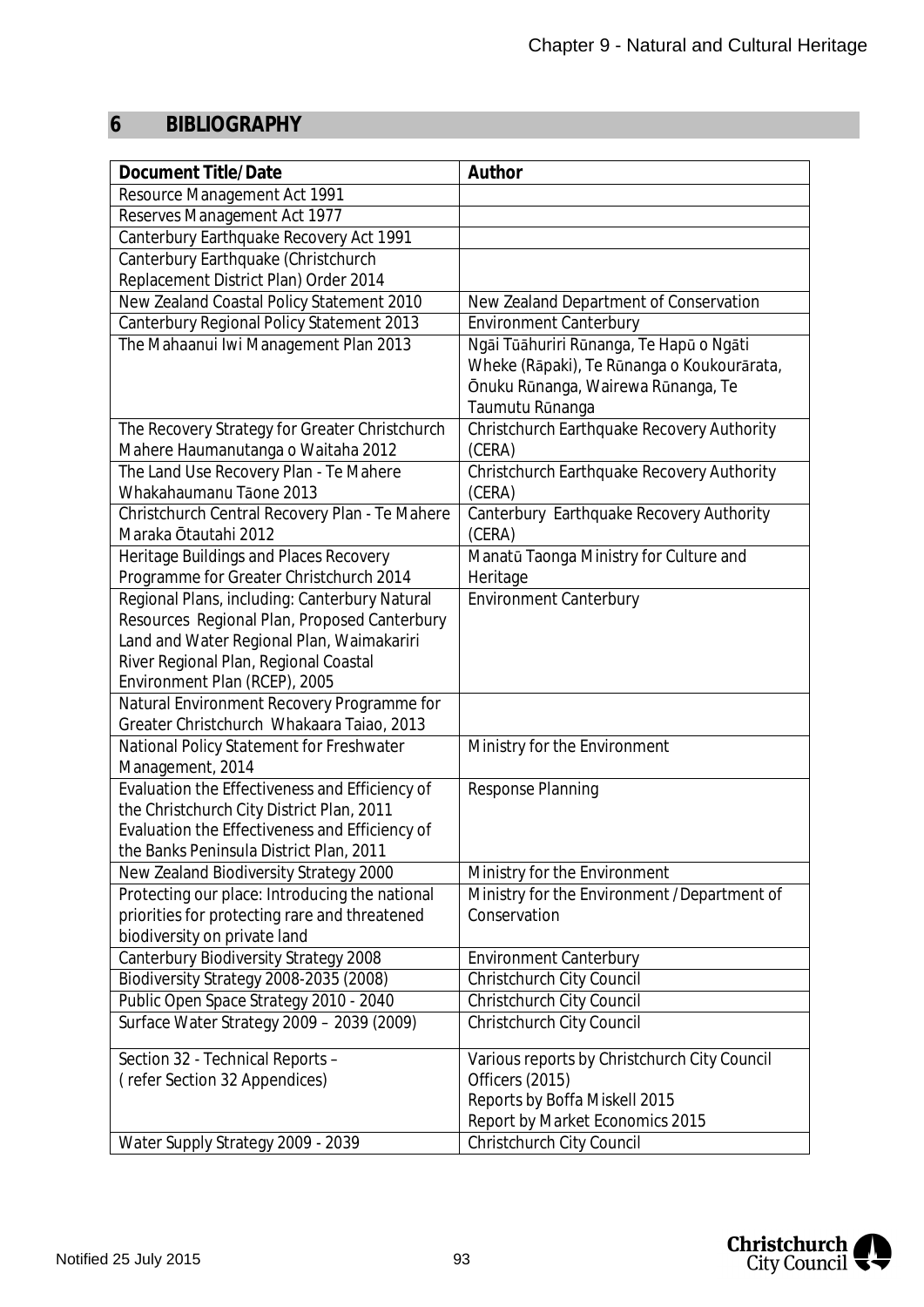# **6 BIBLIOGRAPHY**

| <b>Document Title/Date</b>                     | Author                                       |
|------------------------------------------------|----------------------------------------------|
| Resource Management Act 1991                   |                                              |
| Reserves Management Act 1977                   |                                              |
| Canterbury Earthquake Recovery Act 1991        |                                              |
| Canterbury Earthquake (Christchurch            |                                              |
| Replacement District Plan) Order 2014          |                                              |
| New Zealand Coastal Policy Statement 2010      | New Zealand Department of Conservation       |
| Canterbury Regional Policy Statement 2013      | <b>Environment Canterbury</b>                |
| The Mahaanui Iwi Management Plan 2013          | Ngāi Tūāhuriri Rūnanga, Te Hapū o Ngāti      |
|                                                | Wheke (Rāpaki), Te Rūnanga o Koukourārata,   |
|                                                | Ōnuku Rūnanga, Wairewa Rūnanga, Te           |
|                                                | Taumutu Rūnanga                              |
| The Recovery Strategy for Greater Christchurch | Christchurch Earthquake Recovery Authority   |
| Mahere Haumanutanga o Waitaha 2012             | (CERA)                                       |
| The Land Use Recovery Plan - Te Mahere         | Christchurch Earthquake Recovery Authority   |
| Whakahaumanu Tāone 2013                        | (CERA)                                       |
| Christchurch Central Recovery Plan - Te Mahere | Canterbury Earthquake Recovery Authority     |
| Maraka Ōtautahi 2012                           | (CERA)                                       |
| Heritage Buildings and Places Recovery         | Manatū Taonga Ministry for Culture and       |
| Programme for Greater Christchurch 2014        | Heritage                                     |
| Regional Plans, including: Canterbury Natural  | <b>Environment Canterbury</b>                |
| Resources Regional Plan, Proposed Canterbury   |                                              |
| Land and Water Regional Plan, Waimakariri      |                                              |
| River Regional Plan, Regional Coastal          |                                              |
| Environment Plan (RCEP), 2005                  |                                              |
| Natural Environment Recovery Programme for     |                                              |
| Greater Christchurch Whakaara Taiao, 2013      |                                              |
| National Policy Statement for Freshwater       | Ministry for the Environment                 |
| Management, 2014                               |                                              |
| Evaluation the Effectiveness and Efficiency of | Response Planning                            |
| the Christchurch City District Plan, 2011      |                                              |
| Evaluation the Effectiveness and Efficiency of |                                              |
| the Banks Peninsula District Plan, 2011        |                                              |
| New Zealand Biodiversity Strategy 2000         | Ministry for the Environment                 |
| Protecting our place: Introducing the national | Ministry for the Environment / Department of |
| priorities for protecting rare and threatened  | Conservation                                 |
| biodiversity on private land                   |                                              |
| Canterbury Biodiversity Strategy 2008          | <b>Environment Canterbury</b>                |
| Biodiversity Strategy 2008-2035 (2008)         | Christchurch City Council                    |
| Public Open Space Strategy 2010 - 2040         | Christchurch City Council                    |
| Surface Water Strategy 2009 - 2039 (2009)      | Christchurch City Council                    |
| Section 32 - Technical Reports -               | Various reports by Christchurch City Council |
| (refer Section 32 Appendices)                  | Officers (2015)                              |
|                                                | Reports by Boffa Miskell 2015                |
|                                                | Report by Market Economics 2015              |
| Water Supply Strategy 2009 - 2039              | Christchurch City Council                    |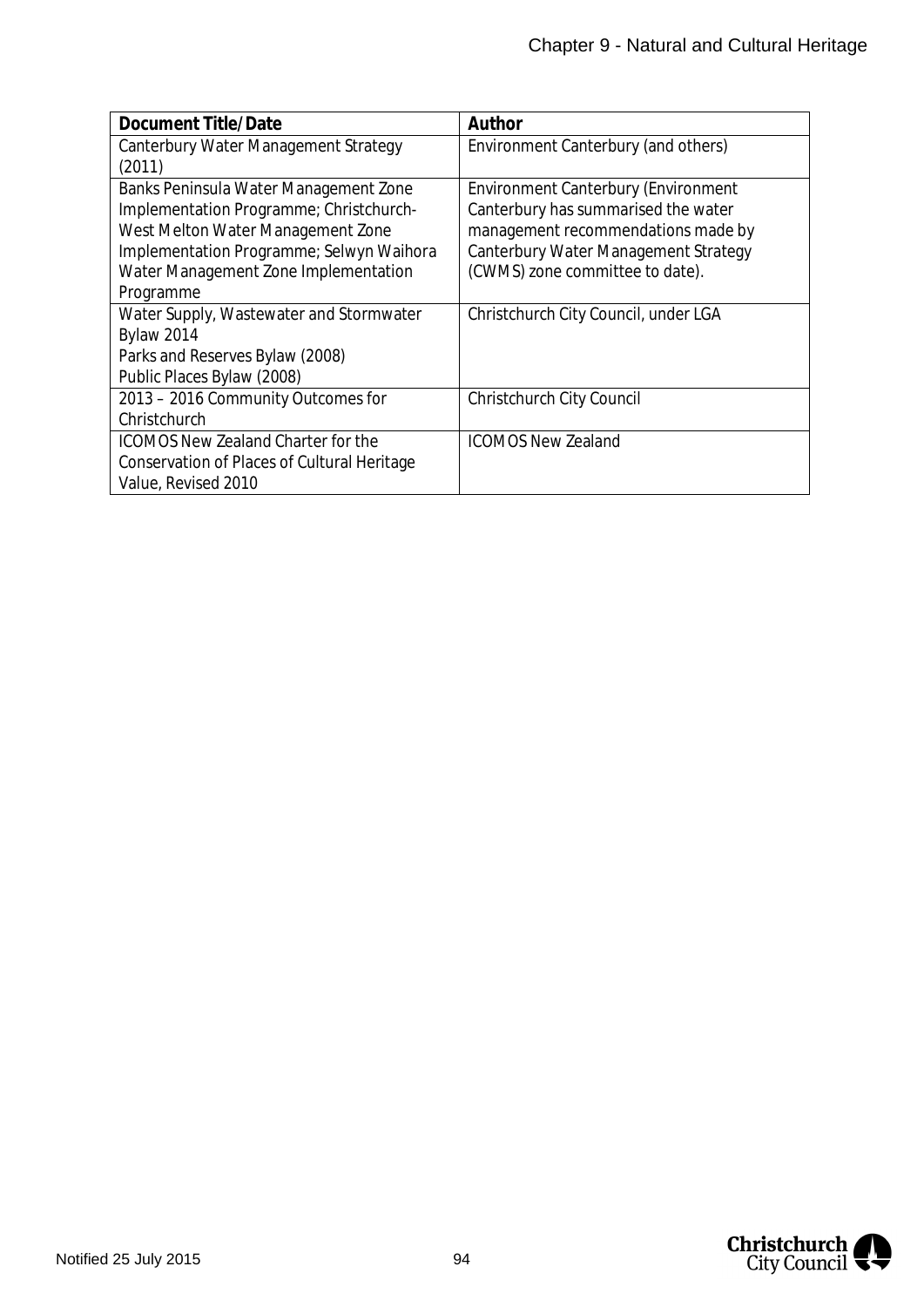| Document Title/Date                         | Author                                     |
|---------------------------------------------|--------------------------------------------|
| Canterbury Water Management Strategy        | Environment Canterbury (and others)        |
| (2011)                                      |                                            |
| Banks Peninsula Water Management Zone       | <b>Environment Canterbury (Environment</b> |
| Implementation Programme; Christchurch-     | Canterbury has summarised the water        |
| West Melton Water Management Zone           | management recommendations made by         |
| Implementation Programme; Selwyn Waihora    | Canterbury Water Management Strategy       |
| Water Management Zone Implementation        | (CWMS) zone committee to date).            |
| Programme                                   |                                            |
| Water Supply, Wastewater and Stormwater     | Christchurch City Council, under LGA       |
| <b>Bylaw 2014</b>                           |                                            |
| Parks and Reserves Bylaw (2008)             |                                            |
| Public Places Bylaw (2008)                  |                                            |
| 2013 - 2016 Community Outcomes for          | Christchurch City Council                  |
| Christchurch                                |                                            |
| <b>ICOMOS New Zealand Charter for the</b>   | <b>ICOMOS New Zealand</b>                  |
| Conservation of Places of Cultural Heritage |                                            |
| Value, Revised 2010                         |                                            |